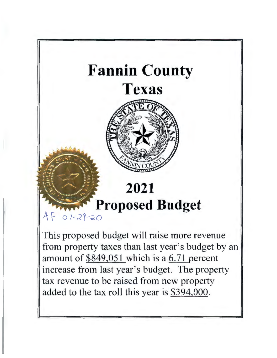

increase from last year's budget. The property tax revenue to be raised from new property added to the tax roll this year is \$394,000.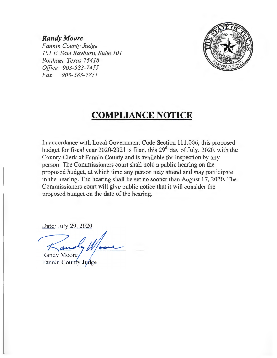# *Randy Moore*

*Fannin County Judge 101 E. Sam Rayburn, Suite 101 Bonham, Texas 75418 Office 903-583-7455 Fax 903-583-7811* 



# **COMPLIANCE NOTICE**

In accordance with Local Government Code Section 111.006, this proposed budget for fiscal year 2020-2021 is filed, this  $29<sup>th</sup>$  day of July, 2020, with the County Clerk of Fannin County and is available for inspection by any person. The Commissioners court shall hold a public hearing on the proposed budget, at which time any person may attend and may participate in the hearing. The hearing shall be set no sooner than August 17, 2020. The Commissioners court will give public notice that it will consider the proposed budget on the date of the hearing.

Date: July 29, 2020

**Randy Moore** 

Fannin County Judge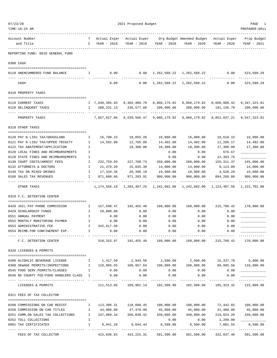| 07/23/20 | TIME:10:24 AM                                                                                       |              |                             | 2021 Proposed Budget                                    |                             |                                                                                               |                                        | PAGE<br>PREPARER: 0011      |
|----------|-----------------------------------------------------------------------------------------------------|--------------|-----------------------------|---------------------------------------------------------|-----------------------------|-----------------------------------------------------------------------------------------------|----------------------------------------|-----------------------------|
|          | Account Number<br>and Title                                                                         | $\mathbf{C}$ | YEAR - 2018                 | YEAR - 2019                                             | YEAR - 2020                 | T Actual Exper Actual Exper Org Budget Amended Budget Actual Exper Prop Budget<br>YEAR - 2020 | YEAR - 2020                            | YEAR - 2021                 |
|          | ----------<br>REPORTING FUND: 0010 GENERAL FUND                                                     |              |                             |                                                         |                             |                                                                                               |                                        |                             |
|          | 0300 CASH                                                                                           |              |                             |                                                         |                             |                                                                                               |                                        |                             |
|          | 0110 UNENCUMBERED FUND BALANCE                                                                      | Ι.           | 0.00                        |                                                         |                             | 0.00 1,262,560.22 1,262,560.22                                                                | 0.00                                   | 523,580.29                  |
|          | CASH                                                                                                |              | 0.00                        | 0.00                                                    | . <u>.</u>                  | 1, 262, 560. 22 1, 262, 560. 22                                                               | 0.00                                   | 523,580.29                  |
|          | 0310 PROPERTY TAXES                                                                                 |              |                             |                                                         |                             |                                                                                               |                                        |                             |
|          | 0110 CURRENT TAXES                                                                                  |              |                             |                                                         |                             | I 7,649,395.93 8,302,988.79 8,860,179.82 8,860,179.82 8,660,900.42 9,347,323.81               |                                        |                             |
|          | 0120 DELINQUENT TAXES                                                                               |              | 208, 231.13<br>$\mathbb{I}$ | 236,577.68                                              | 200,000.00                  | 200,000.00                                                                                    | 191,136.79                             | 200,000.00                  |
|          | PROPERTY TAXES                                                                                      |              | ___________                 | -------------<br>7,857,627.06 8,539,566.47 9,060,179.82 | . <u>.</u> .                | -------------                                                                                 | -------------                          | -------------               |
|          | 0318 OTHER TAXES                                                                                    |              |                             |                                                         |                             |                                                                                               |                                        |                             |
|          | 0120 PAY N LIEU TAX/GRASSLAND                                                                       | Ι.           |                             | 16,790.23 18,055.26                                     | 16,000.00                   | 16,000.00                                                                                     | 18,618.15                              | 16,000.00                   |
|          | 0121 PAY N LIEU TAX/UPPER TRINITY                                                                   | Ι.           | 14,592.80                   | 12,705.80                                               | 14,402.00                   | 14,402.00                                                                                     | 11,286.17                              | 14,402.00                   |
|          | 0122 TAX ABATEMENT/APPLICATION                                                                      | I            |                             | 18,300.00                                               | 18,300.00                   | 18,300.00                                                                                     | 17,300.00                              | 17,300.00                   |
|          | 0128 LOCAL FINES AND REIMBURSEMENTS                                                                 | I            |                             |                                                         | 0.00                        | 0.00                                                                                          | 676.67                                 |                             |
|          | 0129 STATE FINES AND REIMBURSEMENTS                                                                 | Ι.           |                             |                                                         | 0.00                        | 0.00                                                                                          | 12,393.76                              |                             |
|          | 0130 COURT COSTS/ARREST FEES                                                                        | Ι.           | 232,759.93                  | 227,708.73                                              | 260,000.00                  | 260,000.00                                                                                    | 155, 311.37                            | 245,000.00                  |
|          | 0132 ATTORNEYS & DOCTORS                                                                            | Ι.           | 21,478.20                   | 15,035.36                                               | 14,000.00                   | 14,000.00                                                                                     | 9,113.09                               | 14,000.00                   |
|          | 0140 TAX ON MIXED DRINKS                                                                            | $\mathbb{I}$ | 17,334.36                   | 20,398.19                                               | 19,900.00                   | 19,900.00                                                                                     | 4,520.29                               | 16,000.00                   |
|          | 0160 SALES TAX REVENUES                                                                             | $\mathbf{I}$ | 871,600.66                  | 971,283.91                                              | 900,000.00<br>------------- | 900,000.00<br>------------                                                                    | 894,268.06<br>-------------            | 900,000.00<br>------------- |
|          | OTHER TAXES                                                                                         |              |                             | 1, 174, 556. 18 1, 283, 487. 25                         |                             | 1,242,602.00  1,242,602.00  1,123,487.56                                                      |                                        | 1,222,702.00                |
|          | 0319 F.C. DETENTION CENTER                                                                          |              |                             |                                                         |                             |                                                                                               |                                        |                             |
|          | 0420 JAIL PAY PHONE COMMISSION                                                                      | $\mathbb{I}$ |                             | 157,698.47 192,455.40                                   | 160,000.00                  | 160,000.00                                                                                    | 215,790.42                             | 170,000.00                  |
|          | 0429 SCHOLARSHIP FUNDS                                                                              | $\mathbb{I}$ | 10,000.00                   | 0.00                                                    | 0.00                        | 0.00                                                                                          | 0.00                                   |                             |
|          | 0551 ANNUAL PAYMENT                                                                                 | $\mathbb{I}$ | 0.00                        | 0.00                                                    | 0.00                        | 0.00                                                                                          | 0.00                                   |                             |
|          | 0552 MONTHLY MONITORING PAYMEN                                                                      | $\mathbf{I}$ | 0.00                        | 0.00                                                    | 0.00                        | 0.00                                                                                          | 0.00                                   |                             |
|          | 0553 ADMINISTRATIVE FEE                                                                             |              | I 342,617.50                | 0.00                                                    | 0.00                        | 0.00                                                                                          | 0.00                                   |                             |
|          | 0554 REIMB.FOR CONFINEMENT EXP. I 0.00                                                              |              |                             | 0.00                                                    | 0.00                        | 0.00                                                                                          | 0.00                                   | ___________                 |
|          | F.C. DETENTION CENTER                                                                               |              |                             |                                                         |                             | 510,315.97    192,455.40    160,000.00    160,000.00                                          | 215,790.42                             | 170,000.00                  |
|          | 0320 LICENSES & PERMITS                                                                             |              |                             |                                                         |                             |                                                                                               |                                        |                             |
|          | 0200 ALCOHLIC BEVERAGE LICENSE                                                                      |              |                             |                                                         |                             | $1,417.50$ $2,943.50$ $2,500.00$ $2,500.00$ $15,337.76$ $5,000.00$                            |                                        |                             |
|          | 0300 SEWAGE PERMITS/INSPECTIONS 100,095.55 106,957.64 100,000.00 100,000.00                         |              |                             |                                                         |                             |                                                                                               | 89,985.56 110,000.00                   |                             |
|          | 0545 FOOD SERV.PERMITS/CLASSES I 0.00                                                               |              |                             | 0.00                                                    | 0.00                        | 0.00                                                                                          | 0.00                                   |                             |
|          | 0.00 0546 \$5 COUNTY FEE/FOOD HANDLERS CLASS I                                                      |              |                             | 0.00                                                    | 0.00                        | 0.00                                                                                          | 0.00<br>-----------                    |                             |
|          | LICENSES & PERMITS                                                                                  |              |                             |                                                         |                             | 111,513.05 109,901.14 102,500.00 102,500.00                                                   | 105,323.32                             | 115,000.00                  |
|          | 0321 FEES OF TAX COLLECTOR                                                                          |              |                             |                                                         |                             |                                                                                               |                                        |                             |
|          | 0200 COMMISSIONS ON CAR REGIST THE 113,306.31 110,680.45 108,000.00 108,000.00 72,442.65 108,000.00 |              |                             |                                                         |                             |                                                                                               |                                        |                             |
|          | 0250 COMMISSION ON CAR TITLES                                                                       |              | I 44,980.00                 | 47,470.00                                               | 45,000.00                   | 45,000.00                                                                                     |                                        | 31,480.00 45,000.00         |
|          | 0251 COMM.ON SALES TAX COLLECTIONS 1 247,809.34 266,030.42 340,000.00                               |              |                             |                                                         |                             |                                                                                               | $340,000.00$ $219,824.20$ $340,000.00$ |                             |
|          | 0252 TOLL COLLECTIONS                                                                               | $\mathbb{I}$ |                             |                                                         | 0.00                        | 0.00                                                                                          | 1,209.00                               |                             |
|          | 0901 TAX CERTIFICATES<br>$\mathbf{I}$ and $\mathbf{I}$ and $\mathbf{I}$                             |              |                             | ------------------------------                          |                             | 8,941.28 9,044.44 8,500.00 8,500.00<br>-------------------------------                        | 7,081.55                               | 8,500.00<br>--------------  |
|          | FEES OF TAX COLLECTOR                                                                               |              |                             |                                                         |                             | $415,036.93$ $433,225.31$ $501,500.00$ $501,500.00$ $332,037.40$ $501,500.00$                 |                                        |                             |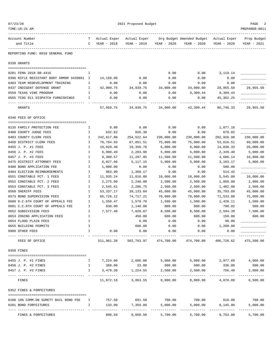| TIME:10:24 AM                             |               |              |                                  |             |                           |                      | PREPARER: 0011          |
|-------------------------------------------|---------------|--------------|----------------------------------|-------------|---------------------------|----------------------|-------------------------|
| Account Number                            | т             | Actual Exper | Actual Exper                     |             | Org Budget Amended Budget | Actual Exper         | Prop Budget             |
| and Title                                 | C             | YEAR - 2018  | YEAR - 2019                      | YEAR - 2020 | YEAR - 2020               | YEAR - 2020          | YEAR - 2021             |
| REPORTING FUND: 0010 GENERAL FUND         |               |              |                                  |             |                           |                      |                         |
| 0330 GRANTS                               |               |              |                                  |             |                           |                      |                         |
| 0201 FEMA 2018 DR-4416                    | I             |              |                                  | 0.00        | 0.00                      | 3,119.14             |                         |
| 0396 RIFLE RESISTANT BODY ARMOR 3439801 I |               | 14,150.00    | 0.00                             | 0.00        | 0.00                      | 0.00                 |                         |
| 0403 TEAM REDEVELOPMENT TRAINING          | I.            | 0.00         | 0.00                             | 0.00        | 0.00                      | 0.00                 |                         |
| 0437 INDIGENT DEFENSE GRANT               | I.            | 42,909.75    | 34,939.75                        | 34,000.00   | 34,000.00                 | 28,955.50            | 28,955.50               |
| 0559 TEXAS VINE PROGRAM                   | I             | 0.00         | 0.00                             | 0.00        | 9,309.44                  | 9,309.44             |                         |
| 0565 TCOG 911 DISPATCH FURNISHINGS        | I             | 0.00         | 0.00                             | 0.00        | 0.00                      | 45,362.25            |                         |
| GRANTS                                    |               | 57,059.75    | 34,939.75                        | 34,000.00   | 43,309.44                 | 86,746.33            | 28,955.50               |
| 0340 FEES OF OFFICE                       |               |              |                                  |             |                           |                      |                         |
| 0135 FAMILY PROTECTION FEE                | $\mathbf{I}$  | 0.00         | 0.00                             | 0.00        | 0.00                      | 1,877.16             |                         |
| 0400 COUNTY JUDGE FEES                    | I.            | 632.62       | 826.30                           | 0.00        | 0.00                      | 678.02               |                         |
| 0403 COUNTY CLERK FEES                    | I             | 242,617.80   | 254,522.64                       | 230,000.00  | 230,000.00                | 202,926.98           | 230,000.00              |
| 0450 DISTRICT CLERK FEES                  | I             | 78,784.93    | 67,051.51                        | 75,000.00   | 75,000.00                 | 53,616.51            | 60,000.00               |
| 0455 J. P. #1 FEES                        | I             | 19,820.40    | 19,350.78                        | 6,000.00    | 6,000.00                  | 14,038.33            | 20,000.00               |
| 0456 J. P. #2 FEES                        | I             | 6,908.49     | 2,283.90                         | 5,800.00    | 5,800.00                  | 2,349.40             | 5,000.00                |
| 0457 J. P. #3 FEES                        | I             | 9,300.57     | 11,297.95                        | 11,500.00   | 11,500.00                 | 4,606.14             | 10,000.00               |
| 0475 DISTRICT ATTORNEY FEES               | $\mathbf I$   | 6,027.66     | 5,117.15                         | 5,000.00    | 5,000.00                  | 3,163.17             | 5,000.00                |
| 0480 BOND APPLICATION FEE                 | I             | 1,000.00     | 0.00                             | 0.00        | 0.00                      | 500.00               |                         |
| 0484 ELECTION REIMBURSEMENTS              | I             | 983.90       | 1,360.17                         | 0.00        | 0.00                      | 514.42               |                         |
| 0551 CONSTABLE PCT. 1 FEES                | I             | 11,935.24    | 11,016.80                        | 10,000.00   | 10,000.00                 | 5,545.00             | 10,000.00               |
| 0552 CONSTABLE PCT. 2 FEES                | I             | 2,275.00     | 2,240.00                         | 2,500.00    | 2,500.00                  | 1,850.00             | 2,900.00                |
| 0553 CONSTABLE PCT. 3 FEES                | Ι.            | 2,545.61     | 2,286.75                         | 2,500.00    | 2,500.00                  | 1,482.08             | 2,500.00                |
| 0560 SHERIFF FEES                         | I             | 53,337.17    | 39,133.04                        | 45,000.00   | 45,000.00                 | 35,793.89            | 45,000.00               |
| 0573 BOND SUPERVISION FEES                | I             | 65,726.12    | 74,717.21                        | 70,000.00   | 70,000.00                 | 71,533.00            | 75,000.00               |
| 0600 D.C.6TH COURT OF APPEALS FEE         | I             | 1,558.47     | 1,579.70                         | 1,500.00    | 1,500.00                  | 1,428.11             | 1,500.00                |
| 0601 C.C.6TH COURT OF APPEALS FEE         | I             | 930.00       | 1,140.00                         | 800.00      | 800.00                    | 790.02               | 500.00                  |
| 0652 SUBDIVISION FEES                     | I             | 7,577.40     | 7,820.07                         | 8,500.00    | 8,500.00                  | 2,594.39             | 7,500.00                |
| 0653 ZONING APPLICATION FEES              | I             |              | 450.00                           | 600.00      | 600.00                    | 150.00               | 600.00                  |
| 0654 FLOOD PLAIN FEES                     | I             |              | 0.00                             | 0.00        | 0.00                      | 90.00                |                         |
| 0655 BUILDING PERMITS                     | $\mathbbm{I}$ |              | 600.00                           | 0.00        | 0.00                      | 1,200.00             |                         |
| 0900 OTHER FEES                           |               | 0.00         | 0.00                             | 0.00        | 0.00                      | 0.00                 |                         |
| FEES OF OFFICE                            |               |              | 511,961.38 502,793.97 474,700.00 |             | 474,700.00                | 406,726.62           | 475,500.00              |
| 0350 FINES                                |               |              |                                  |             |                           |                      |                         |
| 0455 J. P. #1 FINES                       | $\mathbf{I}$  | 7,224.80     | 2,606.00                         | 5,000.00    | 5,000.00                  | 2,977.69             | 4,000.00                |
| 0456 J. P. #2 FINES                       | $\mathbf{I}$  | 368.00       | 33.00                            | 500.00      | 500.00                    | 336.00               | 500.00                  |
| 0457 J. P. #3 FINES                       | I             | 3,479.38     | 1,224.55                         | 2,500.00    | 2,500.00                  | 756.40               | 2,000.00                |
| FINES                                     |               | 11,072.18    | 3,863.55                         | 8,000.00    | .<br>8,000.00             | 4,070.09             | -----------<br>6,500.00 |
| 0352 FINES & FORFEITURES                  |               |              |                                  |             |                           |                      |                         |
|                                           |               |              |                                  |             |                           |                      |                         |
| 0100 10% COMM.ON SURETY BAIL BOND FEE     | I.            |              | 757.50 691.50 700.00             |             |                           | 700.00 618.00 700.00 |                         |
| 0201 BOND FORFEITURES                     | Ι.            | 133.00       | 7,359.00                         | 5,000.00    | 5,000.00                  | 9,145.00             | 5,000.00                |
| FINES & FORFEITURES                       |               | 890.50       | 8,050.50                         | 5,700.00    | 5,700.00                  | 9,763.00             | ---------<br>5,700.00   |

07/23/20 2021 Proposed Budget 2022 Proposed Budget 2022 Proposed Budget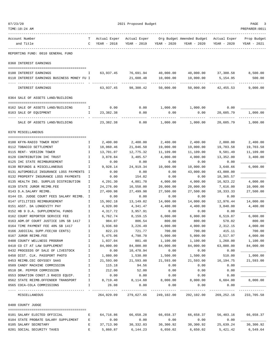| 07/23/20 |                                                                          |              | 2021 Proposed Budget |                        |                       |                           |                    |                    |  |  |
|----------|--------------------------------------------------------------------------|--------------|----------------------|------------------------|-----------------------|---------------------------|--------------------|--------------------|--|--|
|          | TIME:10:24 AM                                                            |              |                      |                        |                       |                           |                    | PREPARER: 0011     |  |  |
|          | Account Number                                                           | т            | Actual Exper         | Actual Exper           |                       | Org Budget Amended Budget | Actual Exper       | Prop Budget        |  |  |
|          | and Title                                                                | C            | YEAR - 2018          | YEAR - 2019            | YEAR - 2020           | YEAR - 2020               | YEAR - 2020        | YEAR - 2021        |  |  |
|          | REPORTING FUND: 0010 GENERAL FUND                                        |              |                      |                        |                       |                           |                    |                    |  |  |
|          | 0360 INTEREST EARNINGS                                                   |              |                      |                        |                       |                           |                    |                    |  |  |
|          |                                                                          |              |                      |                        |                       |                           |                    |                    |  |  |
|          | 0100 INTEREST EARNINGS                                                   | Ι.           | 63,937.45            | 76,691.94              | 40,000.00             | 40,000.00                 | 37,300.58          | 8,500.00           |  |  |
|          | 0110 INTEREST EARNINGS BUSINESS MONEY FU I                               |              |                      | 21,608.48              | 10,000.00             | 10,000.00                 | 5,154.95           | 500.00             |  |  |
|          | INTEREST EARNINGS                                                        |              | 63,937.45            | 98,300.42              | 50,000.00             | 50,000.00                 | 42, 455.53         | 9,000.00           |  |  |
|          | 0364 SALE OF ASSETS LAND/BUILDING                                        |              |                      |                        |                       |                           |                    |                    |  |  |
|          |                                                                          |              |                      |                        |                       |                           |                    |                    |  |  |
|          | 0162 SALE OF ASSETS LAND/BUILDING                                        | Ι.           | 0.00<br>23,382.38    | 0.00<br>0.00           | 1,000.00              | 1,000.00<br>0.00          | 0.00<br>20,605.79  | 1,000.00           |  |  |
|          | 0163 SALE OF EQUIPMENT                                                   | Ι.           |                      |                        | 0.00                  |                           |                    |                    |  |  |
|          | SALE OF ASSETS LAND/BUILDING                                             |              | 23,382.38            | 0.00                   | 1,000.00              | 1,000.00                  | 20,605.79          | 1,000.00           |  |  |
|          | 0370 MISCELLANEOUS                                                       |              |                      |                        |                       |                           |                    |                    |  |  |
|          | 0100 KFYN-RADIO TOWER RENT                                               | Ι.           | 2,400.00             | 2,400.00               | 2,400.00              | 2,400.00                  | 2,000.00           | 2,400.00           |  |  |
|          | 0112 TOBACCO SETTLEMENT                                                  | I.           | 18,060.46            | 21,046.50              | 19,000.00             | 19,000.00                 | 19,703.58          | 19,703.58          |  |  |
|          | 0115 RENT- VERIZON TOWER                                                 | I            | 13,701.07            | 12,775.32              | 11,109.00             | 11,109.00                 | 9,581.49           | 11,109.00          |  |  |
|          | 0120 CONTRIBUTION IHC TRUST                                              | I            | 3,878.84             | 3,485.57               | 4,000.00              | 4,000.00                  | 13,352.00          | 3,400.00           |  |  |
|          | 0125 IHC STATE REIMBURSEMENT                                             | I            | 0.00                 | 0.00                   | 0.00                  | 0.00                      | 0.00               |                    |  |  |
|          | 0130 REFUNDS & MISCELLANEOUS                                             | Ι            | 9,928.14             | 24,919.34              | 10,000.00             | 10,000.00                 | 3,648.66           | 6,000.00           |  |  |
|          | 0131 AUTOMOBILE INSURANCE LOSS PAYMENTS                                  | I            | 0.00                 | 0.00                   | 0.00                  | 43,000.00                 | 43,000.00          |                    |  |  |
|          | 0132 PROPERTY INSURANCE LOSS PAYMENTS                                    | Ι            | 0.00                 | 154.82                 | 0.00                  | 0.00                      | 18,365.57          |                    |  |  |
|          | 0135 HEALTH INS. SURPLUS DISTRIBUTION                                    | I            | 4,291.30             | 4,881.70               | 4,000.00              | 4,000.00                  | 16,923.22          | 4,000.00           |  |  |
|          | 0139 STATE JUROR REIMB.FEE                                               | Ι            | 24,276.00            | 16,558.00              | 20,000.00             | 20,000.00                 | 7,616.00           | 10,000.00          |  |  |
|          | 0143 D.A.SALARY REIMB.                                                   | I            | 27,499.98            | 27,499.98              | 27,500.00             | 27,500.00                 | 18, 333. 33        | 27,500.00          |  |  |
|          | 0144 CO. JUDGE COURT FEES SALARY REIMB. I                                |              | 0.00                 | 0.00                   | 0.00                  | 0.00                      | 0.00               |                    |  |  |
|          | 0147 UTILITIES REIMBURSEMENT                                             | I            | 15,992.18            | 13,149.82              | 14,000.00             | 14,000.00                 | 12,976.44          | 14,000.00          |  |  |
|          | 0151 ASST. DA LONGEVITY PAY                                              | I            | 4,920.00             | 4,341.47               | 4,400.00              | 4,400.00                  | 3,840.00           | 4,400.00           |  |  |
|          | 0152 HB 9 D.A. SUPPLEMENTAL FUNDS                                        | I            | 4,317.72             | 3,957.91               | 0.00                  | 0.00                      | 0.00               |                    |  |  |
|          | 0162 COURT REPORTER SERVICE FEE<br>0163 ADM.OF COURT JUSTICE 10% SB 1417 | I<br>I       | 6,762.74<br>984.07   | 8,159.15<br>806.54     | 6,000.00<br>800.00    | 6,000.00<br>800.00        | 6,519.87<br>578.02 | 6,000.00<br>800.00 |  |  |
|          | 0164 TIME PAYMENT FEE 40% SB 1417                                        | I            | 3,936.60             | 3,226.49               | 4,000.00              | 4,000.00                  | 2,312.15           | 4,000.00           |  |  |
|          | 0166 JUDICIAL SUPP.FEE(60 CENTS)                                         | I.           | 822.23               | 721.77                 | 700.00                | 700.00                    | 415.11             | 700.00             |  |  |
|          | 0167 JUROR REIMB.FEE                                                     | Ι.           | 5,475.06             | 4,798.70               | 5,000.00              | 5,000.00                  | 2,517.97           | 4,000.00           |  |  |
|          | 0408 COUNTY WELLNESS PROGRAM                                             | $\mathbf I$  | 1,037.04             | 881.48                 | 1,100.00              | 1,100.00                  | 1,260.00           | 1,100.00           |  |  |
|          | 0410 CO CT AT LAW SUPPLEMENT                                             | $\mathbf{I}$ | 84,000.00            | 84,000.00              | 84,000.00             | 84,000.00                 | 63,000.00          | 84,000.00          |  |  |
|          | 0432 PROCEEDS OF SALE OF LIVESTOCK                                       | Ι.           | 0.00                 | 10,478.94              | 0.00                  | 0.00                      | 0.00               |                    |  |  |
|          | 0450 DIST. CLK. PASSPORT PHOTO                                           | I            | 1,080.00             | 1,530.00               | 1,500.00              | 1,500.00                  | 510.00             | 1,000.00           |  |  |
|          | 0453 REIMB.CEC ODYSSEY SAAS                                              | Ι.           | 21,593.00            | 21,593.00              | 21,593.00             | 21,593.00                 | 16,194.75          | 21,593.00          |  |  |
|          | 0509 CANDY MACHINE COMMISSION                                            | $\mathbf I$  | 115.18               | 94.56                  | 0.00                  | 0.00                      | 0.00               |                    |  |  |
|          | 0510 DR. PEPPER COMMISSION                                               | $\mathbf{I}$ | 212.00               | 52.00                  | 0.00                  | 0.00                      | 0.00               |                    |  |  |
|          | 0553 DONATION CONST.3 RADIO EQUIP.                                       | Ι.           | 0.00                 | 0.00                   | 0.00                  | 0.00                      | 0.00               |                    |  |  |
|          | 0562 STATE REIMB.OFFENDER TRANSPORT                                      | $\mathbf{I}$ | 8,719.40             | 8,114.60               | 8,000.00              | 8,000.00                  | 6,604.00           | 8,000.00           |  |  |
|          | 0565 COCA-COLA COMMISSIONS                                               | $\mathbf{I}$ | 26.08                | 0.00<br>-------------- | 0.00                  | 0.00<br>------------      | 0.00               |                    |  |  |
|          | MISCELLANEOUS                                                            |              | 264,029.09           |                        | 279,627.66 249,102.00 | 292,102.00                | 269,252.16         | 233,705.58         |  |  |
|          | 0400 COUNTY JUDGE                                                        |              |                      |                        |                       |                           |                    |                    |  |  |
|          | 0101 SALARY ELECTED OFFICIAL                                             | Е            | 64,716.86            | 66,658.28              | 66,658.37             | 66,658.37                 | 56,403.16          | 66,658.37          |  |  |
|          | 0104 STATE PROBATE SALARY SUPPLEMENT                                     | Е            | 0.00                 | 0.00                   | 0.00                  | 0.00                      | 0.00               |                    |  |  |
|          | 0105 SALARY SECRETARY                                                    | $\mathbf E$  | 37,713.90            | 30,332.03              | 30,300.92             | 30,300.92                 | 25,639.24          | 30,300.92          |  |  |
|          | 0201 SOCIAL SECURITY TAXES                                               | E            | 5,860.87             | 6,144.23               | 6,650.02              | 6,650.02                  | 5,421.42           | 6,549.64           |  |  |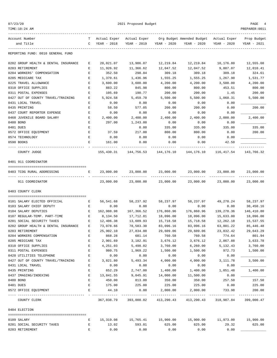TIME:10:24 AM PREPARER:0011

2021 Proposed Budget **PAGE** 4

| Account Number<br>and Title          | т<br>$\mathsf{C}$ | Actual Exper<br>YEAR - 2018 | Actual Exper<br>YEAR - 2019 | YEAR - 2020 | Org Budget Amended Budget<br>YEAR - 2020   | Actual Exper<br>YEAR - 2020 | Prop Budget<br>YEAR - 2021 |
|--------------------------------------|-------------------|-----------------------------|-----------------------------|-------------|--------------------------------------------|-----------------------------|----------------------------|
| REPORTING FUND: 0010 GENERAL FUND    |                   |                             |                             |             |                                            |                             |                            |
| 0202 GROUP HEALTH & DENTAL INSURANCE | Е                 | 20,021.07                   | 13,986.07                   | 12,219.84   | 12,219.84                                  | 10,176.80                   | 12,555.60                  |
| 0203 RETIREMENT                      | E                 | 11,926.92                   | 11,366.62                   | 12,047.52   | 12,047.52                                  | 9,807.07                    | 12,010.41                  |
| 0204 WORKERS' COMPENSATION           | Е                 | 352.50                      | 298.84                      | 309.18      | 309.18                                     | 309.18                      | 324.61                     |
| 0205 MEDICARE TAX                    | Е                 | 1,370.61                    | 1,436.96                    | 1,555.25    | 1,555.25                                   | 1,267.90                    | 1,531.77                   |
| 0225 TRAVEL ALLOWANCE                | Е                 | 3,600.00                    | 3,600.00                    | 4,200.00    | 4,200.00                                   | 3,500.00                    | 4,200.00                   |
| 0310 OFFICE SUPPLIES                 | Ε                 | 883.22                      | 845.98                      | 800.00      | 800.00                                     | 453.51                      | 800.00                     |
| 0311 POSTAL EXPENSES                 | Ε                 | 105.69                      | 190.77                      | 200.00      | 200.00                                     | 1.45                        | 200.00                     |
| 0427 OUT OF COUNTY TRAVEL/TRAINING   | Е                 | 5,924.58                    | 5,459.70                    | 5,500.00    | 5,500.00                                   | 1,060.31                    | 5,500.00                   |
| 0431 LOCAL TRAVEL                    | Е                 | 0.00                        | 0.00                        | 0.00        | 0.00                                       | 0.00                        |                            |
| 0435 PRINTING                        | Ε                 | 58.50                       | 577.05                      | 200.00      | 200.00                                     | 0.00                        | 200.00                     |
| 0437 COURT REPORTER EXPENSE          | Ε                 | 0.00                        | 0.00                        | 0.00        | 0.00                                       | 0.00                        |                            |
| 0468 JUVENILE BOARD SALARY           | E                 | 2,400.00                    | 2,400.00                    | 2,400.00    | 2,400.00                                   | 2,000.00                    | 2,400.00                   |
| 0480 BOND                            | Е                 | 297.00                      | 1,243.00                    | 0.00        | 0.00                                       | 0.00                        |                            |
| 0481 DUES                            | Ε                 |                             | 0.00                        | 335.00      | 335.00                                     | 335.00                      | 335.00                     |
| 0572 OFFICE EQUIPMENT                | Ε                 | 37.59                       | 217.00                      | 800.00      | 800.00                                     | 0.00                        | 200.00                     |
| 0574 TECHNOLOGY                      | Е                 | 0.00                        | 0.00                        | 0.00        | 0.00                                       | 0.00                        |                            |
| 0590 BOOKS                           | Е                 | 161.00                      | 0.00                        | 0.00        | 0.00                                       | 42.50                       |                            |
| COUNTY JUDGE                         |                   | 155,430.31                  | 144,756.53                  | 144,176.10  | 144,176.10                                 | 116,417.54                  | 143,766.32                 |
| 0401 911 COORDINATOR                 |                   |                             |                             |             |                                            |                             |                            |
|                                      | Е                 |                             |                             |             |                                            |                             |                            |
| 0403 TCOG RURAL ADDRESSING           |                   | 23,000.00                   | 23,000.00                   | 23,000.00   | 23,000.00                                  | 23,000.00                   | 23,000.00                  |
| 911 COORDINATOR                      |                   | 23,000.00                   | 23,000.00                   | 23,000.00   | 23,000.00                                  | 23,000.00                   | 23,000.00                  |
| 0403 COUNTY CLERK                    |                   |                             |                             |             |                                            |                             |                            |
| 0101 SALARY ELECTED OFFICIAL         | Е                 | 56,541.68                   | 58,237.92                   | 58,237.97   | 58,237.97                                  | 49,278.24                   | 58,237.97                  |
| 0103 SALARY CHIEF DEPUTY             | Е                 | 0.00                        | 0.00                        | 0.00        | 0.00                                       | 0.00                        | 30,450.16                  |
| 0104 SALARY DEPUTIES                 | Е                 | 162,988.98                  | 167,366.52                  | 176,860.96  | 176,860.96                                 | 139,278.36                  | 146,410.80                 |
| 0107 REGULAR-TEMP. PART-TIME         | Е                 | 8,134.50                    | 17,712.81                   | 18,096.00   | 18,096.00                                  | 15,633.00                   | 18,096.00                  |
| 0201 SOCIAL SECURITY TAXES           | E                 | 12,406.38                   | 13,609.93                   | 15,718.58   | 15,718.58                                  | 12,262.18                   | 15,537.55                  |
| 0202 GROUP HEALTH & DENTAL INSURANCE | Е                 | 73,078.66                   | 78,583.30                   | 83,096.16   | 83,096.16                                  | 63,801.22                   | 85,446.48                  |
| 0203 RETIREMENT                      | Е                 | 25,902.10                   | 27,834.00                   | 29,609.06   | 29,609.06                                  | 23,832.42                   | 29,643.29                  |
| 0204 WORKERS COMPENSATION            | Е                 | 868.28                      | 681.14                      | 760.58      | 760.58                                     | 774.64                      | 801.94                     |
| 0205 MEDICARE TAX                    | E                 | 2,901.69                    | 3,182.91                    | 3,676.12    | 3,676.12                                   | 2,867.88                    | 3,633.78                   |
| 0310 OFFICE SUPPLIES                 | Е                 | 4,251.03                    | 5,498.02                    | 3,760.00    | 6,260.00                                   | 5,132.43                    | 3,760.00                   |
| 0311 POSTAL EXPENSES                 | Ε                 | 980.75                      | 1,969.22                    | 1,500.00    | 1,500.00                                   | 972.73                      | 1,500.00                   |
| 0420 UTILITIES TELEPHONE             | E                 | 0.00                        | 0.00                        | 0.00        | 0.00                                       | 0.00                        |                            |
| 0427 OUT OF COUNTY TRAVEL/TRAINING   | Е                 | 3,821.80                    | 5,493.34                    | 4,000.00    | 4,000.00                                   | 3,111.78                    | 3,500.00                   |
| 0431 LOCAL TRAVEL                    | Е                 | 0.00                        | 0.00                        | 0.00        | 0.00                                       | 0.00                        |                            |
| 0435 PRINTING                        | E                 | 652.29                      | 2,747.00                    | 1,400.00    | 1,400.00                                   | 1,051.48                    | 1,400.00                   |
| 0437 IMAGING/INDEXING                | Ε                 | 13,841.55                   | 9,045.91                    | 14,000.00   | 11,500.00                                  | 0.00                        |                            |
| 0480 BOND                            | E                 | 450.00                      | 813.00                      | 350.00      | 350.00                                     | 257.50                      | 157.50                     |
| 0481 DUES                            | Ε                 | 175.00                      | 225.00                      | 225.00      | 225.00                                     | 0.00                        | 225.00                     |
| 0572 OFFICE EQUIPMENT                | Е                 | 44.10                       | 0.00                        | 2,000.00    | 2,000.00                                   | 733.98                      | 200.00                     |
| COUNTY CLERK                         |                   | 367,038.79                  | 393,000.02                  | 413,290.43  | --------------<br>413,290.43               | 318,987.84 399,000.47       |                            |
| 0404 ELECTION                        |                   |                             |                             |             |                                            |                             |                            |
| 0109 SALARY                          | E                 | 15,319.08                   | 15,765.41                   |             | 15,900.00  15,900.00  11,973.00  15,900.00 |                             |                            |
| 0201 SOCIAL SECURITY TAXES           | Е                 | 13.02                       | 593.01                      | 625.00      | 625.00                                     | 29.32                       | 625.00                     |

0203 RETIREMENT E 0.00 0.00 0.00 0.00 0.00 \_\_\_\_\_\_\_\_\_\_\_\_\_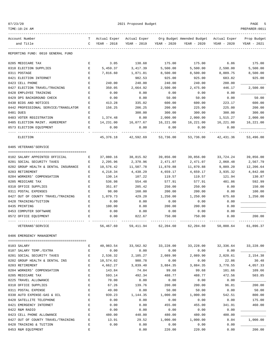| າາ<br>$\lambda$ |  |
|-----------------|--|
|                 |  |

| TIME:10:24 AM                        |             |                             |                             |             |                                          |                             | PREPARER: 0011             |
|--------------------------------------|-------------|-----------------------------|-----------------------------|-------------|------------------------------------------|-----------------------------|----------------------------|
| Account Number<br>and Title          | т<br>C      | Actual Exper<br>YEAR - 2018 | Actual Exper<br>YEAR - 2019 | YEAR - 2020 | Org Budget Amended Budget<br>YEAR - 2020 | Actual Exper<br>YEAR - 2020 | Prop Budget<br>YEAR - 2021 |
| REPORTING FUND: 0010 GENERAL FUND    |             |                             |                             |             |                                          |                             |                            |
| 0205 MEDICARE TAX                    | Е           | 3.05                        | 138.68                      | 175.00      | 175.00                                   | 6.86                        | 175.00                     |
| 0310 ELECTION SUPPLIES               | Е           | 5,459.37                    | 3,417.39                    | 5,500.00    | 5,500.00                                 | 2,598.00                    | 5,500.00                   |
| 0311 POSTAGE                         | E           | 7,816.60                    | 1,871.81                    | 8,500.00    | 8,500.00                                 | 8,009.75                    | 8,500.00                   |
| 0421 ELECTION INTERNET               | E           |                             | 982.53                      | 925.00      | 925.00                                   | 683.82                      | 925.00                     |
| 0423 CELL PHONE                      | Е           | 240.00                      | 240.00                      | 240.00      | 240.00                                   | 200.00                      |                            |
| 0427 ELECTION TRAVEL/TRAINING        | Ε           | 350.05                      | 2,664.92                    | 2,500.00    | 2,475.00                                 | 446.17                      | 2,500.00                   |
| 0428 EMPLOYEE TRAINING               | Е           | 0.00                        | 0.00                        | 0.00        | 0.00                                     | 0.00                        |                            |
| 0429 DPS BACKGROUND CHECK            | E           | 0.00                        | 0.00                        | 50.00       | 50.00                                    | 0.00                        | 50.00                      |
| 0430 BIDS AND NOTICES                | E           | 413.28                      | 335.02                      | 600.00      | 600.00                                   | 223.17                      | 600.00                     |
| 0442 PROFESSIONAL SERVICE/TRANSLATOR | Е           | 156.25                      | 206.25                      | 200.00      | 225.00                                   | 225.00                      | 200.00                     |
| 0481 DUES                            | Ε           |                             | 300.00                      | 300.00      | 300.00                                   | 300.00                      | 300.00                     |
| 0483 VOTER REGISTRATION              | E           | 1,374.48                    | 0.00                        | 2,000.00    | 2,000.00                                 | 1,515.27                    | 2,000.00                   |
| 0485 ELECTION MAINT. AGREEMENT       | Е           | 14,231.00                   | 16,077.67                   | 16,221.00   | 16,221.00                                | 16,221.00                   | 16,221.00                  |
| 0573 ELECTION EQUIPMENT              | E           | 0.00                        | 0.00                        | 0.00        | 0.00                                     | 0.00                        |                            |
| ELECTION                             |             | 45,376.18                   | 42,592.69                   | 53,736.00   | 53,736.00                                | 42,431.36                   | 53,496.00                  |
| 0405 VETERANS'SERVICE                |             |                             |                             |             |                                          |                             |                            |
| 0102 SALARY APPOINTED OFFICIAL       | Е           | 37,080.16                   | 38,815.92                   | 39,856.00   | 39,856.00                                | 33,724.24                   | 39,856.00                  |
| 0201 SOCIAL SECURITY TAXES           | Ε           | 2,295.96                    | 2,370.96                    | 2,471.07    | 2,471.07                                 | 2,060.48                    | 2,567.79                   |
| 0202 GROUP HEALTH & DENTAL INSURANCE | Е           | 10,576.42                   | 11,507.78                   | 11,870.88   | 11,870.88                                | 9,889.20                    | 12,206.64                  |
| 0203 RETIREMENT                      | Е           | 4,218.34                    | 4,438.29                    | 4,659.17    | 4,659.17                                 | 3,935.32                    | 4,842.08                   |
| 0204 WORKERS' COMPENSATION           | Ε           | 130.14                      | 107.22                      | 119.57      | 119.57                                   | 121.94                      | 130.87                     |
| 0205 MEDICARE TAX                    | $\mathbf E$ | 536.98                      | 554.48                      | 577.91      | 577.91                                   | 481.86                      | 592.99                     |
| 0310 OFFICE SUPPLIES                 | E           | 351.87                      | 205.42                      | 250.00      | 250.00                                   | 0.00                        | 150.00                     |
| 0311 POSTAL EXPENSES                 | E           | 98.00                       | 160.00                      | 200.00      | 200.00                                   | 0.00                        | 100.00                     |
| 0427 OUT OF COUNTY TRAVEL/TRAINING   | Е           | 1,079.73                    | 429.20                      | 1,250.00    | 1,250.00                                 | 675.60                      | 1,250.00                   |
| 0428 TRAINING/TUITION                | Е           | 0.00                        | 0.00                        | 0.00        | 0.00                                     | 0.00                        |                            |
| 0435 PRINTING                        | E           | 100.00                      | 0.00                        | 200.00      | 200.00                                   | 0.00                        |                            |
| 0453 COMPUTER SOFTWARE               | E           | 0.00                        | 0.00                        | 0.00        | 0.00                                     | 0.00                        |                            |
| 0572 OFFICE EQUIPMENT                | E           | 0.00                        | 822.67                      | 750.00      | 750.00                                   | 0.00                        | 200.00                     |
| VETERANS ' SERVICE                   |             | 56,467.60                   | 59,411.94                   | 62,204.60   | 62,204.60                                | 50,888.64                   | 61,896.37                  |
| 0406 EMERGENCY MANAGEMENT            |             |                             |                             |             |                                          |                             |                            |
| 0103 SALARY                          | E           | 40,983.54                   | 33,562.92                   | 33,228.00   | 33,228.00                                | 32,336.64                   | 33,228.00                  |
| 0107 SALARY TEMP./EXTRA              | Е           | 0.00                        | 0.00                        | 0.00        | 0.00                                     | 0.00                        |                            |
| 0201 SOCIAL SECURITY TAXES           | E           | 2,536.32                    | 2,105.27                    | 2,089.90    | 2,089.90                                 | 2,020.61                    | 2,154.38                   |
| 0202 GROUP HEALTH & DENTAL INS       | E           | 10,574.02                   | 980.78                      | 0.00        | 0.00                                     | 22.86                       | 30.48                      |
| 0203 RETIREMENT                      | E           | 4,662.27                    | 3,839.40                    | 3,884.35    | 3,884.35                                 | 3,778.55                    | 4,057.33                   |
| 0204 WORKERS' COMPENSATION           | E           | 143.84                      | 74.84                       | 99.68       | 99.68                                    | 101.66                      | 109.66                     |
| 0205 MEDICARE TAX                    | E           | 593.14                      | 492.34                      | 488.77      | 488.77                                   | 472.56                      | 503.85                     |
| 0225 TRAVEL ALLOWANCE                | E           | 70.00                       | 0.00                        | 0.00        | 0.00                                     | 0.00                        |                            |
| 0310 OFFICE SUPPLIES                 | E           | 67.26                       | 139.76                      | 200.00      | 200.00                                   | 96.81                       | 200.00                     |
| 0311 POSTAL EXPENSE                  | E           | 49.00                       | 0.00                        | 50.00       | 50.00                                    | 0.00                        | 50.00                      |
| 0330 AUTO EXPENSE-GAS & OIL          | E           | 939.23                      | 1,144.35                    | 1,000.00    | 1,000.00                                 | 542.51                      | 800.00                     |
| 0420 SATELLITE TELEPHONE             | Ε           | 0.00                        | 0.00                        | 0.00        | 0.00                                     | 0.00                        | 175.00                     |
| 0421 EMERGENCY INTERNET              | Ε           | 0.00                        | 0.00                        | 455.00      | 455.00                                   | 341.91                      | 460.00                     |
| 0422 R&M RADIO                       | E           | 0.00                        | 0.00                        | 0.00        | 0.00                                     | 0.00                        |                            |
| 0423 CELL PHONE ALLOWANCE            | E           | 480.00                      | 440.00                      | 480.00      | 480.00                                   | 400.00                      |                            |
| 0427 OUT OF COUNTY TRAVEL/TRAINING   | Ε           | 13.91                       | 29.52                       | 1,000.00    | 1,000.00                                 | 8.04                        | 1,000.00                   |
| 0428 TRAINING & TUITION              | E           | 0.00                        | 0.00                        | 0.00        | 0.00                                     | 0.00                        |                            |

0453 R&M EQUIPMENT E 0.00 220.00 220.00 0.00 200.00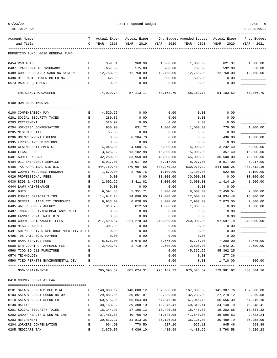| TIME:10:24 AM                                          |                                                                                                |              |                                                 |              |                           |                    | PREPARER: 0011            |
|--------------------------------------------------------|------------------------------------------------------------------------------------------------|--------------|-------------------------------------------------|--------------|---------------------------|--------------------|---------------------------|
| Account Number                                         | т                                                                                              | Actual Exper | Actual Exper                                    |              | Org Budget Amended Budget | Actual Exper       | Prop Budget               |
| and Title<br>.                                         | C                                                                                              | YEAR - 2018  | YEAR - 2019                                     | YEAR - 2020  | YEAR - 2020               | YEAR - 2020        | YEAR - 2021               |
| REPORTING FUND: 0010 GENERAL FUND                      |                                                                                                |              |                                                 |              |                           |                    |                           |
| 0454 R&M AUTO                                          | Е                                                                                              | 359.31       | 960.99                                          | 1,000.00     | 1,000.00                  | 621.37             | 1,000.00                  |
| 0487 TRAILER/AUTO INSURANCE                            | E                                                                                              | 657.00       | 575.00                                          | 700.00       | 700.00                    | 592.00             | 650.00                    |
| 0489 CODE RED EARLY WARNING SYSTEM                     | E                                                                                              | 12,768.00    | 12,768.00                                       | 12,768.00    | 12,768.00                 | 12,768.00          | 12,768.00                 |
| 0490 911 RADIO TOWER BUILDING                          | Е                                                                                              | 42.90        | 0.00                                            | 500.00       | 500.00                    | 0.00               |                           |
| 0573 RADIO EQUIPMENT                                   | Ε                                                                                              | 0.00         | 0.00                                            | 0.00         | 0.00                      | 0.00               |                           |
| EMERGENCY MANAGEMENT                                   |                                                                                                | 74,939.74    | 57,113.17                                       | 58,163.70    | 58,163.70                 | 54,103.52          | 57,386.70                 |
| 0409 NON-DEPARTMENTAL                                  |                                                                                                |              |                                                 |              |                           |                    |                           |
| 0100 COMPENSATION PAY                                  | Е                                                                                              | 4,529.76     | 0.00                                            | 0.00         | 0.00                      | 0.00               |                           |
| 0201 SOCIAL SECURITY TAXES                             | Е                                                                                              | 280.85       | 0.00                                            | 0.00         | 0.00                      | 0.00               |                           |
| 0203 RETIREMENT                                        | Ε                                                                                              | 520.92       | 0.00                                            | 0.00         | 0.00                      | 0.00               |                           |
| 0204 WORKERS' COMPENSATION                             | E                                                                                              | 950.90       | 831.72                                          | 1,000.00     | 1,000.00                  | 779.08             | 1,000.00                  |
| 0205 MEDICARE TAX                                      | E                                                                                              | 65.68        | 0.00                                            | 0.00         | 0.00                      | 0.00               |                           |
| 0206 UNEMPLOYMENT EXPENSE                              | $\mathbf E$                                                                                    | 0.00         | 6,204.70                                        | 0.00         | 0.00                      | 436.00             | 1,000.00                  |
| 0395 ERRORS AND OMISSIONS                              | Ε                                                                                              | 0.00         | 0.00                                            | 0.00         | 0.00                      | 0.00               |                           |
| 0399 CLAIMS SETTLEMENTS                                | Е                                                                                              | 4,045.86     | 4,500.74                                        | 5,000.00     | 5,000.00                  | 3,232.40           | 5,000.00                  |
| 0400 LEGAL FEES                                        | E                                                                                              | 3,425.12     | 13,182.98                                       | 15,000.00    | 15,000.00                 | 357.40             | 15,000.00                 |
| 0401 AUDIT EXPENSE                                     | $\mathbf E$                                                                                    | 32,250.00    | 33,950.00                                       | 45,000.00    | 45,000.00                 | 36,500.00          | 45,000.00                 |
| 0404 911 EMERGENCY SERVICE                             | Ε                                                                                              | 8,917.00     | 8,917.00                                        | 8,917.00     | 8,917.00                  | 8,917.00           | 8,917.00                  |
| 0406 TAX APPRAISAL DISTRICT                            | Ε                                                                                              | 444,769.40   | 470,697.58                                      | 530,970.32   | 530,970.32                | 544, 565.25        | 487,712.16                |
| 0408 COUNTY WELLNESS PROGRAM                           | Е                                                                                              | 1,679.00     | 2,765.76                                        | 1,100.00     | 1,100.00                  | 622.88             | 1,100.00                  |
| 0426 PROFESSIONAL FEES                                 | E                                                                                              | 0.00         | 0.00                                            | 30,000.00    | 30,000.00                 | 0.00               | 30,000.00                 |
| 0430 BIDS & NOTICES                                    | E                                                                                              | 2,602.29     | 3,411.82                                        | 3,000.00     | 3,000.00                  | 1,414.19           | 1,500.00                  |
| 0444 LAWN MAINTENANCE                                  | Ε                                                                                              | 0.00         | 0.00                                            | 0.00         | 0.00                      | 0.00               |                           |
| 0481 DUES                                              | Е                                                                                              | 9,594.83     | 5,351.71                                        | 8,000.00     | 8,000.00                  | 7,459.54           | 7,800.00                  |
| 0483 PUBLIC OFFICIALS INS.                             | Ε                                                                                              | 14,942.28    | 14,896.80                                       | 17,000.00    | 17,000.00                 | 14,834.48          | 16,000.00                 |
| 0484 GENERAL LIABILITY INSURANCE                       | Ε                                                                                              | 6,933.00     | 6,828.00                                        | 8,000.00     | 7,900.00                  | 7,073.00           | 7,500.00                  |
| 0485 WATER SUPPLY AGENCY                               | Ε                                                                                              | 818.75       | 812.50                                          | 1,000.00     | 1,000.00                  | 0.00               | 1,000.00                  |
| 0487 TCOG-REG. INTERLOCAL AGREEMENT                    | Ε                                                                                              | 0.00         | 0.00                                            | 0.00         | 0.00                      | 0.00               |                           |
| 0488 FANNIN RURAL RAIL DIST                            | Ε                                                                                              | 0.00         | 0.00                                            | 0.00         | 0.00                      | 0.00               |                           |
| 0489 COURT COSTS/ARREST FEES                           | Ε                                                                                              | 217,599.87   | 221, 278.30                                     | 240,000.00   | 240,000.00                | 97,597.78          | 240,000.00                |
| 0490 MISCELLANEOUS                                     | Е                                                                                              | 301.39       | 0.00                                            | 0.00         | 0.00                      | 0.00               |                           |
| 0491 SULPHUR RIVER REGIONAL MOBILITY AUT E             |                                                                                                | 0.00         | 0.00                                            | 0.00         | 0.00                      | 0.00               |                           |
| 0495 '98 JAIL BOND PAYMENT                             | Е                                                                                              | 0.00         | 0.00                                            | 0.00         | 0.00                      | 0.00               |                           |
| 0499 BANK SERVICE FEES                                 | E                                                                                              | 8,675.00     | 8,675.00                                        | 8,675.00     | 8,775.00                  | 7,200.00           | 8,775.00                  |
| 0500 6TH COURT OF APPEALS FEE BLOCK E                  |                                                                                                | 2,493.47     | 2,719.70                                        | 2,500.00     | 2,500.00                  | 1,643.01           | 2,500.00                  |
| 0560 TCOG SO 911 FURNITURE                             | E                                                                                              |              |                                                 | 0.00         | 45,362.25                 | 45, 362. 25        |                           |
| 0574 TECHNOLOGY<br>0590 TCEO PERMITS ENVIRONMENTAL DEV | E<br>E                                                                                         |              |                                                 | 0.00<br>0.00 | 0.00<br>0.00              | 277.36<br>1,710.00 | 800.00                    |
| NON-DEPARTMENTAL                                       |                                                                                                |              | 765, 395.37 805, 024.31 925, 162.32 970, 524.57 |              |                           | 779,981.62         | -----------<br>880,604.16 |
|                                                        |                                                                                                |              |                                                 |              |                           |                    |                           |
| 0410 COUNTY COURT AT LAW                               |                                                                                                |              |                                                 |              |                           |                    |                           |
| 0101 SALARY ELECTED OFFICIAL                           | E                                                                                              | 140,000.12   | 140,000.12                                      | 167,000.00   | 167,000.00                | 141,307.76         | 167,000.00                |
| 0103 SALARY COURT COORDINATOR                          | E                                                                                              | 29,881.85    | 30,861.01                                       | 32,239.08    | 32,239.08                 | 27, 279.12         | 32,239.08                 |
| 0110 SALARY COURT REPORTER                             | E                                                                                              | 60,516.35    | 65,654.00                                       | 67,046.10    | 67,046.10                 | 56,556.39          | 67,046.10                 |
| 0130 BAILIFF                                           | E                                                                                              | 38, 163. 32  | 39,308.10                                       | 40,348.41    | 40,348.41                 | 34,140.70          | 40,348.41                 |
| 0201 SOCIAL SECURITY TAXES                             | $\mathbf{E}% _{t}\left  \mathbf{1}\right\rangle =\mathbf{1}_{t}\left  \mathbf{1}\right\rangle$ | 16,144.93    | 17,196.13                                       | 18,440.88    | 18,440.88                 | 15,202.68          | 18,634.32                 |
| 0202 GROUP HEALTH & DENTAL INS                         | E                                                                                              | 37,466.88    | 40,766.40                                       | 41,548.08    | 41,548.08                 | 35,096.53          | 42,723.24                 |
| 0203 RETIREMENT                                        | Е                                                                                              | 30,832.17    | 31,813.35                                       | 36,126.03    | 36,126.03                 | 30,489.79          | 36,958.99                 |
| 0204 WORKERS COMPENSATION                              | $\mathbf{E}% _{t}\left  \mathbf{1}\right\rangle =\mathbf{1}_{t}\left  \mathbf{1}\right\rangle$ | 964.90       | 770.50                                          | 927.10       | 927.10                    | 945.46             | 998.89                    |
| 0205 MEDICARE TAX                                      | Е                                                                                              | 3,870.07     | 4,086.10                                        | 4,480.99     | 4,480.99                  | 3,798.58           | 4,526.23                  |

07/23/20 PAGE 6 2021 Proposed Budget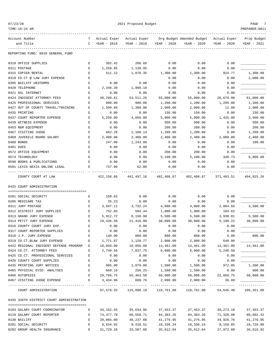| 07/23/20 |
|----------|
|----------|

2021 Proposed Budget Page 2021 Proposed Budget PAGE 7 TIME:10:24 AM PREPARER:0011 ------------------------------------------------------------------------------------------------------------------------------------ Account Number T Actual Exper Actual Exper Org Budget Amended Budget Actual Exper Prop Budget and Title C YEAR - 2018 YEAR - 2019 YEAR - 2020 YEAR - 2020 YEAR - 2020 YEAR - 2021 ------------------------------------------------------------------------------------------------------------------------------------ REPORTING FUND: 0010 GENERAL FUND 0310 OFFICE SUPPLIES E 392.42 288.68 0.00 0.00 0.00 \_\_\_\_\_\_\_\_\_\_\_\_\_ 0311 POSTAGE E 1,250.85 1,138.95 0.00 0.00 0.00 \_\_\_\_\_\_\_\_\_\_\_\_\_ 0315 COPIER RENTAL  $E$  511.12 1,070.35 1,300.00 1,300.00 924.77 1,300.00 0319 CO.CT @ LAW JURY EXPENSE  $E$  E 0.00 0.00 0.00 0.00 0.00 2,000.00 0395 BAILIFF UNIFORMS E 0.00 0.00 0.00 0.00 0.00 \_\_\_\_\_\_\_\_\_\_\_\_\_ 0420 TELEPHONE E 2,346.39 1,999.18 0.00 0.00 0.00 \_\_\_\_\_\_\_\_\_\_\_\_\_ 0421 DSL INTERNET E 0.00 0.00 0.00 0.00 0.00 \_\_\_\_\_\_\_\_\_\_\_\_\_ 0424 INDIGENT ATTORNEY FEES  $E = 48,299.61 = 53,511.25 = 55,000.00 = 55,000.00 = 20,679.00 = 61,000.00$ 0425 PROFESSIONAL SERVICES E 600.00 900.00 1,200.00 1,200.00 1,295.00 1,200.00 0427 OUT OF COUNTY TRAVEL/TRAINING E 1,599.60 1,389.90 2,000.00 2,000.00 12.00 2,000.00 0435 PRINTING E 0.00 0.00 150.00 150.00 0.00 150.00 0437 COURT REPORTER EXPENSE E 5,250.00 4,850.00 5,000.00 5,000.00 1,425.00 3,500.00 0439 WITNESS EXPENSE E 0.00 0.00 500.00 500.00 0.00 500.00 0453 R&M EQUIPMENT **E** 0.00 0.00 200.00 200.00 0.00 200.00 0.00 200.00 0467 VISITING JUDGE E 682.28 2,188.14 1,200.00 1,200.00 0.00 1,200.00 0468 JUVENILE BOARD SALARY E 2,400.00 2,400.00 2,400.00 2,400.00 2,000.00 2,400.00 0480 BONDS E 247.00 1,243.00 0.00 0.00 0.00 100.00 0481 DUES E 0.00 0.00 0.00 0.00 0.00 \_\_\_\_\_\_\_\_\_\_\_\_\_ 0572 OFFICE EQUIPMENT E 0.00 0.00 200.00 200.00 0.00 \_\_\_\_\_\_\_\_\_\_\_\_\_ 0574 TECHNOLOGY E 0.00 0.00 5,100.00 5,100.00 340.73 8,000.00 0590 BOOKS & PUBLICATIONS  $E$  0.00 0.00 0.00 0.00 0.00 0.00 0.00 0591 LEXIS NEXIS ONLINE LEGAL  $E$  737.00 62.00 0.00 0.00 0.00 0.00 ---- ---------------------------------- - ------------- ------------- ------------- ------------- ------------- ------------- COUNTY COURT AT LAW 422,156.86 441,497.16 482,406.67 482,406.67 371,493.51 494,025.26 0425 COURT ADMINISTRATION ======================================== 0201 SOCIAL SECURITY E 150.63 0.00 0.00 0.00 0.00 \_\_\_\_\_\_\_\_\_\_\_\_\_ 0205 MEDICARE TAX E 35.23 0.00 0.00 0.00 0.00 \_\_\_\_\_\_\_\_\_\_\_\_\_ 0311 JURY POSTAGE E 3,697.11 3,732.24 4,000.00 4,000.00 2,004.65 3,500.00 0312 DISTRICT JURY SUPPLIES  $E$  752.03 504.44 1.000.00 1.000.00 104.62 0313 GRAND JURY EXPENSE  $E = 5,912.72$   $6,158.98$   $5,500.00$   $5,500.00$   $3,938.81$   $5,500.00$ 0314 PETIT JURY EXPENSE E 29,436.50 21,418.00 30,000.00 30,000.00 5,190.22 30,000.00 0316 COUNTY COURT JURY EXP. E 0.00 0.00 0.00 0.00 0.00 \_\_\_\_\_\_\_\_\_\_\_\_\_ 0317 COURT REPORTER SUPPLIES  $E = 0.00$  0.00 0.00 0.00 0.00 0.00 0.00 0318 J.P. JURY EXPENSE E 140.00 880.00 800.00 800.00 0.00 800.00 0319 CO.CT.@LAW JURY EXPENSE  $E$  1,771.67 1,128.77 2,000.00 2,000.00 0422 REGIONAL INDIGENT DEFENSE PROGRAM E 18,056.00 18,056.00 14,461.00 14,461.00 14,461.00 14,461.00 0424 CO.CT. ATTORNEY FEES E 2,740.56 7,037.75 6,000.00 6,000.00 5,246.50<br>0425 CO.CT. PROFESSIONAL SERVICES E 0.00 0.00 0.00 0.00 0.00 0.00 0425 CO.CT. PROFESSIONAL SERVICES B  $0.00$  0.00 0.00 0.00 0.00 0.00 0.00 0426 COUNTY COURT SUPPLIES E 0.00 0.00 0.00 0.00 0.00 \_\_\_\_\_\_\_\_\_\_\_\_\_ 0435 PRINTING JURY NOTICES E 985.00 1,079.00 1,500.00 1,500.00 972.05 1,200.00 0465 PHYSICAL EVID. ANALYSES E 669.19 250.25- 1,500.00 1,500.00 0.00 800.00 0466 AUTOPSIES E 29,796.75 55,463.50 50,000.00 50,000.00 22,050.75 50,000.00 0467 VISITING JUDGE EXPENSE  $E = 3,434.96$  689.76 2,000.00 2,000.00 36.80 ---- ---------------------------------- - ------------- ------------- ------------- ------------- ------------- ------------- COURT ADMINISTRATION 97,578.35 115,898.19 118,761.00 118,761.00 54,645.40 106,261.00 0435 336TH DISTRICT COURT ADMINISTRATION ========================================

| 0103 SALARY COURT COORDINATOR | 34, 162. 55 | 35,634.96 | 37, 453, 37 | 37, 453, 37 | 30, 273, 18 | 37,453.37 |
|-------------------------------|-------------|-----------|-------------|-------------|-------------|-----------|
| 0110 SALARY COURT REPORTER    | 74,477.78   | 68,558.71 | 84, 383, 26 | 84, 383, 26 | 71,320.08   | 88,602.42 |
| 0130 BAILIFF                  | 39,065,00   | 40,237.08 | 41,276.95   | 41,276.95   | 34,926.76   | 41,276.95 |
| 0201 SOCIAL SECURITY          | 8,834.92    | 9,418.51  | 10,336.24   | 10,336.24   | 8,150.85    | 10,726.80 |
| 0202 GROUP HEALTH INSURANCE   | 31,729.26   | 33,567.08 | 35,612.64   | 35,612.64   | 27,972.89   | 36,619.92 |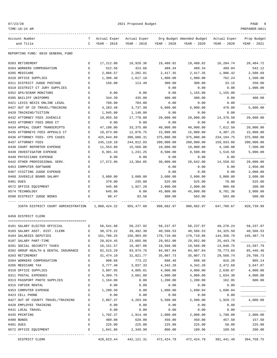|--|--|

| TIME:10:24 AM                                               |        |                  |                    |                         |                                          |                 | PREPARER:0011    |
|-------------------------------------------------------------|--------|------------------|--------------------|-------------------------|------------------------------------------|-----------------|------------------|
| Account Number                                              |        | T Actual Exper   | Actual Exper       |                         | Org Budget Amended Budget - Actual Exper |                 | Prop Budget      |
| and Title                                                   | C      | YEAR - 2018      |                    | YEAR - 2019 YEAR - 2020 | YEAR - 2020                              | YEAR - 2020     | YEAR - 2021      |
| REPORTING FUND: 0010 GENERAL FUND                           |        |                  |                    |                         |                                          |                 |                  |
| 0203 RETIREMENT                                             | Е      | 17,212.00        | 16,928.36          | 19,488.82               | 19,488.82                                | 16,284.74       | 20,484.72        |
| 0204 WORKERS COMPENSATION                                   | Ε      | 522.56           | 423.66             | 489.34                  | 489.34                                   | 499.04          | 542.12           |
| 0205 MEDICARE                                               | Ε      | 2,066.57         | 2,202.81           | 2,417.35                | 2,417.35                                 | 1,906.42        | 2,508.69         |
| 0310 OFFICE SUPPLIES                                        | Ε      | 1,396.48         | 1,617.18           | 1,800.00                | 1,800.00                                 | 762.24          | 1,500.00         |
| 0311 DISTRICT JUDGE POSTAGE                                 | E      | 156.00           | 113.49             | 300.00                  | 300.00                                   | 33.15           | 250.00           |
| 0319 DISTRICT CT JURY SUPPLIES                              | Е      |                  |                    | 0.00                    | 0.00                                     | 0.00            | 1,000.00         |
| 0352 GPS/SCRAM MONITORS                                     | Ε      | 0.00             | 0.00               | 0.00                    | 1,155.00                                 | 1,155.00        |                  |
| 0395 BAILIFF UNIFORMS                                       | Ε      | 344.39           | 435.00             | 400.00                  | 400.00                                   | 0.00            | 400.00           |
| 0421 LEXIS NEXIS ONLINE LEGAL                               | Е      | 768.00           | 704.00             | 0.00                    | 0.00                                     | 0.00            |                  |
| 0427 OUT OF CO TRAVEL/TRAINING                              | Е      | 4,283.48         | 3,737.99           | 6,000.00                | 6,000.00                                 | 470.00          | 5,000.00         |
| 0428 TRAINING/TUITION                                       | Е      | 1,945.00         | 1,140.00           | 0.00                    | 0.00                                     | 0.00            |                  |
| 0432 ATTORNEY FEES JUVENILE                                 | E      | 19,955.50        | 17,770.00          | 20,000.00               | 20,000.00                                | 14,378.50       | 20,000.00        |
| 0433 ATTORNEY FEES DRUG CT                                  | Ε      | 0.00             | 0.00               | 0.00                    | 0.00                                     | 0.00            |                  |
| 0434 APPEAL COURT TRANSCRIPTS                               | E      | 47,198.00        | 33, 375.00         | 40,000.00               | 40,000.00                                | 7,612.50        | 20,000.00        |
| 0435 ATTORNEYS FEES APPEALS CT                              | Е      | 10,973.00        | 12,076.75          | 15,000.00               | 15,000.00                                | 4,387.25        | 15,000.00        |
| 0436 ATTORNEY FEES- CPS CASES                               | Е      | 425,644.89       | 396,686.31         | 375,000.00              | 375,000.00                               | 234, 194. 75    | 375,000.00       |
| 0437 ATTORNEY FEES                                          | Ε      | 245,110.10       | 244,812.83         | 200,000.00              | 200,000.00                               | 159,933.86      | 200,000.00       |
| 0438 COURT REPORTER EXPENSE                                 | E      | 11,553.00        | 15,566.00          | 10,000.00               | 10,000.00                                | 4,190.00        | 7,500.00         |
| 0439 INVESTIGATOR EXPENSE                                   | Ε      | 8,301.43         | 1,231.25           | 8,500.00                | 8,500.00                                 | 1,518.50        | 5,000.00         |
| 0440 PHYSICIANS EXPENSE                                     | E      | 0.00             | 0.00               | 0.00                    | 0.00                                     | 0.00            |                  |
| 0442 OTHER PROFESSIONAL SERV.                               | Е      | 17,572.96        | 13,384.85          | 30,000.00               | 28,642.00                                | 14,558.92       | 20,000.00        |
| 0453 COMPUTER SOFTWARE                                      | Е      |                  |                    | 0.00                    | 0.00                                     | 0.00            | 2,050.00         |
| 0467 VISITING JUDGE EXPENSE                                 | E      |                  |                    | 0.00                    | 0.00                                     | 0.00            | 2,000.00         |
| 0468 JUVENILE BOARD SALARY                                  | Ε<br>Ε | 3,600.00         | 3,600.00           | 3,600.00                | 3,600.00                                 | 3,000.00        | 3,600.00         |
| 0481 DUES<br>0572 OFFICE EQUIPMENT                          | Ε      | 370.00<br>445.98 | 235.00<br>1,927.28 | 525.00<br>2,000.00      | 525.00<br>2,000.00                       | 70.00<br>906.68 | 525.00<br>200.00 |
| 0574 TECHNOLOGY                                             | E      | 645.00           | 0.00               | 45,800.00               | 45,800.00                                | 8,701.36        | 3,000.00         |
| 0590 DISTRICT JUDGE BOOKS                                   | Е      | 90.47            | 93.50              | 300.00                  | 503.00                                   | 503.00          | 500.00           |
|                                                             |        |                  |                    |                         |                                          |                 |                  |
| 336TH DISTRICT COURT ADMINISTRATION 1,008,424.32 955,477.60 |        |                  |                    | 990,682.97              | 990,682.97                               | 647,709.67      | 920,739.99       |
| 0450 DISTRICT CLERK                                         |        |                  |                    |                         |                                          |                 |                  |
| 0101 SALARY ELECTED OFFICIAL                                | Е      | 56,541.68        | 58,237.92          | 58,237.97               | 58,237.97                                | 49,278.24       | 58,237.97        |
| 0103 SALARY ASST. DIST. CLERK                               |        | E 38,375.22      | 39,492.30          | 40,566.53               | 40,566.53                                | 34,325.50       | 40,566.53        |
| 0104 SALARIES DEPUTIES                                      | Е      | 161,786.25       | 156,903.05         | 170,710.86              | 170,710.86                               | 144,350.79      | 145,487.74       |
| 0107 SALARY PART-TIME                                       | Е      | 20,024.45        | 23,665.06          | 29,952.00               | 29,952.00                                | 25, 443.78      |                  |
| 0201 SOCIAL SECURITY TAXES                                  | Ε      | 16,151.57        | 16,407.88          | 18,566.98               | 18,566.98                                | 14,848.75       | 15,597.79        |
| 0202 GROUP HEALTH & DENTAL INSURANCE                        | Е      | 82,515.29        | 93,974.76          | 94,967.04               | 94,967.04                                | 78,773.84       | 85,446.48        |
| 0203 RETIREMENT                                             | Е      | 31,474.10        | 31,821.77          | 35,007.73               | 35,007.73                                | 29,568.74       | 29,786.73        |
| 0204 WORKERS COMPENSATION                                   | Ε      | 998.68           | 773.22             | 898.40                  | 898.40                                   | 916.20          | 805.14           |
| 0205 MEDICARE TAX                                           | Е      | 3,777.40         | 3,837.33           | 4,342.28                | 4,342.28                                 | 3,472.69        | 3,647.87         |
| 0310 OFFICE SUPPLIES                                        | Ε      | 3,897.95         | 4,005.01           | 4,000.00                | 4,000.00                                 | 2,630.87        | 4,000.00         |
| 0311 POSTAL EXPENSES                                        | Ε      | 4,369.75         | 3,681.88           | 4,000.00                | 4,000.00                                 | 1,634.30        | 4,000.00         |
| 0313 PASSPORT PHOTO SUPPLIES                                | Ε      | 1,164.00         | 0.00               | 1,200.00                | 1,200.00                                 | 162.95          | 600.00           |
| 0315 COPIER RENTAL                                          | Ε      | 0.00             | 0.00               | 0.00                    | 0.00                                     | 0.00            |                  |
| 0353 COMPUTER EXPENSE                                       | Ε      | 1,290.50         | 0.00               | 1,000.00                | 1,690.04                                 | 1,690.04        |                  |
| 0423 CELL PHONE                                             | Ε      | 0.00             | 0.00               | 0.00                    | 0.00                                     | 0.00            |                  |
| 0427 OUT OF COUNTY TRAVEL/TRAINING                          | Е      | 2,887.37         | 4,203.66           | 5,500.00                | 5,500.00                                 | 1,929.72        | 4,000.00         |
| 0428 EMPLOYEE TRAINING                                      | Ε      | 0.00             | 0.00               | 0.00                    | 0.00                                     | 0.00            |                  |
| 0431 LOCAL TRAVEL                                           | E      | 0.00             | 0.00               | 0.00                    | 0.00                                     | 0.00            |                  |
| 0435 PRINTING                                               | E      | 1,702.37         | 1,914.48           | 2,000.00                | 2,000.00                                 | 1,798.00        | 2,000.00         |
| 0480 BONDS                                                  | Ε      | 400.00           | 628.00             | 450.00                  | 450.00                                   | 457.50          | 157.50           |
| 0481 DUES                                                   | Ε      | 225.00           | 225.00             | 225.00                  | 225.00                                   | 50.00           | 225.00           |
| 0572 OFFICE EQUIPMENT                                       | Ε      | 1,041.86         | 2,349.99           | 800.00                  | 109.96                                   | 109.58          | 200.00           |
|                                                             |        |                  |                    |                         |                                          |                 |                  |

DISTRICT CLERK 428,623.44 442,121.31 472,424.79 472,424.79 391,441.49 394,758.75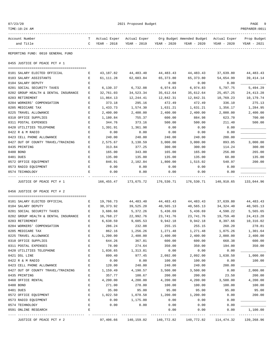| TIME:10:24 AM                                       |        |                    |                    |                    |                           |                    | PREPARER: 0011     |
|-----------------------------------------------------|--------|--------------------|--------------------|--------------------|---------------------------|--------------------|--------------------|
| Account Number                                      | т      | Actual Exper       | Actual Exper       |                    | Org Budget Amended Budget | Actual Exper       | Prop Budget        |
| and Title                                           | C      | YEAR - 2018        | YEAR - 2019        | YEAR - 2020        | YEAR - 2020               | YEAR - 2020        | YEAR - 2021        |
| REPORTING FUND: 0010 GENERAL FUND                   |        |                    |                    |                    |                           |                    |                    |
| 0455 JUSTICE OF PEACE PCT # 1                       |        |                    |                    |                    |                           |                    |                    |
| 0101 SALARY ELECTED OFFICIAL                        | Е      | 43, 187.82         | 44,483.40          | 44, 483. 43        | 44,483.43                 | 37,639.80          | 44,483.43          |
| 0103 SALARY ASSISTANTS                              | Е      | 61, 111.28         | 62,603.84          | 65,373.80          | 65,373.80                 | 54,654.99          | 39,414.14          |
| 0104 SALARY DEPUTY                                  | E      |                    |                    | 0.00               | 0.00                      | 0.00               |                    |
| 0201 SOCIAL SECURITY TAXES                          | Ε      | 6,130.37           | 6,732.08           | 6,974.83           | 6,974.83                  | 5,797.75           | 5,494.29           |
| 0202 GROUP HEALTH & DENTAL INSURANCE                | Е      | 32,761.03          | 34,523.34          | 35,612.64          | 35,612.64                 | 25, 457. 25        | 24, 413. 28        |
| 0203 RETIREMENT                                     | Ε      | 11,864.13          | 12,244.41          | 12,842.31          | 12,842.31                 | 10,769.23          | 10,179.74          |
| 0204 WORKERS' COMPENSATION                          | Ε      | 373.18             | 295.16             | 472.49             | 472.49                    | 336.10             | 275.13             |
| 0205 MEDICARE TAX                                   | Е      | 1,433.73           | 1,574.30           | 1,631.21           | 1,631.21                  | 1,356.17           | 1,284.95           |
| 0225 TRAVEL ALLOWANCE                               | E      | 2,400.00           | 2,400.00           | 2,400.00           | 2,400.00                  | 2,000.00           | 2,400.00           |
| 0310 OFFICE SUPPLIES                                | Ε      | 1,180.84           | 755.37             | 600.00             | 884.98                    | 623.70             | 700.00             |
| 0311 POSTAL EXPENSES                                | Е      | 344.76             | 373.16             | 500.00             | 500.00                    | 211.40             | 500.00             |
| 0420 UTILITIES TELEPHONE                            | Е      | 1,391.91           | 1,361.98           | 0.00               | 0.00                      | 0.00               |                    |
| 0422 R & M RADIO<br>0423 CELL PHONE ALLOWANCE       | E<br>E | 0.00<br>240.00     | 0.00               | 0.00<br>240.00     | 0.00                      | 0.00<br>200.00     |                    |
| 0427 OUT OF COUNTY TRAVEL/TRAINING                  | Е      | 2,575.67           | 240.00<br>3,130.59 | 3,000.00           | 240.00<br>3,000.00        | 893.05             | 3,000.00           |
| 0435 PRINTING                                       | Ε      | 313.84             | 377.25             | 300.00             | 300.00                    | 114.24             | 300.00             |
| 0480 BOND                                           | Ε      | 165.00             | 343.00             | 165.00             | 165.00                    | 256.00             | 265.00             |
| 0481 DUES                                           | Ε      | 135.00             | 135.00             | 135.00             | 135.00                    | 60.00              | 135.00             |
| 0572 OFFICE EQUIPMENT                               | Ε      | 846.91             | 2,102.84           | 1,800.00           | 1,515.02                  | 540.97             | 200.00             |
| 0573 RADIO EQUIPMENT                                | E      | 0.00               | 0.00               | 0.00               | 0.00                      | 0.00               |                    |
| 0574 TECHNOLOGY                                     | E      | 0.00               | 0.00               | 0.00               | 0.00                      | 0.00               |                    |
|                                                     |        |                    |                    |                    |                           |                    |                    |
| JUSTICE OF PEACE PCT # 1                            |        | 166,455.47         | 173,675.72         | 176,530.71         | 176,530.71                | 140,910.65         | 133,044.96         |
| 0456 JUSTICE OF PEACE PCT # 2                       |        |                    |                    |                    |                           |                    |                    |
| 0101 SALARY ELECTED OFFICIAL                        | Е      | 19,766.73          | 44, 483. 40        | 44, 483. 43        | 44, 483. 43               | 37,639.80          | 44, 483. 43        |
| 0104 SALARY DEPUTY                                  | Е      | 38, 373.92         | 39,525.20          | 40,565.13          | 40,565.13                 | 34, 324. 40        | 40,565.13          |
| 0201 SOCIAL SECURITY TAXES                          | Е      | 3,686.68           | 5,372.26           | 5,436.69           | 5,436.69                  | 4,598.22           | 5,565.65           |
| 0202 GROUP HEALTH & DENTAL INSURANCE                | Е      | 16,768.27          | 22,992.76          | 23,741.76          | 23,741.76                 | 19,759.40          | 24, 413. 28        |
| 0203 RETIREMENT                                     | E      | 6,638.59           | 9,605.53           | 9,942.18           | 9,942.18                  | 8,397.66           | 10,316.02          |
| 0204 WORKERS' COMPENSATION                          | E      | 286.24             | 232.08             | 255.15             | 255.15                    | 260.20             | 278.81             |
| 0205 MEDICARE TAX                                   | Ε      | 862.16             | 1,256.26           | 1,271.48           | 1,271.48                  | 1,075.26           | 1,301.64           |
| 0225 TRAVEL ALLOWANCE                               | E      | 1,200.00           | 2,400.00           | 2,400.00           | 2,400.00                  | 2,000.00           | 2,400.00           |
| 0310 OFFICE SUPPLIES                                | E      | 644.26             | 367.81             | 600.00             | 600.00                    | 668.38             | 600.00             |
| 0311 POSTAL EXPENSES                                | E      | 78.00              | 274.64             | 350.00             | 350.00                    | 194.00             | 350.00             |
| 0420 UTILITIES TELEPHONE                            | Ε      | 1,036.65           | 1,313.81           | 0.00               | 0.00                      | 0.00               |                    |
| 0421 DSL LINE                                       | Ε      | 899.40             | 977.45             | 2,092.00           | 2,092.00                  | 1,638.50           | 1,000.00           |
| 0422 R & M RADIO                                    | E      | 0.00               | 0.00               | 100.00             | 100.00                    | 0.00               | 100.00             |
| 0423 CELL PHONE ALLOWANCE                           | Ε      | 120.00             | 240.00             | 240.00             | 240.00                    | 200.00             |                    |
| 0427 OUT OF COUNTY TRAVEL/TRAINING<br>0435 PRINTING | Ε      | 1,159.49           | 4,190.57           | 3,500.00           | 3,500.00                  | 0.00               | 2,000.00           |
|                                                     | E      | 357.77             | 100.67             | 200.00             | 200.00                    | 23.50              | 200.00             |
| 0460 OFFICE RENTAL<br>0480 BOND                     | Ε<br>Ε | 4,200.00<br>271.00 | 4,200.00<br>278.00 | 4,200.00<br>100.00 | 4,200.00                  | 3,500.00<br>100.00 | 4,200.00<br>100.00 |
| 0481 DUES                                           | Ε      | 35.00              | 95.00              | 95.00              | 100.00<br>95.00           | 95.00              | 95.00              |
| 0572 OFFICE EQUIPMENT                               | E      | 1,022.50           | 1,078.58           | 1,200.00           | 1,200.00                  | 0.00               | 200.00             |
| 0573 RADIO EQUIPMENT                                | E      | 0.00               | 1,175.00           | 0.00               | 0.00                      | 0.00               |                    |
| 0574 TECHNOLOGY                                     | Ε      | 0.00               | 0.00               | 0.00               | 0.00                      | 0.00               |                    |
| 0591 ONLINE RESEARCH                                | Е      |                    |                    | 0.00               | 0.00                      | 0.00               | 1,100.00           |
|                                                     |        |                    |                    |                    |                           |                    |                    |
| JUSTICE OF PEACE PCT # 2                            |        | 97,406.66          | 140,159.02         | 140,772.82         | 140,772.82                | 114,474.32         | 139,268.96         |

07/23/20 PAGE 9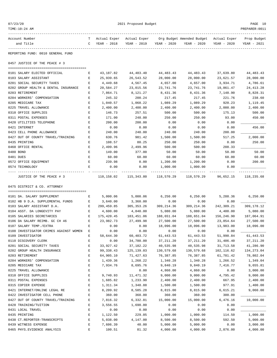| TIME:10:24 AM                          |   |              |                          |             |                           |              | PREPARER: 0011 |
|----------------------------------------|---|--------------|--------------------------|-------------|---------------------------|--------------|----------------|
| Account Number                         | т | Actual Exper | Actual Exper             |             | Org Budget Amended Budget | Actual Exper | Prop Budget    |
| and Title                              | C | YEAR - 2018  | YEAR - 2019              | YEAR - 2020 | YEAR - 2020               | YEAR - 2020  | YEAR - 2021    |
| REPORTING FUND: 0010 GENERAL FUND      |   |              |                          |             |                           |              |                |
| 0457 JUSTICE OF THE PEACE # 3          |   |              |                          |             |                           |              |                |
| 0101 SALARY ELECTED OFFICIAL           | Е | 43,187.82    | 44,483.40                | 44, 483. 43 | 44,483.43                 | 37,639.80    | 44, 483. 43    |
| 0103 SALARY ASSISTANT                  | Е | 25,939.65    | 26,543.52                | 28,000.00   | 28,000.00                 | 23,621.57    | 28,000.00      |
| 0201 SOCIAL SECURITY TAXES             | Е | 4,449.68     | 4,567.45                 | 4,657.00    | 4,657.00                  | 3,934.71     | 4,786.61       |
| 0202 GROUP HEALTH & DENTAL INSURANCE   | Е | 20,584.27    | 23,015.56                | 23,741.76   | 23,741.76                 | 19,861.47    | 24, 413. 28    |
| 0203 RETIREMENT                        | Е | 7,864.71     | 8,121.27                 | 8,431.36    | 8,431.36                  | 7,148.90     | 8,828.31       |
| 0204 WORKERS' COMPENSATION             | Е | 245.32       | 200.24                   | 217.45      | 217.45                    | 221.76       | 238.60         |
| 0205 MEDICARE TAX                      | Е | 1,040.57     | 1,068.22                 | 1,089.29    | 1,089.29                  | 920.23       | 1,119.45       |
| 0225 TRAVEL ALLOWANCE                  | Е | 2,400.00     | 2,400.00                 | 2,400.00    | 2,400.00                  | 2,000.00     | 2,400.00       |
| 0310 OFFICE SUPPLIES                   | Е | 146.73       | 257.51                   | 500.00      | 500.00                    | 175.13       | 500.00         |
| 0311 POSTAL EXPENSES                   | Е | 171.00       | 248.00                   | 250.00      | 250.00                    | 93.00        | 450.00         |
| 0420 UTILITIES TELEPHONE               | Е | 200.00       | 200.00                   | 0.00        | 0.00                      | 0.00         |                |
| 0421 INTERNET                          | Е | 0.00         | 0.00                     | 0.00        | 0.00                      | 0.00         | 456.00         |
| 0423 CELL PHONE ALLOWANCE              | E | 240.00       | 240.00                   | 240.00      | 240.00                    | 200.00       |                |
| 0427 OUT OF COUNTY TRAVEL/TRAINING     | Е | 630.76       | 981.42                   | 1,500.00    | 1,500.00                  | 517.25       | 2,000.00       |
| 0435 PRINTING                          | Е | 108.57       | 80.25                    | 250.00      | 250.00                    | 0.00         | 250.00         |
| 0460 OFFICE RENTAL                     | Е | 2,499.96     | 2,499.96                 | 500.00      | 500.00                    | 208.33       |                |
| 0480 BOND                              | Е | 149.00       | 377.00                   | 50.00       | 50.00                     | 50.00        | 50.00          |
| 0481 DUES                              | Е | 60.00        | 60.00                    | 60.00       | 60.00                     | 60.00        | 60.00          |
| 0572 OFFICE EQUIPMENT                  | E | 239.98       | 0.00                     | 1,200.00    | 1,200.00                  | 0.00         | 200.00         |
| 0574 TECHNOLOGY                        | E | 0.00         | 0.00                     | 1,000.00    | 1,000.00                  | 0.00         |                |
| JUSTICE OF THE PEACE # 3               |   | 110,158.02   | 115,343.80               | 118,570.29  | 118,570.29                | 96,652.15    | 118,235.68     |
| 0475 DISTRICT & CO. ATTORNEY           |   |              |                          |             |                           |              |                |
| 0101 DA. SALARY SUPPLEMENT             |   |              |                          |             |                           |              |                |
| 0102 HB 9 D.A. SUPPLEMENTAL FUNDS      | Е | 5,000.06     | 5,000.06<br>3,360.00     | 6,250.00    | 6,250.00                  | 5,288.36     | 6, 250.00      |
| 0103 SALARY ASSISTANT D.A.             | Е | 3,640.00     |                          | 0.00        | 0.00                      | 0.00         |                |
|                                        | Е | 299,459.85   | 305, 353. 26<br>4,840.00 | 309, 214.36 | 309,214.36                | 242,309.21   | 309,178.12     |
| 0104 ASST. DA LONGEVITY PAY            | Е | 4,600.00     |                          | 5,080.00    | 5,080.00                  | 4,400.00     | 5,080.00       |
| 0105 SALARIES SECRETARIES              | Е | 175,420.45   | 183,451.06               | 188,651.04  | 188,651.04                | 156,246.90   | 187,064.91     |
| 0106 DA SALARY REIMB. GC CH 46         | Е | 23,982.73    | 27,499.98                | 27,500.00   | 27,500.00                 | 23,854.64    | 27,500.00      |
| 0107 SALARY TEMP./EXTRA                | Е | 0.00         | 0.00                     | 18,096.00   | 18,096.00                 | 13,983.00    | 18,096.00      |
| 0108 INVESTIGATOR CRIMES AGAINST WOMEN | Е | 0.00         | 0.00                     | 0.00        | 0.00                      | 0.00         |                |
| 0109 INVESTIGATOR                      | Е | 58,644.30    | 60,403.72                | 61, 443.53  | 61, 443.53                | 51,990.84    | 61, 443.53     |
| 0110 DISCOVERY CLERK                   | E | 0.00         | 34,780.00                | 37, 211.20  | 37, 211.20                | 31,486.40    | 37, 211.20     |
| 0201 SOCIAL SECURITY TAXES             | E | 33,927.42    | 37, 182. 22              | 40,535.98   | 40,535.98                 | 31,713.58    | 41,286.90      |
| 0202 GROUP HEALTH INSURANCE            | Ε | 99, 338.43   | 125,139.03               | 130,579.68  | 130,579.68                | 102, 116.62  | 134, 273.04    |
| 0203 RETIREMENT                        | Е | 64,905.10    | 71,427.63                | 76,387.85   | 76,387.85                 | 61,781.42    | 78,802.04      |
| 0204 WORKERS' COMPENSATION             | Ε | 1,439.36     | 1,268.22                 | 1,340.28    | 1,340.28                  | 1,266.52     | 1,349.04       |
| 0205 MEDICARE TAX                      | Ε | 7,934.76     | 8,695.76                 | 9,840.19    | 9,840.19                  | 7,416.77     | 9,655.81       |
| 0225 TRAVEL ALLOWANCE                  | E |              | 0.00                     | 4,860.00    | 4,860.00                  | 0.00         | 3,000.00       |
| 0310 OFFICE SUPPLIES                   | Е | 9,740.93     | 11,471.32                | 9,000.00    | 9,000.00                  | 4,795.42     | 9,000.00       |
| 0311 POSTAL EXPENSES                   | Ε | 1,685.82     | 1,233.90                 | 2,400.00    | 2,400.00                  | 667.95       | 2,400.00       |
| 0315 COPIER EXPENSE                    | Е | 1,311.34     | 1,348.88                 | 1,500.00    | 1,500.00                  | 977.91       | 1,400.00       |
| 0421 INTERNET/ONLINE LEGAL RE          | Ε | 8,209.92     | 8,585.28                 | 8,815.00    | 8,815.00                  | 6,615.21     | 9,060.00       |
| 0422 INVESTIGATOR CELL PHONE           | Ε | 360.00       | 360.00                   | 360.00      | 360.00                    | 300.00       |                |
| 0427 OUT OF COUNTY TRAVEL/TRAINING     | Ε | 7,816.32     | 6,332.81                 | 15,000.00   | 15,000.00                 | 6,476.16     | 10,000.00      |
| 0428 TRAINING/TUITION                  | Е | 3,556.55     | 1,690.00                 | 0.00        | 0.00                      | 0.00         |                |
| 0431 LOCAL TRAVEL                      | Ε | 0.00         | 0.00                     | 0.00        | 0.00                      | 0.00         |                |
| 0435 PRINTING                          | Ε | 1,122.50     | 229.05                   | 1,000.00    | 1,000.00                  | 114.50       | 1,000.00       |
| 0438 CT.REPORTER-TRANSCRIPTS           | Е | 5,038.00     | 4,147.00                 | 8,500.00    | 8,500.00                  | 592.50       | 5,000.00       |

0439 WITNESS EXPENSE E 7,606.39 40.00 5,000.00 5,000.00 0.00 3,000.00 0465 PHYS.EVIDENCE ANALYSIS E 100.51 81.32 4,000.00 4,000.00 2,876.00 4,000.00

07/23/20 PAGE 10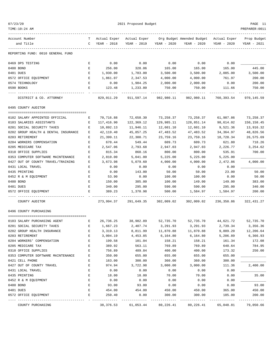| 07/23/20                                                  |                               |                       | 2021 Proposed Budget  |                       |                                        |                        | PAGE 11               |
|-----------------------------------------------------------|-------------------------------|-----------------------|-----------------------|-----------------------|----------------------------------------|------------------------|-----------------------|
| TIME:10:24 AM                                             |                               |                       |                       |                       |                                        |                        | PREPARER: 0011        |
| Account Number                                            | T.                            | Actual Exper          | Actual Exper          |                       | Org Budget Amended Budget Actual Exper |                        | Prop Budget           |
| and Title                                                 |                               | C YEAR - 2018         | YEAR - 2019           | YEAR - 2020           | YEAR - 2020                            | YEAR - 2020            | YEAR - 2021           |
| REPORTING FUND: 0010 GENERAL FUND                         |                               |                       |                       |                       |                                        |                        |                       |
| 0469 DPS TESTING                                          | Е                             | 0.00                  | 0.00                  | 0.00                  | 0.00                                   | 0.00                   |                       |
| 0480 BOND                                                 | Е                             | 256.00                | 328.06                | 165.00                | 165.00                                 | 165.00                 | 445.00                |
| 0481 DUES                                                 | Е                             | 1,930.00              | 1,783.00              | 3,500.00              | 3,500.00                               | 2,085.00               | 3,500.00              |
| 0572 OFFICE EQUIPMENT                                     | E                             | 1,861.07              | 2,347.53              | 4,000.00              | 4,000.00                               | 761.97                 | 200.00                |
| 0574 TECHNOLOGY                                           | Е                             | 0.00                  | 1,984.25              | 2,000.00              | 2,000.00                               | 0.00                   | 200.00                |
| 0590 BOOKS                                                | Е                             | 123.48                | 1,233.80              | 750.00                | 750.00                                 | 111.66<br>------------ | 750.00                |
| DISTRICT & CO. ATTORNEY                                   |                               | 829,011.29            |                       | 911,597.14 982,980.11 |                                        | 982,980.11 760,393.54  | 970,145.59            |
| 0495 COUNTY AUDITOR                                       |                               |                       |                       |                       |                                        |                        |                       |
| 0102 SALARY APPOINTED OFFICIAL                            | Е                             | 70,716.88             | 72,658.30             | 73,258.37             | 73,258.37                              | 61,987.86              | 73,258.37             |
| 0103 SALARIES ASSISTANTS                                  | Е                             | 117,416.90            | 122,369.12            | 129,985.11            | 128,851.14                             | 98,614.02              | 150, 158.45           |
| 0201 SOCIAL SECURITY TAXES                                | Е                             | 10,892.13             | 11,946.11             | 12,601.10             | 12,601.10                              | 9,521.36               | 13,916.32             |
| 0202 GROUP HEALTH & DENTAL INSURANCE                      | Е                             | 42,119.40             | 45,857.25             | 47, 483.52            | 47,483.52                              | 34,364.97              | 48,826.56             |
| 0203 RETIREMENT                                           | Е                             | 21,399.11             | 22,300.71             | 23,759.16             | 23,759.16                              | 18,728.34              | 26,575.69             |
| 0204 WORKERS COMPENSATION                                 | Е                             | 670.44                | 549.44                | 609.73                | 609.73                                 | 621.80                 | 718.26                |
| 0205 MEDICARE TAX                                         | Е                             | 2,547.06              | 2,793.68              | 2,947.03              | 2,947.03                               | 2,226.77               | 3,254.62              |
| 0310 OFFICE SUPPLIES                                      | Ε                             | 815.34                | 860.16                | 800.00                | 800.00                                 | 535.91                 | 700.00                |
| 0353 COMPUTER SOFTWARE MAINTENANCE                        | E                             | 2,810.00              | 5,041.00              | 5,225.00              | 5,225.00                               | 5,225.00               |                       |
| 0427 OUT OF COUNTY TRAVEL/TRAINING                        | Е                             | 3,673.98              | 5,079.60              | 4,000.00              | 4,000.00                               | 2,472.86               | 4,000.00              |
| 0431 LOCAL TRAVEL                                         | Е                             | 0.00                  | 0.00                  | 0.00                  | 0.00                                   | 0.00                   |                       |
| 0435 PRINTING                                             | Е                             | 0.00                  | 143.00                | 50.00                 | 50.00                                  | 23.00                  | 50.00                 |
| 0452 R & M EQUIPMENT                                      | Е                             | 53.90                 | 0.00                  | 100.00                | 100.00                                 | 0.00                   | 50.00                 |
| 0480 BOND                                                 | Е                             | 150.00                | 385.00                | 100.00                | 149.00                                 | 149.00                 | 383.00                |
| 0481 DUES                                                 | E                             | 340.00                | 295.00                | 590.00                | 590.00                                 | 295.00                 | 340.00                |
| 0572 OFFICE EQUIPMENT                                     | E                             | 389.23                | 1,370.98              | 500.00                | 1,584.97                               | 1,584.97               | 200.00                |
| COUNTY AUDITOR                                            |                               | 273,994.37            | 291,649.35 302,009.02 |                       | 302,009.02                             | 236,350.86             | 322, 431.27           |
| 0496 COUNTY PURCHASING                                    |                               |                       |                       |                       |                                        |                        |                       |
|                                                           |                               |                       | 26,736.25 38,982.89   |                       |                                        |                        |                       |
| 0103 SALARY PURCHASING AGENT                              | $\mathbf{E}$ and $\mathbf{E}$ |                       |                       | 52,735.70             |                                        | 52,735.70 44,621.72    | 52,735.70<br>3,356.36 |
| 0201 SOCIAL SECURITY TAXES<br>0202 GROUP HEALTH INSURANCE | Ε<br>Ε                        | 1,667.23<br>3, 319.13 | 2,407.74<br>8,811.99  | 3,291.93<br>11,870.88 | 3,291.93<br>11,870.88                  | 2,739.34<br>9,889.20   | 12,206.64             |
| 0203 RETIREMENT                                           | E                             | 3,004.19              | 4,453.85              | 6,164.80              | 6,164.80                               | 5,206.89               | 6,366.93              |
| 0204 WORKERS' COMPENSATION                                | E                             | 199.58                | 101.04                | 158.21                | 158.21                                 | 161.34                 | 172.08                |
| 0205 MEDICARE TAX                                         | E                             | 389.92                | 563.11                | 769.89                | 769.89                                 | 640.64                 | 784.95                |
| 0310 OFFICE SUPPLIES                                      | Ε                             | 756.89                | 489.84                | 400.00                | 400.00                                 | 173.32                 | 250.00                |
| 0353 COMPUTER SOFTWARE MAINTENANCE                        | Ε                             | 350.00                | 655.00                | 655.00                | 655.00                                 | 655.00                 |                       |
| 0421 CELL PHONE                                           | E                             | 163.00                | 300.00                | 360.00                | 360.00                                 | 300.00                 |                       |
| 0427 OUT OF COUNTY TRAVEL                                 | E                             | 974.94                | 3,722.98              | 3,000.00              | 3,000.00                               | 111.36                 | 2,400.00              |
| 0431 LOCAL TRAVEL                                         | E                             | 0.00                  | 0.00                  | 0.00                  | 0.00                                   | 0.00                   |                       |
| 0435 PRINTING                                             | Ε                             | 18.00                 | 18.00                 | 70.00                 | 70.00                                  | 0.00                   | 35.00                 |
| 0452 R & M EQUIPMENT                                      | E                             | 0.00                  | 0.00                  | 0.00                  | 0.00                                   | 0.00                   |                       |
| 0480 BOND                                                 | E                             | 93.00                 | 93.00                 | 0.00                  | 0.00                                   | 0.00                   | 93.00                 |
| 0481 DUES                                                 | E                             | 454.00                | 454.00                | 450.00                | 450.00                                 | 365.00                 | 450.00                |
| 0572 OFFICE EQUIPMENT                                     | E                             | 250.40                | 0.00                  | 300.00                | 300.00                                 | 185.00                 | 200.00                |
|                                                           |                               |                       |                       |                       |                                        |                        |                       |

COUNTY PURCHASING 38,376.53 61,053.44 80,226.41 80,226.41 65,048.81 79,050.66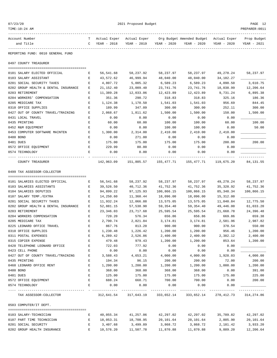| 07/23/20 |
|----------|
|----------|

| TIME:10:24 AM                                         |         |                             |                                     |                      |                                                       |             | PREPARER: 0011             |
|-------------------------------------------------------|---------|-----------------------------|-------------------------------------|----------------------|-------------------------------------------------------|-------------|----------------------------|
| Account Number<br>and Title                           | T.<br>C | Actual Exper<br>YEAR - 2018 | Actual Exper<br>YEAR - 2019         | YEAR - 2020          | Org Budget Amended Budget Actual Exper<br>YEAR - 2020 | YEAR - 2020 | Prop Budget<br>YEAR - 2021 |
| REPORTING FUND: 0010 GENERAL FUND                     |         |                             |                                     |                      |                                                       |             |                            |
| 0497 COUNTY TREASURER                                 |         |                             |                                     |                      |                                                       |             |                            |
| 0101 SALARY ELECTED OFFICIAL                          | Е       | 56,541.68                   | 58,237.92                           | 58,237.97            | 58,237.97                                             | 49,278.24   | 58,237.97                  |
| 0103 SALARY ASSISTANT                                 | Ε       | 43,572.62                   | 46,999.94                           | 48,040.00            | 48,040.00                                             | 34,182.27   |                            |
| 0201 SOCIAL SECURITY TAXES                            | Е       | 4,807.72                    | 5,005.32                            | 6,589.23             | 6,589.23                                              | 4,090.50    | 3,610.75                   |
| 0202 GROUP HEALTH & DENTAL INSURANCE                  | Ε       | 21, 152.40                  | 23,009.40                           | 23,741.76            | 23,741.76                                             | 18,038.99   | 12,206.64                  |
| 0203 RETIREMENT                                       | Ε       | 11,389.28                   | 12,033.06                           | 12,423.89            | 12,423.89                                             | 9,731.24    | 6,895.38                   |
| 0204 WORKERS' COMPENSATION                            | Ε       | 351.36                      | 290.72                              | 318.83               | 318.83                                                | 325.16      | 186.36                     |
| 0205 MEDICARE TAX                                     | Ε       | 1,124.38                    | 1,170.50                            | 1,541.03             | 1,541.03                                              | 956.69      | 844.45                     |
| 0310 OFFICE SUPPLIES                                  | Ε       | 189.99                      | 347.09                              | 300.00               | 300.00                                                | 252.11      | 300.00                     |
| 0427 OUT OF COUNTY TRAVEL/TRAINING                    | Е       | 2,068.67                    | 1,811.62                            | 1,500.00             | 1,500.00                                              | 150.00      | 1,500.00                   |
| 0431 LOCAL TRAVEL                                     | Ε       | 0.00                        | 0.00                                | 0.00                 | 0.00                                                  | 0.00        |                            |
| 0435 PRINTING                                         | Ε       | 60.00                       | 60.00                               | 100.00               | 100.00                                                | 60.00       | 100.00                     |
| 0452 R&M EQUIPMENT                                    | E       | 0.00                        | 0.00                                | 100.00               | 100.00                                                | 0.00        | 50.00                      |
| 0453 COMPUTER SOFTWARE MAINTEN                        | Е       | 1,300.00                    | 2,314.00                            | 2,410.00             | 2,410.00                                              | 2,410.00    |                            |
| 0480 BOND                                             | Е       | 0.00                        | 271.00                              | 0.00                 | 0.00                                                  | 0.00        |                            |
| 0481 DUES                                             | Е       | 175.00                      | 175.00                              | 175.00               | 175.00                                                | 200.00      | 200.00                     |
| 0572 OFFICE EQUIPMENT                                 | Ε       | 229.99                      | 80.00                               | 0.00                 | 0.00                                                  | 0.00        |                            |
| 0574 TECHNOLOGY                                       | E       | 0.00                        | 0.00                                | 0.00                 | 0.00                                                  | 0.00        |                            |
|                                                       |         |                             |                                     |                      |                                                       |             |                            |
| COUNTY TREASURER                                      |         | 142,963.09                  | 151,805.57                          | 155,477.71           | 155,477.71                                            | 119,675.20  | 84, 131.55                 |
| 0499 TAX ASSESSOR-COLLECTOR                           |         |                             |                                     |                      |                                                       |             |                            |
|                                                       |         |                             |                                     |                      |                                                       |             |                            |
| 0101 SALARIES ELECTED OFFICIAL                        | Е       | 56,541.68                   | 58,237.92                           | 58,237.97            | 58,237.97                                             | 49,278.24   | 58,237.97                  |
| 0103 SALARIES ASSISTANTS                              | Ε       | 39,526.50                   | 40,712.36                           | 41,752.36            | 41,752.36                                             | 35,328.92   | 41,752.36                  |
| 0104 SALARIES DEPUTIES                                | Ε       | 94,899.22                   | 97,125.93                           | 100,866.15           | 100,866.15                                            | 85, 348.34  | 100,866.15                 |
| 0107 SALARY TEMP./EXTRA                               | Ε       | 14,250.60                   | 11,360.44                           | 18,096.00            | 18,096.00                                             | 15,312.00   |                            |
| 0201 SOCIAL SECURITY TAXES                            | Ε       | 11,932.24                   | 12,066.88                           | 13,575.05            | 13,575.05                                             | 11,040.84   | 12,775.50                  |
| 0202 GROUP HEALTH & DENTAL INSURANCE                  | Ε       | 52,881.15                   | 57,538.90                           | 59,354.40            | 59, 354.40                                            | 49,446.00   | 61,033.20                  |
| 0203 RETIREMENT                                       | Ε       | 23,346.03                   | 23,717.68                           | 25,595.54            | 25,595.54                                             | 21,668.78   | 24,396.48                  |
| 0204 WORKERS COMPENSATION                             | Е       | 720.20                      | 576.34                              | 656.86               | 656.86                                                | 669.86      | 659.38                     |
| 0205 MEDICARE TAX                                     | Е       | 2,790.74                    | 2,821.84                            | 3,174.81             | 3,174.81                                              | 2,581.96    | 2,987.82                   |
| 0225 LEONARD OFFICE TRAVEL                            | Ε       | 867.76                      | 813.20                              | 900.00               | 900.00                                                | 370.54      | 550.00                     |
| 0310 OFFICE SUPPLIES                                  |         | 1,230.48                    | 1,226.42                            | 1,200.00             | 1,200.00                                              | 956.46      | 1,200.00                   |
| 0311 POSTAL EXPENSES                                  | Ε       | 6,289.42                    | 2,526.86                            | 2,400.00             | 2,400.00                                              | 2,382.12    | 2,400.00                   |
| 0315 COPIER EXPENSE                                   | Ε       | 479.48                      | 979.43                              | 1,200.00             | 1,200.00                                              | 853.64      | 1,200.00                   |
| 0420 TELEPHONE LEONARD OFFICE                         | Е       | 722.03                      | 777.92                              | 0.00                 | 0.00                                                  | 0.00        |                            |
| 0423 CELL PHONE<br>0427 OUT OF COUNTY TRAVEL/TRAINING | Ε       | 0.00                        | 0.00                                | 0.00                 | 0.00                                                  | 0.00        |                            |
|                                                       | Е       | 3,588.43                    | 4,653.21                            | 4,000.00             | 4,000.00                                              | 1,928.03    | 4,000.00                   |
| 0435 PRINTING                                         | Ε       | 194.34                      | 96.15                               | 200.00               | 200.00                                                | 72.00       | 200.00                     |
| 0460 LEONARD OFFICE RENT                              | Е       | 1,200.00                    | 1,200.00                            | 1,200.00             | 1,200.00                                              | 1,000.00    | 1,200.00                   |
| 0480 BOND<br>0481 DUES                                | Ε       | 368.00                      | 368.00                              | 368.00               | 368.00                                                | 0.00        | 391.00                     |
|                                                       | Е       | 125.00                      | 175.00                              | 175.00               | 175.00                                                | 175.00      | 225.00                     |
| 0572 OFFICE EQUIPMENT                                 | E<br>Е  | 688.24                      | 668.71                              | 700.00               | 700.00                                                | 0.00        | 200.00                     |
| 0574 TECHNOLOGY                                       |         | 0.00                        | 0.00                                | 0.00<br>. <u>.</u> . | 0.00                                                  | 0.00        |                            |
| TAX ASSESSOR-COLLECTOR                                |         |                             | 312,641.54 317,643.19 333,652.14    |                      | 333,652.14                                            | 278,412.73  | 314,274.86                 |
| 0503 COMPUTER/IT DEPT.                                |         |                             |                                     |                      |                                                       |             |                            |
| 0103 SALARY-TECHNICIAN                                | Е       | 40,055.34                   | 41,257.06                           | 42,297.02            | 42,297.02                                             | 35,789.82   | 42,297.02                  |
| 0107 PART TIME TECHNICIAN                             | Е       | 18,053.31                   | 18,708.95                           | 20,101.64            | 20,101.64                                             | 2,805.90    | 20,101.64                  |
| 0201 SOCIAL SECURITY                                  | Е       | 3,407.68                    | 3,499.89                            | 3,868.72             | 3,868.72                                              | 2,181.42    | 3,933.20                   |
| 0202 GROUP HEALTH INSURANCE                           | Е       |                             | 10,576.20    11,507.78    11,870.88 |                      | 11,870.88                                             | 9,889.20    | 12,206.64                  |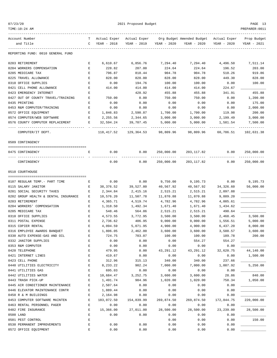| 07/ | 123/20 |  |
|-----|--------|--|
|     |        |  |

| TIME:10:24 AM                                    |                  |                    |                |                  |                                                     |                  | PREPARER:0011 |
|--------------------------------------------------|------------------|--------------------|----------------|------------------|-----------------------------------------------------|------------------|---------------|
| Account Number                                   | T.               | Actual Exper       |                |                  | Actual Exper Org Budget Amended Budget Actual Exper |                  | Prop Budget   |
| and Title                                        | C                | YEAR - 2018        | YEAR - 2019    | YEAR - 2020      | YEAR - 2020                                         | YEAR - 2020      | YEAR - 2021   |
| REPORTING FUND: 0010 GENERAL FUND                |                  |                    |                |                  |                                                     |                  |               |
| 0203 RETIREMENT                                  | Е                | 6,610.67           | 6,856.76       | 7,294.40         | 7,294.40                                            | 4,496.50         | 7,511.14      |
| 0204 WORKERS COMPENSATION                        | Е                | 228.82             | 207.00         | 224.64           | 224.64                                              | 196.52           | 203.00        |
| 0205 MEDICARE TAX                                | E                | 796.87             | 818.44         | 904.78           | 904.78                                              | 510.26           | 919.86        |
| 0225 TRAVEL ALLOWANCE                            | Е                | 828.00             | 828.00         | 828.00           | 828.00                                              | 449.30           | 828.00        |
| 0310 OFFICE SUPPLIES                             | E                | 0.00               | 194.76         | 100.00           | 100.00                                              | 0.00             | 100.00        |
| 0421 CELL PHONE ALLOWANCE                        | Ε                | 414.00             | 414.00         | 414.00           | 414.00                                              | 224.67           |               |
| 0423 EMERGENCY INTERNET                          | Е                |                    | 428.92         | 455.88           | 455.88                                              | 341.91           | 455.88        |
| 0427 OUT OF COUNTY TRAVEL/TRAINING               | Е                | 750.00             | 0.00           | 750.00           | 750.00                                              | 0.00             | 1,200.00      |
| 0435 PRINTING                                    | Е                | 0.00               | 0.00           | 0.00             | 0.00                                                | 0.00             | 175.00        |
| 0453 R&M COMPUTER/TRAINING                       | Е                | 0.00               | 0.00           | 0.00             | 0.00                                                | 0.00             | 2,000.00      |
| 0572 OFFICE EQUIPMENT                            | Е                | 1,846.83           | 2,590.87       | 1,700.00         | 1,700.00                                            | 119.98           | 200.00        |
| 0574 COMPUTER/WEB SOFTWARE                       | E                | 2,255.56           | 2,344.65       | 3,000.00         | 3,000.00                                            | 2,199.49         | 3,000.00      |
| 0576 COUNTY COMPUTER REPLACEMENT                 | Е                | 32,594.24          | 39,707.45      | 5,000.00         | 5,000.00                                            | 1,581.54         | 7,500.00      |
| COMPUTER/IT DEPT.                                |                  | 118,417.52         | 129,364.53     | 98,809.96        | 98,809.96                                           | 60,786.51        | 102,631.38    |
| 0509 CONTINGENCY                                 |                  |                    |                |                  |                                                     |                  |               |
| 0475 CONTINGENCY                                 | Е                | 0.00               | 0.00           | 250,000.00       | 203,117.82                                          | 0.00             | 250,000.00    |
| CONTINGENCY                                      |                  | 0.00               | 0.00           | 250,000.00       | 203,117.82                                          | 0.00             | 250,000.00    |
| 0510 COURTHOUSE                                  |                  |                    |                |                  |                                                     |                  |               |
| 0107 REGULAR TEMP. - PART TIME                   | Е                | 0.00               | 0.00           | 9,750.00         | 9,195.73                                            | 0.00             | 9,195.73      |
| 0115 SALARY JANITOR                              | Е                | 38,376.52          | 39,527.80      | 40,567.92        | 40,567.92                                           | 34,326.60        | 56,000.00     |
| 0201 SOCIAL SECURITY TAXES                       | Е                | 2,344.84           | 2,415.16       | 2,515.21         | 2,515.21                                            | 2,097.88         |               |
| 0202 GROUP HEALTH & DENTAL INSURANCE             | Е                | 10,576.20          | 11,507.78      | 11,870.88        | 11,870.88                                           | 9,889.20         |               |
| 0203 RETIREMENT                                  | Е                | 4,365.71           | 4,519.74       | 4,782.96         | 4,782.96                                            | 4,005.61         |               |
| 0204 WORKERS' COMPENSATION                       | Е                | 1,318.50           | 1,492.34       | 1,671.40         | 1,671.40                                            | 1,434.62         |               |
| 0205 MEDICARE TAX                                | Е                | 548.46             | 564.86         | 2,515.21         | 2,515.21                                            | 490.64           |               |
| 0310 OFFICE SUPPLIES                             | Е                | 4,573.55           | 3,772.95       | 3,500.00         | 3,500.00                                            | 2,468.45         | 3,500.00      |
| 0311 POSTAL EXPENSE                              | Е                | 2,736.62           | 406.95         | 9,000.00         | 9,000.00                                            | 1,556.51         | 5,000.00      |
| 0315 COPIER RENTAL                               | E                | 4,094.59           | 5,071.95       | 4,900.00         | 4,900.00                                            | 6,437.20         | 8,000.00      |
| 0316 EMPLOYEE AWARDS BANQUET                     |                  | 1,806.05           | 2,462.00       | 3,600.00         | 3,600.00                                            | 3,588.57         | 3,600.00      |
| 0330 AUTO EXPENSE-GAS AND OIL                    | Ε                | 724.75             | 703.07         | 100.00           | 100.00                                              | 189.78           | 200.00        |
| 0332 JANITOR SUPPLIES                            | E                | 0.00               | 0.00           | 0.00             | 554.27                                              | 554.27           |               |
| 0353 R&M COMPUTER                                | E                | 0.00               | 0.00           | 0.00             | 0.00                                                | 0.00             |               |
| 0420 TELEPHONE                                   | E                | 479.95             | 0.00           | 43,291.12        | 43, 291. 12                                         | 32,620.75        | 44,140.00     |
| 0421 INTERNET LINES                              | E                | 419.67             | 0.00           | 0.00             | 0.00                                                | 0.00             | 1,500.00      |
| 0423 CELL PHONE                                  | $\mathbf E$<br>E | 312.96             | 315.13         | 340.00           | 340.00                                              | 237.66           |               |
| 0440 UTILITIES ELECTRICITY<br>0441 UTILITIES GAS | E                | 8,233.22<br>695.03 | 902.24<br>0.00 | 7,000.00<br>0.00 | 7,000.00<br>0.00                                    | 1,007.92<br>0.00 | 5,250.00      |
| 0442 UTILITIES WATER                             | E                | 10,684.47          | 3,252.75       | 3,600.00         | 3,600.00                                            | 28.86            | 840.00        |
| 0443 TRASH PICK-UP                               | E                | 1,491.74           | 984.96         | 1,020.00         | 1,020.00                                            | 758.34           | 1,050.00      |
| 0445 AIR CONDITIONER MAINTENANCE                 | $\mathbf E$      | 2,507.64           | 0.00           | 0.00             | 0.00                                                | 0.00             |               |
| 0446 ELEVATOR MAINTENANCE CONTR                  | E                | 1,889.44           | 0.00           | 0.00             | 0.00                                                | 0.00             |               |
| 0450 R & M BUILDINGS                             | Ε                | 2,164.98           | 0.00           | 0.00             | 0.00                                                | 0.00             |               |
| 0453 COMPUTER SOFTWARE MAINTEN                   | E                | 183,072.50         | 154,839.99     | 269,874.50       | 269,874.50                                          | 172,844.75       | 220,000.00    |
| 0463 RENTAL PERSONNEL PAGER                      | E                | 0.00               | 0.00           | 0.00             | 0.00                                                | 0.00             |               |
| 0482 FIRE INSURANCE                              | E                | 15,366.00          | 27,011.00      | 28,500.00        | 28,500.00                                           | 23, 239.00       | 28,500.00     |
| 0500 LAND                                        | E                | 0.00               | 0.00           | 0.00             | 0.00                                                | 0.00             |               |
| 0501 PEST CONTROL                                | E                |                    |                | 0.00             | 0.00                                                | 0.00             | 150.00        |
| 0530 PERMANENT IMPROVEMENTS                      | E                | 0.00               | 0.00           | 0.00             | 0.00                                                | 0.00             |               |
| 0572 OFFICE EQUIPMENT                            | E                | 0.00               | 0.00           | 0.00             | 0.00                                                | 0.00             |               |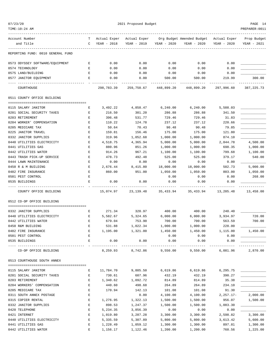| Account Number                    | т | Actual Exper | Actual Exper       |             | Org Budget Amended Budget | Actual Exper | Prop Budget  |
|-----------------------------------|---|--------------|--------------------|-------------|---------------------------|--------------|--------------|
| and Title                         | C | YEAR - 2018  | YEAR - 2019        | YEAR - 2020 | YEAR - 2020               | YEAR - 2020  | YEAR - 2021  |
| REPORTING FUND: 0010 GENERAL FUND |   |              |                    |             |                           |              |              |
| 0573 ODYSSEY SOFTWARE/EQUIPMENT   | Е | 0.00         | 0.00               | 0.00        | 0.00                      | 0.00         |              |
| 0574 TECHNOLOGY                   | Е | 0.00         | 0.00               | 0.00        | 0.00                      | 0.00         |              |
| 0575 LAND/BUILDING                | Е | 0.00         | 0.00               | 0.00        | 0.00                      | 0.00         |              |
| 0577 JANITOR EQUIPMENT            | Е | 0.00         | 0.00               | 500.00      | 500.00                    | 219.99       | 300.00       |
| COURTHOUSE                        |   | 298,783.39   | 259,750.67         | 448,899.20  | 448,899.20                | 297,996.60   | 387, 225. 73 |
| 0511 COUNTY OFFICE BUILDING       |   |              |                    |             |                           |              |              |
| 0115 SALARY JANITOR               | Е | 3,492.22     | 4,858.47           | 6, 240.00   | 6,240.00                  | 5,508.03     |              |
| 0201 SOCIAL SECURITY TAXES        | Е | 216.50       | 301.20             | 286.88      | 286.88                    | 341.50       |              |
| 0203 RETIREMENT                   | Е | 396.48       | 531.77             | 729.46      | 729.46                    | 31.83        |              |
| 0204 WORKER' COMPENSATION         | Е | 110.22       | 124.78             | 237.12      | 237.12                    | 220.66       |              |
| 0205 MEDICARE TAX                 | Е | 50.64        | 70.43              | 90.48       | 90.48                     | 79.85        |              |
| 0225 JANITOR TRAVEL               | E | 159.81       | 156.46             | 175.00      | 175.00                    | 121.80       |              |
| 0332 JANITOR SUPPLIES             | Е | 319.96       | 1,052.68           | 1,000.00    | 1,000.00                  | 874.10       |              |
| 0440 UTILITIES ELECTRICITY        | Е | 4,518.75     | 4,365.94           | 5,000.00    | 5,000.00                  | 2,844.78     | 4,500.00     |
| 0441 UTILITIES GAS                | E | 880.96       | 851.26             | 1,000.00    | 1,000.00                  | 698.35       | 1,000.00     |
| 0442 UTILITIES WATER              | E | 914.26       | 967.21             | 1,100.00    | 1,100.00                  | 799.68       | 1,100.00     |
| 0443 TRASH PICK-UP SERVICE        | Е | 478.73       | 492.48             | 525.00      | 525.00                    | 379.17       | 540.00       |
| 0444 LAWN MAINTENANCE             | Е | 0.00         | 0.00               | 0.00        | 0.00                      | 0.00         |              |
| 0450 R & M BUILDING               | Е | 2,676.44     | 8,415.80           | 18,000.00   | 18,000.00                 | 502.73       | 5,000.00     |
| 0482 FIRE INSURANCE               | E | 860.00       | 951.00             | 1,050.00    | 1,050.00                  | 803.00       | 1,050.00     |
| 0501 PEST CONTROL                 | E |              |                    | 0.00        | 0.00                      | 0.00         | 268.00       |
| 0535 BUILDINGS                    | E | 0.00         | 0.00               | 0.00        | 0.00                      | 0.00         |              |
| COUNTY OFFICE BUILDING            |   | 15,074.97    | 23, 139. 48        | 35,433.94   | 35,433.94                 | 13,205.48    | 13,458.00    |
| 0512 CO-OP OFFICE BUILDING        |   |              |                    |             |                           |              |              |
| 0332 JANITOR SUPPLIES             | Е | 271.34       | 320.97             | 400.00      | 400.00                    | 240.40       |              |
| 0440 UTILITIES ELECTRICITY        | Е | 5,582.67     | 5,324.65           | 6,000.00    | 6,000.00                  | 3,934.97     | 720.00       |
| 0442 UTILITIES WATER              | Е | 679.04       | 753.90             | 700.00      | 700.00                    | 563.59       | 700.00       |
| 0450 R&M BUILDING                 | Е | 531.88       | 1,022.34           | 1,000.00    | 1,000.00                  | 228.00       |              |
| 0482 FIRE INSURANCE               | E | 1,195.00     | 1,321.00           | 1,450.00    | 1,450.00                  | 1,115.00     | 1,450.00     |
| 0501 PEST CONTROL                 | Е |              |                    | 0.00        | 0.00                      | 0.00         |              |
| 0535 BUILDINGS                    | E | 0.00         | 0.00               | 0.00        | 0.00                      | 0.00         |              |
| CO-OP OFFICE BUILDING             |   | 8,259.93     | 8,742.86           | 9,550.00    | 9,550.00                  | 6,081.96     | 2,870.00     |
| 0513 COURTHOUSE SOUTH ANNEX       |   |              |                    |             |                           |              |              |
| 0115 SALARY JANITOR               | Е | 11,784.70    | 9,805.50           | 6,619.86    | 6,619.86                  | 6,295.75     |              |
| 0201 SOCIAL SECURITY TAXES        | Е | 730.61       | 607.96             | 432.19      | 432.19                    | 390.27       |              |
| 0203 RETIREMENT                   | Е | 1,340.62     |                    | 814.89      |                           | 35.38        |              |
| 0204 WORKERS' COMPENSATION        | E | 440.60       | 1,092.72<br>498.68 | 264.89      | 814.89<br>264.89          | 234.10       |              |
| 0205 MEDICARE TAX                 | Е | 170.94       | 142.13             | 101.08      | 101.08                    | 91.30        |              |
| 0311 SOUTH ANNEX POSTAGE          | Е |              | 0.00               | 4,100.00    | 4,100.00                  | $2,257.17-$  | 2,000.00     |
| 0315 COPIER RENTAL                | Е | 1,276.95     | 1,322.13           | 1,500.00    | 1,500.00                  | 956.07       | 1,500.00     |
| 0332 JANITOR SUPPLIES             | Е | 898.53       | 1,247.37           | 1,500.00    | 1,500.00                  | 1,083.30     |              |
| 0420 TELEPHONE                    | Е | 5,234.35     | 3,856.39           | 0.00        | 0.00                      | 0.00         |              |
| 0421 INTERNET                     | Е | 1,019.80     | 3,287.28           | 3,300.00    | 3,300.00                  | 2,598.82     | 3,300.00     |
| 0440 UTILITIES ELECTRICITY        | Е | 5,335.59     | 5,307.89           | 5,800.00    | 5,800.00                  | 3,613.42     | 5,600.00     |
|                                   |   |              |                    |             |                           |              |              |

0441 UTILITIES GAS E 1,228.49 1,059.12 1,300.00 1,300.00 897.81 1,300.00 0442 UTILITIES WATER E 1,156.17 1,122.46 1,200.00 1,200.00 760.56 1,225.00

07/23/20 PAGE 14

## TIME:10:24 AM PREPARER:0011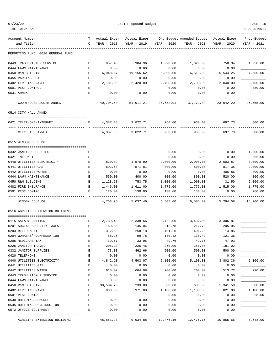| TIME:10:24 AM                     |              |                                  |                          |                     |                                                    |             | PREPARER:0011 |
|-----------------------------------|--------------|----------------------------------|--------------------------|---------------------|----------------------------------------------------|-------------|---------------|
| Account Number                    |              | T Actual Exper Actual Exper      |                          |                     | Org Budget Amended Budget Actual Exper Prop Budget |             |               |
| and Title                         |              | C YEAR - 2018                    | YEAR - 2019              |                     | YEAR - 2020 YEAR - 2020                            | YEAR - 2020 | YEAR - 2021   |
| REPORTING FUND: 0010 GENERAL FUND |              |                                  |                          |                     |                                                    |             |               |
| 0443 TRASH PICKUP SERVICE         | E            | 957.48                           | 984.96                   | 1,020.00            | 1,020.00                                           | 758.34      | 1,050.00      |
| 0444 LAWN MAINTENANCE             | E            | 0.00                             | 0.00                     | 0.00                | 0.00                                               | 0.00        |               |
| 0450 R&M BUILDING                 | E            | 6,948.67                         | 19,156.62                | 5,000.00            | 6,519.93                                           | 5,544.25    | 7,500.00      |
| 0455 PARKING LOT                  | Е            | 0.00                             | 0.00                     | 0.00                | 0.00                                               | 0.00        |               |
| 0482 FIRE INSURANCE               | Е            | 2,181.00                         | 2,420.00                 | 2,700.00            | 2,700.00                                           | 2,040.00    | 2,700.00      |
| 0501 PEST CONTROL                 | Е            |                                  |                          | 0.00                | 0.00                                               | 0.00        | 380.00        |
| 0531 ANNEX                        | Е            | 0.00<br>---------                | 0.00                     | 0.00                | 0.00                                               | 0.00        |               |
| COURTHOUSE SOUTH ANNEX            |              | 40,704.50                        |                          | 51,911.21 35,652.91 | 37,172.84                                          | 23,042.20   | 26,555.00     |
| 0514 CITY HALL ANNEX              |              |                                  |                          |                     |                                                    |             |               |
| 0421 TELEPHONE/INTERNET           | E            |                                  | 4,387.38 3,822.71 960.00 |                     | 960.00                                             |             | 697.73 800.00 |
| CITY HALL ANNEX                   |              | 4,387.38                         | 3,822.71                 | 960.00              | 960.00                                             | 697.73      | 800.00        |
| 0515 WINDOM CO.BLDG.              |              |                                  |                          |                     |                                                    |             |               |
| 0332 JANITOR SUPPLIES             | Е            |                                  |                          | 0.00                | 0.00                                               | 0.00        | 1,000.00      |
| 0421 INTERNET                     | Е            |                                  |                          | 0.00                | 0.00                                               | 0.00        | 565.00        |
| 0440 UTILITIES ELECTRICITY        | Е            | 820.89                           | 1,570.90                 | 2,000.00            | 2,000.00                                           | 2,003.87    | 3,000.00      |
| 0441 UTILITIES GAS                | Е            | 692.68                           | 571.81                   | 800.00              | 800.00                                             | 817.35      | 2,000.00      |
| 0442 UTILITIES WATER              | Е            | 0.00                             | 0.00                     | 0.00                | 0.00                                               | 406.86      | 800.00        |
| 0444 LAWN MAINTENANCE             | Е            | 550.00                           | 400.00                   | 800.00              | 800.00                                             | 520.00      | 800.00        |
| 0450 R&M BUILDING                 | $\mathbf{E}$ | 1,128.68                         | 753.75                   | 1,000.00            | 1,000.00                                           | 31.50       | 5,000.00      |
| 0482 FIRE INSURANCE               | Е            | 1,446.00                         | 1,611.00                 | 1,775.00            | 1,775.00                                           | 1,515.00    | 1,775.00      |
| 0501 PEST CONTROL                 | Е            | 120.00                           | 130.00                   | 130.00              | 130.00                                             | 0.00        | 260.00        |
| WINDOM CO.BLDG.                   |              | 4,758.25                         | 5,037.46                 | 6,505.00            | 6,505.00                                           | 5,294.58    | 15,200.00     |
| 0516 AGRILIFE EXTENSION BUILDING  |              |                                  |                          |                     |                                                    |             |               |
| 0115 SALARY JANITOR               | Е            | 2,739.48                         |                          |                     | 2,338.66 3,432.00 3,432.00 3,306.87                |             |               |
| 0201 SOCIAL SECURITY TAXES        | Е            | 169.85                           | 145.04                   | 212.78              | 212.78                                             | 205.05      |               |
| 0203 RETIREMENT                   |              | 312.59                           | 258.18                   | 401.20              | 401.20                                             | 14.85       |               |
| 0204 WORKERS' COMPENSATION        | Ε            | 88.16                            | 99.78                    | 130.42              | 130.42                                             | 121.36      |               |
| 0205 MEDICARE TAX                 | Е            | 39.67                            | 33.95                    | 49.76               | 49.76                                              | 47.93       |               |
| 0225 JANITOR TRAVEL               | Е            | 205.13                           | 225.46                   | 250.00              | 250.00                                             | 181.02      |               |
| 0332 JANITOR SUPPLIES             | Е            | 73.33                            | 462.66                   | 500.00              | 500.00                                             | 500.00      |               |
| 0420 TELEPHONE                    | Е            | 0.00                             | 0.00                     | 0.00                | 0.00                                               | 0.00        |               |
| 0440 UTILITIES ELECTRICITY        | E            | 4,842.20                         | 4,503.07                 | 5,100.00            | 5,100.00                                           | 3,802.36    | 5,100.00      |
| 0441 UTILITIES GAS                | Е            | 0.00                             | 0.00                     | 0.00                | 0.00                                               | 0.00        |               |
| 0442 UTILITIES WATER              | Е            | 618.07                           | 664.08                   | 700.00              | 700.00                                             | 513.72      | 720.00        |
| 0443 TRASH PICKUP SERVICE         | Е            | 0.00                             | 0.00                     | 0.00                | 0.00                                               | 0.00        |               |
| 0444 LAWN MAINTENANCE             | Е            | 0.00                             | 0.00                     | 0.00                | 0.00                                               | 0.00        |               |
| 0450 R&M BUILDING                 | Е            | 38,584.75                        | 233.00                   | 600.00              | 600.00                                             | 1,341.50    | 500.00        |
| 0482 FIRE INSURANCE               | E            | 880.00                           | 971.00                   | 1,100.00            | 1,100.00                                           | 821.00      | 1,100.00      |
| 0501 PEST CONTROL                 | Е            |                                  |                          | 0.00                | 0.00                                               | 0.00        | 228.00        |
| 0530 BUILDING REMODEL             | Е            | 0.00                             | 0.00                     | 0.00                | 0.00                                               | 0.00        |               |
| 0535 BUILDING CONSTRUCTION        | Е            | 0.00                             | 0.00                     | 0.00                | 0.00                                               | 0.00        |               |
| 0572 OFFICE EQUIPMENT             | Е            | 0.00                             | 0.00                     | 0.00                | 0.00                                               | 0.00        |               |
|                                   |              | --------------- - -------------- | -------------            | -------------       | -------------                                      | ----------- |               |

AGRILIFE EXTENSION BUILDING 48,553.23 9,934.88 12,476.16 12,476.16 10,855.66 7,648.00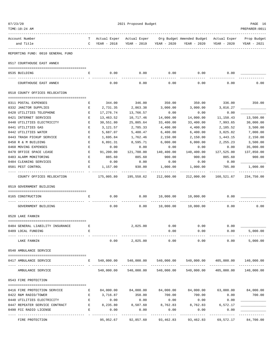| 07/23/20<br>TIME:10:24 AM                              | 2021 Proposed Budget |                             |                             |                              |                                                       | PAGE 16<br>PREPARER: 0011 |                             |  |
|--------------------------------------------------------|----------------------|-----------------------------|-----------------------------|------------------------------|-------------------------------------------------------|---------------------------|-----------------------------|--|
|                                                        |                      |                             |                             |                              |                                                       |                           |                             |  |
| Account Number<br>and Title                            | T<br>$\mathbb{C}$    | Actual Exper<br>YEAR - 2018 | Actual Exper<br>YEAR - 2019 | YEAR - 2020                  | Org Budget Amended Budget Actual Exper<br>YEAR - 2020 | YEAR - 2020               | Prop Budget<br>YEAR - 2021  |  |
| REPORTING FUND: 0010 GENERAL FUND                      |                      |                             |                             |                              |                                                       |                           |                             |  |
| 0517 COURTHOUSE EAST ANNEX                             |                      |                             |                             |                              |                                                       |                           |                             |  |
| 0535 BUILDING                                          | Е                    | 0.00                        | 0.00                        | 0.00                         | 0.00                                                  | 0.00                      |                             |  |
| COURTHOUSE EAST ANNEX                                  |                      | 0.00                        | 0.00                        | 0.00                         | 0.00                                                  | 0.00                      | 0.00                        |  |
| 0518 COUNTY OFFICES RELOCATION                         |                      |                             |                             |                              |                                                       |                           |                             |  |
|                                                        |                      |                             |                             |                              |                                                       |                           |                             |  |
| 0311 POSTAL EXPENSES                                   | Е                    | 344.00                      | 346.00                      | 350.00                       | 350.00                                                | 336.00                    | 350.00                      |  |
| 0332 JANITOR SUPPLIES                                  | Е                    | 2,731.35                    | 2,863.38                    | 3,000.00                     | 3,000.00                                              | 3,016.27                  |                             |  |
| 0420 UTILITIES TELEPHONE                               | Е                    | 17,276.74                   | 13,766.57                   | 0.00                         | 0.00                                                  | 0.00                      |                             |  |
| 0421 INTERNET SERVICES                                 | Е                    | 13,463.52                   | 10,717.46                   | 14,000.00                    | 14,000.00                                             | 11,150.43                 | 13,500.00                   |  |
| 0440 UTILITIES ELECTRICITY<br>0441 UTILITIES GAS       | Е<br>Е               | 30,551.80                   | 25,805.64<br>2,785.33       | 33,400.00<br>4,400.00        | 33,400.00                                             | 7,993.65                  | 30,000.00<br>3,500.00       |  |
| 0442 UTILITIES WATER                                   | E                    | 3,121.57<br>5,687.07        | 5,400.47                    | 6,400.00                     | 4,400.00<br>6,400.00                                  | 2,185.52<br>3,025.82      | 7,000.00                    |  |
| 0443 TRASH PICKUP SERVICE                              | E                    | 1,695.84                    | 1,762.46                    | 2,150.00                     | 2,150.00                                              | 1,443.15                  | 2,150.00                    |  |
| 0450 R & M BUILDING                                    | Е                    | 6,891.31                    | 8,595.71                    | 6,000.00                     | 6,000.00                                              | 2,255.23                  | 3,500.00                    |  |
| 0460 MOVING EXPENSES                                   | Е                    | 0.00                        | 0.00                        | 0.00                         | 0.00                                                  | 0.00                      | 35,000.00                   |  |
| 0470 OFFICE SPACE LEASE                                | Е                    | 91,200.00                   | 121,700.00                  | 140,400.00                   | 140,400.00                                            | 127,525.00                | 137,850.00                  |  |
| 0483 ALARM MONITORING                                  | Е                    | 885.60                      | 885.60                      | 900.00                       | 900.00                                                | 885.60                    | 900.00                      |  |
| 0484 CLEANING SERVICES                                 | Е                    | 0.00                        | 0.00                        | 0.00                         | 0.00                                                  | 0.00                      |                             |  |
| 0501 PEST CONTROL                                      | Е                    | 1,157.00                    | 930.00                      | 1,000.00                     | 1,000.00                                              | 705.00                    | 1,000.00                    |  |
| COUNTY OFFICES RELOCATION                              |                      | 175,005.80                  | -----------<br>195,558.62   | ------------<br>212,000.00   | ___________<br>212,000.00                             | ----------<br>160,521.67  | -----------<br>234,750.00   |  |
| 0519 GOVERNMENT BUILDING                               |                      |                             |                             |                              |                                                       |                           |                             |  |
|                                                        |                      |                             |                             |                              |                                                       |                           |                             |  |
| 0165 CONSTRUCTION                                      | Е                    | 0.00                        | 0.00                        |                              | 10,000.00  10,000.00                                  | 0.00                      |                             |  |
| GOVERNMENT BUILDING                                    |                      | 0.00                        | 0.00                        | 10,000.00                    | 10,000.00                                             | 0.00                      | 0.00                        |  |
| 0520 LAKE FANNIN                                       |                      |                             |                             |                              |                                                       |                           |                             |  |
|                                                        |                      |                             | 2,025.00                    |                              | 0.00                                                  | 0.00                      |                             |  |
| 0484 GENERAL LIABILITY INSURANCE<br>0489 LOCAL FUNDING | Е<br>F.              |                             |                             | 0.00<br>0.00                 | 0.00                                                  | 0.00                      | 5,000.00                    |  |
|                                                        |                      |                             |                             |                              |                                                       |                           |                             |  |
| LAKE FANNIN                                            |                      | 0.00                        | 2,025.00                    | 0.00                         | 0.00                                                  | 0.00                      | 5,000.00                    |  |
| 0540 AMBULANCE SERVICE                                 |                      |                             |                             |                              |                                                       |                           |                             |  |
| 0417 AMBULANCE SERVICE                                 | Е                    | 540,000.00<br>-----------   | 540,000.00<br>------------- | 540,000.00<br>______________ |                                                       | 540,000.00 405,000.00     | 140,000.00<br>------------- |  |
| AMBULANCE SERVICE                                      |                      | 540,000.00                  | 540,000.00                  | 540,000.00                   |                                                       | 540,000.00 405,000.00     | 140,000.00                  |  |
| 0543 FIRE PROTECTION                                   |                      |                             |                             |                              |                                                       |                           |                             |  |
| 0416 FIRE PROTECTION SERVICE                           | Е                    | 84,000.00                   | 84,000.00                   | 84,000.00                    | 84,000.00                                             | 63,000.00                 | 84,000.00                   |  |
| 0422 R&M RADIO/TOWER                                   | Е                    | 3,716.87                    | 350.00                      | 700.00                       | 700.00                                                | 0.00                      | 700.00                      |  |
| 0440 UTILITIES ELECTRICITY                             | E                    | 0.00                        | 0.00                        | 0.00                         | 0.00                                                  | 0.00                      |                             |  |
| 0447 REPEATER SERVICE CONTRACT                         | E                    | 8,235.80                    | 8,507.60                    | 8,762.83                     | 8,762.83                                              | 6,572.17                  |                             |  |
| 0490 FCC RADIO LICENSE                                 | Е                    | 0.00                        | 0.00                        | 0.00                         | 0.00                                                  | 0.00                      |                             |  |
| FIRE PROTECTION                                        |                      | 95,952.67                   | 92,857.60                   | 93,462.83                    | 93,462.83                                             | 69,572.17                 | 84,700.00                   |  |
|                                                        |                      |                             |                             |                              |                                                       |                           |                             |  |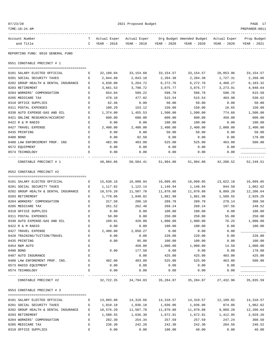| TIME:10:24 AM                                |              |               |                           |                    |                                                             |                | PREPARER:0011    |
|----------------------------------------------|--------------|---------------|---------------------------|--------------------|-------------------------------------------------------------|----------------|------------------|
| Account Number                               | T.           |               | Actual Exper Actual Exper |                    | Org Budget Amended Budget - Actual Exper                    |                | Prop Budget      |
| and Title<br>--------------                  | C            | YEAR - 2018   | YEAR - 2019               | YEAR - 2020        | YEAR - 2020                                                 | YEAR - 2020    | YEAR - 2021      |
| REPORTING FUND: 0010 GENERAL FUND            |              |               |                           |                    |                                                             |                |                  |
| 0551 CONSTABLE PRECINCT # 1                  |              |               |                           |                    |                                                             |                |                  |
| 0101 SALARY ELECTED OFFICIAL                 | Е            | 32,189.04     | 33,154.68                 | 33,154.57          | 33,154.57                                                   | 28,053.96      | 33,154.57        |
| 0201 SOCIAL SECURITY TAXES                   | Е            | 2,044.60      | 2,043.10                  | 2,204.38           | 2,204.38                                                    | 1,727.31       | 2,268.86         |
| 0202 GROUP HEALTH & DENTAL INSURANCE         | Е            | 4,838.80      | 5,264.72                  | 6,272.76           | 6,272.76                                                    | 4,460.27       | 6,103.32         |
| 0203 RETIREMENT                              | Е            | 3,661.53      | 3,790.72                  | 3,875.77           | 3,875.77                                                    | 3,273.91       | 4,048.64         |
| 0204 WORKERS' COMPENSATION                   | Е            | 654.04        | 589.22                    | 596.78             | 596.78                                                      | 590.78         | 615.50           |
| 0205 MEDICARE TAX                            | E            | 478.10        | 477.82                    | 515.54             | 515.54                                                      | 403.98         | 530.62           |
| 0310 OFFICE SUPPLIES                         | Е            | 62.46         | 0.00                      | 50.00              | 50.00                                                       | 0.00           | 50.00            |
| 0311 POSTAL EXPENSES                         | Е            | 100.29        | 153.12                    | 150.00             | 150.00                                                      | 10.65          | 150.00           |
| 0330 AUTO EXPENSE-GAS AND OIL                | Е            | 1,374.00      | 1,455.53                  | 1,500.00           | 1,500.00                                                    | 774.66         | 1,500.00         |
| 0421 ONLINE RESEARCH/ACCURINT                | Е            | 600.00        | 600.00                    | 600.00             | 600.00                                                      | 450.00         | 600.00           |
| 0422 R & M RADIO                             | Е            | 0.00          | 0.00                      | 100.00             | 100.00                                                      | 0.00           | 100.00           |
| 0427 TRAVEL EXPENSE                          | Е            | 2,400.00      | 2,400.00                  | 2,400.00           | 2,400.00                                                    | 2,000.00       | 2,400.00         |
| 0435 PRINTING                                | $\mathbf E$  | 0.00          | 0.00                      | 50.00              | 50.00                                                       | 0.00           | 50.00            |
| 0480 BOND                                    | Е            | 0.00          | 92.50                     | 0.00               | 0.00                                                        | 0.00           | 178.00           |
| 0488 LAW ENFORCEMENT PROF. INS               | E            | 482.00        | 483.00                    | 525.00             | 525.00                                                      | 463.00         | 500.00           |
| 0572 EQUIPMENT                               | Е            | 0.00          | 0.00                      | 0.00               | 0.00                                                        | 0.00           |                  |
| 0574 TECHNOLOGY                              | E            | 0.00          | 0.00                      | 0.00               | 0.00                                                        | 0.00           |                  |
| CONSTABLE PRECINCT # 1                       |              | 48,884.86     | 50,504.41                 | 51,994.80          | 51,994.80                                                   | 42,208.52      | 52,249.51        |
| 0552 CONSTABLE PRECINCT #2                   |              |               |                           |                    |                                                             |                |                  |
|                                              |              |               |                           |                    |                                                             |                |                  |
| 0101 SALARY ELECTED OFFICIAL                 | Е            | 15,630.16     | 16,098.94                 | 16,099.05          | 16,099.05                                                   | 13,622.18      | 16,099.05        |
| 0201 SOCIAL SECURITY TAXES                   | Е            | 1,117.82      | 1,122.14                  | 1,146.94           | 1,146.94                                                    | 844.58         | 1,062.62         |
| 0202 GROUP HEALTH & DENTAL INSURANCE         | Е            | 10,576.20     | 11,507.78                 | 11,870.88          | 11,870.88                                                   | 9,889.20       | 12,206.64        |
| 0203 RETIREMENT                              | Е            | 1,778.06      | 1,840.82                  | 1,881.98           | 1,881.98                                                    | 1,589.55       | 2,029.26         |
| 0204 WORKERS' COMPENSATION                   | Е            | 317.58        | 286.10                    | 289.78             | 289.78                                                      | 278.14         | 308.50<br>248.52 |
| 0205 MEDICARE TAX                            | $\mathbf E$  | 261.52        | 262.48                    | 268.24             | 268.24                                                      | 197.56         |                  |
| 0310 OFFICE SUPPLIES<br>0311 POSTAL EXPENSES | Е<br>Е       | 0.00<br>50.00 | 0.00<br>0.00              | 100.00             | 100.00<br>250.00                                            | 0.00           | 100.00<br>250.00 |
| 0330 AUTO EXPENSE-GAS AND OIL                | Е            | 109.01        | 420.00                    | 250.00<br>1,000.00 | 1,000.00                                                    | 55.00<br>76.25 | 1,000.00         |
| 0422 R & M RADIO                             | Е            | 0.00          | 0.00                      | 100.00             | 100.00                                                      | 0.00           | 100.00           |
| 0427 TRAVEL EXPENSE                          |              | 2,400.00      | 2,050.27                  | 0.00               | 0.00                                                        | 0.00           |                  |
| 0428 TRAINING/TUITION/TRAVEL                 | Е            | 0.00          | 0.00                      | 228.00             | 228.00                                                      | 0.00           | 228.00           |
| 0435 PRINTING                                | Ε            | 0.00          | 95.00                     | 100.00             | 100.00                                                      | 0.00           | 100.00           |
| 0454 R&M AUTO                                | Ε            |               | 450.00                    | 1,000.00           | 1,000.00                                                    | 14.50          | 1,000.00         |
| 0480 BOND                                    | E            | 0.00          | 177.50                    | 0.00               | 0.00                                                        | 0.00           | 178.00           |
| 0487 AUTO INSURANCE                          | $\mathbf{E}$ |               | 0.00                      | 425.00             | 425.00                                                      | 403.00         | 425.00           |
| 0488 LAW ENFOREMENT PROF. INS.               | E            | 482.00        | 483.00                    | 525.00             | 525.00                                                      | 463.00         | 500.00           |
| 0573 RADIO EQUIPMENT                         | E            | 0.00          | 0.00                      | 0.00               | 0.00                                                        | 0.00           |                  |
| 0574 TECHNOLOGY                              | E            | 0.00          | 0.00                      | 0.00               | 0.00                                                        | 0.00           |                  |
| CONSTABLE PRECINCT #2                        |              |               |                           |                    | 32,722.35 34,794.03 35,284.87 35,284.87 27,432.96 35,835.59 | -------------  |                  |
|                                              |              |               |                           |                    |                                                             |                |                  |
| 0553 CONSTABLE PRECINCT # 3                  |              |               |                           |                    |                                                             |                |                  |
| 0101 SALARY ELECTED OFFICIAL                 | $\mathbf{E}$ |               |                           |                    | 14, 310.57    14, 310.57    12, 109.02                      |                | 14,310.57        |
| 0201 SOCIAL SECURITY TAXES                   | E            | 1,010.18      | 1,036.18                  | 1,036.06           | 1,036.06                                                    | 874.86         | 1,062.62         |
| 0202 GROUP HEALTH & DENTAL INSURANCE E       |              | 10,576.20     | 11,507.78                 | 11,870.88          | 11,870.88                                                   | 9,889.20       | 12,206.64        |
| 0203 RETIREMENT                              | $\mathbf{E}$ | 1,580.55      | 1,636.30                  | 1,672.91           | 1,672.91                                                    | 1,412.95       | 2,029.26         |
| 0204 WORKERS' COMPENSATION                   | $\mathbf{E}$ | 282.30        | 254.34                    | 257.59             | 257.59                                                      | 247.24         | 308.50           |
| 0205 MEDICARE TAX                            | $\mathbf{E}$ | 236.30        | 242.28                    | 242.30             | 242.30                                                      | 204.56         | 248.52           |
| 0310 OFFICE SUPPLIES                         | E            | 0.00          | 0.00                      | 100.00             | 40.00                                                       | 0.00           | 40.00            |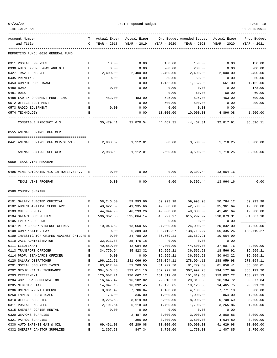| 23/<br>07/ |
|------------|
|------------|

| TIME:10:24 AM                                                 |                                                                                                |                               |                       |                          |                                                                                |                        | PREPARER:0011             |
|---------------------------------------------------------------|------------------------------------------------------------------------------------------------|-------------------------------|-----------------------|--------------------------|--------------------------------------------------------------------------------|------------------------|---------------------------|
| Account Number                                                |                                                                                                |                               |                       |                          | T Actual Exper Actual Exper Org Budget Amended Budget Actual Exper Prop Budget |                        |                           |
| and Title                                                     | $\mathsf{C}$                                                                                   | YEAR - 2018                   |                       |                          | YEAR - 2019 YEAR - 2020 YEAR - 2020                                            | YEAR - 2020            | YEAR - 2021               |
| REPORTING FUND: 0010 GENERAL FUND                             |                                                                                                |                               |                       |                          |                                                                                |                        |                           |
| 0311 POSTAL EXPENSES                                          | E                                                                                              | 18.00                         | 0.00                  | 150.00                   | 150.00                                                                         | 0.00                   | 150.00                    |
| 0330 AUTO EXPENSE-GAS AND OIL                                 | $\mathbf{E}$                                                                                   | 0.00                          | 0.00                  | 200.00                   | 200.00                                                                         | 0.00                   | 200.00                    |
| 0427 TRAVEL EXPENSE                                           | $\mathbf{E}$                                                                                   | 2,400.00                      | 2,400.00              | 2,400.00                 | 2,400.00                                                                       | 2,000.00               | 2,400.00                  |
| 0435 PRINTING                                                 | Е                                                                                              | 0.00                          | 0.00                  | 50.00                    | 50.00                                                                          | 0.00                   | 50.00                     |
| 0453 COMPUTER SOFTWARE                                        | Е                                                                                              |                               | 0.00                  | 1,152.00                 | 1,152.00                                                                       | 661.00                 | 1,152.00                  |
| 0480 BOND                                                     | E                                                                                              | 0.00                          | 0.00                  | 0.00                     | 0.00                                                                           | 0.00                   | 178.00                    |
| 0481 DUES                                                     | Ε                                                                                              |                               |                       | 0.00                     | 60.00                                                                          | 60.00                  | 60.00                     |
| 0488 LAW ENFORCEMENT PROF. INS                                | E                                                                                              | 482.00                        | 483.00                | 525.00                   | 525.00                                                                         | 463.00                 | 500.00                    |
| 0572 OFFICE EQUIPMENT                                         | Е                                                                                              |                               | 0.00                  | 500.00                   | 500.00                                                                         | 0.00                   | 200.00                    |
| 0573 RADIO EQUIPMENT                                          | Е                                                                                              | 0.00                          | 0.00                  | 0.00                     | 0.00                                                                           | 0.00                   |                           |
| 0574 TECHNOLOGY                                               | Е                                                                                              |                               | 0.00                  | 10,000.00<br>----------- | 10,000.00<br>-----------                                                       | 4,896.08<br>---------- | 1,500.00<br>------------- |
| CONSTABLE PRECINCT # 3                                        |                                                                                                | 30,479.41                     |                       | 31,870.54 44,467.31      | 44,467.31                                                                      | 32,817.91              | 36,596.11                 |
| 0555 ANIMAL CONTROL OFFICER                                   |                                                                                                |                               |                       |                          |                                                                                |                        |                           |
| 0441 ANIMAL CONTROL OFFICER/SERVICES                          |                                                                                                | $\mathbf{E}$ and $\mathbf{E}$ | ------------          | -------------            | 2,988.69 1,112.01 3,500.00 3,500.00 1,718.25                                   |                        | 3,000.00                  |
| -----------------------------------<br>ANIMAL CONTROL OFFICER |                                                                                                | - -------------               |                       |                          | 2,988.69 1,112.01 3,500.00 3,500.00 1,718.25                                   |                        | 3,000.00                  |
| 0559 TEXAS VINE PROGRAM                                       |                                                                                                |                               |                       |                          |                                                                                |                        |                           |
| 0495 VINE AUTOMATED VICTIM NOTIF.SERV. E                      |                                                                                                | 0.00                          | 0.00                  | 0.00                     |                                                                                | 9,309.44 13,964.16     |                           |
|                                                               |                                                                                                |                               |                       |                          |                                                                                |                        |                           |
| TEXAS VINE PROGRAM                                            |                                                                                                | 0.00                          | 0.00                  | 0.00                     | 9,309.44                                                                       | 13,964.16              | 0.00                      |
| 0560 COUNTY SHERIFF                                           |                                                                                                |                               |                       |                          |                                                                                |                        |                           |
| 0101 SALARY ELECTED OFFICIAL                                  | E                                                                                              | 58,246.50                     | 59,993.96             | 59,993.98                | 59,993.98                                                                      | 50,764.12              | 59,993.98                 |
| 0102 ADMINISTRATIVE SECRETARY                                 | Е                                                                                              | 40,622.59                     | 41,935.66             | 42,500.00                | 42,500.00                                                                      | 35,961.64              | 42,500.00                 |
| 0103 CHIEF DEPUTY                                             | Е                                                                                              | 44,944.90                     | 46,293.26             | 49,000.00                | 49,000.00                                                                      | 41,461.64              | 49,000.00                 |
| 0104 SALARIES DEPUTIES                                        | Е                                                                                              | 596,362.85                    | 595,864.14            | 615,297.97               | 615,297.97                                                                     | 518,879.31             | 651,867.18                |
| 0105 EVIDENCE CLERK                                           | E                                                                                              |                               |                       | 0.00                     | 0.00                                                                           | 0.00                   |                           |
| 0107 PT RECORDS/EVIDENCE CLERKS                               | Е                                                                                              | 10,043.62                     | 13,060.55             | 24,000.00                | 24,000.00                                                                      | 20,832.00              | 24,000.00                 |
| 0108 COMPENSATION PAY                                         |                                                                                                | 0.00                          | 6,389.30              | 138,719.27               | 138,719.27                                                                     |                        | 65, 335. 26 138, 719. 27  |
| 0109 INVESTIGATOR-CRIMES AGAINST CHILDRE E                    |                                                                                                | 0.00                          | 34,780.20             | 36,569.21                | 36,569.21                                                                      | 10,064.99              |                           |
| 0110 JAIL ADMINISTRATOR                                       | Ε                                                                                              | 32,923.88                     | 35,475.18             | 0.00                     | 0.00                                                                           | 0.00                   |                           |
| 0111 LIEUTENANT                                               | E                                                                                              | 40,859.00                     | 42,084.90             | 44,800.00                | 44,800.00                                                                      | 37,907.76              | 44,800.00                 |
| 0113 TRANSPORT OFFICER                                        | E                                                                                              | 34,779.94                     | 35,823.32             | 36,569.21                | 36,569.21                                                                      | 18,566.92              | 36,569.21                 |
| 0114 PROF. STANDARDS OFFICER                                  | $\mathbf{E}% _{t}\left  \mathbf{1}\right\rangle =\mathbf{1}_{t}\left  \mathbf{1}\right\rangle$ | 0.00                          | 0.00                  | 36,569.21                | 36,569.21                                                                      | 30,943.22              | 36,569.21                 |
| 0120 SALARY DISPATCHER                                        | E                                                                                              | 196, 122.51                   | 231,066.90            | 278,094.11               | 278,094.11                                                                     | 188,959.98             | 278,094.11                |
| 0201 SOCIAL SECURITY TAXES                                    | Ε                                                                                              | 63,912.00                     | 71,269.50             | 81,779.50                | 81,779.50                                                                      | 61,856.41              | 85,608.01                 |
| 0202 GROUP HEALTH INSURANCE                                   | E                                                                                              | 304,546.45                    | 333,611.10            | 367,997.28               | 367,997.28                                                                     | 294, 172.99            | 366,199.20                |
| 0203 RETIREMENT                                               | Ε                                                                                              | 120,007.71                    | 130,662.12            | 151,819.68               | 151,819.68                                                                     | 119,007.22             | 158,927.13                |
| 0204 WORKERS' COMPENSATION                                    | E                                                                                              | 16,645.42                     | 16,102.82             | 29,018.53                | 29,018.53                                                                      | 16,184.72              | 30, 377.04                |
| 0205 MEDICARE TAX<br>0206 UNEMPLOYMENT EXPENSE                | E<br>E                                                                                         | 14,947.13<br>8,881.49         | 16,392.45<br>7,786.04 | 19,125.85<br>4,100.00    | 19,125.85<br>4,100.00                                                          | 14,465.75<br>7,771.18  | 20,021.23<br>5,000.00     |
| 0250 EMPLOYEE PHYSICALS                                       | E                                                                                              | 173.00                        | 346.00                | 1,000.00                 | 1,000.00                                                                       | 864.00                 | 1,000.00                  |
| 0310 OFFICE SUPPLIES                                          | Е                                                                                              | 9,225.53                      | 8,619.90              | 8,000.00                 | 8,000.00                                                                       | 5,708.69               | 8,000.00                  |
| 0311 POSTAL EXPENSES                                          | Ε                                                                                              | 2,101.54                      | 5,118.40              | 1,700.00                 | 1,700.00                                                                       | 3,265.86               | 1,700.00                  |
| 0315 SHERIFF COPIER RENTAL                                    | $\mathbf{E}% _{t}\left  \mathbf{1}\right\rangle =\mathbf{1}_{t}\left  \mathbf{1}\right\rangle$ | 0.00                          | 0.00                  | 0.00                     | 0.00                                                                           | 0.00                   |                           |
| 0320 WEAPONS SUPPLIES                                         | E                                                                                              |                               | 2,487.00              | 3,000.00                 | 3,000.00                                                                       | 2,860.86               | 3,000.00                  |
| 0321 PATROL SUPPLIES                                          | E                                                                                              |                               | 396.00                | 3,800.00                 | 3,800.00                                                                       | 4,634.80               | 3,800.00                  |
| 0330 AUTO EXPENSE GAS & OIL                                   | E                                                                                              | 69,451.08                     | 65,289.08             | 80,000.00                | 80,000.00                                                                      | 41,629.98              | 80,000.00                 |
| 0332 SHERIFF JANITOR SUPPLIES                                 | E                                                                                              | 2,397.58                      | 847.34                | 1,750.00                 | 1,750.00                                                                       | 1,407.85               | 1,750.00                  |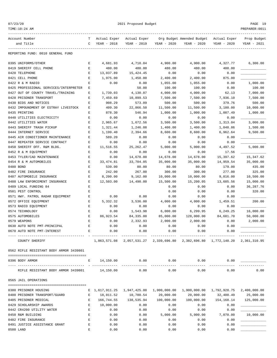| 07/23/20                                     | 2021 Proposed Budget |              |              |                       |                                                                        |              | PAGE 19        |  |
|----------------------------------------------|----------------------|--------------|--------------|-----------------------|------------------------------------------------------------------------|--------------|----------------|--|
| TIME:10:24 AM                                |                      |              |              |                       |                                                                        |              | PREPARER: 0011 |  |
| Account Number                               | т                    | Actual Exper | Actual Exper |                       | Org Budget Amended Budget                                              | Actual Exper | Prop Budget    |  |
| and Title                                    | C                    | YEAR - 2018  | YEAR - 2019  | YEAR - 2020           | YEAR - 2020                                                            | YEAR - 2020  | YEAR - 2021    |  |
| REPORTING FUND: 0010 GENERAL FUND            |                      |              |              |                       |                                                                        |              |                |  |
| 0395 UNIFORMS/OTHER                          | Ε                    | 4,681.93     | 4,710.04     | 4,900.00              | 4,900.00                                                               | 4,327.77     | 6,300.00       |  |
| 0419 SHERIFF CELL PHONE                      | E                    | 480.00       | 480.00       | 480.00                | 480.00                                                                 | 400.00       |                |  |
| 0420 TELEPHONE                               | Ε                    | 13,037.89    | 15, 424.45   | 0.00                  | 0.00                                                                   | 0.00         |                |  |
| 0421 CELL PHONE                              | Ε                    | 1,975.00     | 1,450.00     | 2,400.00              | 2,400.00                                                               | 875.00       |                |  |
| 0422 R & M RADIO                             | E                    | 0.00         | 0.00         | 1,055.00              | 1,055.00                                                               | 0.00         | 1,000.00       |  |
| 0425 PROFESSIONAL SERVICES/INTERPRETER       | Е                    |              | 50.00        | 100.00                | 100.00                                                                 | 0.00         | 100.00         |  |
| 0427 OUT OF COUNTY TRAVEL/TRAINING           | Ε                    | 1,739.03     | 4,130.87     | 4,000.00              | 4,000.00                                                               | 62.13        | 7,000.00       |  |
| 0428 PRISONER TRANSPORT                      | Ε                    | 7,459.69     | 10,899.53    | 7,500.00              | 7,500.00                                                               | 7,936.10     | 7,500.00       |  |
| 0430 BIDS AND NOTICES                        | Ε                    | 908.29       | 573.09       | 500.00                | 500.00                                                                 | 379.76       | 500.00         |  |
| 0432 IMPOUNDMENT OF ESTRAY LIVESTOCK         | E                    | 409.30       | 22,866.50    | 11,500.00             | 11,500.00                                                              | 3,180.00     | 10,000.00      |  |
| 0435 PRINTING                                | E                    | 878.30       | 546.94       | 1,000.00              | 1,000.00                                                               | 1,007.49     | 1,000.00       |  |
| 0440 UTILITIES ELECTRICITY                   | Ε                    | 0.00         | 0.00         | 0.00                  | 0.00                                                                   | 0.00         |                |  |
| 0442 UTILITIES WATER                         | E                    | 2,965.67     | 1,672.56     | 3,500.00              | 3,500.00                                                               | 1,313.04     | 3,000.00       |  |
| 0443 SHERIFF TRASH PICKUP                    | Ε                    | 1,321.44     | 1,246.08     | 1,400.00              | 1,400.00                                                               | 1,048.86     | 1,500.00       |  |
| 0444 INTERNET SERVICE                        | E                    | 1,199.40     | 2,394.66     | 8,600.00              | 8,600.00                                                               | 6,962.64     | 9,500.00       |  |
| 0445 AIR CONDITIONER MAINTENANCE             | E                    | 589.20       | 0.00         | 0.00                  | 0.00                                                                   | 0.00         |                |  |
| 0447 REPEATER SERVICE CONTRACT               | Ε                    | 0.00         | 0.00         | 0.00                  | 0.00                                                                   | 0.00         |                |  |
| 0450 SHERIFF OFF. R&M BLDG.                  | Е                    | 11,516.55    | 25, 262.47   | 5,000.00              | 5,000.00                                                               | 4,497.52     | 5,000.00       |  |
| 0452 R & M EQUIPMENT                         | Ε                    | 0.00         | 0.00         | 0.00                  | 0.00                                                                   | 17.56        |                |  |
| 0453 TYLER/CAD MAINTENANCE                   | Ε                    | 0.00         | 14,678.00    | 14,678.00             | 14,678.00                                                              | 15,397.62    | 15,347.62      |  |
| 0454 R & M AUTOMOBILES                       | Ε                    | 33, 474.81   | 33,704.05    | 35,000.00             | 35,000.00                                                              | 14,959.54    | 35,000.00      |  |
| 0480 BOND                                    | E                    | 539.00       | 80.00        | 80.00                 | 80.00                                                                  | 179.00       | 435.00         |  |
| 0482 FIRE INSURANCE                          | E                    | 242.00       | 267.00       | 300.00                | 300.00                                                                 | 277.00       | 325.00         |  |
| 0487 AUTOMOBILE INSURANCE                    | E                    | 8,200.00     | 9,162.00     | 10,000.00             | 10,000.00                                                              | 9,816.00     | 10,500.00      |  |
| 0488 LAW ENFORCEMENT INSURANCE               | Ε                    | 12,503.00    | 14,490.00    | 15,500.00             | 15,200.05                                                              | 13,605.56    | 15,000.00      |  |
| 0489 LOCAL FUNDING 84                        | E                    |              |              | 0.00                  | 0.00                                                                   | 0.00         | 36,287.76      |  |
| 0501 PEST CONTROL                            | E                    |              |              | 0.00                  | 0.00                                                                   | 0.00         | 320.00         |  |
| 0571 HWY. PATROL RADAR EQUIPMENT             | E                    | 0.00         | 0.00         | 0.00                  | 0.00                                                                   | 0.00         |                |  |
| 0572 OFFICE EQUIPMENT                        | Е                    | 5,332.32     | 3,536.00     | 4,000.00              | 4,000.00                                                               | 1,459.51     | 200.00         |  |
| 0573 RADIO EQUIPMENT                         | Ε                    | 0.00         | 0.00         | 0.00                  | 0.00                                                                   | 0.00         |                |  |
| 0574 TECHNOLOGY                              | Ε                    | 0.00         | 1,543.98     | 6,000.00              | 6,299.95                                                               | 6,249.25     | 16,000.00      |  |
| 0575 AUTOMOBILES                             | E                    | 86,923.54    | 84, 335.00   | 85,000.00             | 128,000.00                                                             | 84,681.70    | 50,000.00      |  |
| 0579 WEAPONS                                 | E                    | 0.00         | 2,332.93     | 2,000.00              | 2,000.00                                                               | 0.00         | 2,000.00       |  |
| 0630 AUTO NOTE PMT-PRINCIPAL                 | Е                    | 0.00         | 0.00         | 0.00                  | 0.00                                                                   | 0.00         |                |  |
| 0670 AUTO NOTE PMT-INTEREST                  | Е                    | 0.00         | 0.00         | 0.00                  | 0.00                                                                   | 0.00         |                |  |
| COUNTY SHERIFF                               |                      |              |              |                       | 1,863,571.08  2,057,531.27  2,339,696.80  2,382,696.80  1,772,140.20   |              | 2,361,310.95   |  |
| 0562 RIFLE RESISTANT BODY ARMOR 3439801      |                      |              |              |                       |                                                                        |              |                |  |
| 0396 BODY ARMOR                              | Е                    | 14,150.00    | 0.00         | 0.00<br>------------- | 0.00                                                                   | 0.00         |                |  |
| RIFLE RESISTANT BODY ARMOR 3439801 14,150.00 |                      |              | 0.00         | 0.00                  | 0.00                                                                   | 0.00         | 0.00           |  |
| 0565 JAIL OPERATIONS                         |                      |              |              |                       |                                                                        |              |                |  |
| 0380 PRISONER HOUSING                        |                      |              |              |                       | E 1,617,911.25  1,947,425.00  1,900,000.00  1,900,000.00  1,792,928.75 |              | 2,400,000.00   |  |
| 0400 PRISONER TRANSPORT/GUARD                | Е                    | 18,011.52    | 10,780.54    | 20,000.00             | 20,000.00                                                              | 32,400.49    | 25,000.00      |  |
| 0405 PRISONER MEDICAL                        | Е                    | 166,744.55   | 138,535.94   | 100,000.00            | 100,000.00                                                             | 154,168.14   | 125,000.00     |  |
| 0429 SCHOLARSHIP AWARDS                      | Е                    | 10,000.00    | 0.00         | 0.00                  | 0.00                                                                   | 0.00         |                |  |
| 0442 CR4200 UTILITY WATER                    | Е                    | 0.00         | 0.00         | 0.00                  | 0.00                                                                   | 0.00         |                |  |
| 0450 R&M BUILDING                            | Е                    | 0.00         | 0.00         | 5,000.00              | 5,000.00                                                               | 7,070.00     | 10,000.00      |  |
| 0482 FIRE INSURANCE                          | Е                    | 0.00         | 0.00         | 0.00                  | 0.00                                                                   | 0.00         |                |  |
| 0491 JUSTICE ASSISTANCE GRANT                | E                    | 0.00         | 0.00         | 0.00                  | 0.00                                                                   | 0.00         |                |  |

0500 LAND E 0.00 0.00 0.00 0.00 0.00 \_\_\_\_\_\_\_\_\_\_\_\_\_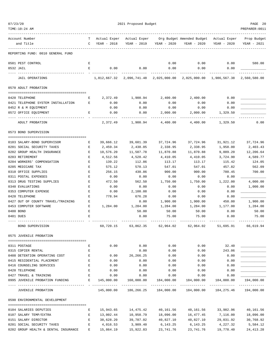| 07/23/20 |  |
|----------|--|
|          |  |

| 07/23/20                           |               | 2021 Proposed Budget |                                        |                |                                                                         | PAGE 20                                |                             |
|------------------------------------|---------------|----------------------|----------------------------------------|----------------|-------------------------------------------------------------------------|----------------------------------------|-----------------------------|
| TIME:10:24 AM                      |               |                      |                                        |                |                                                                         |                                        | PREPARER: 0011              |
| Account Number                     | T.            | Actual Exper         | Actual Exper                           |                | Org Budget Amended Budget Actual Exper                                  |                                        | Prop Budget                 |
| and Title                          | $\mathcal{C}$ | YEAR - 2018          | YEAR - 2019                            | YEAR - 2020    | YEAR - 2020                                                             | YEAR - 2020                            | YEAR - 2021                 |
| REPORTING FUND: 0010 GENERAL FUND  |               |                      |                                        |                |                                                                         |                                        |                             |
| 0501 PEST CONTROL                  | Е             |                      |                                        | 0.00           | 0.00                                                                    | 0.00                                   | 580.00                      |
| 0532 JAIL                          | E             | 0.00                 | 0.00                                   | 0.00           | 0.00                                                                    | 0.00                                   |                             |
| <b>JAIL OPERATIONS</b>             |               |                      | 1,812,667.32 2,096,741.48 2,025,000.00 |                |                                                                         | 2,025,000.00 1,986,567.38 2,560,580.00 |                             |
| 0570 ADULT PROBATION               |               |                      |                                        |                |                                                                         |                                        |                             |
| 0420 TELEPHONE                     | Е             | 2,372.49             | 1,900.94                               | 2,400.00       | 2,400.00                                                                | 0.00                                   |                             |
| 0421 TELEPHONE SYSTEM INSTALLATION | Е             | 0.00                 | 0.00                                   | 0.00           | 0.00                                                                    | 0.00                                   |                             |
| 0452 R & M EQUIPMENT               |               | 0.00                 | 0.00                                   | 0.00           | 0.00                                                                    | 0.00                                   |                             |
| 0572 OFFICE EQUIPMENT              | Ε             | 0.00                 | 0.00                                   | 2,000.00       | 2,000.00                                                                | 1,329.50                               |                             |
| ADULT PROBATION                    |               | 2,372.49             | 1,900.94                               | 4,400.00       | 4,400.00                                                                | 1,329.50                               | 0.00                        |
| 0573 BOND SUPERVISION              |               |                      |                                        |                |                                                                         |                                        |                             |
| 0103 SALARY-BOND SUPERVISOR        | Е             | 39,666.12            | 39,601.39                              | 37,724.96      | 37,724.96                                                               | 31,921.12                              | 37,724.96                   |
| 0201 SOCIAL SECURITY TAXES         | E             | 2,459.34             | 2,438.05                               | 2,338.95       | 2,338.95                                                                | 1,958.00                               | 2,403.43                    |
| 0202 GROUP HEALTH INSURANCE        | E             | 10,576.20            | 11,507.78                              | 11,870.88      | 11,870.88                                                               | 9,889.20                               | 12,206.64                   |
| 0203 RETIREMENT                    | Ε             | 4,512.56             | 4,528.42                               | 4,410.05       | 4,410.05                                                                | 3,724.90                               | 4,589.77                    |
| 0204 WORKERS' COMPENSATION         | $\mathbf E$   | 139.22               | 112.86                                 | 113.17         | 113.17                                                                  | 115.42                                 | 124.05                      |
| 0205 MEDICARE TAX                  | E             | 575.12               | 570.13                                 | 547.01         | 547.01                                                                  | 457.82                                 | 562.09                      |
| 0310 OFFICE SUPPLIES               | E             | 256.15               | 430.86                                 | 900.00         | 900.00                                                                  | 780.45                                 | 700.00                      |
| 0311 POSTAL EXPENSES               | Ε             | 0.00                 | 0.00                                   | 0.00           | 0.00                                                                    | 0.00                                   |                             |
| 0313 DRUG TESTING SUPPLIES         | Е             | 472.50               | 562.50                                 | 1,750.00       | 1,750.00                                                                | 1,222.00                               | 4,000.00                    |
| 0340 EVALUATIONS                   | E             | 0.00                 | 0.00                                   | 0.00           | 0.00                                                                    | 0.00                                   | 1,000.00                    |
| 0353 COMPUTER EXPENSE              | $\mathbf E$   | 0.00                 | 2,100.08                               | 0.00           | 0.00                                                                    | 0.00                                   |                             |
| 0420 TELEPHONE                     | Ε             | 778.94               | 676.28                                 | 0.00           | 0.00                                                                    | 0.00                                   |                             |
| 0427 OUT OF COUNTY TRAVEL/TRAINING | E             |                      | 0.00                                   | 1,900.00       | 1,900.00                                                                | 450.00                                 | 1,900.00                    |
| 0453 COMPUTER SOFTWARE             | Е             | 1,284.00             | 1,284.00                               | 1,284.00       | 1,284.00                                                                | 1,177.00                               | 1,284.00                    |
| 0480 BOND<br>0481 DUES             | E<br>E        |                      | 50.00<br>0.00                          | 50.00<br>75.00 | 50.00<br>75.00                                                          | 0.00<br>0.00                           | 50.00<br>75.00              |
|                                    |               |                      |                                        |                |                                                                         |                                        |                             |
| BOND SUPERVISION                   |               |                      |                                        |                | $60,720.15$ $63,862.35$ $62,964.02$ $62,964.02$ $51,695.91$ $66,619.94$ |                                        |                             |
| 0575 JUVENILE PROBATION            |               |                      |                                        |                |                                                                         |                                        |                             |
| 0311 POSTAGE                       | Е             | 0.00                 | 0.00                                   | 0.00           | 0.00                                                                    | 32.40                                  |                             |
| 0315 COPIER RENTAL                 | Е             |                      | 0.00                                   | 0.00           | 0.00                                                                    | 243.06                                 |                             |
| 0408 DETENTION OPERATING COST      | E             | 0.00                 | 26,266.25                              | 0.00           | 0.00                                                                    | 0.00                                   |                             |
| 0415 RESIDENTIAL PLACEMENT         | E             | 0.00                 | 0.00                                   | 0.00           | 0.00                                                                    | 0.00                                   | _______                     |
| 0416 COUNSELING SERVICES           | $\mathbf{E}$  | 0.00                 | 0.00                                   | 0.00           | 0.00                                                                    | 0.00                                   |                             |
| 0420 TELEPHONE                     | E             | 0.00                 | 0.00                                   | 0.00           | 0.00                                                                    | 0.00                                   |                             |
| 0427 TRAVEL & TRAINING             | E             | 0.00                 | 0.00                                   | 0.00           | 0.00                                                                    | 0.00                                   |                             |
| 0995 JUVENILE PROBATION FUNDING E  |               | 145,000.00           | 160,000.00                             |                |                                                                         | 184,000.00                             | 194,000.00<br>------------- |
| JUVENILE PROBATION                 |               |                      |                                        |                | 145,000.00  186,266.25  184,000.00  184,000.00  184,275.46              |                                        | 194,000.00                  |
| 0590 ENVIRONMENTAL DEVELOPMENT     |               |                      |                                        |                |                                                                         |                                        |                             |
| 0104 SALARIES DEPUTIES             | Е             |                      |                                        |                | 15,943.65 14,475.42 40,161.56 40,161.56 33,982.96                       |                                        | 40,161.56                   |
| 0107 SALARY TEMP/EXTRA             | E             |                      | 13,002.44    10,950.79    18,096.00    |                | 16,477.45                                                               | 7,116.00                               | 18,096.00                   |
| 0151 SALARY DIRECTOR               | Е             | 38,628.20            | 39,787.02                              | 40,827.10      | 40,827.10                                                               | 29,031.92                              | 30,768.92                   |
| 0201 SOCIAL SECURITY TAXES         | Е             | 4,016.53             | 3,909.40                               | 6,143.25       | 6,143.25                                                                | 4,227.32                               | 5,584.12                    |

0202 GROUP HEALTH & DENTAL INSURANCE E 15,864.19 15,922.83 23,741.76 23,741.76 19,778.40 24,413.28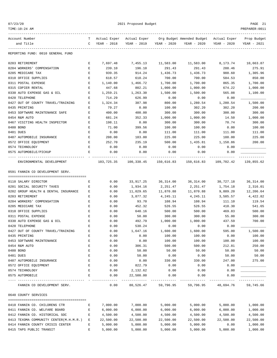| 07/23/20 |  |  |  |
|----------|--|--|--|
|----------|--|--|--|

| 07/23/20                                 | 2021 Proposed Budget |               |             |                     |                                                                  |             | PAGE 21                  |  |
|------------------------------------------|----------------------|---------------|-------------|---------------------|------------------------------------------------------------------|-------------|--------------------------|--|
| TIME:10:24 AM                            |                      |               |             |                     |                                                                  |             | PREPARER: 0011           |  |
| Account Number                           | T –                  |               |             |                     | Actual Exper Actual Exper Org Budget Amended Budget Actual Exper |             | Prop Budget              |  |
| and Title                                |                      | C YEAR - 2018 | YEAR - 2019 | YEAR - 2020         | YEAR - 2020                                                      | YEAR - 2020 | YEAR - 2021              |  |
| REPORTING FUND: 0010 GENERAL FUND        |                      |               |             |                     |                                                                  |             |                          |  |
| 0203 RETIREMENT                          | Е                    | 7,697.48      | 7,455.13    | 11,583.00           | 11,583.00                                                        | 8,173.74    | 10,663.87                |  |
| 0204 WORKERS' COMPENSATION               | Е                    | 239.10        | 196.10      | 291.43              | 291.43                                                           | 288.46      | 275.91                   |  |
| 0205 MEDICARE TAX                        | Е                    | 939.35        | 914.24      | 1,436.73            | 1,436.73                                                         | 988.60      | 1,305.96                 |  |
| 0310 OFFICE SUPPLIES                     | $\mathbf E$          | 618.57        | 610.24      | 700.00              | 700.00                                                           | 584.53      | 850.00                   |  |
| 0311 POSTAL EXPENSE                      | $\mathbf E$          | 1,140.00      | 1,466.72    | 1,700.00            | 1,700.00                                                         | 865.35      | 1,700.00                 |  |
| 0315 COPIER RENTAL                       | $\mathbf E$          | 447.68        | 802.21      | 1,000.00            | 1,000.00                                                         | 674.22      | 1,000.00                 |  |
| 0330 AUTO EXPENSE GAS & OIL              | Е                    | 1,259.21      | 1,263.30    | 1,500.00            | 1,500.00                                                         | 565.08      | 1,100.00                 |  |
| 0420 TELEPHONE                           | Е                    | 714.29        | 626.99      | 0.00                | 0.00                                                             | 0.00        |                          |  |
| 0427 OUT OF COUNTY TRAVEL/TRAINING       | Е                    | 1,324.34      | 387.98      | 800.00              | 1,280.54                                                         | 1,280.54    | 1,500.00                 |  |
| 0435 PRINTING                            | Е                    | 79.27         | 0.00        | 100.00              | 302.20                                                           | 302.20      | 200.00                   |  |
| 0453 SOFTWARE MAINTENANCE SAFE           | Е                    | 400.00        | 400.00      | 300.00              | 300.00                                                           | 300.00      | 300.00                   |  |
| 0454 R&M AUTO                            | Е                    | 681.24        | 352.33      | 1,000.00            | 1,000.00                                                         | 14.50       | 1,000.00                 |  |
| 0467 VISITING HEALTH INSPECTOR           | Е                    | 198.11        | 0.00        | 300.00              | 300.00                                                           | 70.74       | 300.00                   |  |
| 0480 BOND                                | Ε                    | 71.00         | 399.56      | 100.00              | 100.00                                                           | 0.00        | 100.00                   |  |
| 0481 DUES                                | E                    | 0.00          | 0.00        | 111.00              | 111.00                                                           | 111.00      | 111.00                   |  |
| 0487 AUTOMOBILE INSURANCE                | $\mathbf E$          | 208.00        | 183.00      | 225.00              | 225.00                                                           | 188.00      | 225.00                   |  |
| 0572 OFFICE EQUIPMENT                    | $\mathbf E$          | 252.70        | 235.19      | 500.00              | 1,435.81                                                         | 1,158.86    | 200.00                   |  |
| 0574 TECHNOLOGY                          | Е                    | 0.00          | 0.00        | 0.00                | 0.00                                                             | 0.00        |                          |  |
| 0575 AUTOMOBILE/PICKUP                   | Е                    | 0.00          | 0.00        | 0.00<br>----------- | 0.00<br>----------                                               | 0.00        |                          |  |
| ENVIRONMENTAL DEVELOPMENT                |                      | 103,725.35    | 100,338.45  |                     |                                                                  |             | ----------<br>139,855.62 |  |
| 0591 FANNIN CO DEVELOPMENT SERV.         |                      |               |             |                     |                                                                  |             |                          |  |
| 0110 SALARY DIRECTOR                     | Е                    | 0.00          | 33,917.25   | 36,314.00           | 36,314.00                                                        | 30,727.18   | 36,314.00                |  |
| 0201 SOCIAL SECURITY TAXES               | Е                    | 0.00          | 1,934.16    | 2,251.47            | 2,251.47                                                         | 1,754.18    | 2,316.01                 |  |
| 0202 GROUP HEALTH & DENTAL INSURANCE     | Е                    | 0.00          | 11,029.65   | 11,870.88           | 11,870.88                                                        | 9,889.20    | 12,206.64                |  |
| 0203 RETIREMENT                          | Е                    | 0.00          | 3,877.32    | 4,245.11            | 4,245.11                                                         | 3,585.57    | 4,422.82                 |  |
| 0204 WORKERS' COMPENSATION               | Е                    | 0.00          | 93.70       | 108.94              | 108.94                                                           | 111.10      | 119.54                   |  |
| 0205 MEDICARE TAX                        | Е                    | 0.00          | 452.32      | 526.55              | 526.55                                                           | 410.30      | 541.65                   |  |
| 0310 OFFICE SUPPLIES                     | $\mathbf E$          | 0.00          | 640.16      | 500.00              | 500.00                                                           | 469.83      | 500.00                   |  |
| 0311 POSTAL EXPENSE                      | $\mathbf E$          | 0.00          | 50.00       | 300.00              | 300.00                                                           | 55.00       | 300.00                   |  |
| 0330 AUTO EXPENSE GAS & OIL              | $\mathbf E$          | 0.00          | 492.79      | 1,000.00            | 1,000.00                                                         | 437.59      | 700.00                   |  |
| 0420 TELEPHONE                           | Ε                    | 0.00          | 530.24      | 0.00                | 0.00                                                             | 0.00        |                          |  |
| 0427 OUT OF COUNTY TRAVEL/TRAINING       | Ε                    | 0.00          | 1,647.16    | 1,600.00            | 1,600.00                                                         | 595.00      | 1,500.00                 |  |
| 0435 PRINTING                            | Ε                    | 0.00          | 0.00        | 100.00              | 100.00                                                           | 0.00        | 100.00                   |  |
| 0453 SOFTWARE MAINTENANCE                | E                    | 0.00          | 0.00        | 100.00              | 100.00                                                           | 100.00      | 100.00                   |  |
| 0454 R&M AUTO                            | E                    | 0.00          | 306.31      | 500.00              | 500.00                                                           | 212.81      | 250.00                   |  |
| 0480 BOND                                | E                    | 0.00          | 50.00       | 50.00               | 50.00                                                            | 50.00       | 50.00                    |  |
| 0481 DUES                                | E                    | 0.00          | 50.00       | 0.00                | 0.00                                                             | 50.00       | 50.00                    |  |
| 0487 AUTOMOBILE INSURANCE                | Е                    | 0.00          | 0.00        | 330.00              | 330.00                                                           | 247.00      | 275.00                   |  |
| 0572 OFFICE EQUIPMENT                    | Е                    | 0.00          | 822.79      | 0.00                | 0.00                                                             | 0.00        |                          |  |
| 0574 TECHNOLOGY                          | E                    | 0.00          | 2,132.62    | 0.00                | 0.00                                                             | 0.00        |                          |  |
| 0575 AUTOMOBILE                          | E                    | 0.00          | 22,500.00   | 0.00                | 0.00                                                             | 0.00        |                          |  |
| FANNIN CO DEVELOPMENT SERV.              |                      | 0.00          | 80,526.47   | 59,796.95           | 59,796.95                                                        | 48,694.76   | 59,745.66                |  |
| 0640 COUNTY SERVICES                     |                      |               |             |                     |                                                                  |             |                          |  |
| 0410 FANNIN CO. CHILDRENS CTR            | Е                    | 7,000.00      | 7,000.00    | 5,000.00            | 5,000.00                                                         | 5,000.00    | 1,000.00                 |  |
| 0411 FANNIN CO. WELFARE BOARD            | Е                    | 6,000.00      | 6,000.00    | 6,000.00            | 6,000.00                                                         | 6,000.00    | 1,000.00                 |  |
| 0412 FANNIN CO. HISTORICAL SOC           | Е                    | 4,500.00      | 4,500.00    | 4,500.00            | 4,500.00                                                         | 4,500.00    | 4,500.00                 |  |
| 0413 TEXOMA COMMUNITY CENTER(M.H.M.R.) E |                      | 22,500.00     | 22,500.00   | 22,500.00           | 22,500.00                                                        | 22,500.00   | 22,500.00                |  |
| 0414 FANNIN COUNTY CRISIS CENTER         | Е                    | 5,000.00      | 5,000.00    | 5,000.00            | 5,000.00                                                         | 0.00        | 1,000.00                 |  |

0415 TAPS PUBLIC TRANSIT E 5,000.00 5,000.00 5,000.00 5,000.00 5,000.00 1,000.00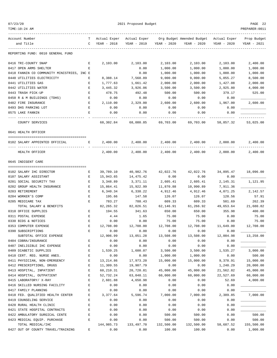|--|--|

TIME:10:24 AM PREPARER:0011

| Account Number                             | T                          | Actual Exper       |                    |                    | Actual Exper Org Budget Amended Budget Actual Exper |                    | Prop Budget       |
|--------------------------------------------|----------------------------|--------------------|--------------------|--------------------|-----------------------------------------------------|--------------------|-------------------|
| and Title                                  | $\mathsf{C}$               | YEAR - 2018        | YEAR - 2019        | YEAR - 2020        | YEAR - 2020                                         | YEAR - 2020        | YEAR - 2021       |
| REPORTING FUND: 0010 GENERAL FUND          |                            |                    |                    |                    |                                                     |                    |                   |
| 0416 TRI-COUNTY SNAP                       | Е                          | 2,103.00           | 2,103.00           | 2,103.00           | 2,103.00                                            | 2,103.00           | 2,400.00          |
| 0417 OPEN ARMS SHELTER                     | F.                         |                    | 0.00               | 1,000.00           | 1,000.00                                            | 1,000.00           | 1,000.00          |
| 0418 FANNIN CO COMMUNITY MINISTRIES, INC E |                            |                    | 0.00               | 1,000.00           | 1,000.00                                            | 1,000.00           | 1,000.00          |
| 0440 UTILITIES ELECTRICITY                 | Е                          | 8,388.14           | 7,568.89           | 9,000.00           | 9,000.00                                            | 5,055.27           | 8,500.00          |
| 0441 UTILITIES GAS                         | Е                          | 1,777.63           | 1,661.42           | 2,000.00           | 2,000.00                                            | 1,427.08           | 2,000.00          |
| 0442 UTILITIES WATER                       | E                          | 3,445.32           | 3,926.06           | 3,500.00           | 3,500.00                                            | 2,925.80           | 4,000.00          |
| 0443 TRASH PICK-UP                         | E                          | 478.75             | 492.48             | 500.00             | 500.00                                              | 379.17             | 525.00            |
| 0450 R & M BUILDINGS (TDHS)                | Е                          | 0.00               | 0.00               | 0.00               | 0.00                                                | 0.00               |                   |
| 0482 FIRE INSURANCE                        | Е                          | 2,110.00           | 2,329.00           | 2,600.00           | 2,600.00                                            | 1,967.00           | 2,600.00          |
| 0493 DHS PARKING LOT                       | Е                          | 0.00               | 0.00               | 0.00               | 0.00                                                | 0.00               |                   |
| 0575 LAKE FANNIN                           | E                          | 0.00               | 0.00               | 0.00               | 0.00                                                | 0.00               |                   |
|                                            |                            |                    |                    |                    |                                                     |                    |                   |
| COUNTY SERVICES                            |                            | 68,302.84          | 68,080.85          | 69,703.00          | 69,703.00                                           | 58,857.32          | 53,025.00         |
| 0641 HEALTH OFFICER                        |                            |                    |                    |                    |                                                     |                    |                   |
| 0102 SALARY APPOINTED OFFICIAL             | Е                          | 2,400.00           | 2,400.00           | 2,400.00           | 2,400.00                                            | 2,000.00           | 2,400.00          |
| HEALTH OFFICER                             |                            | 2,400.00           | 2,400.00           | 2,400.00           | 2,400.00                                            | 2,000.00           | 2.400.00          |
| 0645 INDIGENT CARE                         |                            |                    |                    |                    |                                                     |                    |                   |
|                                            |                            |                    |                    |                    |                                                     |                    |                   |
| 0102 SALARY IHC DIRECTOR                   | Е                          | 39,789.10          | 40,982.76          | 42,022.76          | 42,022.76                                           | 34,895.47          | 18,096.00         |
| 0107 SALARY ASSISTANT                      | Е                          | 15,943.65          | 14,475.42          | 0.00               | 0.00                                                | 0.00               |                   |
| 0201 SOCIAL SECURITY TAX                   | Е                          | 3,348.89           | 3,371.11           | 2,605.41           | 2,605.41                                            | 2,145.31           | 1,121.95          |
| 0202 GROUP HEALTH INSURANCE                | Е                          | 15,864.41          | 15,922.99          | 11,870.88          | 10,990.89                                           | 7,911.36           |                   |
| 0203 RETIREMENT<br>0204 WORKER'S COMP      | $\mathbf E$<br>$\mathbf E$ | 6,340.34<br>195.66 | 6,338.22<br>147.58 | 4,912.46<br>126.07 | 4,912.46<br>126.07                                  | 4,071.25<br>128.56 | 2,142.57<br>57.91 |
| 0205 MEDICARE TAX                          | Ε                          | 783.27             | 788.43             | 609.33             | 609.33                                              | 501.69             | 262.39            |
| TOTAL SALARY & BENEFITS                    |                            | 82, 265.32         | 82,026.51          | 62,146.91          | 61,266.92                                           | 49,653.64          | 21,680.82         |
| 0310 OFFICE SUPPLIES                       | Е                          | 194.55             | 341.63             | 650.00             | 650.00                                              | 355.98             | 400.00            |
| 0311 POSTAL EXPENSE                        | Е                          | 4.44               | 1.65               | 75.00              | 75.00                                               | 0.00               | 75.00             |
| 0330 BIDS & NOTICES                        | E                          | 0.00               | 0.00               | 75.00              | 75.00                                               | 0.00               | 75.00             |
| 0353 COMPUTER EXPENSE                      | E                          | 12,708.00          | 12,708.00          | 12,708.00          | 12,708.00                                           | 11,649.00          | 12,708.00         |
| 0390 SUBSCRIPTIONS                         | Ε                          | 0.00               | 0.00               | 0.00               | 0.00                                                | 0.00               |                   |
| SUBTOTAL OFFICE EXPENSE                    |                            | 12,906.99          | 13,051.28          | 13,508.00          | 13,508.00                                           | 12,004.98          | 13,258.00         |
| 0404 COBRA/INSURANCE                       | Ε                          | 0.00               | 0.00               | 0.00               | 0.00                                                | 0.00               |                   |
| 0407 INELIGIBLE IHC EXPENSE                | $\mathbf E$                | 0.00               | 0.00               | 0.00               | 0.00                                                | 0.00               |                   |
| 0409 DIABETIC SUPPLIES                     | E                          | 1,539.25           | 1,600.07           | 3,500.00           | 3,500.00                                            | 1,535.27           | 3,000.00          |
| 0410 CERT. REG. NURSE ANES.                | E                          | 0.00               | 0.00               | 1,000.00           | 1,000.00                                            | 0.00               | 500.00            |
| 0411 PHYSICIAN, NON-EMERGENCY              | Ε                          | 13,214.86          | 17,973.20          | 15,000.00          | 15,000.00                                           | 9,378.91           | 15,000.00         |
| 0412 PRESCRIPTIONS, DRUGS                  | Ε                          | 11,309.55          | 19,907.79          | 0.00               | 0.00                                                | 1,240.29           | 20,000.00         |
| 0413 HOSPITAL, INPATIENT                   | Ε                          | 60,210.31          | 20,720.81          | 45,000.00          | 45,000.00                                           | 21,562.82          | 45,000.00         |
| 0414 HOSPITAL, OUTPATIENT                  | $\mathbf E$                | 52,732.24          | 63,048.11          | 60,000.00          | 60,000.00                                           | 22,527.69          | 60,000.00         |
| 0415 LABORATORY/ X-RAY                     | E                          | 2,601.88           | 4,650.98           | 0.00               | 0.00                                                | 52.69              | 4,000.00          |
| 0416 SKILLED NURSING FACILITY              | E                          | 0.00               | 0.00               | 0.00               | 0.00                                                | 0.00               |                   |
| 0417 FAMILY PLANNING                       | E                          | 0.00               | 0.00               | 0.00               | 0.00                                                | 0.00               |                   |
| 0418 FED. QUALIFIED HEALTH CENTER          | Ε                          | 3,377.64           | 5,596.74           | 7,000.00           | 7,000.00                                            | 2,389.85           | 7,000.00          |
| 0419 COUNSELING SERVICE                    | E                          | 0.00               | 0.00               | 0.00               | 0.00                                                | 0.00               |                   |
| 0420 RURAL HEALTH CLINIC                   | E                          | 0.00               | 0.00               | 0.00               | 0.00                                                | 0.00               |                   |
| 0421 STATE HOSPITAL CONTRACTS              | E                          | 0.00               | 0.00               | 0.00               | 0.00                                                | 0.00               |                   |
| 0422 AMBULATORY SURGICAL CENTE             | E                          | 0.00               | 0.00               | 500.00             | 500.00                                              | 0.00               | 500.00            |
| 0423 MEDICAL EQUIP. PURCHASE               | Ε                          | 0.00               | 0.00               | 500.00             | 500.00                                              | 0.00               | 500.00            |
| TOTAL MEDICAL/IHC                          |                            | 144,985.73         | 133, 497. 70       | 132,500.00         | 132,500.00                                          | 58,687.52          | 155,500.00        |
| 0427 OUT OF COUNTY TRAVEL/TRAINING         | E                          | 0.00               | 0.00               | 100.00             | 100.00                                              | 0.00               | 1,000.00          |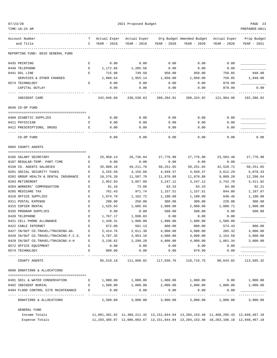| 07/23/20 |  |
|----------|--|

TIME:10:24 AM PREPARER:0011

2021 Proposed Budget **PAGE 23** 

| Account Number                           | т      | Actual Exper     | Actual Exper     |                  | Org Budget Amended Budget                                                                       | Actual Exper  | Prop Budget |
|------------------------------------------|--------|------------------|------------------|------------------|-------------------------------------------------------------------------------------------------|---------------|-------------|
| and Title                                | C      | YEAR - 2018      | YEAR - 2019      | YEAR - 2020      | YEAR - 2020                                                                                     | $YEAR - 2020$ | YEAR - 2021 |
| REPORTING FUND: 0010 GENERAL FUND        |        |                  |                  |                  |                                                                                                 |               |             |
| 0435 PRINTING                            | Е      | 0.00             | 0.00             | 0.00             | 0.00                                                                                            | 0.00          |             |
| 0440 TELEPHONE                           | Е      | 1,172.66         | 1,205.56         | 0.00             | 0.00                                                                                            | 0.00          |             |
| 0441 DSL LINE                            | Е      | 715.98           | 749.58           | 950.00           | 950.00                                                                                          | 758.85        | 948.00      |
| SERVICES & OTHER CHARGES                 |        | 1,888.64         | 1,955.14         | 1,050.00         | 1,050.00                                                                                        | 758.85        | 1,948.00    |
| 0574 TECHNOLOGY                          | Е      | 0.00             | 0.00             | 0.00             | 0.00                                                                                            | 879.99        |             |
| CAPITAL OUTLAY                           |        | 0.00             | 0.00             | 0.00             | 0.00                                                                                            | 879.99        | 0.00        |
| INDIGENT CARE                            |        | 242,046.68       | 230,530.63       | 209,204.91       | 208,324.92                                                                                      | 121,984.98    | 192,386.82  |
| 0646 CO-OP FUND                          |        |                  |                  |                  |                                                                                                 |               |             |
| 0409 DIABETIC SUPPLIES                   | Е      | 0.00             | 0.00             | 0.00             | 0.00                                                                                            | 0.00          |             |
| 0411 PHYSICIAN                           | Е      | 0.00             | 0.00             | 0.00             | 0.00                                                                                            | 0.00          |             |
| 0412 PRESCRIPTIONS, DRUGS                | Е      | 0.00             | 0.00             | 0.00             | 0.00                                                                                            | 0.00          |             |
| CO-OP FUND                               |        | 0.00             | 0.00             | 0.00             | 0.00                                                                                            | 0.00          | 0.00        |
| 0665 COUNTY AGENTS                       |        |                  |                  |                  |                                                                                                 |               |             |
| 0105 SALARY SECRETARY                    | Е      | 25,958.14        | 26,736.84        | 27,776.90        | 27,776.90                                                                                       | 23,503.48     | 27,776.90   |
| 0107 REGULAR-TEMP. PART-TIME             | Е      | 0.00             | 0.00             | 0.00             | 0.00                                                                                            | 0.00          |             |
| 0150 CO. AGENTS SALARIES                 | Е      | 35,009.18        | 49, 211.76       | 50,251.65        | 50,251.65                                                                                       | 42,520.72     | 50,251.65   |
| 0201 SOCIAL SECURITY TAXES               | Е      | 3,255.58         | 4,155.66         | 4,949.37         | 4,949.37                                                                                        | 3,612.29      | 5,078.33    |
| 0202 GROUP HEALTH & DENTAL INSURANCE     | Е      | 10,576.20        | 11,507.78        | 11,870.88        | 11,870.88                                                                                       | 9,889.20      | 12,206.64   |
| 0203 RETIREMENT                          | Е      | 2,952.93         | 3,057.09         | 3,247.12         | 3,247.12                                                                                        | 2,742.70      | 3,411.92    |
| 0204 WORKERS' COMPENSATION               | Е      | 91.10            | 73.86            | 83.33            | 83.33                                                                                           | 84.98         | 92.21       |
| 0205 MEDICARE TAX                        | Е      | 761.43           | 971.74           | 1,157.51         | 1,157.51                                                                                        | 844.80        | 1,187.67    |
| 0310 OFFICE SUPPLIES                     | Е      | 1,074.78         | 1,162.72         | 1,100.00         | 1,100.00                                                                                        | 648.46        | 1,100.00    |
| 0311 POSTAL EXPENSE                      | Ε      | 298.00           | 250.00           | 300.00           | 300.00                                                                                          | 220.00        | 300.00      |
| 0315 COPIER RENTAL                       | Е      | 1,525.63         | 1,605.65         | 2,000.00         | 2,000.00                                                                                        | 1,080.71      | 1,800.00    |
| 0335 PROGRAM SUPPLIES                    | Е      | 0.00             | 0.00             | 500.00           | 500.00                                                                                          | 0.00          | 500.00      |
| 0420 TELEPHONE                           | Е      | 1,767.17         | 1,690.83         | 0.00             | 0.00                                                                                            | 0.00          |             |
| 0421 CELL PHONE ALLOWANCE                | Е      | 1,438.31         | 1,800.00         | 1,800.00         | 1,800.00                                                                                        | 1,500.00      |             |
| 0422 CABLE INTERNET                      | Е      | 672.00           | 581.13           | 800.00           | 800.00                                                                                          | 574.43        | 800.00      |
| 0427 IN/OUT CO.TRAVEL/TRAINING-AG.       | Е      | 2,414.76         | 2,611.38         | 4,000.00         | 4,000.00                                                                                        | 205.32        | 3,000.00    |
| 0428 IN/OUT CO.TRAVEL/TRAINING-F.C.S.    | E      | 3,787.35         | 3,953.10         | 4,000.00         | 4,000.00                                                                                        | 2,154.59      | 3,000.00    |
| 0429 IN/OUT CO.TRAVEL/TRAINING-4-H       | Е<br>E | 3,136.62<br>0.00 | 2,299.28<br>0.00 | 4,000.00<br>0.00 | 4,000.00                                                                                        | 1,061.34      | 3,000.00    |
| 0572 OFFICE EQUIPMENT<br>0574 TECHNOLOGY | E      | 800.00           | 0.00             | 0.00             | 0.00<br>879.99                                                                                  | 0.00<br>0.00  |             |
| --- ------------                         |        | ----------       | .                | -----------      | . <u>.</u>                                                                                      |               |             |
| COUNTY AGENTS                            |        | 95,519.18        | 111,668.82       | 117,836.76       | 118,716.75                                                                                      | 90,643.02     | 113,505.32  |
| 0696 DONATIONS & ALLOCATIONS             |        |                  |                  |                  |                                                                                                 |               |             |
| 0491 SOIL & WATER CONSERVATION           | E      | 1,000.00         | 1,000.00         | 1,000.00         | 1,000.00                                                                                        | 0.00          | 1,000.00    |
| 0492 INDIGENT BURIAL                     | E      | 1,500.00         | 2,000.00         | 2,000.00         | 2,000.00                                                                                        | 1,000.00      | 2,000.00    |
| 0494 FLOOD CONTROL SITE MAINTENANCE      | E      | 0.00             | 0.00             | 0.00             | 0.00                                                                                            | 0.00          |             |
| DONATIONS & ALLOCATIONS                  |        | 2,500.00         | 3,000.00         | 3,000.00         | 3,000.00                                                                                        | 1,000.00      | 3,000.00    |
| GENERAL FUND                             |        |                  |                  |                  |                                                                                                 |               |             |
| Income Totals                            |        |                  |                  |                  | 11,001,381.92 11,486,211.42 13,151,844.04 13,204,153.48 11,468,295.43 12,840,467.18             |               |             |
| Expense Totals                           |        |                  |                  |                  | 11, 293, 385.97 12, 086, 093.67 13, 151, 844.04 13, 204, 153.48 10, 263, 106.16 12, 840, 467.18 |               |             |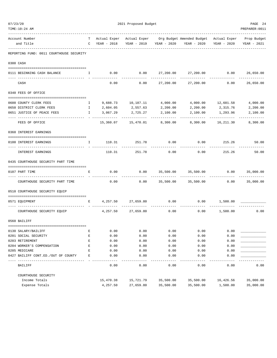| TIME:10:24 AM                                           |              |                   |                           |           |                                                                                |                           | PREPARER: 0011            |
|---------------------------------------------------------|--------------|-------------------|---------------------------|-----------|--------------------------------------------------------------------------------|---------------------------|---------------------------|
| Account Number                                          |              |                   |                           |           | T Actual Exper Actual Exper Org Budget Amended Budget Actual Exper Prop Budget |                           |                           |
| and Title                                               |              | C YEAR - 2018     |                           |           | YEAR - 2019 YEAR - 2020 YEAR - 2020                                            | YEAR - 2020               | YEAR - 2021               |
| REPORTING FUND: 0011 COURTHOUSE SECURITY                |              |                   |                           |           |                                                                                |                           |                           |
| 0300 CASH                                               |              |                   |                           |           |                                                                                |                           |                           |
| 0111 BEGINNING CASH BALANCE                             | I.           |                   | $0.00$ 0.00               |           | 27,200.00 27,200.00 0.00                                                       |                           | 26,650.00<br>------------ |
| CASH                                                    |              | 0.00              | 0.00                      | 27,200.00 | 27,200.00                                                                      | 0.00                      | 26,650.00                 |
| 0340 FEES OF OFFICE                                     |              |                   |                           |           |                                                                                |                           |                           |
| 0600 COUNTY CLERK FEES<br>$\mathbf{I}$ and $\mathbf{I}$ |              |                   |                           |           | $9,688.73$ $10,187.11$ $4,000.00$ $4,000.00$ $12,601.58$                       |                           | 4,000.00                  |
| 0650 DISTRICT CLERK FEES                                | $\mathbf{I}$ | 2,604.05 2,557.63 |                           | 2,200.00  | 2,200.00                                                                       | 2,315.76                  | 2,200.00                  |
| 0651 JUSTICE OF PEACE FEES                              | $\mathbf{I}$ | 3,067.29          | 2,725.27                  | 2,100.00  | 2,100.00                                                                       | 1,293.96                  | 2,100.00                  |
| FEES OF OFFICE                                          |              |                   | 15,360.07    15,470.01    | 8,300.00  | 8,300.00                                                                       | ------------<br>16,211.30 | -----------<br>8,300.00   |
| 0360 INTEREST EARNINGS                                  |              |                   |                           |           |                                                                                |                           |                           |
|                                                         |              |                   |                           |           |                                                                                |                           |                           |
| 0100 INTEREST EARNINGS                                  | $\mathbf{I}$ |                   |                           |           | $110.31$ $251.78$ $0.00$ $0.00$ $215.26$                                       |                           | 50.00                     |
| INTEREST EARNINGS                                       |              | 110.31            | 251.78                    | 0.00      | 0.00                                                                           | 215.26                    | 50.00                     |
| 0435 COURTHOUSE SECURITY PART TIME                      |              |                   |                           |           |                                                                                |                           |                           |
| 0107 PART TIME                                          | E            | 0.00              | 0.00                      |           | 35,500.00 35,500.00                                                            | 0.00                      | 35,000.00                 |
| COURTHOUSE SECURITY PART TIME                           |              | 0.00              | 0.00                      |           | 35,500.00 35,500.00                                                            |                           | $0.00$ 35,000.00          |
| 0510 COURTHOUSE SECURITY EQUIP                          |              |                   |                           |           |                                                                                |                           |                           |
| 0571 EOUIPMENT                                          | E            |                   | 4, 257.50 27, 659.80 0.00 |           |                                                                                | 0.00 1,500.00             |                           |
| COURTHOUSE SECURITY EQUIP                               |              |                   | 4, 257.50 27, 659.80      | 0.00      |                                                                                | $0.00$ 1,500.00           | 0.00                      |
| 0560 BAILIFF                                            |              |                   |                           |           |                                                                                |                           |                           |
| 0130 SALARY/BAILIFF                                     | E            | 0.00              | 0.00                      | 0.00      | 0.00                                                                           | 0.00                      |                           |
| 0201 SOCIAL SECURITY                                    | E            | 0.00              | 0.00                      | 0.00      | 0.00                                                                           | 0.00                      |                           |
| 0203 RETIREMENT                                         | E            | 0.00              | 0.00                      | 0.00      | 0.00                                                                           | 0.00                      |                           |
| 0204 WORKER'S COMPENSATION                              | E            | 0.00              | 0.00                      | 0.00      | 0.00                                                                           | 0.00                      |                           |
| 0205 MEDICARE                                           | E            | 0.00              | 0.00                      | 0.00      | 0.00                                                                           | 0.00                      |                           |
| 0427 BAILIFF CONT.ED./OUT OF COUNTY                     | E            | 0.00              | 0.00                      | 0.00      | 0.00                                                                           | 0.00                      |                           |
| BAILIFF                                                 |              | 0.00              | 0.00                      | 0.00      | 0.00                                                                           | 0.00                      | 0.00                      |
| COURTHOUSE SECURITY                                     |              |                   |                           |           |                                                                                |                           |                           |
| Income Totals                                           |              | 15,470.38         | 15,721.79                 | 35,500.00 | 35,500.00                                                                      | 16,426.56                 | 35,000.00                 |
| Expense Totals                                          |              | 4,257.50          | 27,659.80                 | 35,500.00 | 35,500.00                                                                      | 1,500.00                  | 35,000.00                 |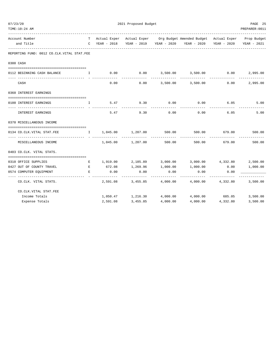| TIME:10:24 AM                                                                                                                                                                                                                                                                                                              |                                 |                    |                                    |                    |                                                                                                                                                             |                                     | PREPARER: 0011 |
|----------------------------------------------------------------------------------------------------------------------------------------------------------------------------------------------------------------------------------------------------------------------------------------------------------------------------|---------------------------------|--------------------|------------------------------------|--------------------|-------------------------------------------------------------------------------------------------------------------------------------------------------------|-------------------------------------|----------------|
| Account Number<br>and Title                                                                                                                                                                                                                                                                                                |                                 |                    |                                    |                    | T Actual Exper Actual Exper Org Budget Amended Budget Actual Exper Prop Budget<br>C YEAR - 2018 YEAR - 2019 YEAR - 2020 YEAR - 2020 YEAR - 2020 YEAR - 2021 |                                     |                |
| -----------<br>REPORTING FUND: 0012 CO.CLK.VITAL STAT.FEE                                                                                                                                                                                                                                                                  |                                 |                    |                                    |                    |                                                                                                                                                             |                                     |                |
| 0300 CASH                                                                                                                                                                                                                                                                                                                  |                                 |                    |                                    |                    |                                                                                                                                                             |                                     |                |
| 0112 BEGINNING CASH BALANCE                                                                                                                                                                                                                                                                                                | $\mathbf{I}$ and $\mathbf{I}$ . |                    |                                    |                    | $0.00$ $0.00$ $3,500.00$ $3,500.00$ $0.00$                                                                                                                  |                                     | 2,995.00       |
| CASH                                                                                                                                                                                                                                                                                                                       |                                 | 0.00               | ----------                         |                    | $0.00$ $3,500.00$ $3,500.00$                                                                                                                                | 0.00                                | 2,995.00       |
| 0360 INTEREST EARNINGS                                                                                                                                                                                                                                                                                                     |                                 |                    |                                    |                    |                                                                                                                                                             |                                     |                |
| 0100 INTEREST EARNINGS<br>$\mathbf{I}$ and $\mathbf{I}$ and $\mathbf{I}$ and $\mathbf{I}$ and $\mathbf{I}$ and $\mathbf{I}$ and $\mathbf{I}$ and $\mathbf{I}$ and $\mathbf{I}$ and $\mathbf{I}$ and $\mathbf{I}$ and $\mathbf{I}$ and $\mathbf{I}$ and $\mathbf{I}$ and $\mathbf{I}$ and $\mathbf{I}$ and $\mathbf{I}$ and |                                 |                    | $5.47$ $9.30$ 0.00                 |                    | 0.00                                                                                                                                                        | $6.05$ $5.00$                       |                |
| INTEREST EARNINGS                                                                                                                                                                                                                                                                                                          |                                 | 5.47               | 9.30                               | 0.00               | 0.00                                                                                                                                                        | 6.05                                | 5.00           |
| 0370 MISCELLANEOUS INCOME                                                                                                                                                                                                                                                                                                  |                                 |                    |                                    |                    |                                                                                                                                                             |                                     |                |
| 0134 CO.CLK.VITAL STAT.FEE<br>---------------  - -------                                                                                                                                                                                                                                                                   |                                 |                    | $I = 1,045.00$ $1,207.00$ $500.00$ |                    |                                                                                                                                                             | 500.00 679.00 500.00<br>----------- |                |
| MISCELLANEOUS INCOME                                                                                                                                                                                                                                                                                                       |                                 |                    | 1,045.00 1,207.00                  | 500.00             |                                                                                                                                                             | 500.00 679.00                       | 500.00         |
| 0403 CO.CLK. VITAL STATS.                                                                                                                                                                                                                                                                                                  |                                 |                    |                                    |                    |                                                                                                                                                             |                                     |                |
| 0310 OFFICE SUPPLIES                                                                                                                                                                                                                                                                                                       | E                               |                    |                                    |                    | $1,919.00$ $2,185.89$ $3,000.00$ $3,000.00$ $4,332.80$ $2,500.00$                                                                                           |                                     |                |
| 0427 OUT OF COUNTY TRAVEL<br><b>Experimental Service Report</b>                                                                                                                                                                                                                                                            |                                 | 672.08             |                                    |                    | $1,269.96$ $1,000.00$ $1,000.00$                                                                                                                            | 0.00                                | 1,000.00       |
| 0574 COMPUTER EQUIPMENT<br>--------------                                                                                                                                                                                                                                                                                  | Е                               | 0.00<br>---------- | 0.00<br>_____________              | 0.00<br>---------- | 0.00<br>------------                                                                                                                                        | 0.00                                | ---------      |
| CO.CLK. VITAL STATS.                                                                                                                                                                                                                                                                                                       |                                 |                    |                                    |                    | 2,591.08 3,455.85 4,000.00 4,000.00 4,332.80 3,500.00                                                                                                       |                                     |                |
| CO. CLK. VITAL STAT. FEE                                                                                                                                                                                                                                                                                                   |                                 |                    |                                    |                    |                                                                                                                                                             |                                     |                |
| Income Totals                                                                                                                                                                                                                                                                                                              |                                 |                    |                                    |                    | $1,050.47$ $1,216.30$ $4,000.00$ $4,000.00$ $685.05$                                                                                                        |                                     | 3,500.00       |
| Expense Totals                                                                                                                                                                                                                                                                                                             |                                 | 2,591.08           | 3,455.85                           | 4,000.00           |                                                                                                                                                             | 4,000.00 4,332.80                   | 3,500.00       |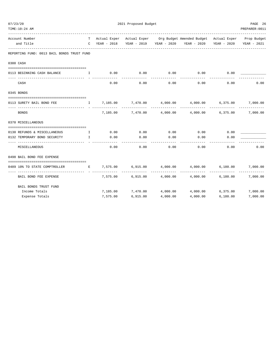| 07/23/20 |                                                |                                                |          | 2021 Proposed Budget |                               |                                                                                |          | PAGE 26             |
|----------|------------------------------------------------|------------------------------------------------|----------|----------------------|-------------------------------|--------------------------------------------------------------------------------|----------|---------------------|
|          | TIME:10:24 AM                                  |                                                |          |                      |                               |                                                                                |          | PREPARER: 0011      |
|          | Account Number                                 |                                                |          |                      |                               | T Actual Exper Actual Exper Org Budget Amended Budget Actual Exper Prop Budget |          |                     |
|          | and Title<br>-----------------                 |                                                |          |                      |                               | C YEAR - 2018 YEAR - 2019 YEAR - 2020 YEAR - 2020 YEAR - 2020 YEAR - 2021      |          |                     |
|          | REPORTING FUND: 0013 BAIL BONDS TRUST FUND     |                                                |          |                      |                               |                                                                                |          |                     |
|          | 0300 CASH                                      |                                                |          |                      |                               |                                                                                |          |                     |
|          | 0113 BEGINNING CASH BALANCE                    | $\mathbf{I}$ . The state $\mathbf{I}$          | 0.00     | 0.00                 | 0.00                          | 0.00                                                                           | 0.00     |                     |
|          | CASH                                           |                                                | 0.00     | 0.00                 | . _ _ _ _ _ _ _ _ _ _<br>0.00 | ------------<br>0.00                                                           | 0.00     | 0.00                |
|          | 0345 BONDS                                     |                                                |          |                      |                               |                                                                                |          |                     |
|          | 0113 SURETY BAIL BOND FEE                      |                                                |          |                      |                               |                                                                                |          | 7,000.00            |
|          | <b>BONDS</b>                                   |                                                | 7,185.00 |                      |                               | $7,470.00$ $4,000.00$ $4,000.00$ $6,375.00$                                    |          | 7,000.00            |
|          | 0370 MISCELLANEOUS                             |                                                |          |                      |                               |                                                                                |          |                     |
|          | 0130 REFUNDS & MISCELLANEOUS                   | $\mathbf{I}$ and $\mathbf{I}$ and $\mathbf{I}$ | 0.00     | 0.00                 | 0.00                          | $0.00$ 0.00                                                                    |          |                     |
|          | 0132 TEMPORARY BOND SECURITY<br>-------------- | $\mathbf{I}$                                   | 0.00     | 0.00                 | 0.00                          | 0.00                                                                           | 0.00     |                     |
|          | MISCELLANEOUS                                  |                                                | 0.00     | 0.00                 | 0.00                          | 0.00                                                                           | 0.00     | 0.00                |
|          | 0498 BAIL BOND FEE EXPENSE                     |                                                |          |                      |                               |                                                                                |          |                     |
|          | 0489 10% TO STATE COMPTROLLER                  |                                                |          | E 7,575.00 6,915.00  | 4,000.00                      | 4,000.00 6,180.00                                                              |          | 7,000.00            |
|          | BAIL BOND FEE EXPENSE                          |                                                |          |                      |                               | $7,575.00$ 6,915.00 4,000.00 4,000.00 6,180.00                                 |          | -------<br>7,000.00 |
|          | BAIL BONDS TRUST FUND                          |                                                |          |                      |                               |                                                                                |          |                     |
|          | Income Totals                                  |                                                |          |                      |                               | $7,185.00$ $7,470.00$ $4,000.00$ $4,000.00$ $6,375.00$                         |          | 7,000.00            |
|          | Expense Totals                                 |                                                | 7,575.00 | 6,915.00             | 4,000.00                      | 4,000.00                                                                       | 6,180.00 | 7,000.00            |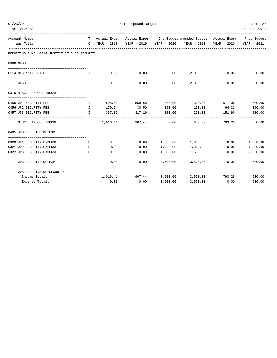| 2021 Proposed Budget<br>07/23/20                                 |                                     |          |                                     |                           |                                                                                |                 | PAGE 27                |
|------------------------------------------------------------------|-------------------------------------|----------|-------------------------------------|---------------------------|--------------------------------------------------------------------------------|-----------------|------------------------|
| TIME: 10:24 AM                                                   |                                     |          |                                     |                           |                                                                                |                 | PREPARER: 0011         |
| Account Number                                                   |                                     |          |                                     |                           | T Actual Exper Actual Exper Org Budget Amended Budget Actual Exper Prop Budget |                 |                        |
| and Title                                                        |                                     |          |                                     |                           |                                                                                |                 | YEAR - 2021            |
| REPORTING FUND: 0014 JUSTICE CT.BLDG.SECURITY                    |                                     |          |                                     |                           |                                                                                |                 |                        |
| 0300 CASH                                                        |                                     |          |                                     |                           |                                                                                |                 |                        |
| 0114 BEGINNING CASH                                              | $\mathbf{I}$                        |          | $0.00$ $0.00$ $2,850.00$ $2,850.00$ |                           |                                                                                | $0.00$ 3,650.00 |                        |
| CASH                                                             |                                     | 0.00     |                                     |                           | ------------------------------<br>$0.00$ 2,850.00 2,850.00 0.00                | -------------   | 3,650.00               |
| 0370 MISCELLANEOUS INCOME                                        |                                     |          |                                     |                           |                                                                                |                 |                        |
|                                                                  | $\mathbf{I}$                        |          | 508.40 559.68 300.00                |                           |                                                                                | 300.00 577.06   | 500.00                 |
| 0455 JP1 SECURITY FEE<br>0456 JP2 SECURITY FEE                   | $\mathbb{I}$                        | 170.64   |                                     | 30.50 150.00              | 150.00                                                                         | 64.32           | 150.00                 |
| 0457 JP3 SECURITY FEE                                            | $\mathbf{I}$                        | 337.37   | 317.26                              | 200.00                    | 200.00                                                                         | 151.90 200.00   |                        |
| MISCELLANEOUS INCOME                                             |                                     | 1,016.41 | ---------- --------------<br>907.44 | 650.00                    | 650.00                                                                         | 793.28          | 850.00                 |
| 0435 JUSTICE CT.BLDG.EXP.                                        |                                     |          |                                     |                           |                                                                                |                 |                        |
|                                                                  |                                     |          |                                     |                           |                                                                                |                 |                        |
| 0320 JP1 SECURITY EXPENSE                                        | Е                                   | 0.00     | 0.00                                |                           | $1,000.00$ $1,000.00$ 0.00                                                     |                 | 1,000.00               |
| 0321 JP2 SECURITY EXPENSE                                        | <b>Experience of the Experience</b> | 0.00     | 0.00                                | 1,000.00                  | 1,000.00                                                                       | 0.00            | 1,000.00               |
| 0322 JP3 SECURITY EXPENSE<br>--------------------------------- - | E                                   | 0.00     | 0.00                                | 1,500.00<br>------------- | 1,500.00<br>-------------                                                      | 0.00            | 2,500.00<br>---------- |
| JUSTICE CT.BLDG.EXP.                                             |                                     | 0.00     | 0.00                                |                           | 3,500.00 3,500.00                                                              | 0.00            | 4,500.00               |
| JUSTICE CT.BLDG.SECURITY                                         |                                     |          |                                     |                           |                                                                                |                 |                        |
| Income Totals                                                    |                                     |          |                                     |                           | $1,016.41$ $907.44$ $3,500.00$ $3,500.00$ $793.28$ $4,500.00$                  |                 |                        |
| Expense Totals                                                   |                                     | 0.00     | 0.00                                | 3,500.00                  | 3,500.00                                                                       | 0.00            | 4,500.00               |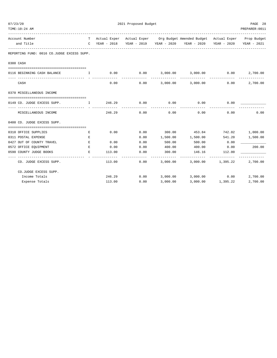| 07/23/20                                         | 2021 Proposed Budget                        |        |      |                    |                                                                              |                   | PAGE 28         |
|--------------------------------------------------|---------------------------------------------|--------|------|--------------------|------------------------------------------------------------------------------|-------------------|-----------------|
| TIME:10:24 AM                                    |                                             |        |      |                    |                                                                              |                   | PREPARER: 0011  |
| Account Number                                   | T                                           |        |      |                    | Actual Exper Actual Exper Org Budget Amended Budget Actual Exper Prop Budget |                   |                 |
| and Title                                        | $\mathbb{C}$                                |        |      |                    | YEAR - 2018 YEAR - 2019 YEAR - 2020 YEAR - 2020 YEAR - 2020                  |                   | YEAR - 2021     |
| REPORTING FUND: 0016 CO.JUDGE EXCESS SUPP.       |                                             |        |      |                    |                                                                              |                   |                 |
| 0300 CASH                                        |                                             |        |      |                    |                                                                              |                   |                 |
|                                                  |                                             |        |      |                    |                                                                              |                   |                 |
| 0116 BEGINNING CASH BALANCE                      | . The contract of the state $\mathbf{I}$ is | 0.00   |      |                    | $0.00$ $3,000.00$ $3,000.00$ $0.00$                                          |                   | 2,700.00        |
| CASH                                             |                                             | 0.00   | 0.00 | ------------       | 3,000.00 3,000.00                                                            | 0.00              | 2,700.00        |
|                                                  |                                             |        |      |                    |                                                                              |                   |                 |
| 0370 MISCELLANEOUS INCOME                        |                                             |        |      |                    |                                                                              |                   |                 |
|                                                  |                                             |        |      |                    |                                                                              |                   |                 |
| 0149 CO. JUDGE EXCESS SUPP.                      | $\mathbf{I}$                                | 246.29 | 0.00 | 0.00               | 0.00                                                                         | 0.00              |                 |
| MISCELLANEOUS INCOME                             |                                             | 246.29 | 0.00 | ----------<br>0.00 | ----------<br>0.00                                                           | 0.00              | 0.00            |
| 0400 CO. JUDGE EXCESS SUPP.                      |                                             |        |      |                    |                                                                              |                   |                 |
| 0310 OFFICE SUPPLIES                             | Е                                           | 0.00   | 0.00 |                    | 300.00 453.84                                                                |                   | 742.02 1,000.00 |
| 0311 POSTAL EXPENSE                              | Е                                           |        | 0.00 | 1,500.00           | 1,500.00 541.20                                                              |                   | 1,500.00        |
| 0427 OUT OF COUNTY TRAVEL                        | Е                                           | 0.00   | 0.00 | 500.00             | 500.00                                                                       | 0.00              |                 |
| 0572 OFFICE EOUIPMENT                            | Е                                           | 0.00   | 0.00 | 400.00             | 400.00                                                                       | 0.00              | 200.00          |
| 0590 COUNTY JUDGE BOOKS                          | E.                                          | 113.00 | 0.00 | 300.00             | 146.16                                                                       | 112.00            |                 |
| ----------------------<br>CO. JUDGE EXCESS SUPP. |                                             | 113.00 | 0.00 |                    | 3,000.00 3,000.00 1,395.22                                                   |                   | 2,700.00        |
| CO.JUDGE EXCESS SUPP.                            |                                             |        |      |                    |                                                                              |                   |                 |
| Income Totals                                    |                                             | 246.29 |      |                    | $0.00$ $3,000.00$ $3,000.00$                                                 | 0.00              | 2,700.00        |
| Expense Totals                                   |                                             | 113.00 | 0.00 | 3,000.00           |                                                                              | 3,000.00 1,395.22 | 2,700.00        |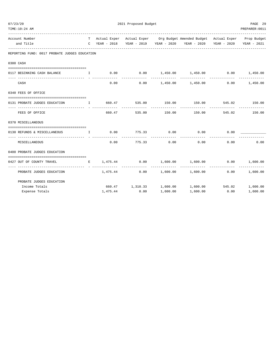| 2021 Proposed Budget<br>07/23/20                                                                  |  |          |               |              |                                                                                | PAGE 29       |                 |
|---------------------------------------------------------------------------------------------------|--|----------|---------------|--------------|--------------------------------------------------------------------------------|---------------|-----------------|
| TIME:10:24 AM                                                                                     |  |          |               |              |                                                                                |               | PREPARER: 0011  |
| Account Number                                                                                    |  |          |               |              | T Actual Exper Actual Exper Org Budget Amended Budget Actual Exper Prop Budget |               |                 |
| and Title                                                                                         |  |          |               |              | C YEAR - 2018 YEAR - 2019 YEAR - 2020 YEAR - 2020 YEAR - 2020                  |               | YEAR - 2021     |
| REPORTING FUND: 0017 PROBATE JUDGES EDUCATION                                                     |  |          |               |              |                                                                                |               |                 |
| 0300 CASH                                                                                         |  |          |               |              |                                                                                |               |                 |
|                                                                                                   |  |          |               |              |                                                                                |               |                 |
| 0117 BEGINNING CASH BALANCE THE I                                                                 |  |          |               |              | $0.00$ $0.00$ $1,450.00$ $1,450.00$ $0.00$ $1,450.00$                          |               |                 |
| CASH                                                                                              |  | 0.00     |               |              | $0.00$ 1,450.00 1,450.00                                                       |               | $0.00$ 1,450.00 |
| 0340 FEES OF OFFICE                                                                               |  |          |               |              |                                                                                |               |                 |
| 0131 PROBATE JUDGES EDUCATION                                                                     |  |          |               |              | I 660.47 535.00 150.00 150.00 545.02 150.00                                    |               |                 |
| FEES OF OFFICE                                                                                    |  |          | ------------- | ------------ | ____________<br>660.47 535.00 150.00 150.00 545.02 150.00                      | ------------- |                 |
| 0370 MISCELLANEOUS                                                                                |  |          |               |              |                                                                                |               |                 |
| ------------------------------------<br>0130 REFUNDS & MISCELLANEOUS 1 0.00 775.33 0.00 0.00 0.00 |  |          |               |              |                                                                                |               |                 |
| MISCELLANEOUS                                                                                     |  | 0.00     | 775.33 0.00   |              | --------------<br>0.00                                                         | 0.00          | 0.00            |
| 0400 PROBATE JUDGES EDUCATION                                                                     |  |          |               |              |                                                                                |               |                 |
| 0427 OUT OF COUNTY TRAVEL                                                                         |  |          |               |              | E $1,475.44$ 0.00 1,600.00 1,600.00 0.00 1,600.00                              |               |                 |
| PROBATE JUDGES EDUCATION                                                                          |  |          |               |              | $1,475.44$ $0.00$ $1,600.00$ $1,600.00$ $0.00$ $1,600.00$                      |               | -------------   |
| PROBATE JUDGES EDUCATION                                                                          |  |          |               |              |                                                                                |               |                 |
| Income Totals                                                                                     |  |          |               |              | 660.47 1,310.33 1,600.00 1,600.00 545.02 1,600.00                              |               |                 |
| Expense Totals                                                                                    |  | 1,475.44 | 0.00          | 1,600.00     | 1,600.00                                                                       | 0.00          | 1,600.00        |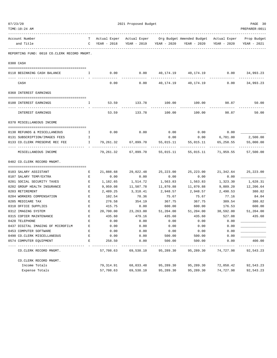| TIME:10:24 AM                  |                                             |                    |               |                                  |           |                                                                                             |                          | PREPARER: 0011 |
|--------------------------------|---------------------------------------------|--------------------|---------------|----------------------------------|-----------|---------------------------------------------------------------------------------------------|--------------------------|----------------|
| Account Number<br>and Title    |                                             | T –                | C YEAR - 2018 | YEAR - 2019 YEAR - 2020          |           | Actual Exper Actual Exper Org Budget Amended Budget Actual Exper Prop Budget<br>YEAR - 2020 | YEAR - 2020              | YEAR - 2021    |
|                                | REPORTING FUND: 0018 CO.CLERK RECORD MNGMT. |                    |               |                                  |           |                                                                                             |                          |                |
| 0300 CASH                      |                                             |                    |               |                                  |           |                                                                                             |                          |                |
|                                |                                             |                    |               |                                  |           |                                                                                             |                          |                |
| 0118 BEGINNING CASH BALANCE    |                                             | $\mathbf{I}$       | 0.00          | 0.00                             |           | 40,174.19  40,174.19  0.00  34,993.23                                                       |                          |                |
| CASH                           |                                             |                    | 0.00          | 0.00                             | 40,174.19 | 40,174.19                                                                                   | 0.00                     | 34,993.23      |
| 0360 INTEREST EARNINGS         |                                             |                    |               |                                  |           |                                                                                             |                          |                |
|                                |                                             |                    |               |                                  |           |                                                                                             |                          |                |
| 0100 INTEREST EARNINGS         |                                             | Ι.                 | 53.59         | 133.78                           | 100.00    | 100.00                                                                                      | 98.87                    | 50.00          |
| INTEREST EARNINGS              |                                             |                    | 53.59         | 133.78                           | 100.00    | 100.00                                                                                      | 98.87                    | 50.00          |
| 0370 MISCELLANEOUS INCOME      |                                             |                    |               |                                  |           |                                                                                             |                          |                |
|                                |                                             |                    |               |                                  |           |                                                                                             |                          |                |
| 0130 REFUNDS & MISCELLANEOUS   |                                             | $\mathbb{I}$       | 0.00          | 0.00                             | 0.00      | 0.00                                                                                        | 0.00                     |                |
| 0131 SUBSCRIPTION/IMAGES FEES  |                                             | Ι.<br>$\mathbf{I}$ |               | 79,261.32 67,899.70 55,015.11    | 0.00      | 0.00                                                                                        | 6,701.00                 | 2,500.00       |
| 0133 CO.CLERK PRESERVE REC FEE |                                             |                    |               |                                  |           | 55,015.11                                                                                   | 65,258.55<br>----------- | 55,000.00      |
| MISCELLANEOUS INCOME           |                                             |                    |               | 79,261.32 67,899.70              | 55,015.11 |                                                                                             | 55,015.11 71,959.55      | 57,500.00      |
| 0402 CO.CLERK RECORD MNGMT.    |                                             |                    |               |                                  |           |                                                                                             |                          |                |
| 0103 SALARY ASSISTANT          |                                             | Е                  | 21,888.68     | 29,022.48                        | 25,223.00 | 25, 223.00                                                                                  | 21,342.64                | 25, 223.00     |
| 0107 SALARY TEMP/EXTRA         |                                             | Е                  | 0.00          | 0.00                             | 0.00      | 0.00                                                                                        | 0.00                     |                |
| 0201 SOCIAL SECURITY TAXES     |                                             | Е                  | 1,182.65      | 1,514.72                         | 1,563.83  | 1,563.83                                                                                    | 1,323.30                 | 1,628.31       |
| 0202 GROUP HEALTH INSURANCE    |                                             | $\mathbf{E}% _{0}$ | 9,959.08      | 11,507.78                        | 11,870.88 | 11,870.88                                                                                   | 9,889.20                 | 12,206.64      |
| 0203 RETIREMENT                |                                             | Ε                  | 2,489.25      | 3,318.41                         | 2,948.57  | 2,948.57                                                                                    | 2,490.53                 | 380.82         |
| 0204 WORKERS COMPENSATION      |                                             | Е                  | 102.54        | 78.36                            | 75.67     | 75.67                                                                                       | 77.16                    | 84.04          |
| 0205 MEDICARE TAX              |                                             | Е                  | 276.58        | 354.19                           | 367.75    | 367.75                                                                                      | 309.54                   | 380.82         |
| 0310 OFFICE SUPPLIES           |                                             | Е                  | 415.75        | 0.00                             | 600.00    | 600.00                                                                                      | 176.53                   | 600.00         |
| 0312 IMAGING SYSTEM            |                                             | Е                  | 20,700.00     | 23, 263.00 51, 204.00 51, 204.00 |           |                                                                                             | 38,592.00                | 51,204.00      |
| 0315 COPIER MAINTENANCE        |                                             | Е                  | 435.60        | 479.16                           | 435.60    | 435.60                                                                                      | 527.08                   | 435.60         |
| 0420 TELEPHONE                 |                                             | Е                  | 0.00          | 0.00                             | 0.00      | 0.00                                                                                        | 0.00                     |                |
|                                | 0437 DIGITAL IMAGING OF MICROFILM           | Ε                  | 0.00          | 0.00                             | 0.00      | 0.00                                                                                        | 0.00                     |                |
| 0453 COMPUTER SOFTWARE         |                                             | E                  | 0.00          | 0.00                             | 0.00      | 0.00                                                                                        | 0.00                     |                |
| 0490 CO. CLERK MISCELLANEOUS   |                                             | Ε                  | 0.00          | 0.00                             | 500.00    | 500.00                                                                                      | 0.00                     |                |
| 0574 COMPUTER EQUIPMENT        |                                             | E                  | 258.50        | 0.00                             | 500.00    | 500.00                                                                                      | 0.00                     | 400.00         |
| CO.CLERK RECORD MNGMT.         |                                             |                    | 57,708.63     | 69,538.10                        | 95,289.30 | 95,289.30                                                                                   | 74,727.98                | 92,543.23      |
| CO. CLERK RECORD MNGMT.        |                                             |                    |               |                                  |           |                                                                                             |                          |                |
| Income Totals                  |                                             |                    | 79,314.91     | 68,033.48                        | 95,289.30 | 95,289.30                                                                                   | 72,058.42                | 92,543.23      |
| Expense Totals                 |                                             |                    | 57,708.63     | 69,538.10                        | 95,289.30 | 95,289.30                                                                                   | 74,727.98                | 92,543.23      |

07/23/20 PAGE 30 2021 Proposed Budget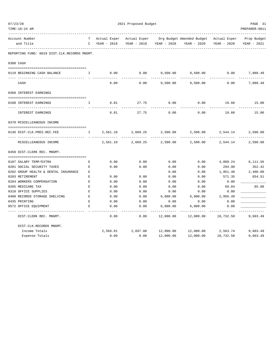|           | TIME:10:24 AM                                |                    |              |              |             |                           |                    | PREPARER: 0011 |
|-----------|----------------------------------------------|--------------------|--------------|--------------|-------------|---------------------------|--------------------|----------------|
|           | Account Number                               | т                  | Actual Exper | Actual Exper |             | Org Budget Amended Budget | Actual Exper       | Prop Budget    |
|           | and Title                                    | $\mathsf{C}$       | YEAR - 2018  | YEAR - 2019  | YEAR - 2020 | YEAR - 2020               | YEAR - 2020        | YEAR - 2021    |
|           | REPORTING FUND: 0019 DIST.CLK.RECORDS MNGMT. |                    |              |              |             |                           |                    |                |
| 0300 CASH |                                              |                    |              |              |             |                           |                    |                |
|           | 0119 BEGINNING CASH BALANCE                  | I.                 | 0.00         | 0.00         |             | 9,500.00 9,500.00         | 0.00               | 7,088.49       |
|           | CASH                                         |                    | 0.00         | 0.00         | 9,500.00    | 9,500.00                  | 0.00               | 7,088.49       |
|           | 0360 INTEREST EARNINGS                       |                    |              |              |             |                           |                    |                |
|           |                                              |                    |              |              |             |                           |                    |                |
|           | 0100 INTEREST EARNINGS                       | I                  | 8.81         | 27.75        | 0.00        | 0.00                      | 19.60              | 15.00          |
|           | INTEREST EARNINGS                            |                    | 8.81         | 27.75        | 0.00        | 0.00                      | 19.60              | 15.00          |
|           | 0370 MISCELLEANEOUS INCOME                   |                    |              |              |             |                           |                    |                |
|           |                                              |                    |              |              |             |                           |                    |                |
|           | 0136 DIST.CLK.PRES.REC.FEE                   | T.                 | 2,561.10     | 2,669.25     | 2,500.00    | 2,500.00                  | 2,544.14           | 2,500.00       |
|           | -- ----------------<br>MISCELLEANEOUS INCOME |                    | 2,561.10     | 2,669.25     | 2,500.00    | 2,500.00                  | 2,544.14           | 2,500.00       |
|           | 0450 DIST. CLERK REC. MNGMT.                 |                    |              |              |             |                           |                    |                |
|           |                                              |                    |              |              |             |                           |                    |                |
|           | 0107 SALARY TEMP/EXTRA                       | E                  | 0.00         | 0.00         | 0.00        | 0.00                      | 4,889.24           | 6,111.56       |
|           | 0201 SOCIAL SECURITY TAXES                   | E                  | 0.00         | 0.00         | 0.00        | 0.00                      | 294.98             | 352.42         |
|           | 0202 GROUP HEALTH & DENTAL INSURANCE         | E.                 |              |              | 0.00        | 0.00                      | 1,951.40           | 2,400.00       |
|           | 0203 RETIREMENT                              | E                  | 0.00         | 0.00         | 0.00        | 0.00                      | 571.35             | 654.51         |
|           | 0204 WORKERS COMPENSATION                    | $\mathbf{E}$       | 0.00         | 0.00         | 0.00        | 0.00                      | 0.00               |                |
|           | 0205 MEDICARE TAX                            | E                  | 0.00         | 0.00         | 0.00        | 0.00                      | 69.04              | 85.00          |
|           | 0310 OFFICE SUPPLIES                         | $\mathbf{E}$       | 0.00         | 0.00         | 0.00        | 0.00                      | 0.00               |                |
|           | 0400 RECORDS STORAGE SHELVING                | E                  | 0.00         | 0.00         | 6,000.00    | 6,000.00                  | 2,956.49           |                |
|           | 0435 PRINTING                                | $\mathbf{E}% _{0}$ | 0.00         | 0.00         | 0.00        | 0.00                      | 0.00               |                |
|           | 0572 OFFICE EQUIPMENT                        | E                  | 0.00         | 0.00         | 6,000.00    | 6,000.00                  | 0.00               |                |
|           | DIST. CLERK REC. MNGMT.                      |                    | 0.00         | 0.00         | 12,000.00   | 12,000.00                 | 10,732.50          | 9,603.49       |
|           | DIST.CLK.RECORDS MNGMT.                      |                    |              |              |             |                           |                    |                |
|           | Income Totals                                |                    | 2,569.91     | 2,697.00     | 12,000.00   |                           | 12,000.00 2,563.74 | 9,603.49       |
|           | Expense Totals                               |                    | 0.00         | 0.00         | 12,000.00   | 12,000.00                 | 10,732.50          | 9,603.49       |

07/23/20 2021 Proposed Budget PAGE 31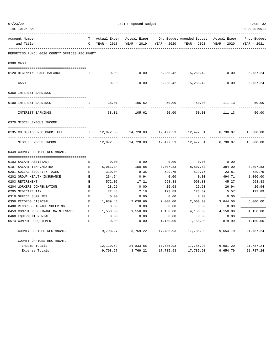| 07/23/20                                               |              | 2021 Proposed Budget |              |                             |                                        |             |                          |  |
|--------------------------------------------------------|--------------|----------------------|--------------|-----------------------------|----------------------------------------|-------------|--------------------------|--|
| TIME:10:24 AM                                          |              |                      |              |                             |                                        |             | PREPARER: 0011           |  |
| Account Number                                         |              | Actual Exper         | Actual Exper |                             | Org Budget Amended Budget Actual Exper |             | Prop Budget              |  |
| and Title                                              | $\mathbb{C}$ | YEAR - 2018          | YEAR - 2019  | YEAR - 2020                 | YEAR - 2020                            | YEAR - 2020 | YEAR - 2021              |  |
| REPORTING FUND: 0020 COUNTY OFFICES REC.MNGMT.         |              |                      |              |                             |                                        |             |                          |  |
| 0300 CASH                                              |              |                      |              |                             |                                        |             |                          |  |
| 0120 BEGINNING CASH BALANCE                            | Ι.           | 0.00                 | 0.00         | 5,258.42                    | 5,258.42                               | 0.00        | 6,737.24                 |  |
| CASH                                                   |              | 0.00                 | 0.00         | 5,258.42                    | 5,258.42                               | 0.00        | 6,737.24                 |  |
| 0360 INTEREST EARNINGS                                 |              |                      |              |                             |                                        |             |                          |  |
|                                                        |              |                      |              |                             |                                        |             |                          |  |
| 0100 INTEREST EARNINGS                                 | I.           | 38.01                | 105.62       | 50.00                       | 50.00                                  | 111.13      | 50.00                    |  |
| INTEREST EARNINGS                                      |              | 38.01                | 105.62       | 50.00                       | 50.00                                  | 111.13      | 50.00                    |  |
| 0370 MISCELLENEOUS INCOME                              |              |                      |              |                             |                                        |             |                          |  |
|                                                        |              |                      |              |                             |                                        |             |                          |  |
| 0135 CO.OFFICE REC.MNGMT.FEE<br>---- ----------------- | $\mathbb{I}$ | 12,072.58            | 24,728.03    | 12,477.51<br>-------------- | 12,477.51                              | 6,790.07    | 15,000.00<br>----------- |  |
| MISCELLENEOUS INCOME                                   |              | 12,072.58            | 24,728.03    | 12,477.51                   | 12,477.51                              | 6,790.07    | 15,000.00                |  |
| 0449 COUNTY OFFICES REC.MNGMT.                         |              |                      |              |                             |                                        |             |                          |  |
| 0103 SALARY ASSISTANT                                  | E            | 0.00                 | 0.00         | 0.00                        | 0.00                                   | 0.00        |                          |  |
| 0107 SALARY TEMP./EXTRA                                | Е            | 5,061.34             | 150.88       | 8,807.83                    | 8,807.83                               | 384.00      | 8,807.83                 |  |
| 0201 SOCIAL SECURITY TAXES                             | $\mathbf E$  | 310.04               | 9.35         | 529.75                      | 529.75                                 | 23.81       | 529.75                   |  |
| 0202 GROUP HEALTH INSURANCE                            | $\mathbf E$  | 264.64               | 0.94         | 0.00                        | 0.00                                   | 494.71      | 1,000.00                 |  |
| 0203 RETIREMENT                                        | $\mathbf E$  | 572.05               | 17.21        | 998.83                      | 998.83                                 | 45.27       | 998.83                   |  |
| 0204 WORKERS COMPENSATION                              | $\mathbf E$  | 28.26                | 0.00         | 25.63                       | 25.63                                  | 26.94       | 26.94                    |  |
| 0205 MEDICARE TAX                                      | $\mathbf E$  | 72.48                | 2.18         | 123.89                      | 123.89                                 | 5.57        | 123.89                   |  |
| 0310 OFFICE SUPPLIES                                   | $\mathbf E$  | 0.00                 | 0.00         | 0.00                        | 0.00                                   | 0.00        |                          |  |
| 0350 RECORDS DISPOSAL                                  | Е            | 1,939.46             | 2,038.66     | 2,000.00                    | 2,000.00                               | 3,644.50    | 5,000.00                 |  |
| 0400 RECORDS STORAGE SHELVING                          | Е            | 0.00                 | 0.00         | 0.00                        | 0.00                                   | 0.00        |                          |  |
| 0453 COMPUTER SOFTWARE MAINTENANCE                     | E            | 1,550.00             | 1,550.00     | 4,150.00                    | 4,150.00                               | 4,150.00    | 4,150.00                 |  |
| 0460 EQUIPMENT RENTAL                                  | Е            | 0.00                 | 0.00         | 0.00                        | 0.00                                   | 0.00        |                          |  |
| 0574 COMPUTER EOUIPMENT                                | E            | 0.00                 | 0.00         | 1,150.00                    | 1,150.00                               | 879.99      | 1,150.00                 |  |
| COUNTY OFFICES REC.MNGMT.                              |              | 9,798.27             | 3,769.22     | 17,785.93                   | 17,785.93                              | 9,654.79    | 21,787.24                |  |
| COUNTY OFFICES REC.MNGMT.                              |              |                      |              |                             |                                        |             |                          |  |
| Income Totals                                          |              | 12,110.59            | 24,833.65    | 17,785.93                   | 17,785.93                              | 6,901.20    | 21,787.24                |  |
| Expense Totals                                         |              | 9,798.27             | 3,769.22     | 17,785.93                   | 17,785.93                              | 9,654.79    | 21,787.24                |  |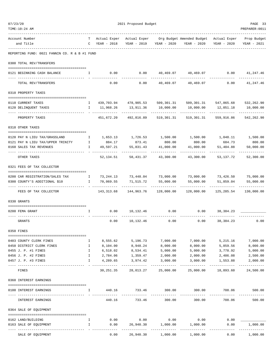| TIME:10:24 AM                                  |                   |                              |                                             |                          |                                                                  |                                       | PREPARER: 0011             |
|------------------------------------------------|-------------------|------------------------------|---------------------------------------------|--------------------------|------------------------------------------------------------------|---------------------------------------|----------------------------|
| Account Number                                 | T                 |                              |                                             |                          | Actual Exper Actual Exper Org Budget Amended Budget Actual Exper |                                       | Prop Budget                |
| and Title                                      |                   | C YEAR - 2018                |                                             | YEAR - 2019 YEAR - 2020  | YEAR - 2020                                                      | YEAR - 2020                           | YEAR - 2021                |
| REPORTING FUND: 0021 FANNIN CO. R & B #1 FUND  |                   |                              |                                             |                          |                                                                  |                                       |                            |
| 0300 TOTAL REV/TRANSFERS                       |                   |                              |                                             |                          |                                                                  |                                       |                            |
| 0121 BEGINNING CASH BALANCE                    | $\mathbf{I}$      | 0.00                         | 0.00                                        |                          | $40,469.07$ $40,469.07$ $0.00$ $41,247.46$                       |                                       |                            |
| TOTAL REV/TRANSFERS                            |                   | 0.00                         | 0.00                                        | .<br>40,469.07           | ---------<br>40,469.07                                           | 0.00                                  | ----------<br>41,247.46    |
| 0310 PROPERTY TAXES                            |                   |                              |                                             |                          |                                                                  |                                       |                            |
| 0110 CURRENT TAXES                             |                   |                              | I 439,703.94 478,905.53 509,301.31          |                          |                                                                  | 509,301.31 547,865.68 532,262.90      |                            |
| 0120 DELINQUENT TAXES                          |                   | I 11,968.26                  | 13,911.36                                   | 10,000.00                | -----------                                                      | 10,000.00    12,051.18<br>----------- | 10,000.00                  |
| PROPERTY TAXES                                 |                   |                              | 451,672.20 492,816.89 519,301.31            |                          | 519,301.31                                                       | 559,916.86                            | 542,262.90                 |
| 0318 OTHER TAXES                               |                   |                              |                                             |                          |                                                                  |                                       |                            |
| 0120 PAY N LIEU TAX/GRASSLAND                  | $\mathbb{I}$      |                              | 1,653.13 1,726.53                           |                          | 1,500.00 1,500.00                                                |                                       | 1,048.11 1,500.00          |
| 0121 PAY N LIEU TAX/UPPER TRINITY              | $\mathbf{I}$      | 884.17                       | 873.41                                      | 800.00                   | 800.00                                                           | 684.73                                | 800.00                     |
| 0160 SALES TAX REVENUES                        |                   | 1 49,597.21                  | 55,831.43                                   |                          | 41,000.00 41,000.00                                              | 51,404.88                             | 50,000.00<br>------------  |
| OTHER TAXES                                    |                   |                              | 52, 134.51 58, 431.37 43, 300.00 43, 300.00 |                          |                                                                  | 53,137.72                             | 52,300.00                  |
| 0321 FEES OF TAX COLLECTOR                     |                   |                              |                                             |                          |                                                                  |                                       |                            |
| 0200 CAR REGISTRATION/SALES TAX I              |                   |                              |                                             |                          | 73,244.13  73,448.04  73,000.00  73,000.00  73,426.50  75,000.00 |                                       |                            |
| 0300 COUNTY'S ADDITIONAL \$10<br>------------- |                   | I 70,069.55                  | 71,515.72                                   | 55,000.00<br>----------- | 55,000.00<br>-----------                                         | 51,859.04<br>----------               | 55,000.00<br>-----------   |
| FEES OF TAX COLLECTOR                          |                   | 143,313.68                   |                                             |                          | 144,963.76  128,000.00  128,000.00                               | 125,285.54                            | 130,000.00                 |
| 0330 GRANTS                                    |                   |                              |                                             |                          |                                                                  |                                       |                            |
| 0200 FEMA GRANT                                | $\mathbf{I}$      |                              | $0.00$ 10,132.46 0.00                       |                          | 0.00                                                             | 38,384.23                             |                            |
| GRANTS                                         |                   | 0.00                         | 10,132.46                                   | 0.00                     | 0.00                                                             | 38,384.23                             | 0.00                       |
| 0350 FINES                                     |                   |                              |                                             |                          |                                                                  |                                       |                            |
| 0403 COUNTY CLERK FINES                        | Ι.                | 8,555.62                     | 5,196.73                                    | 7,000.00                 | 7,000.00                                                         | 5,215.16                              | 7,000.00                   |
| 0450 DISTRICT CLERK FINES                      | $\mathbf{I}$      | 8,104.00                     | 8,948.24                                    | 8,000.00                 | 8,000.00                                                         | 5,859.56                              | 8,000.00                   |
| 0455 J. P. #1 FINES                            | $\mathbf{I}$      | 6,518.02                     | 8,534.41                                    | 5,000.00                 | 5,000.00                                                         | 3,778.92                              | 5,000.00                   |
| 0456 J. P. #2 FINES<br>0457 J. P. #3 FINES     | I<br>$\mathbf{I}$ | 2,784.06<br>4,289.65         | 1,359.47<br>3,974.42                        | 2,000.00<br>3,000.00     | 2,000.00<br>3,000.00                                             | 2,486.08<br>1,553.88                  | 2,500.00<br>2,000.00       |
| FINES                                          |                   | _______________<br>30,251.35 | ------------- --<br>28,013.27               | .<br>25,000.00           | -----------<br>25,000.00                                         | -------------<br>18,893.60            | -------------<br>24,500.00 |
| 0360 INTEREST EARNINGS                         |                   |                              |                                             |                          |                                                                  |                                       |                            |
|                                                |                   |                              |                                             |                          |                                                                  |                                       |                            |
| 0100 INTEREST EARNINGS                         | $\mathbf{I}$      |                              | 440.16 733.46<br>------------               | 300.00<br>------------   | 300.00<br>-------------                                          | 708.06<br>------------                | 500.00                     |
| INTEREST EARNINGS                              |                   | 440.16                       | 733.46                                      | 300.00                   | 300.00                                                           | 708.06                                | 500.00                     |
| 0364 SALE OF EQUIPMENT                         |                   |                              |                                             |                          |                                                                  |                                       |                            |
| 0162 LAND/BUILDING                             | I.                | 0.00                         | 0.00                                        | 0.00                     | 0.00                                                             | 0.00                                  |                            |
| 0163 SALE OF EQUIPMENT                         | $\mathbf{I}$      | 0.00                         | 26,940.30                                   | 1,000.00                 | 1,000.00                                                         | 0.00                                  | 1,000.00<br>----------     |
| SALE OF EQUIPMENT                              |                   | 0.00                         | 26,940.30                                   | 1,000.00                 | 1,000.00                                                         | 0.00                                  | 1,000.00                   |

07/23/20 PAGE 33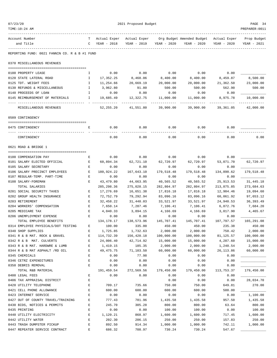| 07/23/20 |                                                           |              | 2021 Proposed Budget    |                         |                         |                           |                        |                         |  |
|----------|-----------------------------------------------------------|--------------|-------------------------|-------------------------|-------------------------|---------------------------|------------------------|-------------------------|--|
|          | TIME:10:24 AM                                             |              |                         |                         |                         |                           |                        | PREPARER: 0011          |  |
|          | Account Number                                            | т            | Actual Exper            | Actual Exper            |                         | Org Budget Amended Budget | Actual Exper           | Prop Budget             |  |
|          | and Title                                                 | C            | YEAR - 2018             | YEAR - 2019             | YEAR - 2020             | YEAR - 2020               | YEAR - 2020            | YEAR - 2021             |  |
|          | REPORTING FUND: 0021 FANNIN CO. R & B #1 FUND             |              |                         |                         |                         |                           |                        |                         |  |
|          | 0370 MISCELLANEOUS REVENUES                               |              |                         |                         |                         |                           |                        |                         |  |
|          |                                                           |              |                         |                         |                         |                           |                        |                         |  |
|          | 0100 PROPERTY LEASE<br>0120 STATE LATERAL ROAD            | I.<br>Ι.     | 0.00<br>17,352.25       | 0.00<br>8,468.06        | 0.00                    | 0.00<br>8,400.00          | 0.00<br>8,459.87       | 8,500.00                |  |
|          | 0125 TDT. WEIGHT FEES                                     | Ι.           | 11,254.66               | 20,669.19               | 8,400.00<br>20,000.00   | 20,000.00                 | 21,362.50              | 23,000.00               |  |
|          | 0130 REFUNDS & MISCELLANEOUS                              | $\mathbb{I}$ | 3,962.80                | 91.80                   | 500.00                  | 500.00                    | 562.90                 | 500.00                  |  |
|          | 0140 PROCEEDS OF LOAN                                     | Ι.           | 0.00                    | 0.00                    | 0.00                    | 0.00                      | 0.00                   |                         |  |
|          | 0145 REIMBURSEMENT OF MATERIALS                           | Ι.           | 19,685.49               | 12,322.75               | 11,000.00               | 11,000.00                 | 8,975.78               | 10,000.00               |  |
|          | MISCELLANEOUS REVENUES                                    |              | 52,255.20               | 41,551.80               | 39,900.00               | 39,900.00                 | 39,361.05              | 42,000.00               |  |
|          | 0509 CONTINGENCY                                          |              |                         |                         |                         |                           |                        |                         |  |
|          |                                                           |              |                         |                         |                         |                           |                        |                         |  |
|          | 0475 CONTINGENCY                                          | Е            | 0.00                    | 0.00                    | 0.00                    | 0.00                      | 0.00                   |                         |  |
|          | CONTINGENCY                                               |              | 0.00                    | 0.00                    | 0.00                    | 0.00                      | 0.00                   | 0.00                    |  |
|          | 0621 ROAD & BRIDGE 1                                      |              |                         |                         |                         |                           |                        |                         |  |
|          | 0100 COMPENSATION PAY                                     | Е            | 0.00                    | 0.00                    | 0.00                    | 0.00                      | 0.00                   |                         |  |
|          | 0101 SALARY ELECTED OFFICIAL                              | E            | 60,894.34               | 62,721.10               | 62,720.97               | 62,720.97                 | 53,071.70              | 62,720.97               |  |
|          | 0105 SALARY SECRETARY                                     | Е            | 0.00                    | 0.00                    | 0.00                    | 0.00                      | 0.00                   |                         |  |
|          | 0106 SALARY PRECINCT EMPLOYEES                            | Е            | 180,924.22              | 167,643.10              | 179,518.48              | 179,518.48                | 134,890.62             | 179,518.48              |  |
|          | 0107 REGULAR-TEMP. PART-TIME                              | Е            | 0.00                    | 0.00                    | 0.00                    | 0.00                      | 0.00                   |                         |  |
|          | 0108 SALARY-FOREMAN                                       | E            | 43,479.80               | 44,663.95               | 40,565.52               | 40,565.52                 | 25, 913.53             | 31, 445. 18             |  |
|          | TOTAL SALARIES                                            |              | 285, 298.36             | 275,028.15              | 282,804.97              | 282,804.97                | 213,875.85             | 273,684.63              |  |
|          | 0201 SOCIAL SECURITY TAXES                                | E            | 17,276.69               | 16,651.38               | 17,816.18               | 17,816.18                 | 12,904.46              | 19,094.60               |  |
|          | 0202 GROUP HEALTH INSURANCE                               | Е            | 72,752.79               | 79,292.94               | 83,096.16               | 83,096.16                 | 60,061.92              | 97,653.12               |  |
|          | 0203 RETIREMENT                                           | Ε            | 32,458.22               | 31,448.03               | 33,521.97               | 33,521.97                 | 24,940.53              | 36, 393.49              |  |
|          | 0204 WORKERS' COMPENSATION                                | Е            | 7,650.14                | 7,287.46                | 7,106.41                | 7,106.41                  | 6,872.76               | 7,684.20                |  |
|          | 0205 MEDICARE TAX                                         | E            | 4,040.33                | 3,894.15                | 4,166.69                | 4,166.69                  | 3,017.90               | 4,465.67                |  |
|          | 0206 UNEMPLOYMENT EXPENSE                                 | E            | 0.00                    | 0.00                    | 0.00                    | 0.00                      | 0.00                   |                         |  |
|          | TOTAL EMPLOYEE BENEFITS                                   |              | 134,178.17              | 138,573.96              | 145,707.41              | 145,707.41                | 107,797.57             | 165,291.08              |  |
|          | 0314 EMPLOYEE PHYSICALS/DOT TESTING                       | Е            | 100.00                  | 335.00                  | 450.00                  | 450.00                    | 235.38                 | 450.00                  |  |
|          | 0340 SHOP SUPPLIES                                        | Е<br>E       | 1,725.85                | 1,732.63                | 2,000.00                | 2,000.00                  | 750.42                 | 2,000.00                |  |
|          | 0341 R & B MAT. ROCK & GRAVEL<br>0342 R & B MAT. CULVERTS | E            | 114,732.39<br>24,006.40 | 156,420.18<br>42,714.92 | 100,000.00<br>15,000.00 | 100,000.00<br>15,000.00   | 81, 125.57<br>4,287.60 | 100,000.00<br>15,000.00 |  |
|          | 0343 R & B MAT. HARDWRE & LUMB                            | E            | 1,419.15                | 185.35                  | 2,000.00                | 2,000.00                  | 1,240.54               | 2,000.00                |  |
|          | 0344 R & B MAT ASPHALT /RD OIL                            | Ε            | 49,475.75               | 71,103.50               | 60,000.00               | 60,000.00                 | 26, 113.86             | 60,000.00               |  |
|          | 0345 CHEMICALS                                            | E            | 0.00                    | 77.98                   | 0.00                    | 0.00                      | 0.00                   |                         |  |
|          | 0346 CETRZ EXPENDITURES                                   | E            | 0.00                    | 0.00                    | 0.00                    | 0.00                      | 0.00                   |                         |  |
|          | 0350 DEBRIS REMOVAL                                       | E            | 0.00                    | 0.00                    | 0.00                    | 0.00                      | 0.00                   |                         |  |
|          | TOTAL R&B MATERIAL                                        |              | 191,459.54              | 272,569.56              | 179,450.00              | 179,450.00                | 113,753.37             | 179,450.00              |  |
|          | 0400 LEGAL FEES                                           | Ε            | 0.00                    | 0.00                    | 0.00                    | 0.00                      | 0.00                   |                         |  |
|          | 0406 TAX APPRAISAL DISTRICT                               | E            |                         |                         | 0.00                    | 0.00                      | 0.00                   | 28,034.70               |  |
|          | 0420 UTILITY TELEPHONE                                    | E            | 709.17                  | 735.66                  | 750.00                  | 750.00                    | 649.81                 | 270.00                  |  |
|          | 0421 CELL PHONE ALLOWANCE                                 | E            | 600.00                  | 600.00                  | 600.00                  | 600.00                    | 500.00                 |                         |  |
|          | 0423 INTERNET SERVICE                                     | E            | 0.00                    | 0.00                    | 0.00                    | 0.00                      | 0.00                   | 1,100.00                |  |
|          | 0427 OUT OF COUNTY TRAVEL/TRAINING                        | E            | 777.43                  | 781.96                  | 1,435.58                | 1,435.58                  | 957.50                 | 1,435.58                |  |
|          | 0430 BIDS, NOTICES & PERMITS                              | Ε            | 245.70                  | 305.28                  | 800.00                  | 800.00                    | 63.64                  | 800.00                  |  |
|          | 0435 PRINTING                                             | E            | 0.00                    | 0.00                    | 100.00                  | 100.00                    | 0.00                   | 100.00                  |  |
|          | 0440 UTILITY ELECTRICITY                                  | E            | 1,120.21                | 868.97                  | 1,600.00                | 1,600.00                  | 717.45                 | 1,600.00                |  |
|          | 0442 UTILITY WATER                                        | $\mathbf E$  | 202.30                  | 206.15                  | 250.00                  | 250.00                    | 157.83                 | 250.00                  |  |
|          | 0443 TRASH DUMPSTER PICKUP                                | E            | 892.50                  | 914.34                  | 1,000.00                | 1,000.00                  | 742.11                 | 1,000.00                |  |
|          | 0447 REPEATER SERVICE CONTRACT                            | $\mathbf E$  | 686.32                  | 708.97                  | 730.24                  | 730.24                    | 547.67                 |                         |  |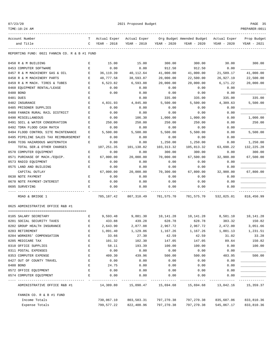|--|--|

2021 Proposed Budget **PAGE 35** 

TIME:10:24 AM PREPARER:0011 ------------------------------------------------------------------------------------------------------------------------------------ Account Number T Actual Exper Actual Exper Org Budget Amended Budget Actual Exper Prop Budget and Title C YEAR - 2018 YEAR - 2019 YEAR - 2020 YEAR - 2020 YEAR - 2020 YEAR - 2021 ------------------------------------------------------------------------------------------------------------------------------------ REPORTING FUND: 0021 FANNIN CO. R & B #1 FUND 0450 R & M BUILDING R & M BUILDING R & M BUILDING R & M BUILDING R & M BUILDING R & M BUILDING R & M BUILDING R & M BUILDING R & M BUILDING R & M BUILDING R & M BUILDING R & M BUILDING R & M BUILDING R & M BUILDING R & M B 0453 COMPUTER SOFTWARE E 0.00 0.00 912.50 912.50 0.00 \_\_\_\_\_\_\_\_\_\_\_\_\_ 0457 R & M MACHINERY GAS & OIL B 36,119.39 40,112.64 41,000.00 41,000.00 21,589.17 41,000.00 0458 R & M MACHINERY PARTS E 48,777.58 38,593.87 20,000.00 22,500.00 26,927.19 22,500.00 0459 R & M MACH. TIRES & TUBES E 6,523.82 6,593.88 20,000.00 20,000.00 6,171.22 20,000.00 0460 EQUIPMENT RENTAL/LEASE  $\qquad \qquad$  E 0.00 0.00 0.00 0.00 0.00 0.00 0.00 0480 BOND E 0.00 0.00 0.00 0.00 0.00 \_\_\_\_\_\_\_\_\_\_\_\_\_ 0481 DUES E 0.00 335.00 335.00 335.00 335.00 0482 INSURANCE E 4,831.93 4,845.80 5,500.00 5,500.00 4,309.63 5,500.00 0485 PRISONER SUPPLIES E 0.00 0.00 0.00 0.00 0.00 \_\_\_\_\_\_\_\_\_\_\_\_\_ 0488 FANNIN RURAL RAIL DISTRICT  $E$  0.00 0.00 0.00 0.00 0.00 0.00 0.00 0490 MISCELLANEOUS E 0.00 106.30 1,000.00 1,000.00 0.00 1,000.00 0491 SOIL & WATER CONSERVATION E 250.00 250.00 250.00 250.00 0.00 250.00 0492 TDRA FLOOD CASH MATCH  $E$  0.00 0.00 0.00 0.00 0.00 0.00 0.00 0494 FLOOD CONTROL SITE MAINTENANCE E 5,500.00 5,500.00 5,500.00 5,500.00 0.00 5,500.00 0495 PIPELINE SALES TAX REIMBURSEMENT E 0.00 0.00 0.00 0.00 0.00 \_\_\_\_\_\_\_\_\_\_\_\_\_ 0496 TCOG HAZARDOUS WASTEMATCH E 0.00 0.00 1,250.00 1,250.00 0.00 1,250.00 TOTAL SER.& OTHER CHARGES 107,251.35 101,138.82 103,313.32 105,813.32 63,698.22 132,225.28 0570 COMPUTER EOUIPMENT E CONDECISE SOLO E CONDECIS E O.00 0.00 300.00 300.00 300.00 300.00 0571 PURCHASE OF MACH./EQUIP. E 67,000.00 20,000.00 70,000.00 67,500.00 32,900.00 67,500.00 0573 RADIO EQUIPMENT E 0.00 0.00 0.00 0.00 0.00 \_\_\_\_\_\_\_\_\_\_\_\_\_ 0575 LAND AND BUILDING  $E$  0.00 0.00 0.00 0.00 0.00 0.00 0.00 CAPITAL OUTLAY 67,000.00 20,000.00 70,300.00 67,800.00 32,900.00 67,800.00 0630 NOTE PAYMENT E 0.00 0.00 0.00 0.00 0.00 \_\_\_\_\_\_\_\_\_\_\_\_\_ 0670 NOTE PAYMENT-INTEREST  $E$  0.00 0.00 0.00 0.00 0.00 0.00 0.00 0695 SURVEYING E 0.00 0.00 0.00 0.00 0.00 \_\_\_\_\_\_\_\_\_\_\_\_\_ ---- ---------------------------------- - ------------- ------------- ------------- ------------- ------------- ------------- ROAD & BRIDGE 1 785,187.42 807,310.49 781,575.70 781,575.70 532,025.01 818,450.99 0625 ADMINISTRATIVE OFFICE R&B #1 ======================================== 0105 SALARY SECRETARY E 9,593.48 9,881.30 10,141.28 10,141.28 8,581.10 10,141.28 0201 SOCIAL SECURITY TAXES E 433.88 439.28 628.78 628.78 383.32 150.82 0202 GROUP HEALTH INSURANCE E 2,643.90 2,877.08 2,967.72 2,967.72 2,472.00 3,051.66 0203 RETIREMENT E 1,091.40 1,129.86 1,167.26 1,167.26 1,001.13 1,231.51 0204 WORKERS' COMPENSATION E 33.66 27.30 42.59 42.59 31.02 33.28 0205 MEDICARE TAX E 101.32 102.30 147.05 147.05 89.64 150.82 0310 OFFICE SUPPLIES E 58.11 193.39 100.00 100.00 0.00 100.00 0311 POSTAL EXPENSES  $E = 0.00$  0.00 0.00 0.00 0.00 0.00 0353 COMPUTER EXPENSE E 409.30 439.96 500.00 500.00 483.95 500.00 0427 OUT OF COUNTY TRAVEL E 0.00 0.00 0.00 0.00 0.00 \_\_\_\_\_\_\_\_\_\_\_\_\_ 0480 BOND E 24.75 0.00 0.00 0.00 0.00 \_\_\_\_\_\_\_\_\_\_\_\_\_ 0572 OFFICE EQUIPMENT  $E$  0.00 0.00 0.00 0.00 0.00 0.00 0.00 0574 COMPUTER EQUIPMENT E 0.00 0.00 0.00 0.00 0.00 \_\_\_\_\_\_\_\_\_\_\_\_\_ ---- ---------------------------------- - ------------- ------------- ------------- ------------- ------------- ------------- ADMINISTRATIVE OFFICE R&B #1 14,389.80 15,090.47 15,694.68 15,694.68 13,042.16 15,359.37 FANNIN CO. R & B #1 FUND Income Totals 730,067.10 803,583.31 797,270.38 797,270.38 835,687.06 833,810.36 Expense Totals 799,577.22 822,400.96 797,270.38 797,270.38 545,067.17 833,810.36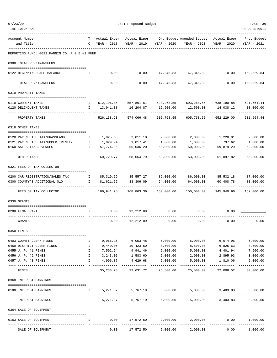|             | TIME:10:24 AM                                        |                               |                      |                                                 |                           |                                                       |                                    | PREPARER: 0011             |
|-------------|------------------------------------------------------|-------------------------------|----------------------|-------------------------------------------------|---------------------------|-------------------------------------------------------|------------------------------------|----------------------------|
|             | Account Number                                       | T –                           | Actual Exper         |                                                 |                           | Actual Exper Org Budget Amended Budget                | Actual Exper                       | Prop Budget                |
|             | and Title                                            | $\mathbb{C}$                  | YEAR - 2018          | YEAR - 2019                                     | YEAR - 2020               | YEAR - 2020                                           | YEAR - 2020                        | YEAR - 2021                |
|             | REPORTING FUND: 0022 FANNIN CO. R & B #2 FUND        |                               |                      |                                                 |                           |                                                       |                                    |                            |
|             | 0300 TOTAL REV/TRANSFERS                             |                               |                      |                                                 |                           |                                                       |                                    |                            |
|             | 0122 BEGINNING CASH BALANCE                          | I.                            | 0.00                 | 0.00                                            |                           | 47,346.83 47,346.83 0.00                              |                                    | 169,529.84                 |
|             | TOTAL REV/TRANSFERS                                  |                               | 0.00                 | 0.00                                            | 47,346.83                 | 47,346.83                                             | 0.00                               | -----------<br>169,529.84  |
|             | 0310 PROPERTY TAXES                                  |                               |                      |                                                 |                           |                                                       |                                    |                            |
|             |                                                      |                               |                      |                                                 |                           |                                                       |                                    |                            |
|             | 0110 CURRENT TAXES<br>0120 DELINQUENT TAXES          | $\mathbf{I}$                  | 13,941.38            | I 512,196.85 557,861.61 593,268.55<br>16,204.87 | 12,500.00                 | 12,500.00                                             | 593,268.55 638,190.88<br>14,038.12 | 621,664.44<br>10,000.00    |
|             |                                                      |                               |                      |                                                 |                           | ------------                                          |                                    | .                          |
|             | PROPERTY TAXES                                       |                               | 526,138.23           | 574,066.48                                      | 605,768.55                | 605,768.55                                            | 652,229.00                         | 631,664.44                 |
|             | 0318 OTHER TAXES                                     |                               |                      |                                                 |                           |                                                       |                                    |                            |
|             | 0120 PAY N LIEU TAX/GRASSLAND                        | Ι.                            | 1,925.68             | 2,011.18                                        | 2,000.00                  | 2,000.00                                              | 1,220.91                           | 2,000.00                   |
|             | 0121 PAY N LIEU TAX/UPPER TRINITY                    | $\mathbb{I}$                  | 1,029.94             | 1,017.41                                        | 1,000.00                  | 1,000.00                                              | 797.62                             | 1,000.00                   |
|             | 0160 SALES TAX REVENUES                              | $\mathbf{I}$                  | 57,774.15            | 65,036.20                                       | 50,000.00                 | 50,000.00                                             | 59,879.29                          | 62,000.00                  |
|             | OTHER TAXES                                          |                               | 60,729.77            | 68,064.79                                       | 53,000.00                 | 53,000.00                                             | 61,897.82                          | 65,000.00                  |
|             | 0321 FEES OF TAX COLLECTOR                           |                               |                      |                                                 |                           |                                                       |                                    |                            |
|             | 0200 CAR REGISTRATION/SALES TAX                      | $\mathbf{I}$ and $\mathbf{I}$ |                      |                                                 |                           | 85,319.69  85,557.27  86,000.00  86,000.00  85,532.18 |                                    | 87,000.00                  |
|             | 0300 COUNTY'S ADDITIONAL \$10                        | $\mathbf{I}$ and $\mathbf{I}$ | 81,621.56            | 83,306.09                                       | 64,000.00                 | 64,000.00                                             | 60,408.78                          | 80,000.00                  |
|             | FEES OF TAX COLLECTOR                                |                               | 166,941.25           | 168,863.36                                      | 150,000.00                | 150,000.00                                            | .<br>145,940.96                    | 167,000.00                 |
| 0330 GRANTS |                                                      |                               |                      |                                                 |                           |                                                       |                                    |                            |
|             | 0200 FEMA GRANT                                      | $\mathbf{I}$                  | 0.00                 | 12,212.09                                       | 0.00                      | 0.00                                                  | 0.00                               |                            |
|             | GRANTS                                               |                               | 0.00                 | 12,212.09                                       | 0.00                      | 0.00                                                  | 0.00                               | 0.00                       |
| 0350 FINES  |                                                      |                               |                      |                                                 |                           |                                                       |                                    |                            |
|             |                                                      |                               |                      |                                                 |                           |                                                       |                                    |                            |
|             | 0403 COUNTY CLERK FINES<br>0450 DISTRICT CLERK FINES | Ι.<br>$\mathbf{I}$            | 9,966.16<br>9,440.06 | 6,053.48<br>10,423.50                           | 5,000.00<br>8,500.00      | 5,000.00<br>8,500.00                                  | 6,074.96<br>6,825.63               | 6,000.00<br>8,500.00       |
|             | 0455 J. P. #1 FINES                                  | $\mathbf{I}$                  | 7,592.64             | 9,941.46                                        | 5,000.00                  | 5,000.00                                              | 4,401.94                           | 7,500.00                   |
|             | 0456 J. P. #2 FINES                                  | $\mathbf{I}$                  |                      | 3, 243.05 1, 583.60                             | 2,000.00                  | 2,000.00                                              | 2,895.93                           | 3,000.00                   |
|             | 0457 J. P. #3 FINES                                  | Ι.                            |                      | 4,996.87 4,629.68                               | 5,000.00                  | 5,000.00                                              | 1,810.06                           | 5,000.00                   |
|             | FINES                                                |                               |                      | -------------<br>35, 238.78 32, 631.72          | . <u>.</u><br>25,500.00   | ----------<br>25,500.00                               | -----------<br>22,008.52           | -------------<br>30,000.00 |
|             | 0360 INTEREST EARNINGS                               |                               |                      |                                                 |                           |                                                       |                                    |                            |
|             | 0100 INTEREST EARNINGS                               | $\mathbf{I}$                  | 5,271.87             | 5,767.19                                        | 5,000.00                  |                                                       | 5,000.00 3,403.83                  | 3,000.00                   |
|             | INTEREST EARNINGS                                    |                               | 5,271.87             | 5,767.19                                        |                           | 5,000.00 5,000.00 3,403.83                            |                                    | 3,000.00                   |
|             | 0364 SALE OF EQUIPMENT                               |                               |                      |                                                 |                           |                                                       |                                    |                            |
|             | 0163 SALE OF EOUIPMENT                               | I.                            | 0.00                 | 17,572.50                                       | 2,000.00                  | 2,000.00                                              | 0.00                               | 1,000.00                   |
|             | SALE OF EQUIPMENT                                    |                               | 0.00                 | 17,572.50                                       | -------------<br>2,000.00 | . <u>.</u> .<br>2,000.00                              | 0.00                               | -------------<br>1,000.00  |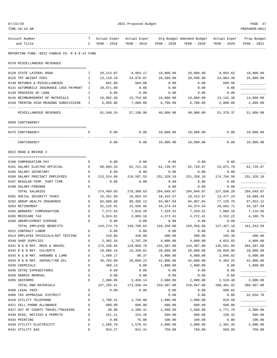| TIME:10:24 AM                                             |              |                         |                         |                         |                           |                        | PREPARER: 0011         |
|-----------------------------------------------------------|--------------|-------------------------|-------------------------|-------------------------|---------------------------|------------------------|------------------------|
| Account Number                                            | т            | Actual Exper            | Actual Exper            |                         | Org Budget Amended Budget | Actual Exper           | Prop Budget            |
| and Title                                                 | $\mathbf{C}$ | YEAR - 2018             | YEAR - 2019             | YEAR - 2020             | YEAR - 2020               | YEAR - 2020            | YEAR - 2021            |
| REPORTING FUND: 0022 FANNIN CO. R & B #2 FUND             |              |                         |                         |                         |                           |                        |                        |
| 0370 MISCELLANEOUS REVENUES                               |              |                         |                         |                         |                           |                        |                        |
| 0120 STATE LATERAL ROAD                                   | $\mathbf{I}$ | 20,213.07               | 9,864.17                | 10,000.00               | 10,000.00                 | 9,854.63               | 10,000.00              |
| 0125 TDT WEIGHT FEES                                      | Ι.           | 13,110.19               | 24,076.87               | 20,500.00               | 20,500.00                 | 24,884.48              | 25,000.00              |
| 0130 REFUNDS & MISCELLANEOUS                              | I            | 601.60                  | 504.00                  | 0.00                    | 0.00                      | 696.96                 |                        |
| 0131 AUTOMOBILE INSURANCE LOSS PAYMENT I                  |              | 29,871.00               | 0.00                    | 0.00                    | 0.00                      | 0.00                   |                        |
| 0140 PROCEEDS OF LOAN                                     | I            | 0.00                    | 0.00                    | 0.00                    | 0.00                      | 0.00                   |                        |
| 0145 REIMBURSEMENT OF MATERIALS                           | I            | 10,802.48               | 15,753.86               | 10,800.00               | 10,800.00                 | 13, 142. 30            | 14,000.00              |
| 0150 TRENTON HIGH MEADOWS SUBDIVISION                     | Ι.           | 6,950.00                | 7,000.00                | 6,700.00                | 6,700.00                  | 2,800.00               | 2,800.00               |
| MISCELLANEOUS REVENUES                                    |              | 81,548.34               | 57,198.90               | 48,000.00               | 48,000.00                 | 51,378.37              | 51,800.00              |
| 0509 CONTINGENCY                                          |              |                         |                         |                         |                           |                        |                        |
| 0475 CONTINGENCY                                          | Е            | 0.00                    | 0.00                    |                         | 10,000.00  10,000.00      | 0.00                   | 10,000.00              |
| CONTINGENCY                                               |              | 0.00                    | 0.00                    | 10,000.00               | 10,000.00                 | 0.00                   | 10,000.00              |
| 0622 ROAD & BRIDGE 2                                      |              |                         |                         |                         |                           |                        |                        |
| 0100 COMPENSATION PAY                                     | E            | 0.00                    | 0.00                    | 0.00                    | 0.00                      | 0.00                   |                        |
| 0101 SALARY ELECTED OFFICIAL                              | Е            | 60,894.34               | 62,721.10               | 62,720.97               | 62,720.97                 | 53,071.70              | 62,720.97              |
| 0105 SALARY SECRETARY                                     | Е            | 0.00                    | 0.00                    | 0.00                    | 0.00                      | 0.00                   |                        |
| 0106 SALARY PRECINCT EMPLOYEES                            | E            | 213,514.69              | 216,587.53              | 231,328.10              | 231,328.10                | 174,764.58             | 231,328.10             |
| 0107 REGULAR-TEMP. PART-TIME                              | Е            | 0.00                    | 0.00                    | 0.00                    | 0.00                      | 0.00                   |                        |
| 0108 SALARY-FOREMAN                                       | Е            |                         |                         | 0.00                    | 0.00                      | 0.00                   |                        |
| TOTAL SALARIES                                            |              | 274,409.03              | 279,308.63              | 294,049.07              | 294,049.07                | 227,836.28             | 294,049.07             |
| 0201 SOCIAL SECURITY TAXES                                | Е            | 16,351.59               | 16,604.15               | 18,415.57               | 18,415.57                 | 13,477.23              | 18,089.44              |
| 0202 GROUP HEALTH INSURANCE                               | Е            | 84,609.60               | 90,356.12               | 94,967.04               | 94,967.04                 | 77,135.76              | 97,653.12              |
| 0203 RETIREMENT                                           | Е            | 31,216.91               | 31,936.95               | 34, 374. 34             | 34,374.34                 | 26,602.71              | 34,197.59              |
| 0204 WORKERS' COMPENSATION                                | Е            | 7,272.64                | 7,018.26                | 7,329.52                | 7,329.52                  | 7,089.26               | 7,116.68               |
| 0205 MEDICARE TAX                                         | $\mathbf E$  | 3,824.01                | 3,883.16                | 4,272.41                | 4,272.41                  | 3,152.22               | 4,196.75               |
| 0206 UNEMPLOYMENT EXPENSE                                 | E            | 0.00                    | 0.00                    | 0.00                    | 0.00                      | 0.00                   |                        |
| TOTAL EMPLOYEE BENEFITS                                   |              | 143,274.75              | 149,798.64              | 159,358.88              | 159,358.88                | 127, 457. 18           | 161,253.58             |
| 0312 CONTRACT LABOR                                       | Е            | 0.00                    | 0.00                    | 0.00                    | 0.00                      | 0.00                   |                        |
| 0314 EMPLOYEE PHYSICALS/DOT TESTING                       | Ε            | 210.00                  | 340.00                  | 400.00                  | 400.00                    | 195.38                 | 400.00                 |
| 0340 SHOP SUPPLIES                                        | E<br>E       | 2,302.34                | 3,787.20                | 4,000.00                | 4,000.00<br>134,307.00    | 4,653.93<br>145,551.06 | 4,000.00<br>284,307.00 |
| 0341 R & B MAT. ROCK & GRAVEL<br>0342 R & B MAT. CULVERTS | E            | 173,338.66<br>19,686.16 | 129,869.70<br>15,340.81 | 134,307.00<br>20,000.00 | 20,000.00                 | 28,059.80              | 20,000.00              |
| 0343 R & B MAT. HARDWRE & LUMB                            | Е            | 1,509.17                | 90.37                   | 6,000.00                | 6,000.00                  | 2,040.02               | 6,000.00               |
| 0344 R & B MAT. ASPHALT/RD OIL                            | Е            | 36,783.09               | 20,050.22               | 42,000.00               | 42,000.00                 | 5,463.25               | 42,000.00              |
| 0345 CHEMICALS                                            | E            | 409.14                  | 0.00                    | 1,000.00                | 1,000.00                  | 0.00                   | 1,000.00               |
| 0346 CETRZ EXPENDITURES                                   | E            | 0.00                    | 0.00                    | 0.00                    | 0.00                      | 0.00                   |                        |
| 0350 DEBRIS REMOVAL                                       | $\mathbf E$  | 0.00                    | 0.00                    | 0.00                    | 0.00                      | 0.00                   |                        |
| 0395 UNIFORMS                                             | $\mathbf E$  | 2,996.85                | 3,458.14                | 2,800.00                | 2,800.00                  | 2,518.48               | 2,800.00               |
| TOTAL R&B MATERIALS                                       |              | 237, 235.41             | 172,936.44              | 210,507.00              | 210,507.00                | 188,481.92             | 360,507.00             |
| 0400 LEGAL FEES                                           | Е            | 0.00                    | 0.00                    | 0.00                    | 0.00                      | 588.02                 |                        |
| 0406 TAX APPRAISAL DISTRICT                               | E            |                         |                         | 0.00                    | 0.00                      | 0.00                   | 32,656.70              |
| 0420 UTILITY TELEPHONE                                    | E            | 1,790.31                | 1,750.00                | 1,000.00                | 1,000.00                  | 819.50                 |                        |
| 0421 CELL PHONE ALLOWANCE                                 | E            | 600.00                  | 600.00                  | 600.00                  | 600.00                    | 500.00                 |                        |
| 0427 OUT OF COUNTY TRAVEL/TRAINING                        | Ε            | 40.00                   | 2,390.41                | 2,500.00                | 2,500.00                  | 1,771.78               | 2,500.00               |
| 0430 BIDS, NOTICES & PERMITS                              | Ε            | 151.21                  | 154.46                  | 500.00                  | 500.00                    | 150.32                 | 500.00                 |
| 0435 PRINTING                                             | E            | 0.00                    | 75.00                   | 100.00                  | 100.00                    | 0.00                   | 100.00                 |
| 0440 UTILITY ELECTRICITY                                  | E            | 1,566.78                | 1,578.41                | 2,000.00                | 2,000.00                  | 1,361.45               | 2,000.00               |
| 0441 UTILITY GAS                                          | $\mathbf E$  | 934.27                  | 841.41                  | 750.00                  | 750.00                    | 669.99                 | 750.00                 |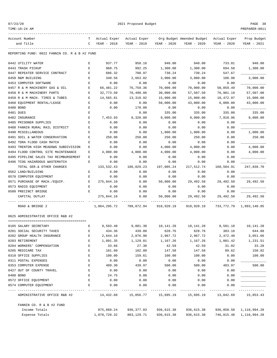|--|--|--|

TIME:10:24 AM PREPARER:0011

2021 Proposed Budget **PAGE 38** 

| Account Number<br>and Title                   | C | YEAR - 2018  | YEAR - 2019 YEAR - 2020 |            | T Actual Exper Actual Exper Org Budget Amended Budget Actual Exper<br>YEAR - 2020 | YEAR - 2020 | Prop Budget<br>YEAR - 2021   |
|-----------------------------------------------|---|--------------|-------------------------|------------|-----------------------------------------------------------------------------------|-------------|------------------------------|
| REPORTING FUND: 0022 FANNIN CO. R & B #2 FUND |   |              |                         |            |                                                                                   |             |                              |
|                                               |   |              |                         |            |                                                                                   |             |                              |
| 0442 UTILITY WATER                            | Е | 937.77       | 958.16                  | 940.00     | 940.00                                                                            | 733.01      | 940.00                       |
| 0443 TRASH PICKUP                             | Е | 960.75       | 992.25                  | 1,300.00   | 1,300.00                                                                          | 694.58      | 1,300.00                     |
| 0447 REPEATER SERVICE CONTRACT                | Е | 686.32       | 708.97                  | 730.24     | 730.24                                                                            | 547.67      |                              |
| 0450 R&M BUILDING                             | Е | 340.56       | 2,663.02                | 3,000.00   | 3,000.00                                                                          | 108.98      | 3,000.00                     |
| 0453 COMPUTER SOFTWARE                        | E | 0.00         | 0.00                    | 0.00       | 0.00                                                                              | 0.00        |                              |
| 0457 R & M MACHINERY GAS & OIL                | Е | 66,481.22    | 76,759.36               | 70,000.00  | 70,000.00                                                                         | 50,859.49   | 70,000.00                    |
| 0458 R & M MACHINERY PARTS                    | Е | 32,773.50    | 70,490.06               | 30,000.00  | 57,507.50                                                                         | 76,981.19   | 57,507.00                    |
| 0459 R & M MACH. TIRES & TUBES                | Е | 14,565.81    | 13,318.92               | 15,000.00  | 15,000.00                                                                         | 10,472.97   | 15,000.00                    |
| 0460 EQUIPMENT RENTAL/LEASE                   | Е | 0.00         | 0.00                    | 50,000.00  | 43,000.00                                                                         | 6,000.00    | 43,000.00                    |
| 0480 BOND                                     | Е | 0.00         | 178.00                  | 0.00       | 0.00                                                                              | 0.00        |                              |
| 0481 DUES                                     | Ε |              | 0.00                    | 335.00     | 335.00                                                                            | 335.00      | 335.00                       |
| 0482 INSURANCE                                | Ε | 7,453.93     | 8,320.80                | 9,000.00   | 9,000.00                                                                          | 7,910.96    | 9,000.00                     |
| 0485 PRISONER SUPPLIES                        | E | 0.00         | 0.00                    | 0.00       | 0.00                                                                              | 0.00        |                              |
| 0488 FANNIN RURAL RAIL DISTRICT               | Е | 0.00         | 0.00                    | 0.00       | 0.00                                                                              | 0.00        |                              |
| 0490 MISCELLANEOUS                            | Е | 0.00         | 0.00                    | 1,000.00   | 1,000.00                                                                          | 0.00        | 1,000.00                     |
| 0491 SOIL & WATER CONSERVATION                | Е | 250.00       | 250.00                  | 250.00     | 250.00                                                                            | 0.00        | 250.00                       |
| 0492 TDRA FLOOD CASH MATCH                    | Ε | 0.00         | 0.00                    | 0.00       | 0.00                                                                              | 0.00        |                              |
| 0493 TRENTON HIGH MEADOWS SUBDIVISION         | Е | 0.00         | 0.00                    | 4,000.00   | 4,000.00                                                                          | 0.00        | 4,000.00                     |
| 0494 FLOOD CONTROL SITE MAINTENANCE           | Е | 4,000.00     | 4,000.00                | 4,000.00   | 4,000.00                                                                          | 0.00        | 4,000.00                     |
| 0495 PIPELINE SALES TAX REIMBURSEMENT         | Е | 0.00         | 0.00                    | 0.00       | 0.00                                                                              | 0.00        |                              |
| 0496 TCOG HAZARDOUS WASTEMATCH                | Е | 0.00         | 0.00                    | 0.00       | 0.00                                                                              | 0.00        |                              |
| TOTAL SER.& OTHER CHARGES                     |   | 133,532.43   | 186,029.23              | 197,005.24 | 217,512.74                                                                        | 160,504.91  | 247,838.70                   |
| 0562 LAND/BUILDING                            | Е | 0.00         | 0.00                    | 0.00       | 0.00                                                                              | 0.00        |                              |
| 0570 COMPUTER EQUIPMENT                       | Ε | 0.00         | 0.00                    | 0.00       | 0.00                                                                              | 0.00        |                              |
| 0571 PURCHASE OF MACH./EQUIP.                 | E | 275,844.10   | 0.00                    | 50,000.00  | 29,492.50                                                                         | 29,492.50   | 29,492.50                    |
| 0573 RADIO EQUIPMENT                          | Е | 0.00         | 0.00                    | 0.00       | 0.00                                                                              | 0.00        |                              |
| 0580 PRECINCT BRIDGE                          | Е | 0.00         | 0.00                    | 0.00       | 0.00                                                                              | 0.00        |                              |
| CAPITAL OUTLAY                                |   | 275,844.10   | 0.00                    | 50,000.00  | 29,492.50                                                                         | 29,492.50   | 29,492.50                    |
| ROAD & BRIDGE 2                               |   | 1,064,295.72 | 788,072.94              | 910,920.19 | 910,920.19                                                                        |             | 733, 772. 79 1, 093, 140. 85 |
| 0625 ADMINISTRATIVE OFFICE R&B #2             |   |              |                         |            |                                                                                   |             |                              |
| 0105 SALARY SECRETARY                         | Е | 9,593.48     | 9,881.30                | 10,141.28  | 10,141.28                                                                         | 8,581.10    | 10,141.28                    |
| 0201 SOCIAL SECURITY TAXES                    | Е | 434.36       | 439.08                  | 628.76     | 628.76                                                                            | 383.16      | 644.88                       |
| 0202 GROUP HEALTH INSURANCE                   | Ε | 2,644.10     | 2,876.90                | 2,967.72   | 2,967.72                                                                          | 2,472.40    | 3,051.66                     |
| 0203 RETIREMENT                               | E | 1,091.35     | 1,129.81                | 1,167.26   | 1,167.26                                                                          | 1,001.42    | 1,231.51                     |
| 0204 WORKERS' COMPENSATION                    | E | 33.66        | 27.30                   | 42.59      | 42.59                                                                             | 31.02       | 33.28                        |
| 0205 MEDICARE TAX                             | E | 101.60       | 102.80                  | 147.58     | 147.58                                                                            | 89.62       | 150.82                       |
| 0310 OFFICE SUPPLIES                          | E | 100.00       | 159.61                  | 100.00     | 100.00                                                                            | 0.00        | 100.00                       |
| 0311 POSTAL EXPENSES                          | E | 0.00         | 0.00                    | 0.00       | 0.00                                                                              | 0.00        |                              |
| 0353 COMPUTER EXPENSE                         | Е | 409.30       | 439.97                  | 500.00     | 500.00                                                                            | 483.97      | 500.00                       |
| 0427 OUT OF COUNTY TRAVEL                     | Е | 0.00         | 0.00                    | 0.00       | 0.00                                                                              | 0.00        |                              |
| 0480 BOND                                     | E | 24.75        | 0.00                    | 0.00       | 0.00                                                                              | 0.00        |                              |
| 0572 OFFICE EQUIPMENT                         | Ε | 0.00         | 0.00                    | 0.00       | 0.00                                                                              | 0.00        |                              |
| 0574 COMPUTER EQUIPMENT                       | E | 0.00         | 0.00                    | 0.00       | 0.00                                                                              | 0.00        |                              |
| ADMINISTRATIVE OFFICE R&B #2                  |   | 14,432.60    | 15,056.77               | 15,695.19  | 15,695.19                                                                         | 13,042.69   | 15,853.43                    |
| FANNIN CO. R & B #2 FUND                      |   |              |                         |            |                                                                                   |             |                              |
| Income Totals                                 |   | 875,868.24   | 936,377.03              | 936,615.38 | 936,615.38                                                                        |             | 936,858.50 1,118,994.28      |
| Expense Totals                                |   | 1,078,728.32 | 803,129.71              | 936,615.38 | 936,615.38                                                                        |             | 746,815.48 1,118,994.28      |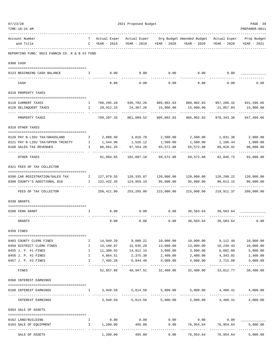| TIME:10:24 AM                                 |                                                |                             |                                             |                         |                                                                               |                           | PREPARER: 0011            |
|-----------------------------------------------|------------------------------------------------|-----------------------------|---------------------------------------------|-------------------------|-------------------------------------------------------------------------------|---------------------------|---------------------------|
| Account Number                                |                                                |                             |                                             |                         | T Actual Exper Actual Exper Org Budget Amended Budget Actual Exper            |                           | Prop Budget               |
| and Title                                     |                                                | $C$ YEAR - 2018             |                                             | YEAR - 2019 YEAR - 2020 | YEAR - 2020                                                                   | YEAR - 2020               | YEAR - 2021               |
| REPORTING FUND: 0023 FANNIN CO. R & B #3 FUND |                                                |                             |                                             |                         |                                                                               |                           |                           |
| 0300 CASH                                     |                                                |                             |                                             |                         |                                                                               |                           |                           |
| 0123 BEGINNING CASH BALANCE                   | I.                                             | 0.00                        | 0.00                                        | 0.00                    | 0.00                                                                          | 0.00                      |                           |
| CASH                                          |                                                | 0.00                        | 0.00                                        | 0.00                    | 0.00                                                                          | 0.00                      | 0.00                      |
| 0310 PROPERTY TAXES                           |                                                |                             |                                             |                         |                                                                               |                           |                           |
| 0110 CURRENT TAXES                            | I.                                             |                             |                                             |                         | 768,295.20  836,792.26  889,902.83  889,902.83  957,286.32  931,596.66        |                           |                           |
| 0120 DELINQUENT TAXES                         | Ι.                                             | 20,912.15                   | 24,307.26                                   | 15,900.00               | 15,900.00                                                                     | 21,057.04                 | 15,900.00                 |
| PROPERTY TAXES                                |                                                | 789,207.35                  | 861,099.52                                  | 905,802.83              | 905,802.83                                                                    | 978,343.36                | 947,496.66                |
| 0318 OTHER TAXES                              |                                                |                             |                                             |                         |                                                                               |                           |                           |
| 0120 PAY N LIEU TAX/GRASSLAND                 | Ι.                                             |                             | 2,888.50 3,016.78                           | 2,500.00                | 2,500.00                                                                      | 1,831.36                  | 2,000.00                  |
| 0121 PAY N LIEU TAX/UPPER TRINITY             | $\mathbf{I}$                                   | 1,544.90                    | 1,526.12                                    | 1,500.00                | 1,500.00                                                                      | 1,196.44                  | 1,000.00                  |
| 0160 SALES TAX REVENUES                       | $\mathbf{I}$                                   | 86,661.25                   | 97,554.28                                   | 65,572.88               | 65,572.88                                                                     | 89,818.92                 | 90,000.00                 |
| OTHER TAXES                                   |                                                | 91,094.65                   | 102,097.18                                  | 69,572.88               | 69,572.88                                                                     | 92,846.72                 | 93,000.00                 |
| 0321 FEES OF TAX COLLECTOR                    |                                                |                             |                                             |                         |                                                                               |                           |                           |
| 0200 CAR REGISTRATION/SALES TAX               | $\mathbf{I}$ and $\mathbf{I}$ and $\mathbf{I}$ |                             |                                             |                         | $127,979.55$ $128,335.87$ $120,000.00$ $120,000.00$ $128,298.22$ $120,000.00$ |                           |                           |
| 0300 COUNTY'S ADDITIONAL \$10                 | Ι.                                             | 122,432.35                  | 124,959.19                                  | 95,000.00               | 95,000.00                                                                     | 90,613.15<br>----------   | 80,000.00<br>.            |
| FEES OF TAX COLLECTOR                         |                                                | 250,411.90                  | 253,295.06                                  | 215,000.00              | 215,000.00                                                                    | 218,911.37                | 200,000.00                |
| 0330 GRANTS                                   |                                                |                             |                                             |                         |                                                                               |                           |                           |
| 0200 FEMA GRANT                               | $\mathbf{I}$                                   | 0.00                        | 0.00                                        | 0.00                    | 30,583.64                                                                     | 30,583.64                 |                           |
| GRANTS                                        |                                                | 0.00                        | 0.00                                        | 0.00                    | 30,583.64                                                                     | 30,583.64                 | 0.00                      |
| 0350 FINES                                    |                                                |                             |                                             |                         |                                                                               |                           |                           |
| 0403 COUNTY CLERK FINES                       | Ι.                                             |                             | $14,949.20$ 9,080.22 10,000.00              |                         | 10,000.00                                                                     | 9,112.46                  | 10,000.00                 |
| 0450 DISTRICT CLERK FINES                     | $\mathbf{I}$                                   | 14,160.07                   | 15,635.28                                   | 13,000.00               | 13,000.00                                                                     | 10,238.43                 | 10,000.00                 |
| 0455 J. P. #1 FINES                           | $\mathbf{I}$                                   | 11,388.92                   | 14,912.15                                   | 3,000.00                | 3,000.00                                                                      | 6,602.88                  | 5,000.00                  |
| 0456 J. P. #2 FINES                           | $\mathbf{I}$                                   |                             | $4,864.51$ $2,375.38$ $2,400.00$ $2,400.00$ |                         |                                                                               |                           | 4,343.92 2,400.00         |
| 0457 J. P. #3 FINES                           | Ι.                                             | 7,495.28<br>_______________ | 6,944.48<br>-----------------------------   | 4,000.00                | 4,000.00<br>-------------                                                     | 2,715.08<br>------------- | 3,000.00<br>------------- |
| FINES                                         |                                                |                             | 52,857.98 48,947.51                         | 32,400.00               | 32,400.00                                                                     | 33,012.77                 | 30,400.00                 |
| 0360 INTEREST EARNINGS                        |                                                |                             |                                             |                         |                                                                               |                           |                           |
| 0100 INTEREST EARNINGS                        | $\mathbf{I}$ and $\mathbf{I}$                  |                             | 3,948.59 5,614.58 5,000.00                  |                         | --------------                                                                | 5,000.00 4,408.41         | 4,000.00                  |
| INTEREST EARNINGS                             |                                                | 3,948.59                    |                                             |                         | $5,614.58$ $5,000.00$ $5,000.00$ $4,408.41$                                   |                           | 4,000.00                  |
| 0364 SALE OF ASSETS                           |                                                |                             |                                             |                         |                                                                               |                           |                           |
| 0162 LAND/BUILDING                            | $\mathbf{I}$                                   | 0.00                        | 0.00                                        |                         | $0.00$ $0.00$ $0.00$                                                          |                           |                           |
| 0163 SALE OF EQUIPMENT                        | $\mathbf{I}$                                   | 1,200.00                    | 495.00                                      | 0.00                    |                                                                               | 76,954.64 76,954.64       | 5,000.00                  |
|                                               |                                                |                             |                                             | -----------             |                                                                               | <u>Listenbergen</u>       | -------------             |
| SALE OF ASSETS                                |                                                | 1,200.00                    | 495.00                                      | 0.00                    | 76,954.64                                                                     | 76,954.64                 | 5,000.00                  |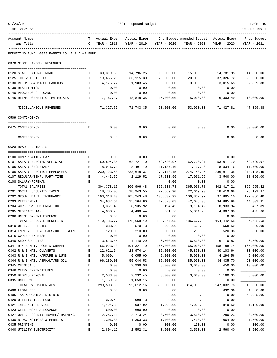| 07/23/20 |                                                 |              |                    | 2021 Proposed Budget |                    |                           |                      | PAGE 40               |
|----------|-------------------------------------------------|--------------|--------------------|----------------------|--------------------|---------------------------|----------------------|-----------------------|
|          | TIME:10:24 AM                                   |              |                    |                      |                    |                           |                      | PREPARER: 0011        |
|          | Account Number                                  | т            | Actual Exper       | Actual Exper         |                    | Org Budget Amended Budget | Actual Exper         | Prop Budget           |
|          | and Title                                       | C            | YEAR - 2018        | YEAR - 2019          | YEAR - 2020        | YEAR - 2020               | YEAR - 2020          | YEAR - 2021           |
|          | REPORTING FUND: 0023 FANNIN CO. R & B #3 FUND   |              |                    |                      |                    |                           |                      |                       |
|          | 0370 MISCELLANEOUS REVENUES                     |              |                    |                      |                    |                           |                      |                       |
|          |                                                 | Ι.           | 30,319.60          | 14,796.25            | 15,000.00          | 15,000.00                 | 14,781.95            | 14,500.00             |
|          | 0120 STATE LATERAL ROAD<br>0125 TDT WEIGHT FEES | I            | 19,665.28          | 36,115.30            | 20,000.00          | 20,000.00                 | 37,326.72            | 20,000.00             |
|          | 0130 REFUNDS & MISCELLANEOUS                    | $\mathbb{I}$ | 4,175.72           | 1,983.45             | 3,000.00           | 3,000.00                  | 3,015.65             | 2,869.88              |
|          | 0139 RESTITUTION                                | $\mathbb{I}$ | 0.00               | 0.00                 | 0.00               | 0.00                      | 0.00                 |                       |
|          | 0140 PROCEEDS OF LOANS                          | Ι.           | 0.00               | 0.00                 | 0.00               | 0.00                      | 0.00                 |                       |
|          | 0145 REIMBURSEMENT OF MATERIALS                 | I.           | 17,167.17          | 18,848.35            | 15,000.00          | 15,000.00                 | 16,303.49            | 10,000.00             |
|          | MISCELLANEOUS REVENUES                          |              | 71,327.77          | 71,743.35            | 53,000.00          | 53,000.00                 | 71,427.81            | 47,369.88             |
|          | 0509 CONTINGENCY                                |              |                    |                      |                    |                           |                      |                       |
|          |                                                 |              |                    |                      |                    |                           |                      |                       |
|          | 0475 CONTINGENCY                                | Е            | 0.00               | 0.00                 | 0.00               | 0.00                      | 0.00                 | 30,000.00             |
|          | CONTINGENCY                                     |              | 0.00               | 0.00                 | 0.00               | 0.00                      | 0.00                 | 30,000.00             |
|          | 0623 ROAD & BRIDGE 3                            |              |                    |                      |                    |                           |                      |                       |
|          | 0100 COMPENSATION PAY                           | Е            | 0.00               | 0.00                 | 0.00               | 0.00                      | 0.00                 |                       |
|          | 0101 SALARY ELECTED OFFICIAL                    | Е            | 60,894.34          | 62,721.10            | 62,720.97          | 62,720.97                 | 53,071.70            | 62,720.97             |
|          | 0105 SALARY SECRETARY                           | Е            | 8,916.71           | 8,497.49             | 11,137.40          | 11,137.40                 | 8,834.16             | 11,700.00             |
|          | 0106 SALARY PRECINCT EMPLOYEES                  | E            | 230,123.58         | 233,648.37           | 274,148.45         | 274,148.45                | 236,971.35           | 274,148.45            |
|          | 0107 REGULAR-TEMP. PART-TIME                    | Е            | 4,443.52           | 2,129.52             | 17,031.96          | 17,031.96                 | 3,540.00             | 18,096.00             |
|          | 0108 SALARY-FOREMAN                             | Е            |                    |                      | 0.00               | 0.00                      | 0.00                 |                       |
|          | TOTAL SALARIES                                  |              | 304, 378.15        | 306,996.48           | 365,038.78         | 365,038.78                | 302, 417.21          | 366,665.42            |
|          | 0201 SOCIAL SECURITY TAXES                      | Е            | 18,785.05          | 18,943.55            | 22,669.90          | 22,669.90                 | 18,419.68            | 23, 199. 37           |
|          | 0202 GROUP HEALTH INSURANCE                     | Е            | 103,318.40         | 105,243.48           | 106,837.92         | 106,837.92                | 97,895.10            | 122,066.40            |
|          | 0203 RETIREMENT                                 | Е            | 34,637.64          | 35,104.80            | 42,673.03          | 42,673.03                 | 34,885.98            | 44,303.31             |
|          | 0204 WORKERS' COMPENSATION                      | Е            | 9,351.40           | 8,935.92             | 9,194.42           | 9,194.42                  | 8,933.94             | 9,407.89              |
|          | 0205 MEDICARE TAX                               | E            | 4,393.28           | 4,430.44             | 5,301.76           | 5,301.76                  | 4,307.88             | 5,425.66              |
|          | 0206 UNEMPLOYMENT EXPENSE                       | Е            | 0.00               | 0.00                 | 0.00               | 0.00                      | 0.00                 |                       |
|          | TOTAL EMPLOYEE BENEFITS                         |              | 170,485.77         | 172,658.19           | 186,677.03         | 186,677.03                | 164,442.58           | 204,402.63            |
|          | 0310 OFFICE SUPPLIES                            | Ε            | 338.03             | 570.43               | 500.00             | 500.00                    | 568.59               | 500.00                |
|          | 0314 EMPLOYEE PHYSICALS/DOT TESTING             | Ε            | 120.00             | 210.00               | 200.00             | 200.00                    | 520.38               | 500.00                |
|          | 0315 COPIER EXPENSE                             | $\mathbf E$  | 0.00               | 0.00                 | 0.00               | 0.00                      | 0.00                 |                       |
|          | 0340 SHOP SUPPLIES                              | $\mathbf E$  | 3,813.45           | 4,140.29             | 6,500.00           | 6,500.00                  | 6,710.82             | 6,500.00              |
|          | 0341 R & B MAT. ROCK & GRAVEL                   | E            | 166,923.13         | 191,327.19           | 165,000.00         | 165,000.00                | 158,788.74           | 165,000.00            |
|          | 0342 R & B MAT. CULVERTS                        | E            | 22,621.64          | 28,974.14            | 35,000.00          | 45,800.00                 | 40,103.64            | 30,000.00             |
|          | 0343 R & B MAT. HARDWRE & LUMB                  | E            | 5,069.44           | 6,055.00             | 5,000.00           | 5,000.00                  | 4,294.56             | 5,000.00              |
|          | 0344 R & B MAT. ASPHALT/RD OIL                  | Ε            | 96,280.03          | 55,044.53            | 85,000.00          | 85,000.00                 | 34, 435.70           | 90,000.00             |
|          | 0345 CHEMICALS                                  | $\mathbf E$  | 0.00               | 2,999.98             | 3,000.00           | 3,000.00                  | 450.00               | 10,000.00             |
|          | 0346 CETRZ EXPENDITURES                         | $\mathbf E$  | 0.00               | 0.00                 | 0.00               | 0.00                      | 0.00                 |                       |
|          | 0350 DEBRIS REMOVAL                             | E            | 2,583.00           | 2,232.45             | 3,000.00           | 3,000.00                  | 1,160.35             | 3,000.00              |
|          | 0395 UNIFORMS                                   | E            | 1,759.81           | 1,058.15             | 0.00               | 0.00                      | 0.00                 |                       |
|          | TOTAL R&B MATERIALS<br>0400 LEGAL FEES          | Ε            | 299,508.53<br>0.00 | 292,612.16<br>0.00   | 303,200.00<br>0.00 | 314,000.00<br>0.00        | 247,032.78<br>692.96 | 310,500.00            |
|          | 0406 TAX APPRAISAL DISTRICT                     | $\mathbf E$  |                    |                      | 0.00               | 0.00                      | 0.00                 | 1,000.00<br>48,985.06 |
|          | 0420 UTILITY TELEPHONE                          | E            | 370.48             | 998.43               | 0.00               | 0.00                      | 0.00                 |                       |
|          | 0421 INTERNET SERVICE                           | E            | 1,124.35           | 937.92               | 1,000.00           | 1,000.00                  | 819.50               | 1,100.00              |
|          | 0423 CELL PHONE ALLOWANCE                       | E            | 600.00             | 600.00               | 0.00               | 0.00                      | 0.00                 |                       |
|          | 0427 OUT OF COUNTY TRAVEL/TRAINING              | Ε            | 2,257.11           | 2,713.24             | 3,500.00           | 3,500.00                  | 1,280.23             | 3,500.00              |
|          | 0430 BIDS, NOTICES & PERMITS                    | $\mathbf E$  | 1,306.80           | 1,353.33             | 1,400.00           | 1,400.00                  | 1,064.90             | 1,500.00              |
|          | 0435 PRINTING                                   | $\mathbf E$  | 0.00               | 0.00                 | 100.00             | 100.00                    | 0.00                 | 100.00                |
|          | 0440 UTILITY ELECTRICITY                        | Ε            | 2,804.12           | 2,552.31             | 3,500.00           | 3,500.00                  | 2,560.40             | 3,500.00              |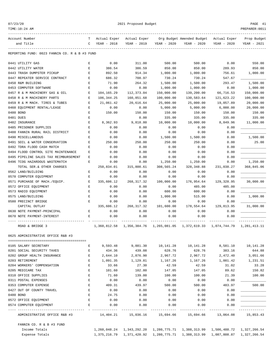| 07/23/20 |  |
|----------|--|
|----------|--|

TIME:10:24 AM PREPARER:0011

2021 Proposed Budget **PAGE 41** 

------------------------------------------------------------------------------------------------------------------------------------ Account Number T Actual Exper Actual Exper Org Budget Amended Budget Actual Exper Prop Budget and Title C YEAR - 2018 YEAR - 2019 YEAR - 2020 YEAR - 2020 YEAR - 2020 YEAR - 2021 ------------------------------------------------------------------------------------------------------------------------------------ REPORTING FUND: 0023 FANNIN CO. R & B #3 FUND 0441 UTILITY GAS E 0.00 311.00 500.00 500.00 0.00 550.00 0442 UTILITY WATER E 386.54 386.59 850.00 850.00 289.93 850.00 0443 TRASH DUMPSTER PICKUP E 892.50 914.34 1,000.00 1,000.00 756.61 1,000.00 0447 REPEATER SERVICE CONTRACT  $E$  686.32 708.97 730.24 730.24 547.67 0450 R&M BUILDING E 71.90 264.32 1,500.00 1,500.00 293.47 1,500.00 0453 COMPUTER SOFTWARE E 0.00 0.00 1,000.00 1,000.00 0.00 1,000.00 0457 R & M MACHINERY GAS & OIL E 104,165.29 112,373.04 150,000.00 139,200.00 66,716.53 150,000.00 0458 R & M MACHINERY PARTS E 106,344.25 160,851.68 100,000.00 130,583.64 121,623.22 100,000.00 0459 R & M MACH. TIRES & TUBES E 21,061.42 20,616.64 25,000.00 25,000.00 19,057.89 20,000.00 0460 EQUIPMENT RENTAL/LEASE E 0.00 0.00 5,000.00 5,000.00 6,000.00 20,000.00 0480 BOND E 150.00 150.00 150.00 150.00 150.00 150.00 0481 DUES E 0.00 335.00 335.00 335.00 335.00 0482 INSURANCE E 8,362.93 9,818.80 10,000.00 10,000.00 8,849.96 11,000.00 0485 PRISONER SUPPLIES  $E$  0.00 0.00 0.00 0.00 0.00 0.00 0.00 0488 FANNIN RURAL RAIL DISTRICT  $E$  0.00 0.00 0.00 0.00 0.00 0.00 0.00 0490 MISCELLANEOUS **E** 0.00 0.00 1,500.00 1,500.00 0.00 1,500.00 0.00 1,500.00 0491 SOIL & WATER CONSERVATION E 250.00 250.00 250.00 250.00 0.00 25.00 0492 TDRA FLOOD CASH MATCH  $E$  0.00 0.00 0.00 0.00 0.00 0.00 0.00 0494 FLOOD CONTROL SITE MAINTENANCE E 0.00 0.00 0.00 0.00 0.00 0.00 0.00  $0.495$  PIPELINE SALES TAX REIMBURSEMENT E  $0.00$  0.00  $0.00$  0.00  $0.00$  0.00 0.00 0496 TCOG HAZARDOUS WASTEMATCH E 0.00 0.00 1,250.00 1,250.00 0.00 1,250.00 TOTAL SER.& OTHER CHARGES 250,834.01 315,800.61 308,565.24 328,348.88 231,038.27 368,845.06 0562 LAND/BUILDING E 0.00 0.00 0.00 0.00 0.00 \_\_\_\_\_\_\_\_\_\_\_\_\_ 0570 COMPUTER EQUIPMENT  $E$  0.00 0.00 0.00 0.00 0.00 0.00 0.00 0571 PURCHASE OF MACH./EQUIP. E 335,606.12 268,317.32 100,000.00 176,954.64 129,328.95 30,000.00 0572 OFFICE EQUIPMENT E 0.00 0.00 0.00 485.00 485.00 \_\_\_\_\_\_\_\_\_\_\_\_\_ 0573 RADIO EQUIPMENT E 0.00 0.00 600.00 600.00 0.00 \_\_\_\_\_\_\_\_\_\_\_\_\_ 0575 LAND/BUILDING E 0.00 0.00 1,000.00 515.00 0.00 1,000.00 0580 PRECINCT BRIDGE  $\qquad \qquad$  E 0.00 0.00 0.00 0.00 0.00 0.00 CAPITAL OUTLAY 335,606.12 268,317.32 101,600.00 178,554.64 129,813.95 31,000.00 0630 NOTE PAYMENT-PRINCIPAL  $E$  0.00 0.00 0.00 0.00 0.00 0.00 0.00 0670 NOTE PAYMENT-INTEREST  $E$  0.00 0.00 0.00 0.00 0.00 0.00 0.00 ---- ---------------------------------- - ------------- ------------- ------------- ------------- ------------- ------------- ROAD & BRIDGE 3 1,360,812.58 1,356,384.76 1,265,081.05 1,372,619.33 1,074,744.79 1,281,413.11 0625 ADMINISTRATIVE OFFICE R&B #3 ======================================== 0105 SALARY SECRETARY E 9,593.48 9,881.30 10,141.28 10,141.28 8,581.10 10,141.28 0201 SOCIAL SECURITY TAXES  $E$  434.36 439.08 628.76 628.76 383.16 644.88 0202 GROUP HEALTH INSURANCE B 2,644.10 2,876.90 2,967.72 2,967.72 2,472.40 3,051.66 0203 RETIREMENT E 1,091.35 1,129.81 1,167.26 1,167.26 1,001.42 1,231.51 0204 WORKERS' COMPENSATION E 33.66 27.30 42.59 42.59 31.02 33.28 0205 MEDICARE TAX E 101.60 102.80 147.05 147.05 89.62 150.82 0310 OFFICE SUPPLIES E 71.60 139.00 100.00 100.00 21.39 100.00 0311 POSTAL EXPENSES  $E$  0.00 0.00 0.00 0.00 0.00 0.00 0.00 0353 COMPUTER EXPENSE THE SERIE RESPONSE THE SERIES ARE AGO.31 439.97 500.00 500.00 500.00 483.97 500.00 0427 OUT OF COUNTY TRAVEL E 0.00 0.00 0.00 0.00 0.00 \_\_\_\_\_\_\_\_\_\_\_\_\_ 0480 BOND E 24.75 0.00 0.00 0.00 0.00 \_\_\_\_\_\_\_\_\_\_\_\_\_  $0.572$  OFFICE EQUIPMENT  $P$  and  $0.00$   $0.00$   $0.00$   $0.00$   $0.00$   $0.00$   $0.00$   $0.00$   $0.00$ 0574 COMPUTER EQUIPMENT  $E$  0.00 0.00 0.00 0.00 0.00 0.00 ---- ---------------------------------- - ------------- ------------- ------------- ------------- ------------- ------------- ADMINISTRATIVE OFFICE R&B #3 14,404.21 15,036.16 15,694.66 15,694.66 13,064.08 15,853.43 FANNIN CO. R & B #3 FUND Income Totals 1,260,048.24 1,343,292.20 1,280,775.71 1,388,313.99 1,506,488.72 1,327,266.54 Expense Totals 1,375,216.79 1,371,420.92 1,280,775.71 1,388,313.99 1,087,808.87 1,327,266.54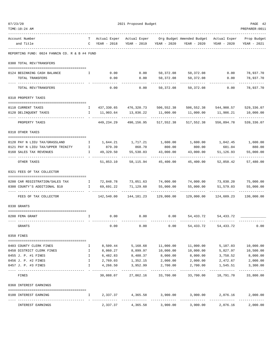| TIME:10:24 AM                                 |              |                               |                       |                       |                                                                    |                       | PREPARER: 0011             |
|-----------------------------------------------|--------------|-------------------------------|-----------------------|-----------------------|--------------------------------------------------------------------|-----------------------|----------------------------|
| Account Number<br>and Title                   | T.           | Actual Exper<br>C YEAR - 2018 | YEAR - 2019           | YEAR - 2020           | Actual Exper Org Budget Amended Budget Actual Exper<br>YEAR - 2020 | YEAR - 2020           | Prop Budget<br>YEAR - 2021 |
| REPORTING FUND: 0024 FANNIN CO. R & B #4 FUND |              |                               |                       |                       |                                                                    |                       |                            |
| 0300 TOTAL REV/TRANSFERS                      |              |                               |                       |                       |                                                                    |                       |                            |
| 0124 BEGINNING CASH BALANCE                   | I.           | 0.00                          | 0.00                  |                       | 50,372.08 50,372.08                                                | 0.00                  | 78,937.70                  |
| TOTAL TRANSFERS                               |              | 0.00                          | 0.00                  | 50,372.08             | 50,372.08                                                          | 0.00                  | 78,937.70                  |
| TOTAL REV/TRANSFERS                           |              | 0.00                          | 0.00                  | 50,372.08             | 50,372.08                                                          | 0.00                  | 78,937.70                  |
| 0310 PROPERTY TAXES                           |              |                               |                       |                       |                                                                    |                       |                            |
| 0110 CURRENT TAXES                            | I.           |                               | 437,330.65 476,320.73 | 506,552.38            |                                                                    | 506,552.38 544,908.57 | 529,336.07                 |
| 0120 DELINQUENT TAXES                         | $\mathbf{I}$ | 11,903.64                     | 13,836.22             | 11,000.00             | 11,000.00                                                          | 11,986.21             | 10,000.00                  |
| PROPERTY TAXES                                |              | 449,234.29                    | 490,156.95            | 517,552.38            | 517,552.38                                                         | 556,894.78            | 539,336.07                 |
| 0318 OTHER TAXES                              |              |                               |                       |                       |                                                                    |                       |                            |
| 0120 PAY N LIEU TAX/GRASSLAND                 | $\mathbf{I}$ |                               | 1,644.21 1,717.21     | 1,600.00              | 1,600.00                                                           |                       | 1,042.45 1,600.00          |
| 0121 PAY N LIEU TAX/UPPER TRINITY             | $\mathbb{I}$ | 879.39                        | 868.70                | 800.00                | 800.00                                                             | 681.04                | 880.00                     |
| 0160 SALES TAX REVENUES                       | Ι.           | 49,329.50                     | 55,530.03             | 43,000.00             | 43,000.00                                                          | 51,126.93             | 55,000.00                  |
| OTHER TAXES                                   |              | 51,853.10                     | 58,115.94             | 45,400.00             | 45,400.00                                                          | 52,850.42             | 57,480.00                  |
| 0321 FEES OF TAX COLLECTOR                    |              |                               |                       |                       |                                                                    |                       |                            |
| 0200 CAR REGISTRATION/SALES TAX               | $\mathbf{I}$ | 72,848.78                     | 73,051.63             | 74,000.00             | 74,000.00                                                          | 73,030.20             | 75,000.00                  |
| 0300 COUNTY'S ADDITIONAL \$10                 | $\mathbf{I}$ | 69,691.22                     | 71,129.60             | 55,000.00             | 55,000.00                                                          | 51,579.03             | 55,000.00                  |
| FEES OF TAX COLLECTOR                         |              | 142,540.00                    | 144,181.23            | 129,000.00            | 129,000.00                                                         | 124,609.23            | 130,000.00                 |
| 0330 GRANTS                                   |              |                               |                       |                       |                                                                    |                       |                            |
| 0200 FEMA GRANT                               | Ι.           | 0.00                          | 0.00                  | 0.00                  | 54,433.72                                                          | 54,433.72             |                            |
| GRANTS                                        |              | 0.00                          | 0.00                  | 0.00                  | 54,433.72                                                          | 54,433.72             | 0.00                       |
| 0350 FINES                                    |              |                               |                       |                       |                                                                    |                       |                            |
| 0403 COUNTY CLERK FINES                       | Ι.           | 8,509.44                      | 5,168.68              | 11,000.00             | 11,000.00                                                          | 5,187.03              | 10,000.00                  |
| 0450 DISTRICT CLERK FINES                     | $\mathbf{I}$ | 8,060.27                      | 8,899.97              | 10,000.00             | 10,000.00                                                          | 5,827.97              | 10,500.00                  |
| 0455 J. P. #1 FINES                           | Ι.           | 6,482.83                      | 8,488.37              | 8,000.00              | 8,000.00                                                           | 3,758.52              | 8,000.00                   |
| 0456 J. P. #2 FINES                           | I            | 2,769.03                      | 1,352.15              | 2,000.00              | 2,000.00                                                           | 2,472.67              | 2,000.00                   |
| 0457 J. P. #3 FINES                           | I.           | 4,266.50                      | 3,952.99              | 2,700.00<br>--------- | 2,700.00                                                           | 1,545.51              | 3,300.00<br>----------     |
| FINES                                         |              | 30,088.07                     | 27,862.16             | 33,700.00             | 33,700.00                                                          | 18,791.70             | 33,800.00                  |
| 0360 INTEREST EARNINGS                        |              |                               |                       |                       |                                                                    |                       |                            |
| 0100 INTEREST EARNING                         | Ι.           | 2,337.37                      | 4,365.58              | 3,900.00              | 3,900.00                                                           | 2,076.16              | 2,000.00                   |
| INTEREST EARNINGS                             |              | 2,337.37                      | 4,365.58              | 3,900.00              | 3,900.00                                                           | 2,076.16              | 2,000.00                   |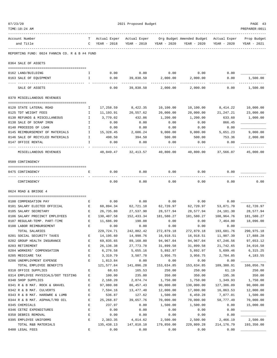| 07/23/20                                                  |                            |                       | 2021 Proposed Budget     |                        |                                          |                         | PAGE 43               |
|-----------------------------------------------------------|----------------------------|-----------------------|--------------------------|------------------------|------------------------------------------|-------------------------|-----------------------|
| TIME:10:24 AM                                             |                            |                       |                          |                        |                                          |                         | PREPARER: 0011        |
| Account Number                                            | т                          | Actual Exper          | Actual Exper             |                        | Org Budget Amended Budget - Actual Exper |                         | Prop Budget           |
| and Title                                                 | C                          | YEAR - 2018           | YEAR - 2019              | YEAR - 2020            | YEAR - 2020                              | YEAR - 2020             | YEAR - 2021           |
| REPORTING FUND: 0024 FANNIN CO. R & B #4 FUND             |                            |                       |                          |                        |                                          |                         |                       |
| 0364 SALE OF ASSETS                                       |                            |                       |                          |                        |                                          |                         |                       |
|                                                           |                            | 0.00                  | 0.00                     | 0.00                   | 0.00                                     | 0.00                    |                       |
| 0162 LAND/BUILDING<br>0163 SALE OF EQUIPMENT              | Ι.<br>I.                   | 0.00                  | 39,838.50                | 2,000.00               | 2,000.00                                 | 0.00                    | 1,500.00              |
|                                                           |                            |                       |                          |                        |                                          |                         |                       |
| SALE OF ASSETS                                            |                            | 0.00                  | 39,838.50                | 2,000.00               | 2,000.00                                 | 0.00                    | 1,500.00              |
| 0370 MISCELLANEOUS REVENUES                               |                            |                       |                          |                        |                                          |                         |                       |
| 0120 STATE LATERAL ROAD                                   | Ι.                         | 17,258.59             | 8,422.35                 | 10,100.00              | 10,100.00                                | 8,414.22                | 10,000.00             |
| 0125 TDT WEIGHT FEES                                      | I                          | 11,193.91             | 20,557.62                | 20,000.00              | 20,000.00                                | 21,247.21               | 23,000.00             |
| 0130 REFUNDS & MISCELLANEOUS                              | I.                         | 3,770.02              | 432.86                   | 1,200.00               | 1,200.00                                 | 633.60                  | 1,000.00              |
| 0138 SALE OF SCRAP IRON                                   | I.                         | 0.00                  | 0.00                     | 0.00                   | 0.00                                     | 866.45                  |                       |
| 0140 PROCEEDS OF LOAN                                     | I.                         | 0.00                  | 0.00                     | 0.00                   | 0.00                                     | 0.00                    |                       |
| 0145 REIMBURSEMENT OF MATERIALS                           | Ι.                         | 15,328.45             | 2,606.24                 | 9,000.00               | 9,000.00                                 | 5,651.23                | 9,000.00              |
| 0146 SALE OF RECYCLED MATERIALS                           | $\mathbf{I}$               | 498.50                | 394.50                   | 500.00                 | 500.00                                   | 753.36                  | 2,000.00              |
| 0147 OFFICE RENTAL                                        | I.                         | 0.00                  | 0.00                     | 0.00                   | 0.00                                     | 0.00                    |                       |
| MISCELLANEOUS REVENUES                                    |                            | 48,049.47             | 32,413.57                | 40,800.00              | 40,800.00                                | 37,566.07               | 45,000.00             |
| 0509 CONTINGENCY                                          |                            |                       |                          |                        |                                          |                         |                       |
|                                                           |                            |                       |                          |                        |                                          |                         |                       |
| 0475 CONTINGENCY                                          | Е                          | 0.00                  | 0.00                     | 0.00                   | 0.00                                     | 0.00                    |                       |
| CONTINGENCY                                               |                            | 0.00                  | 0.00                     | 0.00                   | 0.00                                     | 0.00                    | 0.00                  |
| 0624 ROAD & BRIDGE 4                                      |                            |                       |                          |                        |                                          |                         |                       |
|                                                           |                            |                       |                          |                        |                                          |                         |                       |
| 0100 COMPENSATION PAY                                     | Е                          | 0.00                  | 0.00                     | 0.00                   | 0.00                                     | 0.00                    |                       |
| 0101 SALARY ELECTED OFFICIAL                              | Е                          | 60,894.34             | 62,721.10                | 62,720.97              | 62,720.97                                | 53,071.70               | 62,720.97             |
| 0105 SALARY SECRETARY                                     | Е                          | 26,735.80             | 27,537.90                | 28,577.94              | 28,577.94                                | 24, 181.30              | 28,577.94             |
| 0106 SALARY PRECINCT EMPLOYEES                            | Е                          | 130,407.58            | 152,433.34               | 181,580.27             | 181,580.27                               | 108,964.76              | 181,580.27            |
| 0107 REGULAR-TEMP. PART-TIME                              | Е                          | 11,686.99             | 190.08                   | 0.00                   | 0.00                                     | 7,464.00                | 18,096.00             |
| 0108 LABOR REIMBURSEMENT                                  | Е                          | 0.00                  | 0.00                     | 0.00                   | 0.00                                     | 0.00                    |                       |
| TOTAL SALARIES                                            |                            | 229,724.71            | 242,882.42               | 272,879.18             | 272,879.18                               | 193,681.76              | 290,975.18            |
| 0201 SOCIAL SECURITY TAXES                                | Е                          | 14,195.60             | 14,998.76                | 16,918.51              | 16,918.51                                | 11,907.39               | 17,888.28             |
| 0202 GROUP HEALTH INSURANCE                               | $\mathbf E$                | 69,835.65             | 89,160.80                | 94,967.04              | 94,967.04                                | 67,246.56               | 97,653.12             |
| 0203 RETIREMENT                                           | E                          | 26, 136.38            | 27,773.78                | 31,899.58              | 31,899.58                                | 21,742.65               | 34,016.58             |
| 0204 WORKERS' COMPENSATION                                | $\mathbf E$                | 6,276.58              | 5,655.16                 | 5,892.97               | 5,892.97                                 | 5,699.46                | 6,315.25              |
| 0205 MEDICARE TAX                                         | E                          | 3,319.79              | 3,507.78                 | 3,956.75               | 3,956.75                                 | 2,784.85                | 4,183.55              |
| 0206 UNEMPLOYMENT EXPENSE                                 | E                          | 1,813.84              | 0.00                     | 0.00                   | 0.00                                     | 0.00                    |                       |
| TOTAL EMPLOYEE BENEFITS                                   |                            | 121,577.84            | 141,096.28               | 153,634.85             | 153,634.85                               | 109,380.91              | 160,056.78            |
| 0310 OFFICE SUPPLIES                                      | E                          | 68.63                 | 165.53                   | 250.00                 | 250.00                                   | 61.19                   | 250.00                |
| 0314 EMPLOYEE PHYSICALS/DOT TESTING                       | Е                          | 100.00                | 235.00                   | 350.00                 | 350.00                                   | 195.36                  | 350.00                |
| 0340 SHOP SUPPLIES                                        | Е                          | 2,168.20              | 2,874.74                 | 1,750.00               | 1,750.00                                 | 1,349.93                | 1,750.00              |
| 0341 R & B MAT. ROCK & GRAVEL<br>0342 R & B MAT. CULVERTS | $\mathbf E$<br>$\mathbf E$ | 97,080.08<br>7,594.16 | 86, 457. 43<br>13,477.40 | 90,000.00<br>12,000.00 | 130,000.00<br>17,000.00                  | 127,386.09<br>16,863.53 | 90,000.00             |
| 0343 R & B MAT. HARDWRE & LUMB                            | $\mathbf E$                | 536.87                |                          | 1,500.00               | 6,459.28                                 | 7,077.01                | 12,000.00<br>1,500.00 |
| 0344 R & B MAT. ASPHALT/RD OIL                            | $\mathbf E$                | 25, 268.87            | 127.62<br>39,657.76      | 70,000.00              | 70,000.00                                | 58,777.49               | 70,000.00             |
| 0345 CHEMICALS                                            | $\mathbf E$                | 237.97                | 0.00                     | 1,500.00               | 1,500.00                                 | 0.00                    | 15,000.00             |
| 0346 CETRZ EXPENDITURES                                   | $\mathbf E$                | 0.00                  | 0.00                     | 0.00                   | 0.00                                     | 0.00                    |                       |
| 0350 DEBRIS REMOVAL                                       | $\mathbf{E}$               | 0.00                  | ${\bf 0}$ . ${\bf 00}$   | 0.00                   | 0.00                                     | 0.00                    |                       |
| 0395 EMPLOYEE UNIFORMS                                    | E                          | 2,383.35              | 4,014.62                 | 2,500.00               | 2,500.00                                 | 2,466.19                | 2,500.00              |
| TOTAL R&B MATERIALS                                       |                            | 135,438.13            | 147,010.10               | 179,850.00             | 229,809.28                               | 214,176.79              | 193,350.00            |
| 0400 LEGAL FEES                                           | $\mathbf E$                | 0.00                  | 0.00                     | 0.00                   | 0.00                                     | 0.00                    |                       |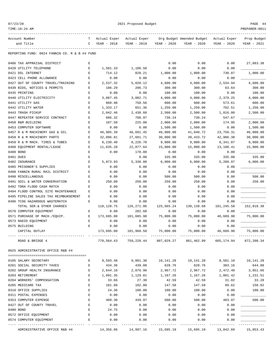TIME:10:24 AM PREPARER:0011

2021 Proposed Budget **PAGE 44** 

| Account Number<br>and Title                                   | T<br>C      | Actual Exper<br>YEAR - 2018 | Actual Exper<br>YEAR - 2019 | YEAR - 2020           | Org Budget Amended Budget<br>YEAR - 2020                          | Actual Exper<br>YEAR - 2020 | Prop Budget<br>YEAR - 2021 |
|---------------------------------------------------------------|-------------|-----------------------------|-----------------------------|-----------------------|-------------------------------------------------------------------|-----------------------------|----------------------------|
|                                                               |             |                             |                             |                       |                                                                   |                             |                            |
| REPORTING FUND: 0024 FANNIN CO. R & B #4 FUND                 |             |                             |                             |                       |                                                                   |                             |                            |
| 0406 TAX APPRAISAL DISTRICT                                   | Е           |                             |                             | 0.00                  | 0.00                                                              | 0.00                        | 27,883.38                  |
| 0420 UTILITY TELEPHONE                                        | Е           | 1,501.33                    | 1,106.50                    | 0.00                  | 0.00                                                              | 0.00                        |                            |
| 0421 DSL INTERNET                                             | Е           | 714.12                      | 828.21                      | 1,000.00              | 1,000.00                                                          | 730.87                      | 1,000.00                   |
| 0423 CELL PHONE ALLOWANCE                                     | Ε           | 0.00                        | 0.00                        | 0.00                  | 0.00                                                              | 0.00                        |                            |
| 0427 OUT OF COUNTY TRAVEL/TRAINING                            | Ε           | 2,537.32                    | 5,020.12                    | 4,600.00              | 4,600.00                                                          | 2,534.94                    | 4,600.00                   |
| 0430 BIDS, NOTICES & PERMITS                                  | E           | 186.29                      | 206.73                      | 300.00                | 300.00                                                            | 63.64                       | 300.00                     |
| 0435 PRINTING                                                 | E           | 0.00                        | 0.00                        | 100.00                | 100.00                                                            | 0.00                        | 100.00                     |
| 0440 UTILITY ELECTRICITY                                      | Ε           | 3,087.45                    | 3,082.71                    | 4,000.00              | 4,000.00                                                          | 2,379.25                    | 4,000.00                   |
| 0441 UTILITY GAS                                              | E           | 860.98                      | 758.56                      | 600.00                | 600.00                                                            | 573.61                      | 600.00                     |
| 0442 UTILITY WATER                                            | $\mathbf E$ | 1,333.17                    | 651.36                      | 1,250.00              | 1,250.00                                                          | 702.51                      | 1,250.00                   |
| 0443 TRASH PICKUP                                             | Ε           | 2,042.46                    | 2,438.60                    | 2,500.00              | 2,500.00                                                          | 1,816.00                    | 2,500.00                   |
| 0447 REPEATER SERVICE CONTRACT                                | E           | 686.32                      | 708.97                      | 730.24                | 730.24                                                            | 547.67                      |                            |
| 0450 R&M BUILDING                                             | E           | 187.50                      | 225.00                      | 2,000.00              | 2,000.00                                                          | 174.95                      | 2,000.00                   |
| 0453 COMPUTER SOFTWARE                                        | E           | 0.00                        | 0.00                        | 1,500.00              | 1,500.00                                                          | 0.00                        | 1,500.00                   |
| 0457 R & M MACHINERY GAS & OIL                                | Ε           | 46,905.39                   | 46,691.45                   | 46,000.00             | 41,040.72                                                         | 23,758.31                   | 46,000.00                  |
| 0458 R & M MACHINERY PARTS                                    | Ε<br>E      | 32,096.81                   | 27,681.71                   | 30,000.00             | 39, 433. 72                                                       | 42,986.38                   | 30,000.00                  |
| 0459 R & M MACH. TIRES & TUBES<br>0460 EQUIPMENT RENTAL/LEASE | Е           | 8,230.40<br>11,635.28       | 8,226.70<br>22,877.64       | 9,000.00<br>15,000.00 | 9,000.00<br>15,000.00                                             | 6,341.07<br>13,100.41       | 9,000.00<br>15,000.00      |
| 0480 BOND                                                     | E           | 0.00                        | 178.00                      | 0.00                  | 0.00                                                              | 0.00                        |                            |
| 0481 DUES                                                     | E           |                             | 0.00                        | 335.00                | 335.00                                                            | 335.00                      | 335.00                     |
| 0482 INSURANCE                                                | E           | 5,873.93                    | 5,338.80                    | 6,000.00              | 6,000.00                                                          | 5,200.97                    | 6,000.00                   |
| 0485 PRISONER'S SUPPLIES                                      | E           | 0.00                        | 0.00                        | 0.00                  | 0.00                                                              | 0.00                        |                            |
| 0488 FANNIN RURAL RAIL DISTRICT                               | E           | 0.00                        | 0.00                        | 0.00                  | 0.00                                                              | 0.00                        |                            |
| 0490 MISCELLANEOUS                                            | Ε           | 0.00                        | 0.00                        | 500.00                | 500.00                                                            | 0.00                        | 500.00                     |
| 0491 SOIL & WATER CONSERVATION                                | E           | 250.00                      | 250.00                      | 250.00                | 250.00                                                            | 0.00                        | 250.00                     |
| 0492 TDRA FLOOD CASH MATCH                                    | E           | 0.00                        | 0.00                        | 0.00                  | 0.00                                                              | 0.00                        |                            |
| 0494 FLOOD CONTROL SITE MAINTENANCE                           | Ε           | 0.00                        | 0.00                        | 0.00                  | 0.00                                                              | 0.00                        |                            |
| 0495 PIPELINE SALES TAX REIMBURSEMENT                         | Ε           | 0.00                        | 0.00                        | 0.00                  | 0.00                                                              | 0.00                        |                            |
| 0496 TCOG HAZARDOUS WASTEMATCH                                | Ε           | 0.00                        | 0.00                        | 0.00                  | 0.00                                                              | 0.00                        |                            |
| TOTAL SER. & OTHER CHARGES                                    |             | 118, 128. 75                | 126,271.06                  | 125,665.24            | 130, 139.68                                                       | 101,245.58                  | 152,818.38                 |
| 0570 COMPUTER EQUIPMENT                                       | Ε           | 0.00                        | 282.60                      | 0.00                  | 0.00                                                              | 0.00                        |                            |
| 0571 PURCHASE OF MACH./EOUIP.                                 | Е           | 173,695.00                  | 101,685.98                  | 75,000.00             | 75,000.00                                                         | 46,689.90                   | 75,000.00                  |
| 0573 RADIO EQUIPMENT                                          | Ε           | 0.00                        | 0.00                        | 0.00                  | 0.00                                                              | 0.00                        |                            |
| 0575 BUILDING                                                 | E           | 0.00                        | 0.00                        | 0.00                  | 0.00                                                              | 0.00                        |                            |
| CAPITAL OUTLAY                                                |             | 173,695.00                  | 101,968.58                  | 75,000.00             | 75,000.00                                                         | 46,689.90                   | 75,000.00                  |
| ROAD & BRIDGE 4                                               |             |                             |                             |                       | 778,564.43 759,228.44 807,029.27 861,462.99 665,174.94 872,200.34 |                             |                            |
| 0625 ADMINISTRATIVE OFFICE R&B #4                             |             |                             |                             |                       |                                                                   |                             |                            |
|                                                               |             |                             |                             |                       |                                                                   |                             |                            |
| 0105 SALARY SECRETARY                                         | Е           | 9,593.48                    | 9,881.30                    | 10,141.28             | 10,141.28                                                         | 8,581.10    10,141.28       |                            |
| 0201 SOCIAL SECURITY TAXES                                    | Е           | 434.36                      | 439.08                      | 628.76                | 628.76                                                            | 383.16                      | 644.88                     |
| 0202 GROUP HEALTH INSURANCE                                   | E           | 2,644.10                    | 2,876.90                    | 2,967.72              | 2,967.72                                                          | 2,472.40                    | 3,051.66                   |
| 0203 RETIREMENT                                               | E           | 1,091.35                    | 1,129.81                    | 1,167.26              | 1,167.26                                                          | 1,001.42                    | 1,231.51                   |
| 0204 WORKERS' COMPENSATION                                    | E           | 33.66                       | 27.30                       | 42.59                 | 42.59                                                             | 31.02                       | 33.28                      |
| 0205 MEDICARE TAX                                             | Е           | 101.60                      | 102.80                      | 147.58                | 147.58                                                            | 89.62                       | 150.82                     |
| 0310 OFFICE SUPPLIES                                          | Е           | 24.36                       | 100.00                      | 100.00                | 100.00                                                            | 0.00                        | 100.00                     |
| 0311 POSTAL EXPENSES                                          | Е           | 0.00                        | 0.00                        | 0.00                  | 0.00                                                              | 0.00                        |                            |
| 0353 COMPUTER EXPENSE                                         | Е           | 409.30                      | 439.97                      | 500.00                | 500.00                                                            | 483.97                      | 500.00                     |
| 0427 OUT OF COUNTY TRAVEL                                     | E           | 0.00                        | 0.00                        | 0.00                  | 0.00                                                              | 0.00                        |                            |
| 0480 BOND                                                     | Е           | 24.75                       | 0.00                        | 0.00                  | 0.00                                                              | 0.00                        |                            |
| 0572 OFFICE EQUIPMENT                                         | Е           | 0.00                        | 0.00                        | 0.00                  | 0.00                                                              | 0.00                        |                            |
| 0574 COMPUTER EQUIPMENT                                       | E.          | 0.00                        | 0.00                        | 0.00                  | 0.00                                                              | 0.00                        |                            |
|                                                               |             |                             |                             |                       |                                                                   |                             |                            |

ADMINISTRATIVE OFFICE R&B #4 14,356.96 14,997.16 15,695.19 15,695.19 13,042.69 15,853.43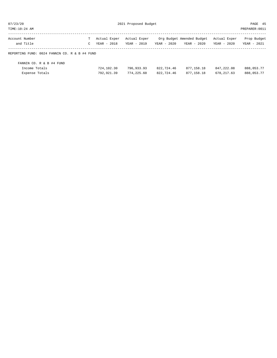| 07/23/20                                      | 2021 Proposed Budget |              |              |             |                           |              | PAGE 45        |  |
|-----------------------------------------------|----------------------|--------------|--------------|-------------|---------------------------|--------------|----------------|--|
| TIME: 10:24 AM                                |                      |              |              |             |                           |              | PREPARER: 0011 |  |
| Account Number                                | Т                    | Actual Exper | Actual Exper |             | Org Budget Amended Budget | Actual Exper | Prop Budget    |  |
| and Title                                     | C                    | YEAR - 2018  | YEAR - 2019  | YEAR - 2020 | YEAR - 2020               | YEAR - 2020  | YEAR - 2021    |  |
| REPORTING FUND: 0024 FANNIN CO. R & B #4 FUND |                      |              |              |             |                           |              |                |  |
| FANNIN CO. R & B #4 FUND                      |                      |              |              |             |                           |              |                |  |
| Income Totals                                 |                      | 724,102.30   | 796,933.93   | 822,724.46  | 877,158.18                | 847, 222, 08 | 888,053.77     |  |
| Expense Totals                                |                      | 792,921.39   | 774,225.60   | 822,724.46  | 877,158.18                | 678, 217, 63 | 888,053.77     |  |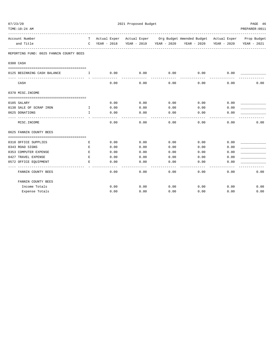| 07/23/20 |                                         |                                       |               | 2021 Proposed Budget |      |                                                                                |      | PAGE 46        |
|----------|-----------------------------------------|---------------------------------------|---------------|----------------------|------|--------------------------------------------------------------------------------|------|----------------|
|          | TIME:10:24 AM                           |                                       |               |                      |      |                                                                                |      | PREPARER: 0011 |
|          | Account Number                          |                                       |               |                      |      | T Actual Exper Actual Exper Org Budget Amended Budget Actual Exper Prop Budget |      |                |
|          | and Title                               |                                       | C YEAR - 2018 |                      |      | YEAR - 2019 YEAR - 2020 YEAR - 2020 YEAR - 2020                                |      | YEAR - 2021    |
|          | REPORTING FUND: 0025 FANNIN COUNTY BEES |                                       |               |                      |      |                                                                                |      |                |
|          | 0300 CASH                               |                                       |               |                      |      |                                                                                |      |                |
|          |                                         |                                       |               |                      |      |                                                                                |      |                |
|          | 0125 BEGINNING CASH BALANCE             | $\mathbf{I}$ . The state $\mathbf{I}$ | 0.00          | 0.00                 | 0.00 | 0.00                                                                           | 0.00 |                |
|          | CASH                                    |                                       | 0.00          | 0.00                 | 0.00 | 0.00                                                                           | 0.00 | 0.00           |
|          | 0370 MISC. INCOME                       |                                       |               |                      |      |                                                                                |      |                |
|          | 0105 SALARY                             |                                       | 0.00          | 0.00                 | 0.00 | 0.00                                                                           | 0.00 |                |
|          | 0138 SALE OF SCRAP IRON                 | $\mathbf{T}$                          | 0.00          | 0.00                 | 0.00 | 0.00                                                                           | 0.00 |                |
|          | 0625 DONATIONS                          | $\mathbf{I}$                          | 0.00          | 0.00                 | 0.00 | 0.00                                                                           | 0.00 |                |
|          | MISC. INCOME                            |                                       | 0.00          | 0.00                 | 0.00 | 0.00                                                                           | 0.00 | 0.00           |
|          | 0625 FANNIN COUNTY BEES                 |                                       |               |                      |      |                                                                                |      |                |
|          | 0310 OFFICE SUPPLIES                    | Е                                     | 0.00          | 0.00                 | 0.00 | 0.00                                                                           | 0.00 |                |
|          | 0343 ROAD SIGNS                         | E                                     | 0.00          | 0.00                 | 0.00 | 0.00                                                                           | 0.00 |                |
|          | 0353 COMPUTER EXPENSE                   | E                                     | 0.00          | 0.00                 | 0.00 | 0.00                                                                           | 0.00 |                |
|          | 0427 TRAVEL EXPENSE                     | E                                     | 0.00          | 0.00                 | 0.00 | 0.00                                                                           | 0.00 |                |
|          | 0572 OFFICE EQUIPMENT                   | Е                                     | 0.00          | 0.00                 | 0.00 | 0.00                                                                           | 0.00 |                |
|          | FANNIN COUNTY BEES                      |                                       | 0.00          | 0.00                 | 0.00 | 0.00                                                                           | 0.00 | 0.00           |
|          | FANNIN COUNTY BEES                      |                                       |               |                      |      |                                                                                |      |                |
|          | Income Totals                           |                                       | 0.00          | 0.00                 | 0.00 | 0.00                                                                           | 0.00 | 0.00           |
|          | Expense Totals                          |                                       | 0.00          | 0.00                 | 0.00 | 0.00                                                                           | 0.00 | 0.00           |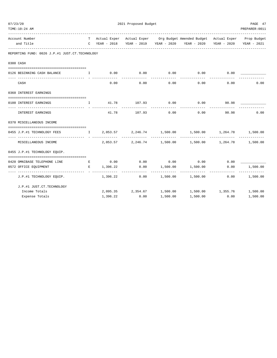| TIME:10:24 AM                                                                         |               |                     |              |                                                                                                                                                             |      | PREPARER: 0011            |
|---------------------------------------------------------------------------------------|---------------|---------------------|--------------|-------------------------------------------------------------------------------------------------------------------------------------------------------------|------|---------------------------|
| Account Number<br>and Title                                                           |               |                     |              | T Actual Exper Actual Exper Org Budget Amended Budget Actual Exper Prop Budget<br>C YEAR - 2018 YEAR - 2019 YEAR - 2020 YEAR - 2020 YEAR - 2020 YEAR - 2021 |      |                           |
| REPORTING FUND: 0026 J.P.#1 JUST.CT.TECHNOLOGY                                        |               |                     |              |                                                                                                                                                             |      |                           |
| 0300 CASH                                                                             |               |                     |              |                                                                                                                                                             |      |                           |
| 0126 BEGINNING CASH BALANCE 1 1 0.00                                                  |               |                     |              | $0.00$ $0.00$ $0.00$ $0.00$ $0.00$                                                                                                                          |      |                           |
| CASH                                                                                  | 0.00          | 0.00                | 0.00         | 0.00                                                                                                                                                        | 0.00 | 0.00                      |
| 0360 INTEREST EARNINGS                                                                |               |                     |              |                                                                                                                                                             |      |                           |
| 0100 INTEREST EARNINGS                                                                |               | I 41.78 107.93 0.00 |              | $0.00$ 90.98                                                                                                                                                |      |                           |
| INTEREST EARNINGS                                                                     | ------------- |                     | ------------ | 41.78 107.93 0.00 0.00 90.98                                                                                                                                |      | 0.00                      |
| 0370 MISCELLANEOUS INCOME                                                             |               |                     |              |                                                                                                                                                             |      |                           |
| 0455 J.P.#1 TECHNOLOGY FEES THE 2,053.57 2,246.74 1,500.00 1,500.00 1,264.78 1,500.00 |               |                     |              |                                                                                                                                                             |      |                           |
| MISCELLANEOUS INCOME                                                                  |               |                     |              | $2,053.57$ $2,246.74$ $1,500.00$ $1,500.00$ $1,264.78$ $1,500.00$                                                                                           |      |                           |
| 0455 J.P.#1 TECHNOLOGY EQUIP.                                                         |               |                     |              |                                                                                                                                                             |      |                           |
| 0420 OMNIBASE TELEPHONE LINE E                                                        |               |                     |              | $0.00$ $0.00$ $0.00$ $0.00$ $0.00$ $0.00$ $0.00$                                                                                                            |      |                           |
| 0572 OFFICE EQUIPMENT<br>___________________________________                          |               |                     | ------------ | $E$ 1, 396.22 0.00 1, 500.00 1, 500.00<br>-------------                                                                                                     | 0.00 | 1,500.00<br>_____________ |
| J.P.#1 TECHNOLOGY EQUIP.                                                              |               |                     |              | $1,396.22$ $0.00$ $1,500.00$ $1,500.00$ $0.00$ $1,500.00$                                                                                                   |      |                           |
| J.P.#1 JUST.CT.TECHNOLOGY                                                             |               |                     |              |                                                                                                                                                             |      |                           |
| Income Totals                                                                         |               |                     |              | $2,095.35$ $2,354.67$ $1,500.00$ $1,500.00$ $1,355.76$ $1,500.00$                                                                                           |      |                           |
| Expense Totals                                                                        | 1,396.22      | 0.00                | 1,500.00     | 1,500.00                                                                                                                                                    | 0.00 | 1,500.00                  |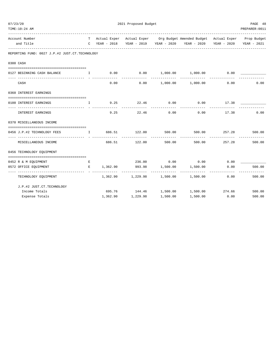| TIME:10:24 AM                                                                        |   |            |                                  |                       |                                                                                |               | PREPARER: 0011                    |
|--------------------------------------------------------------------------------------|---|------------|----------------------------------|-----------------------|--------------------------------------------------------------------------------|---------------|-----------------------------------|
| Account Number                                                                       |   |            |                                  |                       | T Actual Exper Actual Exper Org Budget Amended Budget Actual Exper Prop Budget |               |                                   |
| and Title                                                                            |   |            |                                  |                       | C YEAR - 2018 YEAR - 2019 YEAR - 2020 YEAR - 2020 YEAR - 2020 YEAR - 2021      |               |                                   |
| REPORTING FUND: 0027 J.P.#2 JUST.CT.TECHNOLOGY                                       |   |            |                                  |                       |                                                                                |               |                                   |
| 0300 CASH                                                                            |   |            |                                  |                       |                                                                                |               |                                   |
| 0127 BEGINNING CASH BALANCE 1 0.00 0.00 1,000.00 1,000.00 0.00                       |   |            |                                  |                       |                                                                                |               |                                   |
| CASH                                                                                 |   |            | -----------<br>0.00              |                       | $0.00$ 1,000.00 1,000.00                                                       | 0.00          | 0.00                              |
| 0360 INTEREST EARNINGS                                                               |   |            |                                  |                       |                                                                                |               |                                   |
| 0100 INTEREST EARNINGS                                                               |   |            | I 9.25 22.46 0.00<br>----------- | -----------           | $0.00$ 17.38                                                                   |               |                                   |
| INTEREST EARNINGS                                                                    |   |            | 9.25                             |                       | 22.46 0.00 0.00 17.38                                                          |               | 0.00                              |
| 0370 MISCELLANEOUS INCOME                                                            |   |            |                                  |                       |                                                                                |               |                                   |
| 0456 J.P.#2 TECHNOLOGY FEES 1 686.51 122.00<br>------------------------------- - - - |   |            |                                  |                       | 500.00 500.00 257.28<br>-------------                                          |               | 500.00                            |
| MISCELLANEOUS INCOME                                                                 |   |            | 686.51 122.00                    | -----------<br>500.00 |                                                                                | 500.00 257.28 | 500.00                            |
| 0456 TECHNOLOGY EQUIPMENT                                                            |   |            |                                  |                       |                                                                                |               |                                   |
| 0452 R & M EQUIPMENT                                                                 | E |            |                                  |                       | 236.00 0.00 0.00 0.00 0.00                                                     |               |                                   |
| 0572 OFFICE EQUIPMENT                                                                |   | E 1,362.90 |                                  |                       | 993.98 1,500.00 1,500.00<br>______________                                     | 0.00          | 500.00<br>. _ _ _ _ _ _ _ _ _ _ _ |
| TECHNOLOGY EQUIPMENT                                                                 |   |            |                                  |                       | $1,362.90$ $1,229.98$ $1,500.00$ $1,500.00$                                    |               | 0.00<br>500.00                    |
| J.P.#2 JUST.CT.TECHNOLOGY                                                            |   |            |                                  |                       |                                                                                |               |                                   |
| Income Totals                                                                        |   |            |                                  |                       | 695.76 144.46 1,500.00 1,500.00 274.66                                         |               | 500.00                            |
| Expense Totals                                                                       |   |            | 1,362.90 1,229.98                | 1,500.00              | 1,500.00                                                                       | 0.00          | 500.00                            |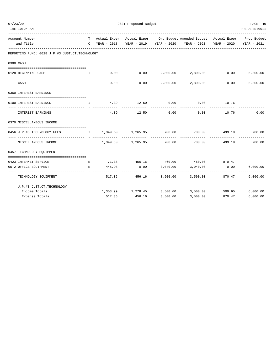| TIME:10:24 AM                                                               |   |        |                                |             |                                                                                |                                        | PREPARER: 0011            |
|-----------------------------------------------------------------------------|---|--------|--------------------------------|-------------|--------------------------------------------------------------------------------|----------------------------------------|---------------------------|
| Account Number                                                              |   |        |                                |             | T Actual Exper Actual Exper Org Budget Amended Budget Actual Exper Prop Budget |                                        |                           |
| and Title                                                                   |   |        |                                |             | C YEAR - 2018 YEAR - 2019 YEAR - 2020 YEAR - 2020 YEAR - 2020 YEAR - 2021      |                                        |                           |
| REPORTING FUND: 0028 J.P.#3 JUST.CT.TECHNOLOGY                              |   |        |                                |             |                                                                                |                                        |                           |
| 0300 CASH                                                                   |   |        |                                |             |                                                                                |                                        |                           |
| 0128 BEGINNING CASH                                                         |   |        |                                |             |                                                                                |                                        | 5,300.00                  |
| CASH                                                                        |   |        |                                |             | $0.00$ $0.00$ $2,800.00$ $2,800.00$                                            | 0.00                                   | 5,300.00                  |
| 0360 INTEREST EARNINGS                                                      |   |        |                                |             |                                                                                |                                        |                           |
| 0100 INTEREST EARNINGS                                                      |   |        | I 4.39 12.50 0.00              |             | $0.00$ $10.76$ $\qquad \qquad$                                                 |                                        |                           |
|                                                                             |   |        | -------------                  | ___________ | . _ _ _ _ _ _ _ _ _ _ _                                                        |                                        |                           |
| INTEREST EARNINGS                                                           |   |        |                                |             | $4.39$ $12.50$ $0.00$ $0.00$ $10.76$                                           |                                        | 0.00                      |
| 0370 MISCELLANEOUS INCOME                                                   |   |        |                                |             |                                                                                |                                        |                           |
| 0456 J.P.#3 TECHNOLOGY FEES 1 1,349.60 1,265.95 700.00 700.00 499.19 700.00 |   |        |                                |             |                                                                                |                                        |                           |
| MISCELLANEOUS INCOME                                                        |   |        | $1,349.60$ $1,265.95$ $700.00$ |             |                                                                                | --------------<br>700.00 499.19 700.00 |                           |
| 0457 TECHNOLOGY EQUIPMENT                                                   |   |        |                                |             |                                                                                |                                        |                           |
| 0423 INTERNET SERVICE                                                       | E |        |                                |             | 71.38  456.16  460.00  460.00  870.47                                          |                                        |                           |
| 0572 OFFICE EQUIPMENT                                                       | E |        | 445.98 0.00 3,040.00           |             | 3,040.00                                                                       | 0.00                                   | 6,000.00<br>------------- |
| --------------------------------<br>TECHNOLOGY EQUIPMENT                    |   |        |                                | ----------- | 517.36 456.16 3,500.00 3,500.00 870.47                                         | --------------                         | 6,000.00                  |
| J.P.#3 JUST.CT.TECHNOLOGY                                                   |   |        |                                |             |                                                                                |                                        |                           |
| Income Totals                                                               |   |        |                                |             | $1,353.99$ $1,278.45$ $3,500.00$ $3,500.00$ $509.95$                           |                                        | 6,000.00                  |
| Expense Totals                                                              |   | 517.36 | 456.16                         | 3,500.00    | 3,500.00                                                                       | 870.47                                 | 6,000,00                  |

07/23/20 2021 Proposed Budget 2021 Proposed Budget 2021 PAGE 49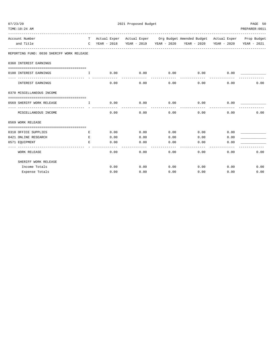| 07/23/20                                  |                                       |      | 2021 Proposed Budget |                    |                                                  | PAGE 50<br>T Actual Exper Actual Exper Org Budget Amended Budget Actual Exper Prop Budget<br>C YEAR - 2018 YEAR - 2019 YEAR - 2020 YEAR - 2020 YEAR - 2020 YEAR - 2021 |                |  |  |
|-------------------------------------------|---------------------------------------|------|----------------------|--------------------|--------------------------------------------------|------------------------------------------------------------------------------------------------------------------------------------------------------------------------|----------------|--|--|
| TIME:10:24 AM                             |                                       |      |                      |                    |                                                  |                                                                                                                                                                        | PREPARER: 0011 |  |  |
| Account Number                            |                                       |      |                      |                    |                                                  |                                                                                                                                                                        |                |  |  |
| and Title                                 |                                       |      |                      |                    |                                                  |                                                                                                                                                                        |                |  |  |
| REPORTING FUND: 0030 SHERIFF WORK RELEASE |                                       |      |                      |                    |                                                  |                                                                                                                                                                        |                |  |  |
| 0360 INTEREST EARNINGS                    |                                       |      |                      |                    |                                                  |                                                                                                                                                                        |                |  |  |
| 0100 INTEREST EARNINGS                    | T                                     |      |                      |                    | $0.00$ $0.00$ $0.00$ $0.00$ $0.00$ $0.00$ $0.00$ |                                                                                                                                                                        |                |  |  |
| <b>INTEREST EARNINGS</b>                  |                                       | 0.00 | 0.00                 | ----------<br>0.00 | ------------<br>0.00                             | 0.00                                                                                                                                                                   | 0.00           |  |  |
| 0370 MISCELLANEOUS INCOME                 |                                       |      |                      |                    |                                                  |                                                                                                                                                                        |                |  |  |
| 0569 SHERIFF WORK RELEASE                 | $\mathbf{I}$ . The state $\mathbf{I}$ | 0.00 | $0.00$ 0.00          |                    | 0.00                                             | 0.00                                                                                                                                                                   |                |  |  |
| MISCELLANEOUS INCOME                      |                                       | 0.00 | -----------<br>0.00  | ----------<br>0.00 | ------------                                     | ----------<br>0.00<br>0.00                                                                                                                                             | 0.00           |  |  |
| 0569 WORK RELEASE                         |                                       |      |                      |                    |                                                  |                                                                                                                                                                        |                |  |  |
|                                           |                                       |      |                      |                    |                                                  |                                                                                                                                                                        |                |  |  |
| 0310 OFFICE SUPPLIES                      | E.                                    |      | 0.00<br>0.00         | 0.00               | 0.00                                             | 0.00                                                                                                                                                                   |                |  |  |
| 0421 ONLINE RESEARCH                      | E                                     | 0.00 | 0.00                 | 0.00               | 0.00                                             | 0.00                                                                                                                                                                   |                |  |  |
| 0571 EQUIPMENT                            | E.                                    | 0.00 | 0.00                 | 0.00               | 0.00                                             | 0.00                                                                                                                                                                   |                |  |  |
| <b>WORK RELEASE</b>                       |                                       | 0.00 | 0.00                 | 0.00               | 0.00                                             | 0.00                                                                                                                                                                   | 0.00           |  |  |
| SHERIFF WORK RELEASE                      |                                       |      |                      |                    |                                                  |                                                                                                                                                                        |                |  |  |
| Income Totals                             |                                       | 0.00 | 0.00                 | 0.00               | $0.00$ 0.00                                      |                                                                                                                                                                        | 0.00           |  |  |
| Expense Totals                            |                                       | 0.00 | 0.00                 | 0.00               | 0.00                                             | 0.00                                                                                                                                                                   | 0.00           |  |  |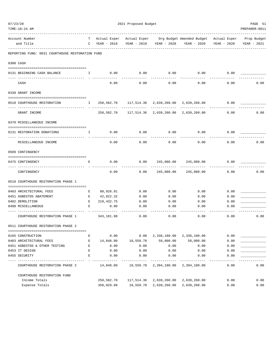| TIME:10:24 AM                                                                                  |              |                     |            |                                                 |                                                                                |             | PREPARER: 0011 |
|------------------------------------------------------------------------------------------------|--------------|---------------------|------------|-------------------------------------------------|--------------------------------------------------------------------------------|-------------|----------------|
| Account Number                                                                                 |              |                     |            |                                                 | T Actual Exper Actual Exper Org Budget Amended Budget Actual Exper Prop Budget |             |                |
| and Title                                                                                      |              | C YEAR - 2018       |            | YEAR - 2019 YEAR - 2020                         | YEAR - 2020                                                                    | YEAR - 2020 | YEAR - 2021    |
| REPORTING FUND: 0031 COURTHOUSE RESTORATION FUND                                               |              |                     |            |                                                 |                                                                                |             |                |
| 0300 CASH                                                                                      |              |                     |            |                                                 |                                                                                |             |                |
| 0131 BEGINNING CASH BALANCE                                                                    | $\mathbf{I}$ | 0.00                | 0.00       | 0.00                                            | 0.00                                                                           | 0.00        |                |
| CASH                                                                                           |              | 0.00                | 0.00       | 0.00                                            | 0.00                                                                           | 0.00        | 0.00           |
| 0330 GRANT INCOME                                                                              |              |                     |            |                                                 |                                                                                |             |                |
| 0510 COURTHOUSE RESTORATION<br>$\mathbf{I}$ and $\mathbf{I}$ and $\mathbf{I}$ and $\mathbf{I}$ |              |                     |            | 250,582.70 117,514.36 2,639,260.00 2,639,260.00 |                                                                                | 0.00        |                |
| GRANT INCOME                                                                                   |              |                     |            | 250,582.70 117,514.36 2,639,260.00 2,639,260.00 |                                                                                | 0.00        | 0.00           |
| 0370 MISCELLANEOUS INCOME                                                                      |              |                     |            |                                                 |                                                                                |             |                |
| 0131 RESTORATION DONATIONS                                                                     | H.           | 0.00                | 0.00       | 0.00                                            | 0.00                                                                           | 0.00        |                |
| MISCELLANEOUS INCOME                                                                           |              | 0.00                | 0.00       | 0.00                                            | 0.00                                                                           | 0.00        | 0.00           |
| 0509 CONTINGENCY                                                                               |              |                     |            |                                                 |                                                                                |             |                |
| 0475 CONTINGENCY                                                                               | Е            | 0.00                | 0.00       |                                                 | 245,080.00 245,080.00                                                          | 0.00        |                |
| CONTINGENCY                                                                                    |              | 0.00                |            | $0.00$ 245,080.00 245,080.00                    |                                                                                | 0.00        | 0.00           |
| 0510 COURTHOUSE RESTORATION PHASE 1                                                            |              |                     |            |                                                 |                                                                                |             |                |
| 0403 ARCHITECTURAL FEES                                                                        | Е            | 80,926.91           | 0.00       | 0.00                                            | 0.00                                                                           | 0.00        |                |
| 0451 ASBESTOS ABATEMENT                                                                        | $\mathbf{E}$ | 42,822.32           | 0.00       | 0.00                                            | 0.00                                                                           | 0.00        |                |
| 0482 DEMOLITION                                                                                | E            | 219, 432.75         | 0.00       | 0.00                                            | 0.00                                                                           | 0.00        |                |
| 0490 MISCELLANEOUS                                                                             | Е            | 0.00                | 0.00       | 0.00                                            | 0.00                                                                           | 0.00        |                |
| COURTHOUSE RESTORATION PHASE 1                                                                 |              | 343,181.98          | 0.00       | 0.00                                            | 0.00                                                                           | 0.00        | 0.00           |
| 0511 COURTHOUSE RESTORATION PHASE 2                                                            |              |                     |            |                                                 |                                                                                |             |                |
| 0165 CONSTRUCTION                                                                              | Е            | 0.00                | 0.00       | 2,336,180.00                                    | 2,336,180.00                                                                   | 0.00        |                |
| 0403 ARCHITECTURAL FEES                                                                        | Е            | 14,848.00           | 18,559.78  | 58,000.00                                       | 58,000.00                                                                      | 0.00        |                |
| 0451 ASBESTOS & OTHER TESTING                                                                  | E            | 0.00                | 0.00       | 0.00                                            | 0.00                                                                           | 0.00        |                |
| 0453 IT DESIGN                                                                                 | E            | 0.00                | 0.00       | 0.00                                            | 0.00                                                                           | 0.00        |                |
| 0455 SECURITY                                                                                  | E            | 0.00                | 0.00       | 0.00                                            | 0.00                                                                           | 0.00        |                |
| COURTHOUSE RESTORATION PHASE 2                                                                 |              | ------<br>14,848.00 |            | 18,559.78 2,394,180.00                          | 2,394,180.00                                                                   | 0.00        | 0.00           |
| COURTHOUSE RESTORATION FUND                                                                    |              |                     |            |                                                 |                                                                                |             |                |
| Income Totals                                                                                  |              | 250,582.70          | 117,514.36 | 2,639,260.00                                    | 2,639,260.00                                                                   | 0.00        | 0.00           |
| Expense Totals                                                                                 |              | 358,029.98          | 18,559.78  | 2,639,260.00                                    | 2,639,260.00                                                                   | 0.00        | 0.00           |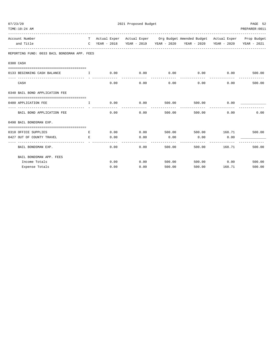| TIME:10:24 AM                                                                                                                           |         |      |             |      |        |                                                                                                                                                             |                                | PREPARER: 0011 |
|-----------------------------------------------------------------------------------------------------------------------------------------|---------|------|-------------|------|--------|-------------------------------------------------------------------------------------------------------------------------------------------------------------|--------------------------------|----------------|
| Account Number<br>and Title                                                                                                             |         |      |             |      |        | T Actual Exper Actual Exper Org Budget Amended Budget Actual Exper Prop Budget<br>C YEAR - 2018 YEAR - 2019 YEAR - 2020 YEAR - 2020 YEAR - 2020 YEAR - 2021 |                                |                |
| REPORTING FUND: 0033 BAIL BONDSMAN APP. FEES                                                                                            |         |      |             |      |        |                                                                                                                                                             |                                |                |
| 0300 CASH                                                                                                                               |         |      |             |      |        |                                                                                                                                                             |                                |                |
| 0133 BEGINNING CASH BALANCE $1$ 0.00 0.00 0.00 0.00 0.00 0.00                                                                           |         |      |             |      |        |                                                                                                                                                             |                                | 500.00         |
| CASH                                                                                                                                    |         | 0.00 |             |      | 0.00   | $0.00$ 0.00                                                                                                                                                 |                                | 0.00<br>500.00 |
| 0340 BAIL BOND APPLICATION FEE                                                                                                          |         |      |             |      |        |                                                                                                                                                             |                                |                |
| 0480 APPLICATION FEE<br>the contract of the contract of the contract of the contract of the contract of the contract of the contract of |         |      | $0.00$ 0.00 |      | 500.00 |                                                                                                                                                             | 500.00 0.00                    |                |
| BAIL BOND APPLICATION FEE                                                                                                               |         | 0.00 |             | 0.00 | 500.00 | -------------- --------------                                                                                                                               | 500.00<br>0.00                 | 0.00           |
| 0498 BAIL BONDSMAN EXP.                                                                                                                 |         |      |             |      |        |                                                                                                                                                             |                                |                |
| 0310 OFFICE SUPPLIES<br>0427 OUT OF COUNTY TRAVEL                                                                                       | E.<br>E | 0.00 |             | 0.00 | 0.00   | $0.00$ $0.00$ $500.00$ $500.00$ $168.71$ $500.00$<br>$0.00$ 0.00                                                                                            |                                |                |
| BAIL BONDSMAN EXP.                                                                                                                      |         | 0.00 |             | 0.00 | 500.00 | --------------                                                                                                                                              | _____________<br>500.00 168.71 | 500.00         |
| BAIL BONDSMAN APP. FEES                                                                                                                 |         |      |             |      |        |                                                                                                                                                             |                                |                |
| Income Totals                                                                                                                           |         |      | 0.00        | 0.00 | 500.00 |                                                                                                                                                             | 500.00 0.00                    | 500.00         |
| Expense Totals                                                                                                                          |         | 0.00 |             | 0.00 | 500.00 |                                                                                                                                                             | 500.00    168.71               | 500.00         |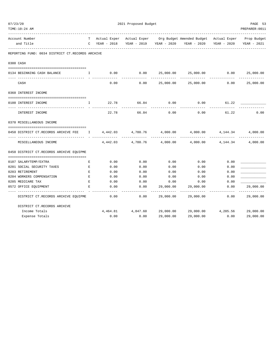| TIME:10:24 AM                                            |              |               |                   |                      |                                                                                                                       |             | PREPARER: 0011 |
|----------------------------------------------------------|--------------|---------------|-------------------|----------------------|-----------------------------------------------------------------------------------------------------------------------|-------------|----------------|
| Account Number<br>and Title                              |              | C YEAR - 2018 |                   |                      | T Actual Exper Actual Exper Org Budget Amended Budget Actual Exper Prop Budget<br>YEAR - 2019 YEAR - 2020 YEAR - 2020 | YEAR - 2020 | YEAR - 2021    |
| REPORTING FUND: 0034 DISTRICT CT.RECORDS ARCHIVE         |              |               |                   |                      |                                                                                                                       |             |                |
| 0300 CASH                                                |              |               |                   |                      |                                                                                                                       |             |                |
|                                                          |              |               |                   |                      |                                                                                                                       |             |                |
| 0134 BEGINNING CASH BALANCE                              | $\mathbf{I}$ | 0.00          | 0.00              |                      | 25,000.00 25,000.00<br>-------------                                                                                  | 0.00        | 25,000.00      |
| CASH                                                     |              | 0.00          | 0.00              |                      | 25,000.00 25,000.00                                                                                                   | 0.00        | 25,000.00      |
| 0360 INTEREST INCOME                                     |              |               |                   |                      |                                                                                                                       |             |                |
| 0100 INTEREST INCOME                                     | I.           | 22.78         | 66.84             | 0.00                 | 0.00                                                                                                                  | 61.22       |                |
| INTEREST INCOME                                          |              | 22.78         | 66.84             | ------------<br>0.00 | 0.00                                                                                                                  | 61.22       | 0.00           |
| 0370 MISCELLANEOUS INCOME                                |              |               |                   |                      |                                                                                                                       |             |                |
| 0450 DISTRICT CT.RECORDS ARCHIVE FEE 1 4,442.03 4,780.76 |              |               |                   |                      | $4,000.00$ $4,000.00$ $4,144.34$                                                                                      |             | 4,000.00       |
| MISCELLANEOUS INCOME                                     |              | 4,442.03      | 4,780.76          | 4,000.00             | 4,000.00                                                                                                              | 4, 144, 34  | 4,000.00       |
| 0450 DISTRICT CT.RECORDS ARCHIVE EQUIPME                 |              |               |                   |                      |                                                                                                                       |             |                |
| 0107 SALARYTEMP/EXTRA                                    | Е            | 0.00          | 0.00              | 0.00                 | 0.00                                                                                                                  | 0.00        |                |
| 0201 SOCIAL SECURITY TAXES                               | Е            | 0.00          | 0.00              | 0.00                 | 0.00                                                                                                                  | 0.00        |                |
| 0203 RETIREMENT                                          | E            | 0.00          | 0.00              | 0.00                 | 0.00                                                                                                                  | 0.00        |                |
| 0204 WORKERS COMPENSATION                                | E            | 0.00          | 0.00              | 0.00                 | 0.00                                                                                                                  | 0.00        |                |
| 0205 MEDICARE TAX                                        | E            | 0.00          | 0.00              | 0.00                 | 0.00                                                                                                                  | 0.00        |                |
| 0572 OFFICE EQUIPMENT                                    | E            | 0.00          | 0.00              | 29,000.00            | 29,000.00                                                                                                             | 0.00        | 29,000.00      |
| DISTRICT CT.RECORDS ARCHIVE EQUIPME                      |              | 0.00          | 0.00              | 29,000.00            | 29,000.00                                                                                                             | 0.00        | 29,000.00      |
| DISTRICT CT.RECORDS ARCHIVE                              |              |               |                   |                      |                                                                                                                       |             |                |
| Income Totals                                            |              |               | 4,464.81 4,847.60 |                      | 29,000.00 29,000.00 4,205.56                                                                                          |             | 29,000.00      |
| Expense Totals                                           |              | 0.00          | 0.00              | 29,000.00            | 29,000.00                                                                                                             | 0.00        | 29,000.00      |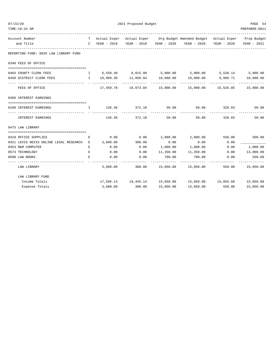| 07/23/20                                                                                                                                                                                                                                                                                                                   | 2021 Proposed Budget |                  |                                         |           |                                                                                |        |                          |
|----------------------------------------------------------------------------------------------------------------------------------------------------------------------------------------------------------------------------------------------------------------------------------------------------------------------------|----------------------|------------------|-----------------------------------------|-----------|--------------------------------------------------------------------------------|--------|--------------------------|
| TIME:10:24 AM                                                                                                                                                                                                                                                                                                              |                      |                  |                                         |           |                                                                                |        | PREPARER: 0011           |
| Account Number                                                                                                                                                                                                                                                                                                             |                      |                  |                                         |           | T Actual Exper Actual Exper Org Budget Amended Budget Actual Exper Prop Budget |        |                          |
| and Title                                                                                                                                                                                                                                                                                                                  |                      | C YEAR - 2018    |                                         |           |                                                                                |        | YEAR - 2021              |
| REPORTING FUND: 0035 LAW LIBRARY FUND                                                                                                                                                                                                                                                                                      |                      |                  |                                         |           |                                                                                |        |                          |
| 0340 FEES OF OFFICE                                                                                                                                                                                                                                                                                                        |                      |                  |                                         |           |                                                                                |        |                          |
| 0403 COUNTY CLERK FEES                                                                                                                                                                                                                                                                                                     | $\mathbf{I}$         |                  |                                         |           | $6,550.48$ $8,015.00$ $5,000.00$ $5,000.00$ $5,530.14$ $5,000.00$              |        |                          |
| 0450 DISTRICT CLERK FEES                                                                                                                                                                                                                                                                                                   |                      |                  | $I = 10,909.30$ $11,058.04$ $10,000.00$ |           | 10,000.00 9,996.71 10,000.00                                                   |        |                          |
| FEES OF OFFICE                                                                                                                                                                                                                                                                                                             |                      |                  |                                         |           | $17,459.78$ $19,073.04$ $15,000.00$ $15,000.00$ $15,526.85$ $15,000.00$        |        |                          |
| 0360 INTEREST EARNINGS                                                                                                                                                                                                                                                                                                     |                      |                  |                                         |           |                                                                                |        |                          |
| 0100 INTEREST EARNINGS<br>$\mathbf{I}$ and $\mathbf{I}$ and $\mathbf{I}$ and $\mathbf{I}$ and $\mathbf{I}$ and $\mathbf{I}$ and $\mathbf{I}$ and $\mathbf{I}$ and $\mathbf{I}$ and $\mathbf{I}$ and $\mathbf{I}$ and $\mathbf{I}$ and $\mathbf{I}$ and $\mathbf{I}$ and $\mathbf{I}$ and $\mathbf{I}$ and $\mathbf{I}$ and |                      |                  | 136.36 372.10                           |           | 50.00 50.00 328.83                                                             |        | 50.00                    |
| INTEREST EARNINGS                                                                                                                                                                                                                                                                                                          |                      |                  | 136.36 372.10                           | 50.00     | 50.00                                                                          | 328.83 | 50.00                    |
| 0475 LAW LIBRARY                                                                                                                                                                                                                                                                                                           |                      |                  |                                         |           |                                                                                |        |                          |
|                                                                                                                                                                                                                                                                                                                            |                      |                  |                                         |           |                                                                                |        |                          |
| 0310 OFFICE SUPPLIES<br>0421 LEXIS NEXIS ONLINE LEGAL RESEARCH E                                                                                                                                                                                                                                                           | Е                    | 0.00<br>3,600.00 | 300.00                                  | 0.00      | $0.00$ $2,000.00$ $2,000.00$ $550.00$<br>0.00                                  | 0.00   | 500.00                   |
| 0453 R&M COMPUTER                                                                                                                                                                                                                                                                                                          | Е                    | 0.00             | 0.00                                    | 1,000.00  | 1,000.00                                                                       | 0.00   | 1,000.00                 |
| 0574 TECHNOLOGY                                                                                                                                                                                                                                                                                                            | Е                    | 0.00             | 0.00                                    | 11,350.00 | 11,350.00 0.00                                                                 |        | 13,000.00                |
| 0590 LAW BOOKS                                                                                                                                                                                                                                                                                                             | E.                   | 0.00             | 0.00                                    | 700.00    | 700.00                                                                         | 0.00   | 550.00                   |
| LAW LIBRARY                                                                                                                                                                                                                                                                                                                |                      |                  |                                         |           | 3,600.00 300.00 15,050.00 15,050.00                                            | 550.00 | -----------<br>15,050.00 |
| LAW LIBRARY FUND                                                                                                                                                                                                                                                                                                           |                      |                  |                                         |           |                                                                                |        |                          |
| Income Totals                                                                                                                                                                                                                                                                                                              |                      |                  |                                         |           | 17,596.14  19,445.14  15,050.00  15,050.00  15,855.68  15,050.00               |        |                          |
| Expense Totals                                                                                                                                                                                                                                                                                                             |                      | 3,600.00         | 300.00                                  | 15,050.00 | 15,050.00                                                                      | 550.00 | 15,050.00                |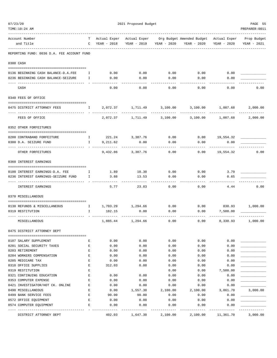| 07/23/20<br>TIME:10:24 AM                          |              | 2021 Proposed Budget        |                   |              |                                                                    |              |                            |  |
|----------------------------------------------------|--------------|-----------------------------|-------------------|--------------|--------------------------------------------------------------------|--------------|----------------------------|--|
|                                                    |              |                             |                   |              |                                                                    |              | PREPARER: 0011             |  |
| Account Number<br>and Title                        | т<br>C       | Actual Exper<br>YEAR - 2018 | YEAR - 2019       | YEAR - 2020  | Actual Exper Org Budget Amended Budget Actual Exper<br>YEAR - 2020 | YEAR - 2020  | Prop Budget<br>YEAR - 2021 |  |
| REPORTING FUND: 0036 D.A. FEE ACCOUNT FUND         |              |                             |                   |              |                                                                    |              |                            |  |
| 0300 CASH                                          |              |                             |                   |              |                                                                    |              |                            |  |
| 0136 BEGINNING CASH BALANCE-D.A.FEE                | Ι.           | 0.00                        | 0.00              | 0.00         | 0.00                                                               | 0.00         |                            |  |
| 0236 BEGINNING CASH BALANCE-SEIZURE                | Ι.           | 0.00                        | 0.00              | 0.00         | 0.00                                                               | 0.00         |                            |  |
| CASH                                               |              | 0.00                        | 0.00              | 0.00         | 0.00                                                               | 0.00         | 0.00                       |  |
| 0340 FEES OF OFFICE                                |              |                             |                   |              |                                                                    |              |                            |  |
| 0475 DISTRICT ATTORNEY FEES                        | $\mathbb{I}$ | 2,072.37                    | 1,711.49          | 3,100.00     | 3,100.00                                                           | 1,007.68     | 2,000.00<br>-------------  |  |
| FEES OF OFFICE                                     |              | 2,072.37                    | 1,711.49          | 3,100.00     | 3,100.00                                                           | 1,007.68     | 2,000.00                   |  |
| 0352 OTHER FORFEITURES                             |              |                             |                   |              |                                                                    |              |                            |  |
| 0200 CONTRABAND FORFEITURE                         | $\mathbf{I}$ | 221.24                      | 3,387.76          | 0.00         | 0.00                                                               | 19,554.32    |                            |  |
| 0300 D.A. SEIZURE FUND                             | $\mathbf{I}$ | 9,211.62                    | 0.00              | 0.00         | 0.00                                                               | 0.00         |                            |  |
| OTHER FORFEITURES                                  |              |                             | 9,432.86 3,387.76 | 0.00         | 0.00                                                               | 19,554.32    | 0.00                       |  |
| 0360 INTEREST EARNINGS                             |              |                             |                   |              |                                                                    |              |                            |  |
| 0100 INTEREST EARNINGS-D.A. FEE                    | Ι.           | 1.89                        | 10.30             | 0.00         | 0.00                                                               | 3.79         |                            |  |
| 0236 INTEREST EARNINGS-SEIZURE FUND                | I            | 3.88                        | 13.53             | 0.00         | 0.00                                                               | 0.65         |                            |  |
| INTEREST EARNINGS                                  |              | 5.77                        | 23.83             | 0.00         | 0.00                                                               | 4.44         | 0.00                       |  |
| 0370 MISCELLANEOUS                                 |              |                             |                   |              |                                                                    |              |                            |  |
| 0130 REFUNDS & MISCELLANEOUS                       | $\mathbb{I}$ |                             | 1,703.29 1,294.66 | 0.00         | 0.00                                                               |              | 830.93 1,000.00            |  |
| 0319 RESTITUTION                                   | I.           | 182.15                      | 0.00              | 0.00         | 0.00                                                               | 7,500.00     |                            |  |
| MISCELLANEOUS                                      |              | 1,885.44                    | 1,294.66          | 0.00         | 0.00                                                               | 8,330.93     | 1,000.00                   |  |
| 0475 DISTRICT ATTORNEY DEPT                        |              |                             |                   |              |                                                                    |              |                            |  |
| 0107 SALARY SUPPLEMENT                             | Ε            | 0.00                        | 0.00              | 0.00         | 0.00                                                               | 0.00         |                            |  |
| 0201 SOCIAL SECURITY TAXES                         | Ε            | 0.00                        | 0.00              | 0.00         | 0.00                                                               | 0.00         |                            |  |
| 0203 RETIREMENT                                    | E            | 0.00                        | 0.00              | 0.00         | 0.00                                                               | 0.00         |                            |  |
| 0204 WORKERS COMPENSATION                          | E            | 0.00                        | 0.00              | 0.00         | 0.00                                                               | 0.00         |                            |  |
| 0205 MEDICARE TAX                                  | E            | 0.00                        | 0.00              | 0.00         | 0.00                                                               | 0.00         |                            |  |
| 0310 OFFICE SUPPLIES                               | E            | 312.03                      | 0.00              | 0.00         | 0.00                                                               | 0.00         |                            |  |
| 0319 RESTITUTION                                   | E            |                             |                   | 0.00         | 0.00                                                               | 7,500.00     |                            |  |
| 0321 CONTINUING EDUCATION<br>0353 COMPUTER EXPENSE | E<br>E       | 0.00<br>0.00                | 0.00<br>0.00      | 0.00<br>0.00 | 0.00<br>0.00                                                       | 0.00<br>0.00 |                            |  |
| 0421 INVESTIGATOR/HOT CK. ONLINE                   | Ε            | 0.00                        | 0.00              | 0.00         | 0.00                                                               | 0.00         |                            |  |
| 0490 MISCELLANEOUS                                 | E            | 0.00                        | 1,557.30          | 2,100.00     | 2,100.00                                                           | 3,861.70     | 3,000.00                   |  |
| 0499 BANK SERVICE FEES                             | E            | 90.00                       | 90.00             | 0.00         | 0.00                                                               | 0.00         |                            |  |
| 0572 OFFICE EQUIPMENT                              | E            | 0.00                        | 0.00              | 0.00         | 0.00                                                               | 0.00         |                            |  |
| 0574 COMPUTER EQUIPMENT                            | Ε            | 0.00                        | 0.00              | 0.00         | 0.00                                                               | 0.00         |                            |  |
| DISTRICT ATTORNEY DEPT                             |              | 402.03                      | 1,647.30          | 2,100.00     | 2,100.00                                                           | 11,361.70    | 3,000.00                   |  |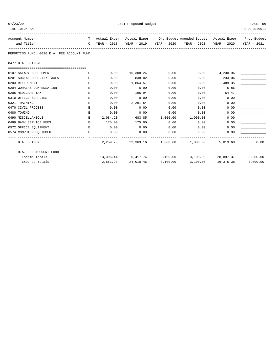| TIME:10:24 AM                              |              |          |           |      |                                                                                |          | PREPARER: 0011 |
|--------------------------------------------|--------------|----------|-----------|------|--------------------------------------------------------------------------------|----------|----------------|
| Account Number                             |              |          |           |      | T Actual Exper Actual Exper Org Budget Amended Budget Actual Exper Prop Budget |          |                |
| and Title                                  | $\mathbf C$  |          |           |      | YEAR - 2018 YEAR - 2019 YEAR - 2020 YEAR - 2020 YEAR - 2020                    |          | YEAR - 2021    |
| REPORTING FUND: 0036 D.A. FEE ACCOUNT FUND |              |          |           |      |                                                                                |          |                |
| 0477 D.A. SEIZURE                          |              |          |           |      |                                                                                |          |                |
|                                            |              |          |           |      |                                                                                |          |                |
| 0107 SALARY SUPPLEMENT                     | Е            | 0.00     | 16,308.24 | 0.00 | 0.00                                                                           | 4,230.96 |                |
| 0201 SOCIAL SECURITY TAXES                 | $F_{i}$      | 0.00     | 838.02    | 0.00 | 0.00                                                                           | 233.04   |                |
| 0203 RETIREMENT                            | $\,$ E       | 0.00     | 1,864.57  | 0.00 | 0.00                                                                           | 489.35   |                |
| 0204 WORKERS COMPENSATION                  | E            | 0.00     | 6.00      | 0.00 | 0.00                                                                           | 5.86     |                |
| 0205 MEDICARE TAX                          | E            | 0.00     | 195.94    | 0.00 | 0.00                                                                           | 54.47    |                |
| 0310 OFFICE SUPPLIES                       | Е            | 0.00     | 0.00      | 0.00 | 0.00                                                                           | 0.00     |                |
| 0321 TRAINING                              | Е            | 0.00     | 2,291.54  | 0.00 | 0.00                                                                           | 0.00     |                |
| 0470 CIVIL PROCESS                         | Е            | 0.00     | 0.00      | 0.00 | 0.00                                                                           | 0.00     |                |
| 0480 TOWING                                | $E_{\rm{L}}$ | 0.00     | 0.00      | 0.00 | 0.00                                                                           | 0.00     |                |
| 0490 MISCELLANEOUS                         | E            | 2,084.20 | 683.85    |      | 1,000.00 1,000.00                                                              | 0.00     |                |
| 0499 BANK SERVICE FEES                     | E.           | 175.00   | 175.00    | 0.00 | 0.00                                                                           | 0.00     |                |
| 0572 OFFICE EOUIPMENT                      | E            | 0.00     | 0.00      | 0.00 | 0.00                                                                           | 0.00     |                |
| 0574 COMPUTER EQUIPMENT                    | Е            | 0.00     | 0.00      | 0.00 | 0.00                                                                           | 0.00     |                |
| D.A. SEIZURE                               |              |          |           |      | 2, 259.20 22, 363.16 1, 000.00 1, 000.00                                       | 5,013.68 | 0.00           |
| D.A. FEE ACCOUNT FUND                      |              |          |           |      |                                                                                |          |                |

Income Totals 13,396.44 6,417.74 3,100.00 3,100.00 28,897.37 3,000.00 Expense Totals 2,661.23 24,010.46 3,100.00 3,100.00 16,375.38 3,000.00

or and the control of the control of the control of the control of the control of the control of the control of the control of the control of the control of the control of the control of the control of the control of the c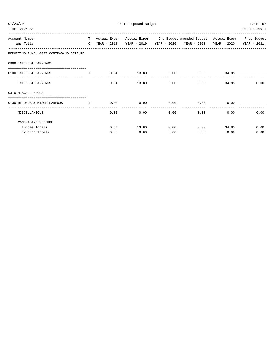| 2021 Proposed Budget<br>PAGE 57<br>07/23/20<br>TIME: 10:24 AM<br>PREPARER: 0011 |  |      |              |      |                                                                                |              |      |  |
|---------------------------------------------------------------------------------|--|------|--------------|------|--------------------------------------------------------------------------------|--------------|------|--|
| Account Number                                                                  |  |      |              |      | T Actual Exper Actual Exper Org Budget Amended Budget Actual Exper Prop Budget |              |      |  |
| and Title                                                                       |  |      |              |      | C YEAR - 2018 YEAR - 2019 YEAR - 2020 YEAR - 2020 YEAR - 2020 YEAR - 2021      |              |      |  |
| REPORTING FUND: 0037 CONTRABAND SEIZURE                                         |  |      |              |      |                                                                                |              |      |  |
| 0360 INTEREST EARNINGS                                                          |  |      |              |      |                                                                                |              |      |  |
|                                                                                 |  |      |              |      |                                                                                |              |      |  |
| 0100 INTEREST EARNINGS<br><b>The Community of The Theory II</b>                 |  |      |              |      | $0.84$ 13.80 0.00 0.00 34.85                                                   |              |      |  |
| INTEREST EARNINGS                                                               |  |      |              |      | $0.84$ 13.80 0.00 0.00 34.85                                                   |              | 0.00 |  |
| 0370 MISCELLANEOUS                                                              |  |      |              |      |                                                                                |              |      |  |
|                                                                                 |  |      |              |      |                                                                                |              |      |  |
| 0130 REFUNDS & MISCELLANEOUS<br>$\mathbf{I}$ and $\mathbf{I}$                   |  |      |              |      | $0.00$ $0.00$ $0.00$ $0.00$ $0.00$ $0.00$                                      | 0.00         |      |  |
| MISCELLANEOUS                                                                   |  | 0.00 | 0.00         | 0.00 |                                                                                | 0.00<br>0.00 | 0.00 |  |
| CONTRABAND SEIZURE                                                              |  |      |              |      |                                                                                |              |      |  |
| Income Totals                                                                   |  |      | $0.84$ 13.80 |      | $0.00$ $0.00$ $34.85$                                                          |              | 0.00 |  |
| Expense Totals                                                                  |  | 0.00 | 0.00         | 0.00 |                                                                                | 0.00<br>0.00 | 0.00 |  |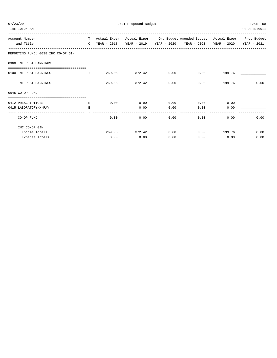| 07/23/20<br>TIME:10:24 AM              | 2021 Proposed Budget |      |              |      |                                                                                          |             |                |  |  |
|----------------------------------------|----------------------|------|--------------|------|------------------------------------------------------------------------------------------|-------------|----------------|--|--|
|                                        |                      |      |              |      |                                                                                          |             | PREPARER: 0011 |  |  |
| Account Number                         |                      |      |              |      | T Actual Exper Actual Exper Org Budget Amended Budget Actual Exper Prop Budget           |             |                |  |  |
| and Title                              |                      |      |              |      | C YEAR - 2018    YEAR - 2019    YEAR - 2020    YEAR - 2020    YEAR - 2020    YEAR - 2021 |             |                |  |  |
| REPORTING FUND: 0038 IHC CO-OP GIN     |                      |      |              |      |                                                                                          |             |                |  |  |
| 0360 INTEREST EARNINGS                 |                      |      |              |      |                                                                                          |             |                |  |  |
| 0100 INTEREST EARNINGS                 |                      |      |              |      |                                                                                          |             |                |  |  |
| INTEREST EARNINGS                      |                      |      |              |      | $269.06$ $372.42$ 0.00 0.00 $199.76$                                                     |             | 0.00           |  |  |
| 0645 CO-OP FUND                        |                      |      |              |      |                                                                                          |             |                |  |  |
| -------------------------------------- |                      |      |              |      |                                                                                          |             |                |  |  |
| 0412 PRESCRIPTIONS                     | <b>Experience E</b>  | 0.00 |              |      | $0.00$ $0.00$ $0.00$ $0.00$                                                              | 0.00        |                |  |  |
| 0415 LABORATORY/X-RAY                  | E.                   |      |              |      | $0.00$ $0.00$ $0.00$                                                                     | 0.00        |                |  |  |
| CO-OP FUND                             |                      |      | 0.00<br>0.00 |      | 0.00                                                                                     | 0.00        | 0.00<br>0.00   |  |  |
| IHC CO-OP GIN                          |                      |      |              |      |                                                                                          |             |                |  |  |
| Income Totals                          |                      |      |              |      | $269.06$ $372.42$ 0.00 0.00 199.76                                                       |             | 0.00           |  |  |
| Expense Totals                         |                      |      | $0.00$ 0.00  | 0.00 |                                                                                          | $0.00$ 0.00 | 0.00           |  |  |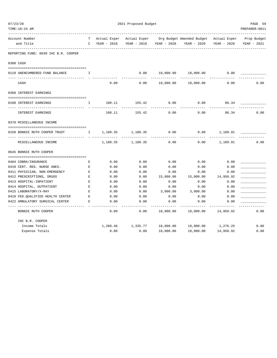| TIME:10:24 AM                        |              |                                                |                                   |           |                                                                                               |             | PREPARER: 0011 |
|--------------------------------------|--------------|------------------------------------------------|-----------------------------------|-----------|-----------------------------------------------------------------------------------------------|-------------|----------------|
| Account Number<br>and Title          |              | C YEAR - 2018                                  | YEAR - 2019 YEAR - 2020           |           | T Actual Exper Actual Exper Org Budget Amended Budget Actual Exper Prop Budget<br>YEAR - 2020 | YEAR - 2020 | YEAR - 2021    |
| REPORTING FUND: 0039 IHC B.R. COOPER |              |                                                |                                   |           |                                                                                               |             |                |
| 0300 CASH                            |              |                                                |                                   |           |                                                                                               |             |                |
| 0110 UNENCUMBERED FUND BALANCE T     |              |                                                |                                   |           | $0.00$ 18,000.00 18,000.00 0.00                                                               |             |                |
| CASH                                 |              | 0.00                                           | 0.00                              | 18,000.00 | 18,000.00                                                                                     | 0.00        | 0.00           |
| 0360 INTEREST EARNINGS               |              |                                                |                                   |           |                                                                                               |             |                |
| 0100 INTEREST EARNINGS               | $\mathbf{I}$ | 100.11                                         | 155.42                            | 0.00      | 0.00                                                                                          | 86.34       |                |
| INTEREST EARNINGS                    |              | 100.11                                         | --------<br>155.42                | 0.00      | 0.00                                                                                          | 86.34       | 0.00           |
| 0370 MISCELLANEOUS INCOME            |              |                                                |                                   |           |                                                                                               |             |                |
| 0150 BONNIE RUTH COOPER TRUST        |              | I 1,180.35 1,180.35<br><u>a associación de</u> |                                   | 0.00      | 0.00                                                                                          | 1,189.91    |                |
| MISCELLANEOUS INCOME                 |              |                                                | 1,180.35 1,180.35                 | 0.00      | 0.00                                                                                          | 1,189.91    | 0.00           |
| 0645 BONNIE RUTH COOPER              |              |                                                |                                   |           |                                                                                               |             |                |
| 0404 COBRA/INSURANCE                 | Е            | 0.00                                           | 0.00                              | 0.00      | 0.00                                                                                          | 0.00        |                |
| 0410 CERT. REG. NURSE ANES.          | $\mathbf E$  | 0.00                                           | 0.00                              | 0.00      | 0.00                                                                                          | 0.00        |                |
| 0411 PHYSICIAN, NON-EMERGENCY        | E            | 0.00                                           | 0.00                              | 0.00      | 0.00                                                                                          | 0.00        |                |
| 0412 PRESCRIPTIONS, DRUGS            | Е            | 0.00                                           | 0.00                              | 15,000.00 | 15,000.00                                                                                     | 14,950.92   |                |
| 0413 HOSPITAL-INPATIENT              | Е            | 0.00                                           | 0.00                              | 0.00      | 0.00                                                                                          | 0.00        |                |
| 0414 HOSPITAL, OUTPATIENT            | E            | 0.00                                           | 0.00                              | 0.00      | 0.00                                                                                          | 0.00        |                |
| 0415 LABORATORY/X-RAY                | E            | 0.00                                           | 0.00                              | 3,000.00  | 3,000.00                                                                                      | 0.00        |                |
| 0418 FED.QUALIFIED HEALTH CENTER     | E            | 0.00                                           | 0.00                              | 0.00      | 0.00                                                                                          | 0.00        |                |
| 0422 AMBULATORY SURGICAL CENTER      | E            | 0.00                                           | 0.00                              | 0.00      | 0.00                                                                                          | 0.00        |                |
| BONNIE RUTH COOPER                   |              | 0.00                                           | 0.00                              | 18,000.00 | 18,000.00                                                                                     | 14,950.92   | 0.00           |
| IHC B.R. COOPER                      |              |                                                |                                   |           |                                                                                               |             |                |
| Income Totals                        |              |                                                | 1,280.46    1,335.77    18,000.00 |           | 18,000.00 1,276.25                                                                            |             | 0.00           |
| Expense Totals                       |              | 0.00                                           | 0.00                              | 18,000.00 | 18,000.00                                                                                     | 14,950.92   | 0.00           |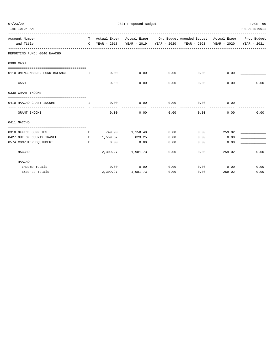| TIME:10:24 AM                     |                                               |                                     |                       |                                                                                                                                                             |               | PREPARER: 0011 |
|-----------------------------------|-----------------------------------------------|-------------------------------------|-----------------------|-------------------------------------------------------------------------------------------------------------------------------------------------------------|---------------|----------------|
| Account Number<br>and Title       |                                               |                                     |                       | T Actual Exper Actual Exper Org Budget Amended Budget Actual Exper Prop Budget<br>C YEAR - 2018 YEAR - 2019 YEAR - 2020 YEAR - 2020 YEAR - 2020 YEAR - 2021 |               |                |
| REPORTING FUND: 0040 NAACHO       |                                               |                                     |                       |                                                                                                                                                             |               |                |
| 0300 CASH                         |                                               |                                     |                       |                                                                                                                                                             |               |                |
|                                   |                                               |                                     |                       |                                                                                                                                                             |               |                |
| 0110 UNENCUMBERED FUND BALANCE    | $\qquad \qquad \mathbb{I} \qquad \qquad 0.00$ | 0.00<br>----------                  | 0.00                  | 0.00<br>------------ --                                                                                                                                     | 0.00          |                |
| CASH                              | 0.00                                          | 0.00                                | 0.00                  |                                                                                                                                                             | 0.00<br>0.00  | 0.00           |
| 0330 GRANT INCOME                 |                                               |                                     |                       |                                                                                                                                                             |               |                |
|                                   |                                               |                                     |                       |                                                                                                                                                             |               |                |
|                                   |                                               |                                     |                       |                                                                                                                                                             |               |                |
| GRANT INCOME                      | 0.00                                          | 0.00                                | 0.00                  | -----------<br>0.00                                                                                                                                         | 0.00          | 0.00           |
| 0411 NACCHO                       |                                               |                                     |                       |                                                                                                                                                             |               |                |
| 0310 OFFICE SUPPLIES              |                                               | E 749.90 1,158.48 0.00              |                       |                                                                                                                                                             | $0.00$ 259.02 |                |
| 0427 OUT OF COUNTY TRAVEL         |                                               | E 1,559.37 823.25                   | 0.00                  | $0.00$ 0.00                                                                                                                                                 |               |                |
| E 0.00<br>0574 COMPUTER EQUIPMENT |                                               | 0.00                                | 0.00                  |                                                                                                                                                             | 0.00<br>0.00  |                |
| NACCHO                            |                                               | ______________<br>2,309.27 1,981.73 | -------------<br>0.00 | 0.00                                                                                                                                                        | 259.02        | 0.00           |
| <b>NAACHO</b>                     |                                               |                                     |                       |                                                                                                                                                             |               |                |
| Income Totals                     |                                               | $0.00$ $0.00$ $0.00$ $0.00$         |                       | $0.00$ 0.00                                                                                                                                                 |               | 0.00           |
| Expense Totals                    |                                               | 2,309.27 1,981.73                   | 0.00                  | 0.00                                                                                                                                                        | 259.02        | 0.00           |
|                                   |                                               |                                     |                       |                                                                                                                                                             |               |                |

07/23/20 2021 Proposed Budget 2021 Proposed Budget 2021 PAGE 60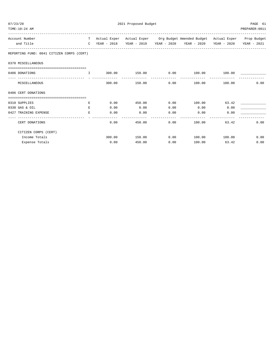| 07/23/20 | TIME:10:24 AM                             |              |        | 2021 Proposed Budget |      |                                                                                |               | PAGE 61<br>PREPARER: 0011 |
|----------|-------------------------------------------|--------------|--------|----------------------|------|--------------------------------------------------------------------------------|---------------|---------------------------|
|          | Account Number                            |              |        |                      |      | T Actual Exper Actual Exper Org Budget Amended Budget Actual Exper Prop Budget |               |                           |
|          | and Title                                 |              |        |                      |      | C YEAR - 2018 YEAR - 2019 YEAR - 2020 YEAR - 2020 YEAR - 2020 YEAR - 2021      |               |                           |
|          | REPORTING FUND: 0041 CITIZEN CORPS (CERT) |              |        |                      |      |                                                                                |               |                           |
|          | 0370 MISCELLANEOUS                        |              |        |                      |      |                                                                                |               |                           |
|          |                                           |              |        |                      |      |                                                                                |               |                           |
|          | 0406 DONATIONS                            | $\mathbf{I}$ | 300.00 |                      |      | $150.00$ $0.00$ $100.00$ $100.00$                                              |               |                           |
|          | MISCELLANEOUS                             |              | 300.00 | 150.00               |      | 0.00<br>100.00                                                                 | 100.00        | 0.00                      |
|          | 0406 CERT DONATIONS                       |              |        |                      |      |                                                                                |               |                           |
|          | 0310 SUPPLIES                             | E            |        |                      |      | $0.00$ 450.00 0.00 100.00                                                      | 63.42         |                           |
|          | 0330 GAS & OIL                            | E.           | 0.00   | 0.00                 | 0.00 | 0.00                                                                           | 0.00          |                           |
|          | 0427 TRAINING EXPENSE                     | E            | 0.00   | 0.00                 | 0.00 | 0.00                                                                           | 0.00          |                           |
|          | CERT DONATIONS                            |              | 0.00   | 450.00               |      | 0.00                                                                           | 100.00 63.42  | 0.00                      |
|          | CITIZEN CORPS (CERT)                      |              |        |                      |      |                                                                                |               |                           |
|          | Income Totals                             |              |        | 300.00 150.00        | 0.00 |                                                                                | 100.00 100.00 | 0.00                      |
|          | Expense Totals                            |              | 0.00   | 450.00               | 0.00 | 100.00                                                                         | 63.42         | 0.00                      |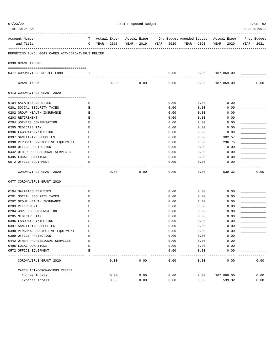| 07/23/20 | TIME:10:24 AM                                             |             |                 |      | 2021 Proposed Budget |      |                         |                     |               |                                                                                               | PAGE 62<br>PREPARER: 0011 |
|----------|-----------------------------------------------------------|-------------|-----------------|------|----------------------|------|-------------------------|---------------------|---------------|-----------------------------------------------------------------------------------------------|---------------------------|
|          | Account Number<br>and Title                               |             | $C$ YEAR - 2018 |      |                      |      | YEAR - 2019 YEAR - 2020 |                     | YEAR - 2020   | T Actual Exper Actual Exper Org Budget Amended Budget Actual Exper Prop Budget<br>YEAR - 2020 | YEAR - 2021               |
|          | REPORTING FUND: 0043 CARES ACT-CORONAVIRUS RELIEF         |             |                 |      |                      |      |                         |                     |               |                                                                                               |                           |
|          | 0330 GRANT INCOME                                         |             |                 |      |                      |      |                         |                     |               |                                                                                               |                           |
|          | 0477 CORONAVIRUS RELIEF FUND                              | Ι.          |                 |      |                      |      |                         | 0.00                | 0.00          | 187,869.00                                                                                    |                           |
|          | GRANT INCOME                                              |             |                 | 0.00 |                      | 0.00 |                         | 0.00                | 0.00          | 187,869.00                                                                                    | 0.00                      |
|          | 0413 CORONAVIRUS GRANT 2020                               |             |                 |      |                      |      |                         |                     |               |                                                                                               |                           |
|          |                                                           |             |                 |      |                      |      |                         |                     |               |                                                                                               |                           |
|          | 0104 SALARIES DEPUTIES                                    | Е           |                 |      |                      |      |                         | 0.00                | 0.00          | 0.00                                                                                          |                           |
|          | 0201 SOCIAL SECURITY TAXES<br>0202 GROUP HEALTH INSURANCE | E<br>Е      |                 |      |                      |      |                         | 0.00                | 0.00<br>0.00  | 0.00                                                                                          |                           |
|          | 0203 RETIREMENT                                           | Е           |                 |      |                      |      |                         | 0.00<br>0.00        | 0.00          | 0.00<br>0.00                                                                                  |                           |
|          | 0204 WORKERS COMPENSATION                                 | Е           |                 |      |                      |      |                         | 0.00                | 0.00          | 0.00                                                                                          |                           |
|          | 0205 MEDICARE TAX                                         | Е           |                 |      |                      |      |                         | 0.00                | 0.00          | 0.00                                                                                          |                           |
|          | 0396 LABORATORY/TESTING                                   | E           |                 |      |                      |      |                         | 0.00                | 0.00          | 0.00                                                                                          |                           |
|          | 0397 SANITIZING SUPPLIES                                  | Е           |                 |      |                      |      |                         | 0.00                | 0.00          | 302.57                                                                                        |                           |
|          | 0398 PERSONAL PROTECTIVE EQUIPMENT                        | Е           |                 |      |                      |      |                         | 0.00                | 0.00          | 236.75                                                                                        |                           |
|          | 0399 OFFICE PROTECTION                                    | Е           |                 |      |                      |      |                         | 0.00                | 0.00          | 0.00                                                                                          |                           |
|          | 0442 OTHER PROFESSIONAL SERVICES                          | Ε           |                 |      |                      |      |                         | 0.00                | 0.00          | 0.00                                                                                          |                           |
|          | 0495 LOCAL DONATIONS                                      | Е           |                 |      |                      |      |                         | 0.00                | 0.00          | 0.00                                                                                          |                           |
|          | 0572 OFFICE EQUIPMENT<br>---------------                  | E           |                 |      |                      |      |                         | 0.00<br>$- - - - -$ | 0.00<br>----- | 0.00<br>----------                                                                            |                           |
|          | CORONAVIRUS GRANT 2020                                    |             |                 | 0.00 |                      | 0.00 |                         | 0.00                | 0.00          | 539.32                                                                                        | 0.00                      |
|          | 0477 CORONAVIRUS GRANT 2020                               |             |                 |      |                      |      |                         |                     |               |                                                                                               |                           |
|          | 0104 SALARIES DEPUTIES                                    | Е           |                 |      |                      |      |                         | 0.00                | 0.00          | 0.00                                                                                          |                           |
|          | 0201 SOCIAL SECURITY TAXES                                | Е           |                 |      |                      |      |                         | 0.00                | 0.00          | 0.00                                                                                          |                           |
|          | 0202 GROUP HEALTH INSURANCE                               | Е           |                 |      |                      |      |                         | 0.00                | 0.00          | 0.00                                                                                          |                           |
|          | 0203 RETIREMENT                                           | Е           |                 |      |                      |      |                         | 0.00                | 0.00          | 0.00                                                                                          |                           |
|          | 0204 WORKERS COMPENSATION                                 | Ε           |                 |      |                      |      |                         | 0.00                | 0.00          | 0.00                                                                                          |                           |
|          | 0205 MEDICARE TAX                                         | E           |                 |      |                      |      |                         | 0.00                | 0.00          | 0.00                                                                                          |                           |
|          | 0396 LABORATORY/TESTING                                   | E           |                 |      |                      |      |                         | 0.00                | 0.00          | 0.00                                                                                          |                           |
|          | 0397 SANITIZING SUPPLIES                                  | Ε           |                 |      |                      |      |                         | 0.00                | 0.00          | 0.00                                                                                          |                           |
|          | 0398 PERSONAL PROTECTIVE EQUIPMENT                        | E           |                 |      |                      |      |                         | 0.00                | 0.00          | 0.00                                                                                          |                           |
|          | 0399 OFFICE PROTECTION                                    | E           |                 |      |                      |      |                         | 0.00                | 0.00          | 0.00                                                                                          |                           |
|          | 0442 OTHER PROFESSIONAL SERVICES                          | $\mathbf E$ |                 |      |                      |      |                         | 0.00                | 0.00          | 0.00                                                                                          |                           |
|          | 0495 LOCAL DONATIONS                                      | E           |                 |      |                      |      |                         | 0.00                | 0.00          | 0.00                                                                                          |                           |
|          | 0572 OFFICE EQUIPMENT                                     | E           |                 |      |                      |      |                         | 0.00                | 0.00          | 0.00                                                                                          |                           |
|          | ------------<br>CORONAVIRUS GRANT 2020                    |             |                 | 0.00 |                      | 0.00 |                         | 0.00                | 0.00          | 0.00                                                                                          | 0.00                      |
|          | CARES ACT-CORONAVIRUS RELIEF                              |             |                 |      |                      |      |                         |                     |               |                                                                                               |                           |
|          | Income Totals                                             |             |                 | 0.00 |                      | 0.00 |                         | 0.00                | 0.00          | 187,869.00                                                                                    | 0.00                      |
|          | Expense Totals                                            |             |                 | 0.00 |                      | 0.00 |                         | 0.00                | 0.00          | 539.32                                                                                        | 0.00                      |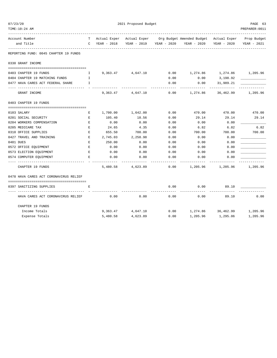| 07/23/20<br>TIME:10:24 AM              |              |              | 2021 Proposed Budget |             | ---------------------------                         |                        | PAGE 63<br>PREPARER: 0011 |
|----------------------------------------|--------------|--------------|----------------------|-------------|-----------------------------------------------------|------------------------|---------------------------|
| Account Number                         | T –          | Actual Exper |                      |             | Actual Exper Org Budget Amended Budget Actual Exper |                        | Prop Budget               |
| and Title                              | $\mathsf{C}$ | YEAR - 2018  | YEAR - 2019          | YEAR - 2020 | YEAR - 2020                                         | YEAR - 2020            | YEAR - 2021               |
| REPORTING FUND: 0045 CHAPTER 19 FUNDS  |              |              |                      |             |                                                     |                        |                           |
| 0330 GRANT INCOME                      |              |              |                      |             |                                                     |                        |                           |
| 0403 CHAPTER 19 FUNDS                  | $\mathbf I$  |              | 9,363.47 4,647.10    | 0.00        | 1,274.86                                            | 1,274.86 1,205.96      |                           |
| 0404 CHAPTER 19 MATCHING FUNDS         | I            |              |                      | 0.00        | 0.00                                                | 3,198.92               |                           |
| 0477 HAVA CARES ACT FEDERAL SHARE      | I            |              |                      | 0.00        | 0.00                                                | 31,989.21              |                           |
| GRANT INCOME                           |              | 9,363.47     | 4,647.10             | 0.00        | 1,274.86                                            | ---------<br>36,462.99 | 1,205.96                  |
| 0403 CHAPTER 19 FUNDS                  |              |              |                      |             |                                                     |                        |                           |
| 0103 SALARY                            | Е            | 1,700.00     | 1,642.00             | 0.00        | 470.00                                              | 470.00                 | 470.00                    |
| 0201 SOCIAL SECURITY                   | E            | 105.40       | 18.56                | 0.00        | 29.14                                               | 29.14                  | 29.14                     |
| 0204 WORKERS COMPENSATION              | $\mathbf E$  | 0.00         | 0.00                 | 0.00        | 0.00                                                | 0.00                   |                           |
| 0205 MEDICARE TAX                      | E            | 24.65        | 4.35                 | 0.00        | 6.82                                                | 6.82                   | 6.82                      |
| 0310 OFFICE SUPPLIES                   | E            | 655.50       | 700.00               | 0.00        | 700.00                                              | 700.00                 | 700.00                    |
| 0427 TRAVEL AND TRAINING               | $\mathbf E$  | 2,745.03     | 2,258.98             | 0.00        | 0.00                                                | 0.00                   |                           |
| 0481 DUES                              | $\mathbf E$  | 250.00       | 0.00                 | 0.00        | 0.00                                                | 0.00                   |                           |
| 0572 OFFICE EQUIPMENT                  | E.           | 0.00         | 0.00                 | 0.00        | 0.00                                                | 0.00                   |                           |
| 0573 ELECTION EQUIPMENT                | E            | 0.00         | 0.00                 | 0.00        | 0.00                                                | 0.00                   |                           |
| 0574 COMPUTER EQUIPMENT                | E            | 0.00         | 0.00                 | 0.00        | 0.00                                                | 0.00                   |                           |
| CHAPTER 19 FUNDS                       |              | 5,480.58     | 4,623.89             | 0.00        | 1,205.96                                            | 1,205.96               | 1,205.96                  |
| 0478 HAVA CARES ACT CORONAVIRUS RELIEF |              |              |                      |             |                                                     |                        |                           |
| 0397 SANITIZING SUPPLIES               | E.           |              |                      | 0.00        | 0.00                                                | 89.10                  |                           |
| HAVA CARES ACT CORONAVIRUS RELIEF      |              | 0.00         | 0.00                 | 0.00        | 0.00                                                | 89.10                  | 0.00                      |
| CHAPTER 19 FUNDS                       |              |              |                      |             |                                                     |                        |                           |
| Income Totals                          |              | 9,363.47     | 4,647.10             | 0.00        | 1,274.86                                            | 36,462.99              | 1,205.96                  |
| Expense Totals                         |              | 5,480.58     | 4,623.89             | 0.00        | 1,205.96                                            | 1,295.06               | 1,205.96                  |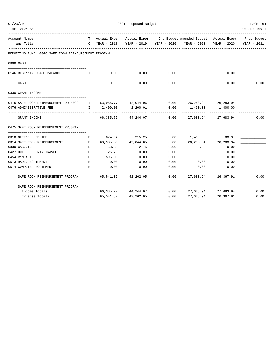| 07/23/20 |                                                      |              |             |                           |      | 2021 Proposed Budget                                                           |                     |                |  |  |  |  |  |  |
|----------|------------------------------------------------------|--------------|-------------|---------------------------|------|--------------------------------------------------------------------------------|---------------------|----------------|--|--|--|--|--|--|
|          | TIME:10:24 AM                                        |              |             |                           |      |                                                                                |                     | PREPARER: 0011 |  |  |  |  |  |  |
|          | Account Number                                       |              |             |                           |      | T Actual Exper Actual Exper Org Budget Amended Budget Actual Exper Prop Budget |                     |                |  |  |  |  |  |  |
|          | and Title                                            | $\mathbb{C}$ | YEAR - 2018 |                           |      | YEAR - 2019 YEAR - 2020 YEAR - 2020 YEAR - 2020                                |                     | YEAR - 2021    |  |  |  |  |  |  |
|          | REPORTING FUND: 0046 SAFE ROOM REIMBURSEMENT PROGRAM |              |             |                           |      |                                                                                |                     |                |  |  |  |  |  |  |
|          | 0300 CASH                                            |              |             |                           |      |                                                                                |                     |                |  |  |  |  |  |  |
|          | 0146 BEGINNING CASH BALANCE                          | $\mathbf{I}$ | 0.00        | 0.00                      | 0.00 | 0.00                                                                           | 0.00                |                |  |  |  |  |  |  |
|          | CASH                                                 |              | 0.00        | 0.00                      | 0.00 | 0.00                                                                           | 0.00                | 0.00           |  |  |  |  |  |  |
|          | 0330 GRANT INCOME                                    |              |             |                           |      |                                                                                |                     |                |  |  |  |  |  |  |
|          | 0475 SAFE ROOM REIMBURSEMENT DR-4029 I               |              |             |                           |      | $63,985.77$ $42,044.06$ $0.00$ $26,283.94$ $26,283.94$                         |                     |                |  |  |  |  |  |  |
|          | 0476 ADMINISTRATIVE FEE                              | $\mathbf{I}$ | 2,400.00    | 2,200.01<br>------------- | 0.00 | 1,400.00 1,400.00                                                              | ------------        |                |  |  |  |  |  |  |
|          | GRANT INCOME                                         |              |             | 66,385.77 44,244.07 0.00  |      |                                                                                | 27,683.94 27,683.94 | 0.00           |  |  |  |  |  |  |
|          | 0475 SAFE ROOM REIMBURSEMENT PROGRAM                 |              |             |                           |      |                                                                                |                     |                |  |  |  |  |  |  |
|          | 0310 OFFICE SUPPLIES                                 | E            |             | 874.94 215.25             |      | 0.00 1,400.00                                                                  | 83.97               |                |  |  |  |  |  |  |
|          | 0314 SAFE ROOM REIMBURSEMENT                         | E            |             | 63,985.80 42,044.05       | 0.00 | 26,283.94                                                                      | 26,283.94           |                |  |  |  |  |  |  |
|          | 0330 GAS/OIL                                         | E            | 58.88       | 2.75                      | 0.00 | 0.00                                                                           | 0.00                |                |  |  |  |  |  |  |
|          | 0427 OUT OF COUNTY TRAVEL                            | $\mathbf E$  | 26.75       | 0.00                      | 0.00 | 0.00                                                                           | 0.00                |                |  |  |  |  |  |  |
|          | 0454 R&M AUTO                                        | E.           | 595.00      | 0.00                      | 0.00 | 0.00                                                                           | 0.00                |                |  |  |  |  |  |  |
|          | 0573 RADIO EQUIPMENT                                 | Е            | 0.00        | 0.00                      | 0.00 | 0.00                                                                           | 0.00                |                |  |  |  |  |  |  |
|          | 0574 COMPUTER EQUIPMENT                              | Е            | 0.00        | 0.00                      | 0.00 | 0.00                                                                           | 0.00                |                |  |  |  |  |  |  |
|          | SAFE ROOM REIMBURSEMENT PROGRAM                      |              |             | 65,541.37 42,262.05       | 0.00 |                                                                                | 27,683.94 26,367.91 | 0.00           |  |  |  |  |  |  |
|          | SAFE ROOM REIMBURSEMENT PROGRAM                      |              |             |                           |      |                                                                                |                     |                |  |  |  |  |  |  |
|          | Income Totals                                        |              |             | 66,385.77 44,244.07 0.00  |      |                                                                                | 27,683.94 27,683.94 | 0.00           |  |  |  |  |  |  |
|          | Expense Totals                                       |              |             | 65, 541.37 42, 262.05     | 0.00 |                                                                                | 27,683.94 26,367.91 | 0.00           |  |  |  |  |  |  |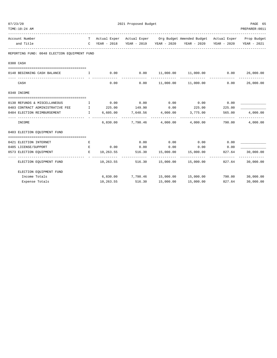| 2021 Proposed Budget<br>07/23/20                           |                                                                                                                                                                                                                                                                                                  |                          |                                               |                |                                                                                |                         | PAGE 65          |
|------------------------------------------------------------|--------------------------------------------------------------------------------------------------------------------------------------------------------------------------------------------------------------------------------------------------------------------------------------------------|--------------------------|-----------------------------------------------|----------------|--------------------------------------------------------------------------------|-------------------------|------------------|
| TIME:10:24 AM                                              |                                                                                                                                                                                                                                                                                                  |                          |                                               |                |                                                                                |                         | PREPARER: 0011   |
| Account Number                                             |                                                                                                                                                                                                                                                                                                  |                          |                                               |                | T Actual Exper Actual Exper Org Budget Amended Budget Actual Exper Prop Budget |                         |                  |
| and Title                                                  |                                                                                                                                                                                                                                                                                                  | C YEAR - 2018            |                                               |                | YEAR - 2019 YEAR - 2020 YEAR - 2020 YEAR - 2020                                |                         | YEAR - 2021      |
| REPORTING FUND: 0048 ELECTION EQUIPMENT FUND               |                                                                                                                                                                                                                                                                                                  |                          |                                               |                |                                                                                |                         |                  |
| 0300 CASH                                                  |                                                                                                                                                                                                                                                                                                  |                          |                                               |                |                                                                                |                         |                  |
| 0148 BEGINNING CASH BALANCE                                | $\mathbf{I}$ and $\mathbf{I}$ and $\mathbf{I}$ and $\mathbf{I}$ and $\mathbf{I}$ and $\mathbf{I}$ and $\mathbf{I}$ and $\mathbf{I}$ and $\mathbf{I}$ and $\mathbf{I}$ and $\mathbf{I}$ and $\mathbf{I}$ and $\mathbf{I}$ and $\mathbf{I}$ and $\mathbf{I}$ and $\mathbf{I}$ and $\mathbf{I}$ and |                          | $0.00$ 0.00                                   |                | $11,000.00$ $11,000.00$ $0.00$ $26,000.00$                                     |                         |                  |
|                                                            |                                                                                                                                                                                                                                                                                                  |                          |                                               |                |                                                                                |                         | -------------    |
| CASH                                                       |                                                                                                                                                                                                                                                                                                  | 0.00                     | 0.00                                          |                | $11,000.00$ $11,000.00$                                                        | 0.00                    | 26,000.00        |
| 0340 INCOME                                                |                                                                                                                                                                                                                                                                                                  |                          |                                               |                |                                                                                |                         |                  |
| 0130 REFUNDS & MISCELLANEOUS                               | $\mathbf{I}$ and $\mathbf{I}$ and $\mathbf{I}$ and $\mathbf{I}$ and $\mathbf{I}$ and $\mathbf{I}$ and $\mathbf{I}$ and $\mathbf{I}$ and $\mathbf{I}$ and $\mathbf{I}$ and $\mathbf{I}$ and $\mathbf{I}$ and $\mathbf{I}$ and $\mathbf{I}$ and $\mathbf{I}$ and $\mathbf{I}$ and $\mathbf{I}$ and |                          | $0.00$ $0.00$ $0.00$ $0.00$                   |                | $0.00$ 0.00                                                                    |                         |                  |
| 0403 CONTRACT ADMINISTRATIVE FEE T                         |                                                                                                                                                                                                                                                                                                  |                          |                                               |                | $225.00$ $149.90$ $0.00$ $225.00$                                              | 225.00                  |                  |
| 0484 ELECTION REIMBURSEMENT                                | $\mathbf{I}$ and $\mathbf{I}$ and $\mathbf{I}$                                                                                                                                                                                                                                                   | 6,605.00                 | 7,648.56 4,000.00 3,775.00                    |                | --------------                                                                 | 565.00<br>------------- | 4,000.00         |
| INCOME                                                     |                                                                                                                                                                                                                                                                                                  |                          |                                               |                | $6.830.00$ $7.798.46$ $4.000.00$ $4.000.00$                                    | 790.00                  | 4,000.00         |
| 0403 ELECTION EOUIPMENT FUND                               |                                                                                                                                                                                                                                                                                                  |                          |                                               |                |                                                                                |                         |                  |
|                                                            |                                                                                                                                                                                                                                                                                                  |                          |                                               |                |                                                                                |                         |                  |
| 0421 ELECTION INTERNET                                     | Е                                                                                                                                                                                                                                                                                                |                          | 0.00                                          | 0.00           | $0.00$ 0.00                                                                    |                         |                  |
| 0485 LICENSE/SUPPORT                                       | $\,$ E                                                                                                                                                                                                                                                                                           | 0.00                     | 0.00                                          | 0.00           | 0.00                                                                           | 0.00                    |                  |
| 0573 ELECTION EQUIPMENT<br>------------------------------- | E                                                                                                                                                                                                                                                                                                | 10,263.55<br>----------- | 516.30  15,000.00  15,000.00<br>------------- | -------------- | --------------                                                                 | 827.64<br>------------- | 30,000.00        |
| ELECTION EQUIPMENT FUND                                    |                                                                                                                                                                                                                                                                                                  |                          |                                               |                | $10,263.55$ 516.30 15,000.00 15,000.00 827.64 30,000.00                        |                         |                  |
| ELECTION EQUIPMENT FUND                                    |                                                                                                                                                                                                                                                                                                  |                          |                                               |                |                                                                                |                         |                  |
| Income Totals                                              |                                                                                                                                                                                                                                                                                                  |                          |                                               |                | $6,830.00$ $7,798.46$ $15,000.00$ $15,000.00$                                  |                         | 790.00 30,000.00 |
| Expense Totals                                             |                                                                                                                                                                                                                                                                                                  | 10,263.55                | 516.30                                        | 15,000.00      | 15,000.00                                                                      | 827.64                  | 30,000.00        |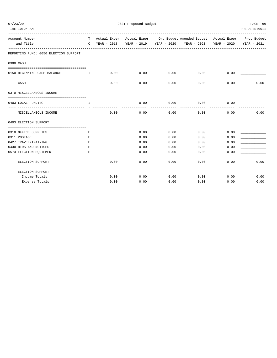| 07/23/20                              | 2021 Proposed Budget |               |                     |                     |                                                                                |      |                |  |
|---------------------------------------|----------------------|---------------|---------------------|---------------------|--------------------------------------------------------------------------------|------|----------------|--|
| TIME: 10:24 AM<br>______________      |                      |               |                     |                     |                                                                                |      | PREPARER: 0011 |  |
| Account Number                        |                      |               |                     |                     | T Actual Exper Actual Exper Org Budget Amended Budget Actual Exper Prop Budget |      |                |  |
| and Title                             |                      | C YEAR - 2018 |                     |                     | YEAR - 2019 YEAR - 2020 YEAR - 2020 YEAR - 2020                                |      | YEAR - 2021    |  |
| REPORTING FUND: 0050 ELECTION SUPPORT |                      |               |                     |                     |                                                                                |      |                |  |
| 0300 CASH                             |                      |               |                     |                     |                                                                                |      |                |  |
| 0150 BEGINNING CASH BALANCE           | $\top$               | 0.00          | 0.00<br>----------- | 0.00<br>----------- | 0.00<br>------------                                                           | 0.00 |                |  |
| CASH                                  |                      | 0.00          | 0.00                | 0.00                | 0.00                                                                           | 0.00 | 0.00           |  |
| 0370 MISCELLANEOUS INCOME             |                      |               |                     |                     |                                                                                |      |                |  |
| 0403 LOCAL FUNDING                    | T.                   |               | 0.00                | 0.00                | 0.00                                                                           | 0.00 |                |  |
| MISCELLANEOUS INCOME                  |                      | 0.00          | 0.00                | 0.00                | 0.00                                                                           | 0.00 | 0.00           |  |
| 0403 ELECTION SUPPORT                 |                      |               |                     |                     |                                                                                |      |                |  |
|                                       |                      |               |                     |                     |                                                                                |      |                |  |
| 0310 OFFICE SUPPLIES                  | Е                    |               | 0.00                | 0.00                | 0.00                                                                           | 0.00 |                |  |
| 0311 POSTAGE                          | Е                    |               | 0.00                | 0.00                | 0.00                                                                           | 0.00 |                |  |
| 0427 TRAVEL/TRAINING                  | E                    |               | 0.00                | 0.00                | 0.00                                                                           | 0.00 |                |  |
| 0430 BIDS AND NOTICES                 | $\mathbf E$          |               | 0.00                | 0.00                | 0.00                                                                           | 0.00 |                |  |
| 0573 ELECTION EQUIPMENT               | E                    |               | 0.00                | 0.00                | 0.00                                                                           | 0.00 |                |  |
| ELECTION SUPPORT                      |                      | 0.00          | 0.00                | 0.00                | 0.00                                                                           | 0.00 | 0.00           |  |
| ELECTION SUPPORT                      |                      |               |                     |                     |                                                                                |      |                |  |
| Income Totals                         |                      | 0.00          | 0.00                | 0.00                | 0.00                                                                           | 0.00 | 0.00           |  |
| Expense Totals                        |                      | 0.00          | 0.00                | 0.00                | 0.00                                                                           | 0.00 | 0.00           |  |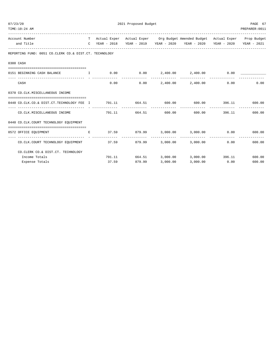| 07/23/20<br>TIME:10:24 AM                                                           | 2021 Proposed Budget<br>PREPARER: 0011 |                |                                        |               |                                                                                                                                                 |               |                             |  |  |
|-------------------------------------------------------------------------------------|----------------------------------------|----------------|----------------------------------------|---------------|-------------------------------------------------------------------------------------------------------------------------------------------------|---------------|-----------------------------|--|--|
| Account Number<br>and Title                                                         |                                        |                |                                        |               | T Actual Exper Actual Exper Org Budget Amended Budget Actual Exper Prop Budget<br>C YEAR - 2018 YEAR - 2019 YEAR - 2020 YEAR - 2020 YEAR - 2020 |               | YEAR - 2021                 |  |  |
| REPORTING FUND: 0051 CO.CLERK CO.& DIST.CT. TECHNOLOGY                              |                                        |                |                                        |               |                                                                                                                                                 |               |                             |  |  |
| 0300 CASH                                                                           |                                        |                |                                        |               |                                                                                                                                                 |               |                             |  |  |
| 0151 BEGINNING CASH BALANCE<br>$\mathbf{T}$ and $\mathbf{T}$ and $\mathbf{T}$       |                                        |                |                                        |               | $0.00$ $0.00$ $2,400.00$ $2,400.00$ $0.00$ $0.00$                                                                                               |               |                             |  |  |
| CASH                                                                                |                                        | 0.00           |                                        |               | $0.00$ 2,400.00 2,400.00                                                                                                                        | 0.00          | 0.00                        |  |  |
| 0370 CO.CLK.MISCELLANEOUS INCOME                                                    |                                        |                |                                        |               |                                                                                                                                                 |               |                             |  |  |
| 0440 CO.CLK.CO.& DIST.CT.TECHNOLOGY FEE I 791.11 664.51 600.00 600.00 396.11 600.00 |                                        |                |                                        |               |                                                                                                                                                 |               |                             |  |  |
| -------------------------------<br>CO.CLK.MISCELLANEOUS INCOME                      |                                        | -------------- | --------------<br>791.11 664.51 600.00 | ------------- | --------------<br>600.00                                                                                                                        | 396.11        | 600.00                      |  |  |
| 0440 CO.CLK.COURT TECHNOLOGY EQUIPMENT                                              |                                        |                |                                        |               |                                                                                                                                                 |               |                             |  |  |
| 0572 OFFICE EQUIPMENT                                                               | E                                      |                |                                        |               | $37.59$ $879.99$ $3,000.00$ $3,000.00$ $0.00$ $0.00$ $600.00$                                                                                   |               |                             |  |  |
| CO.CLK.COURT TECHNOLOGY EOUIPMENT                                                   |                                        |                |                                        |               | $37.59$ $879.99$ $3,000.00$ $3,000.00$                                                                                                          |               | $0.00$ and $0.00$<br>600.00 |  |  |
| CO. CLERK CO. & DIST. CT. TECHNOLOGY                                                |                                        |                |                                        |               |                                                                                                                                                 |               |                             |  |  |
| Income Totals                                                                       |                                        |                |                                        |               | 791.11 664.51 3,000.00 3,000.00 396.11 600.00                                                                                                   |               |                             |  |  |
| Expense Totals                                                                      |                                        | 37.59          | 879.99                                 | 3,000.00      |                                                                                                                                                 | 3,000.00 0.00 | 600.00                      |  |  |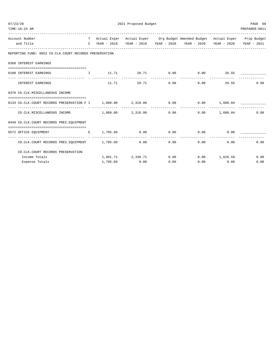| 07/23/20                                                                             | 2021 Proposed Budget |  |                   |      |                                                                                                                                                                                                        |              |                |  |  |
|--------------------------------------------------------------------------------------|----------------------|--|-------------------|------|--------------------------------------------------------------------------------------------------------------------------------------------------------------------------------------------------------|--------------|----------------|--|--|
| TIME:10:24 AM                                                                        |                      |  |                   |      |                                                                                                                                                                                                        |              | PREPARER: 0011 |  |  |
| Account Number                                                                       |                      |  |                   |      | T Actual Exper Actual Exper Org Budget Amended Budget Actual Exper Prop Budget                                                                                                                         |              |                |  |  |
| and Title                                                                            |                      |  |                   |      | C YEAR - 2018 YEAR - 2019 YEAR - 2020 YEAR - 2020 YEAR - 2020 YEAR - 2021                                                                                                                              |              |                |  |  |
| REPORTING FUND: 0052 CO.CLK.COURT RECORDS PRESERVATION                               |                      |  |                   |      |                                                                                                                                                                                                        |              |                |  |  |
| 0360 INTEREST EARNINGS                                                               |                      |  |                   |      |                                                                                                                                                                                                        |              |                |  |  |
| ================================<br>0100 INTEREST EARNINGS                           |                      |  |                   |      | $\qquad \qquad \mathbf{I} \qquad \qquad \mathbf{11.71} \qquad \qquad \mathbf{28.71} \qquad \qquad \mathbf{0.00} \qquad \qquad \mathbf{0.00} \qquad \qquad \mathbf{26.55} \qquad \qquad \mathbf{29.71}$ |              |                |  |  |
| INTEREST EARNINGS                                                                    |                      |  |                   |      | $11.71 \t28.71 \t0.00 \t0.00$                                                                                                                                                                          |              | 26.55<br>0.00  |  |  |
| 0370 CO.CLK.MISCELLANEOUS INCOME                                                     |                      |  |                   |      |                                                                                                                                                                                                        |              |                |  |  |
| 0133 CO.CLK.COURT RECORDS PRESERVATION F I 1,880.00 2,310.00 0.00 0.00 0.00 1,600.04 |                      |  |                   |      |                                                                                                                                                                                                        |              |                |  |  |
| $CO.CLK.MISCELLANEOUS INCOME$ $1,880.00$ $2,310.00$ $0.00$ $0.00$ $1,600.04$         |                      |  |                   |      |                                                                                                                                                                                                        |              | 0.00           |  |  |
| 0449 CO.CLK.COURT RECORDS PRES.EOUIPMENT                                             |                      |  |                   |      |                                                                                                                                                                                                        |              |                |  |  |
|                                                                                      |                      |  |                   |      |                                                                                                                                                                                                        |              |                |  |  |
| CO.CLK.COURT RECORDS PRES.EQUIPMENT 1,795.60                                         |                      |  |                   | 0.00 | 0.00                                                                                                                                                                                                   | 0.00         | 0.00<br>0.00   |  |  |
| CO. CLK. COURT RECORDS PRESERVATION                                                  |                      |  |                   |      |                                                                                                                                                                                                        |              |                |  |  |
| Income Totals                                                                        |                      |  | 1,891.71 2,338.71 |      | $0.00$ $0.00$ $1,626.59$                                                                                                                                                                               |              | 0.00           |  |  |
| Expense Totals                                                                       |                      |  | 1,795.60 0.00     | 0.00 |                                                                                                                                                                                                        | 0.00<br>0.00 | 0.00           |  |  |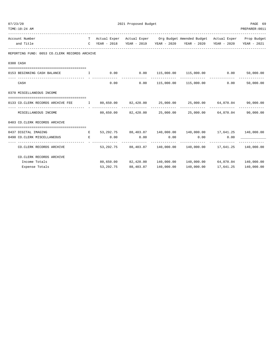| 07/23/20       |                                                                                                       |   | 2021 Proposed Budget | PAGE 69                     |      |                                                                                                                                                       |           |                            |
|----------------|-------------------------------------------------------------------------------------------------------|---|----------------------|-----------------------------|------|-------------------------------------------------------------------------------------------------------------------------------------------------------|-----------|----------------------------|
|                | TIME:10:24 AM                                                                                         |   |                      |                             |      |                                                                                                                                                       |           | PREPARER: 0011             |
| Account Number |                                                                                                       |   |                      |                             |      | T Actual Exper Actual Exper Org Budget Amended Budget Actual Exper Prop Budget                                                                        |           |                            |
|                | and Title                                                                                             |   |                      |                             |      | C YEAR - 2018 YEAR - 2019 YEAR - 2020 YEAR - 2020 YEAR - 2020 YEAR - 2021                                                                             |           |                            |
|                | REPORTING FUND: 0053 CO.CLERK RECORDS ARCHIVE                                                         |   |                      |                             |      |                                                                                                                                                       |           |                            |
|                | 0300 CASH                                                                                             |   |                      |                             |      |                                                                                                                                                       |           |                            |
|                |                                                                                                       |   |                      |                             |      |                                                                                                                                                       |           |                            |
|                | 0153 BEGINNING CASH BALANCE                                                                           |   |                      | ----------                  |      | $\qquad \qquad \textrm{I} \qquad \qquad 0.00 \qquad \qquad 0.00 \qquad \quad \textrm{115,000.00} \qquad \quad \textrm{115,000.00} \qquad \qquad 0.00$ |           | 50,000.00<br>------------- |
|                | CASH                                                                                                  |   |                      | 0.00                        |      | $0.00$ 115,000.00 115,000.00                                                                                                                          | 0.00      | 50,000.00                  |
|                | 0370 MISCELLANEOUS INCOME                                                                             |   |                      |                             |      |                                                                                                                                                       |           |                            |
|                | 0133 CO.CLERK RECORDS ARCHIVE FEE T 80,650.00 82,420.00 25,000.00 25,000.00 64,870.04 90,000.00       |   |                      |                             |      |                                                                                                                                                       |           |                            |
|                | MISCELLANEOUS INCOME                                                                                  |   |                      |                             |      | $80,650.00$ $82,420.00$ $25,000.00$ $25,000.00$ $64,870.04$                                                                                           |           | 90,000.00                  |
|                | 0403 CO. CLERK RECORDS ARCHIVE                                                                        |   |                      |                             |      |                                                                                                                                                       |           |                            |
|                | E   53,292.75    88,403.87   140,000.00   140,000.00   17,641.25   140,000.00<br>0437 DIGITAL IMAGING |   |                      |                             |      |                                                                                                                                                       |           |                            |
|                | 0490 CO.CLERK MISCELLANEOUS                                                                           | E | 0.00                 | 0.00                        | 0.00 | 0.00                                                                                                                                                  | 0.00      |                            |
|                | -------------------------------<br>CO.CLERK RECORDS ARCHIVE                                           |   |                      | ------------ -------------- |      | $53,292.75$ $88,403.87$ $140,000.00$ $140,000.00$ $17,641.25$ $140,000.00$                                                                            |           |                            |
|                | CO. CLERK RECORDS ARCHIVE                                                                             |   |                      |                             |      |                                                                                                                                                       |           |                            |
|                | Income Totals                                                                                         |   |                      |                             |      | $80,650.00$ $82,420.00$ $140,000.00$ $140,000.00$ $64,870.04$ $140,000.00$                                                                            |           |                            |
|                | Expense Totals                                                                                        |   | 53,292.75            |                             |      | 140,000.00                                                                                                                                            | 17,641.25 | 140,000.00                 |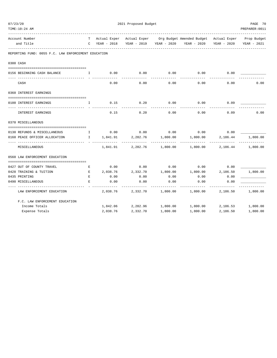| TIME:10:24 AM<br>PREPARER: 0011 |                                                                                   |   |                 |                   |                   |                                                                                                                       |             |             |  |  |  |
|---------------------------------|-----------------------------------------------------------------------------------|---|-----------------|-------------------|-------------------|-----------------------------------------------------------------------------------------------------------------------|-------------|-------------|--|--|--|
|                                 | Account Number<br>and Title                                                       |   | C YEAR - 2018   |                   |                   | T Actual Exper Actual Exper Org Budget Amended Budget Actual Exper Prop Budget<br>YEAR - 2019 YEAR - 2020 YEAR - 2020 | YEAR - 2020 | YEAR - 2021 |  |  |  |
|                                 | REPORTING FUND: 0055 F.C. LAW ENFORCEMENT EDUCATION                               |   |                 |                   |                   |                                                                                                                       |             |             |  |  |  |
|                                 | 0300 CASH                                                                         |   |                 |                   |                   |                                                                                                                       |             |             |  |  |  |
|                                 | 0156 BEGINNING CASH BALANCE<br>$\mathbf{I}$ and $\mathbf{I}$ and $\mathbf{I}$     |   | 0.00            | 0.00              | 0.00              | 0.00                                                                                                                  | 0.00        |             |  |  |  |
|                                 | CASH                                                                              |   | 0.00            | 0.00              | 0.00              | 0.00                                                                                                                  | 0.00        | 0.00        |  |  |  |
|                                 | 0360 INTEREST EARNINGS                                                            |   |                 |                   |                   |                                                                                                                       |             |             |  |  |  |
|                                 | 0100 INTEREST EARNINGS<br>. The contract of $\mathbf{I}$ is a set of $\mathbf{I}$ |   | 0.15            | 0.20              | 0.00              | 0.00                                                                                                                  | 0.09        |             |  |  |  |
|                                 | INTEREST EARNINGS                                                                 |   | 0.15            | 0.20              | 0.00              | 0.00                                                                                                                  | 0.09        | 0.00        |  |  |  |
|                                 | 0370 MISCELLANEOUS                                                                |   |                 |                   |                   |                                                                                                                       |             |             |  |  |  |
|                                 | 0130 REFUNDS & MISCELLANEOUS                                                      |   | $I = 0.00$ 0.00 |                   | 0.00              | 0.00                                                                                                                  | 0.00        |             |  |  |  |
|                                 | 0160 PEACE OFFICER ALLOCATION                                                     |   |                 |                   |                   | I 1,841.91 2,282.76 1,800.00 1,800.00 2,186.44                                                                        |             | 1,800.00    |  |  |  |
|                                 | MISCELLANEOUS                                                                     |   | 1,841.91        |                   | 2,282.76 1,800.00 | 1,800.00                                                                                                              | 2,186.44    | 1,800.00    |  |  |  |
|                                 | 0560 LAW ENFORCEMENT EDUCATION                                                    |   |                 |                   |                   |                                                                                                                       |             |             |  |  |  |
|                                 | 0427 OUT OF COUNTY TRAVEL                                                         | Е | 0.00            | 0.00              | 0.00              | 0.00                                                                                                                  | 0.00        |             |  |  |  |
|                                 | 0428 TRAINING & TUITION<br><b>Experience of the Experience E</b>                  |   | 2,038.76        | 2,332.70          | 1,800.00          | 1,800.00                                                                                                              | 2,186.50    | 1,800.00    |  |  |  |
|                                 | 0435 PRINTING                                                                     | E | 0.00            | 0.00              | 0.00              | 0.00                                                                                                                  | 0.00        |             |  |  |  |
|                                 | 0490 MISCELLANEOUS                                                                | E | 0.00            | 0.00              | 0.00              | 0.00                                                                                                                  | 0.00        |             |  |  |  |
|                                 | LAW ENFORCEMENT EDUCATION                                                         |   |                 | 2,038.76 2,332.70 | 1,800.00          | 1,800.00                                                                                                              | 2,186.50    | 1,800.00    |  |  |  |
|                                 | F.C. LAW ENFORCEMENT EDUCATION                                                    |   |                 |                   |                   |                                                                                                                       |             |             |  |  |  |
|                                 | Income Totals                                                                     |   |                 |                   |                   | $1,842.06$ $2,282.96$ $1,800.00$ $1,800.00$ $2,186.53$ $1,800.00$                                                     |             |             |  |  |  |
|                                 | Expense Totals                                                                    |   | 2,038.76        | 2,332.70          | 1,800.00          | 1,800.00                                                                                                              | 2,186.50    | 1,800.00    |  |  |  |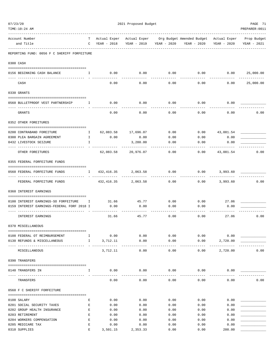| 07/23/20 |                                                                                                                                                                                                                                                                                                                                 | 2021 Proposed Budget |                     |             |          |                   |             |                                                     |                |
|----------|---------------------------------------------------------------------------------------------------------------------------------------------------------------------------------------------------------------------------------------------------------------------------------------------------------------------------------|----------------------|---------------------|-------------|----------|-------------------|-------------|-----------------------------------------------------|----------------|
|          | TIME:10:24 AM                                                                                                                                                                                                                                                                                                                   |                      |                     |             |          |                   |             |                                                     | PREPARER: 0011 |
|          | Account Number                                                                                                                                                                                                                                                                                                                  | T                    | Actual Exper        |             |          |                   |             | Actual Exper Org Budget Amended Budget Actual Exper | Prop Budget    |
|          | and Title                                                                                                                                                                                                                                                                                                                       | C                    | YEAR - 2018         | YEAR - 2019 |          | YEAR - 2020       | YEAR - 2020 | YEAR - 2020                                         | YEAR - 2021    |
|          | REPORTING FUND: 0056 F C SHERIFF FORFEITURE                                                                                                                                                                                                                                                                                     |                      |                     |             |          |                   |             |                                                     |                |
|          | 0300 CASH                                                                                                                                                                                                                                                                                                                       |                      |                     |             |          |                   |             |                                                     |                |
|          | 0156 BEGINNING CASH BALANCE<br>$\mathbf{I}$ and $\mathbf{I}$ and $\mathbf{I}$ and $\mathbf{I}$ and $\mathbf{I}$ and $\mathbf{I}$ and $\mathbf{I}$ and $\mathbf{I}$ and $\mathbf{I}$ and $\mathbf{I}$ and $\mathbf{I}$ and $\mathbf{I}$ and $\mathbf{I}$ and $\mathbf{I}$ and $\mathbf{I}$ and $\mathbf{I}$ and $\mathbf{I}$ and |                      | 0.00                |             | 0.00     |                   |             | $0.00$ $0.00$ $0.00$ $0.00$ $25,000.00$             |                |
|          |                                                                                                                                                                                                                                                                                                                                 |                      |                     |             |          |                   |             |                                                     |                |
|          | CASH                                                                                                                                                                                                                                                                                                                            |                      | 0.00                |             | 0.00     | 0.00              | 0.00        | 0.00                                                | 25,000.00      |
|          | 0330 GRANTS                                                                                                                                                                                                                                                                                                                     |                      |                     |             |          |                   |             |                                                     |                |
|          | 0560 BULLETPROOF VEST PARTNERSHIP                                                                                                                                                                                                                                                                                               | $\mathbb{I}$         | 0.00                |             | 0.00     | 0.00              | 0.00        | 0.00                                                |                |
|          | GRANTS                                                                                                                                                                                                                                                                                                                          |                      | 0.00                |             | 0.00     | 0.00              | 0.00        | 0.00                                                | 0.00           |
|          | 0352 OTHER FOREITURES                                                                                                                                                                                                                                                                                                           |                      |                     |             |          |                   |             |                                                     |                |
|          | 0200 CONTRABAND FOREITURE                                                                                                                                                                                                                                                                                                       | $\mathbb{I}$         | 62,083.58 17,696.07 |             |          | 0.00              |             | 0.00<br>43,081.54                                   |                |
|          | 0300 PLEA BARGAIN AGREEMENT                                                                                                                                                                                                                                                                                                     | $\mathbb{I}$         | 0.00                |             | 0.00     | 0.00              | 0.00        | 0.00                                                |                |
|          | 0432 LIVESTOCK SEIZURE                                                                                                                                                                                                                                                                                                          | $\mathbf{I}$         |                     |             | 3,280.00 | 0.00              | 0.00        | 0.00                                                |                |
|          | OTHER FOREITURES                                                                                                                                                                                                                                                                                                                |                      | 62,083.58 20,976.07 |             |          | 0.00              | 0.00        | 43,081.54                                           | 0.00           |
|          | 0355 FEDERAL FORFEITURE FUNDS                                                                                                                                                                                                                                                                                                   |                      |                     |             |          |                   |             |                                                     |                |
|          |                                                                                                                                                                                                                                                                                                                                 |                      |                     |             |          |                   |             |                                                     |                |
|          | 0560 FEDERAL FORFEITURE FUNDS                                                                                                                                                                                                                                                                                                   |                      | I 432,416.35        |             | 2,063.58 | 0.00              | 0.00        | 3,993.60                                            |                |
|          | FEDERAL FORFEITURE FUNDS                                                                                                                                                                                                                                                                                                        |                      | 432,416.35          |             | 2,063.58 | 0.00              | 0.00        | 3,993.60                                            | 0.00           |
|          | 0360 INTEREST EARNINGS                                                                                                                                                                                                                                                                                                          |                      |                     |             |          |                   |             |                                                     |                |
|          | 0100 INTEREST EARNINGS-SO FORFEITURE                                                                                                                                                                                                                                                                                            | Ι.                   | 31.66               |             | 45.77    | 0.00              | 0.00        | 27.06                                               |                |
|          | 0159 INTEREST EARNINGS-FEDERAL FORF 2018 I                                                                                                                                                                                                                                                                                      |                      | 0.00                |             | 0.00     | 0.00              | 0.00        | 0.00                                                |                |
|          | <b>INTEREST EARNINGS</b>                                                                                                                                                                                                                                                                                                        |                      | 31.66               |             | 45.77    | 0.00              | 0.00        | 27.06                                               | 0.00           |
|          | 0370 MISCELLANEOUS                                                                                                                                                                                                                                                                                                              |                      |                     |             |          |                   |             |                                                     |                |
|          | 0108 FEDERAL OT REIMBURSEMENT                                                                                                                                                                                                                                                                                                   | $\mathbf{I}$         | 0.00                |             | 0.00     | 0.00              | 0.00        | 0.00                                                |                |
|          | 0130 REFUNDS & MISCELLANEOUS                                                                                                                                                                                                                                                                                                    | $\mathbb{I}$         | 3,712.11            |             | 0.00     | 0.00              | 0.00        | 2,720.00                                            |                |
|          | MISCELLANEOUS                                                                                                                                                                                                                                                                                                                   |                      | 3,712.11            |             | 0.00     | $- - - -$<br>0.00 | 0.00        | 2,720.00                                            | 0.00           |
|          | 0390 TRANSFERS                                                                                                                                                                                                                                                                                                                  |                      |                     |             |          |                   |             |                                                     |                |
|          |                                                                                                                                                                                                                                                                                                                                 |                      |                     |             |          |                   |             |                                                     |                |
|          | 0140 TRANSFERS IN                                                                                                                                                                                                                                                                                                               | $\mathbf{I}$         | 0.00                |             | 0.00     | 0.00              | 0.00        | 0.00                                                |                |
|          | TRANSFERS                                                                                                                                                                                                                                                                                                                       |                      | 0.00                |             | 0.00     | 0.00              | 0.00        | 0.00                                                | 0.00           |
|          | 0560 F C SHERIFF FORFEITURE                                                                                                                                                                                                                                                                                                     |                      |                     |             |          |                   |             |                                                     |                |
|          | 0108 SALARY                                                                                                                                                                                                                                                                                                                     | Ε                    | 0.00                |             | 0.00     | 0.00              | 0.00        | 0.00                                                |                |
|          | 0201 SOCIAL SECURITY TAXES                                                                                                                                                                                                                                                                                                      | Ε                    | 0.00                |             | 0.00     | 0.00              | 0.00        | 0.00                                                |                |
|          | 0202 GROUP HEALTH INSURANCE                                                                                                                                                                                                                                                                                                     | E                    | 0.00                |             | 0.00     | 0.00              | 0.00        | 0.00                                                |                |
|          | 0203 RETIREMENT                                                                                                                                                                                                                                                                                                                 | Ε                    | 0.00                |             | 0.00     | 0.00              | 0.00        | 0.00                                                |                |
|          | 0204 WORKERS COMPENSATION                                                                                                                                                                                                                                                                                                       | E                    | 0.00                |             | 0.00     | 0.00              | 0.00        | 0.00                                                |                |
|          | 0205 MEDICARE TAX                                                                                                                                                                                                                                                                                                               | E                    | 0.00                |             | 0.00     | 0.00              | 0.00        | 0.00                                                |                |
|          | 0310 SUPPLIES                                                                                                                                                                                                                                                                                                                   | Ε                    | 3,501.15            |             | 2,353.33 | 0.00              | 0.00        | 200.00                                              |                |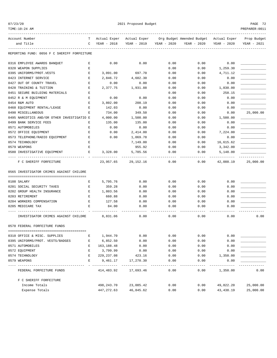|--|--|

| TIME:10:24 AM                               |   |              |              |             |                                        |             | PREPARER: 0011 |
|---------------------------------------------|---|--------------|--------------|-------------|----------------------------------------|-------------|----------------|
| Account Number                              | т | Actual Exper | Actual Exper |             | Org Budget Amended Budget Actual Exper |             | Prop Budget    |
| and Title                                   | C | YEAR - 2018  | YEAR - 2019  | YEAR - 2020 | YEAR - 2020                            | YEAR - 2020 | YEAR - 2021    |
| REPORTING FUND: 0056 F C SHERIFF FORFEITURE |   |              |              |             |                                        |             |                |
| 0316 EMPLOYEE AWARDS BANQUET                | Е | 0.00         | 0.00         | 0.00        | 0.00                                   | 0.00        |                |
| 0320 WEAPON SUPPLIES                        | Е |              |              | 0.00        | 0.00                                   | 1,259.30    |                |
| 0395 UNIFORMS/PROT.VESTS                    | Е | 3,091.00     | 697.70       | 0.00        | 0.00                                   | 4,711.12    |                |
| 0423 INTERNET SERVICE                       | Е | 2,846.72     | 4,602.30     | 0.00        | 0.00                                   | 0.00        |                |
| 0427 OUT OF COUNTY TRAVEL                   | Е | 0.00         | 0.00         | 0.00        | 0.00                                   | 0.00        |                |
| 0428 TRAINING & TUITION                     | Е | 2,377.75     | 1,931.88     | 0.00        | 0.00                                   | 1,830.00    |                |
| 0451 SECURE BUILDING MATERIALS              | Е |              |              | 0.00        | 0.00                                   | 258.15      |                |
| 0452 R & M EQUIPMENT                        | Ε | 0.00         | 0.00         | 0.00        | 0.00                                   | 0.00        |                |
| 0454 R&M AUTO                               | E | 3,802.00     | 208.19       | 0.00        | 0.00                                   | 0.00        |                |
| 0460 EQUIPMENT RENTAL/LEASE                 | Е | 142.03       | 0.00         | 0.00        | 0.00                                   | 0.00        |                |
| 0490 MISCELLANEOUS                          | Ε | 734.00       | 349.50       | 0.00        | 0.00                                   | 0.00        | 25,000.00      |
| 0495 NARCOTICS AND/OR OTHER INVESTIGATIO E  |   | 4,000.00     | 1,500.00     | 0.00        | 0.00                                   | 1,500.00    |                |
| 0499 BANK SERVICE FEES                      | Е | 135.00       | 135.00       | 0.00        | 0.00                                   | 0.00        |                |
| 0571 AUTOMOBILES                            | Ε | 0.00         | 0.00         | 0.00        | 0.00                                   | 0.00        |                |
| 0572 OFFICE EQUIPMENT                       | Е | 0.00         | 2,414.00     | 0.00        | 0.00                                   | 7,224.00    |                |
| 0573 TELEPHONE/RADIO EOUIPMENT              | Е | 0.00         | 1,069.78     | 0.00        | 0.00                                   | 0.00        |                |
| 0574 TECHNOLOGY                             | Ε |              | 7,149.00     | 0.00        | 0.00                                   | 16,615.62   |                |
| 0579 WEAPONS                                | Е |              | 955.92       | 0.00        | 0.00                                   | 3,342.00    |                |
| 0580 INVESTIGATIVE EQUIPMENT                | Е | 3,328.00     | 5,785.56     | 0.00        | 0.00                                   | 5,148.00    |                |
| F C SHERIFF FORFEITURE                      |   | 23,957.65    | 29,152.16    | 0.00        | 0.00                                   | 42,088.19   | 25,000.00      |
| 0565 INVESTIGATOR CRIMES AGAINST CHILDRE    |   |              |              |             |                                        |             |                |
| 0108 SALARY                                 | Е | 5,795.76     | 0.00         | 0.00        | 0.00                                   | 0.00        |                |
| 0201 SOCIAL SECURITY TAXES                  | Е | 359.28       | 0.00         | 0.00        | 0.00                                   | 0.00        |                |
| 0202 GROUP HEALTH INSURANCE                 | Е | 1,803.56     | 0.00         | 0.00        | 0.00                                   | 0.00        |                |
| 0203 RETIREMENT                             | Е | 660.88       | 0.00         | 0.00        | 0.00                                   | 0.00        |                |
| 0204 WORKERS COMPENSATION                   | Е | 127.58       | 0.00         | 0.00        | 0.00                                   | 0.00        |                |
| 0205 MEDICARE TAX                           | Е | 84.00        | 0.00         | 0.00        | 0.00                                   | 0.00        |                |
|                                             |   |              |              |             |                                        |             |                |
| INVESTIGATOR CRIMES AGAINST CHILDRE         |   | 8,831.06     | 0.00         | 0.00        | 0.00                                   | 0.00        | 0.00           |
| 0570 FEDERAL FORFEITURE FUNDS               |   |              |              |             |                                        |             |                |
| 0310 OFFICE & MISC. SUPPLIES                | Е | 1,944.70     | 0.00         | 0.00        | 0.00                                   | 0.00        |                |
| 0395 UNIFORMS/PROT. VESTS/BADGES            | Ε | 6,852.50     | 0.00         | 0.00        | 0.00                                   | 0.00        |                |
| 0571 AUTOMOBILES                            | Е | 163, 188.48  | 0.00         | 0.00        | 0.00                                   | 0.00        |                |
| 0572 EQUIPMENT                              | Е | 3,799.99     | 0.00         | 0.00        | 0.00                                   | 0.00        |                |
| 0574 TECHNOLOGY                             | Е | 229, 237.08  | 423.16       | 0.00        | 0.00                                   | 1,350.00    |                |
| 0579 WEAPONS                                | Ε | 9,461.17     | 17,270.30    | 0.00        | 0.00                                   | 0.00        |                |
|                                             |   |              |              |             |                                        |             |                |
| FEDERAL FORFEITURE FUNDS                    |   | 414,483.92   | 17,693.46    | 0.00        | 0.00                                   | 1,350.00    | 0.00           |
| F C SHERIFF FORFEITURE                      |   |              |              |             |                                        |             |                |
| Income Totals                               |   | 498,243.70   | 23,085.42    | 0.00        | 0.00                                   | 49,822.20   | 25,000.00      |
| Expense Totals                              |   | 447, 272.63  | 46,845.62    | 0.00        | 0.00                                   | 43, 438.19  | 25,000.00      |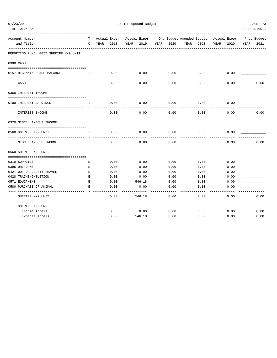| TIME:10:24 AM                         |                   |                             |                         |      |                                                                                |             | PREPARER: 0011 |
|---------------------------------------|-------------------|-----------------------------|-------------------------|------|--------------------------------------------------------------------------------|-------------|----------------|
| Account Number<br>and Title           | T.<br>$\mathbf C$ | Actual Exper<br>YEAR - 2018 | YEAR - 2019 YEAR - 2020 |      | Actual Exper Org Budget Amended Budget Actual Exper Prop Budget<br>YEAR - 2020 | YEAR - 2020 | YEAR - 2021    |
| REPORTING FUND: 0057 SHERIFF K-9 UNIT |                   |                             |                         |      |                                                                                |             |                |
|                                       |                   |                             |                         |      |                                                                                |             |                |
| 0300 CASH                             |                   |                             |                         |      |                                                                                |             |                |
| 0157 BEGINNING CASH BALANCE           | $\mathbf{I}$      | 0.00                        | 0.00                    | 0.00 | 0.00                                                                           | 0.00        |                |
| CASH                                  |                   | 0.00                        | 0.00                    | 0.00 | 0.00                                                                           | 0.00        | 0.00           |
| 0360 INTEREST INCOME                  |                   |                             |                         |      |                                                                                |             |                |
| 0100 INTEREST EARNINGS                | I.                | 0.00                        | 0.00                    | 0.00 | 0.00                                                                           | 0.00        |                |
| INTEREST INCOME                       |                   | 0.00                        | 0.00                    | 0.00 | 0.00                                                                           | 0.00        | 0.00           |
| 0370 MISCELLANEOUS INCOME             |                   |                             |                         |      |                                                                                |             |                |
|                                       |                   |                             |                         |      |                                                                                |             |                |
| 0560 SHERIFF K-9 UNIT                 | $\mathbb{T}$      | 0.00                        | 0.00                    | 0.00 | 0.00                                                                           | 0.00        |                |
| MISCELLANEOUS INCOME                  |                   | 0.00                        | 0.00                    | 0.00 | 0.00                                                                           | 0.00        | 0.00           |
| 0560 SHERIFF K-9 UNIT                 |                   |                             |                         |      |                                                                                |             |                |
| 0310 SUPPLIES                         | Е                 | 0.00                        | 0.00                    | 0.00 | 0.00                                                                           | 0.00        |                |
| 0395 UNIFORMS                         | E                 | 0.00                        | 0.00                    | 0.00 | 0.00                                                                           | 0.00        |                |
| 0427 OUT OF COUNTY TRAVEL             | E                 | 0.00                        | 0.00                    | 0.00 | 0.00                                                                           | 0.00        |                |
| 0428 TRAINING/TUITION                 | E                 | 0.00                        | 0.00                    | 0.00 | 0.00                                                                           | 0.00        |                |
| 0571 EQUIPMENT                        | Е                 | 0.00                        | 546.18                  | 0.00 | 0.00                                                                           | 0.00        |                |
| 0580 PURCHASE OF ANIMAL               | Е                 | 0.00                        | 0.00                    | 0.00 | 0.00                                                                           | 0.00        |                |
| SHERIFF K-9 UNIT                      |                   | 0.00                        | 546.18                  | 0.00 | 0.00                                                                           | 0.00        | 0.00           |
| SHERIFF K-9 UNIT                      |                   |                             |                         |      |                                                                                |             |                |
| Income Totals                         |                   | 0.00                        | 0.00                    | 0.00 | 0.00                                                                           | 0.00        | 0.00           |
| Expense Totals                        |                   | 0.00                        | 546.18                  | 0.00 | 0.00                                                                           | 0.00        | 0.00           |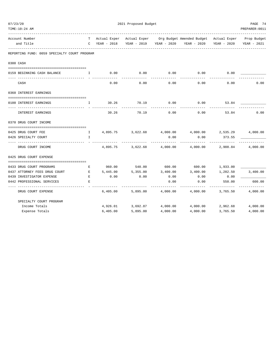| TIME:10:24 AM                                |                                                                                                                                                                                                                                                                                                  |               |                   |                   |                                                                                |             | PREPARER: 0011         |
|----------------------------------------------|--------------------------------------------------------------------------------------------------------------------------------------------------------------------------------------------------------------------------------------------------------------------------------------------------|---------------|-------------------|-------------------|--------------------------------------------------------------------------------|-------------|------------------------|
| Account Number                               |                                                                                                                                                                                                                                                                                                  |               |                   |                   | T Actual Exper Actual Exper Org Budget Amended Budget Actual Exper Prop Budget |             |                        |
| and Title                                    |                                                                                                                                                                                                                                                                                                  | C YEAR - 2018 |                   |                   | YEAR - 2019 YEAR - 2020 YEAR - 2020                                            | YEAR - 2020 | YEAR - 2021            |
| REPORTING FUND: 0059 SPECIALTY COURT PROGRAM |                                                                                                                                                                                                                                                                                                  |               |                   |                   |                                                                                |             |                        |
| 0300 CASH                                    |                                                                                                                                                                                                                                                                                                  |               |                   |                   |                                                                                |             |                        |
| 0159 BEGINNING CASH BALANCE                  | $\mathbf{I}$ . The state $\mathbf{I}$                                                                                                                                                                                                                                                            | 0.00          | 0.00              | 0.00              | 0.00                                                                           | 0.00        |                        |
| CASH                                         |                                                                                                                                                                                                                                                                                                  | 0.00          | 0.00              | 0.00              | 0.00                                                                           | 0.00        | 0.00                   |
| 0360 INTEREST EARNINGS                       |                                                                                                                                                                                                                                                                                                  |               |                   |                   |                                                                                |             |                        |
| 0100 INTEREST EARNINGS                       | $\mathbf{I}$                                                                                                                                                                                                                                                                                     | 30.26         | 70.19             | 0.00              | 0.00                                                                           | 53.84       |                        |
| INTEREST EARNINGS                            |                                                                                                                                                                                                                                                                                                  | 30.26         | 70.19             | 0.00              | 0.00                                                                           | 53.84       | 0.00                   |
| 0370 DRUG COURT INCOME                       |                                                                                                                                                                                                                                                                                                  |               |                   |                   |                                                                                |             |                        |
| 0425 DRUG COURT FEE                          | $\mathbf{I}$ and $\mathbf{I}$ and $\mathbf{I}$ and $\mathbf{I}$ and $\mathbf{I}$ and $\mathbf{I}$ and $\mathbf{I}$ and $\mathbf{I}$ and $\mathbf{I}$ and $\mathbf{I}$ and $\mathbf{I}$ and $\mathbf{I}$ and $\mathbf{I}$ and $\mathbf{I}$ and $\mathbf{I}$ and $\mathbf{I}$ and $\mathbf{I}$ and |               |                   |                   | $4,895.75$ $3,622.68$ $4,000.00$ $4,000.00$ $2,535.29$ $4,000.00$              |             |                        |
| 0426 SPECIALTY COURT                         | $\mathbb{T}$                                                                                                                                                                                                                                                                                     |               |                   | 0.00              | 0.00                                                                           | 373.55      |                        |
| DRUG COURT INCOME                            |                                                                                                                                                                                                                                                                                                  | 4,895.75      |                   | 3,622.68 4,000.00 | 4,000.00                                                                       | 2,908.84    | 4,000.00               |
| 0425 DRUG COURT EXPENSE                      |                                                                                                                                                                                                                                                                                                  |               |                   |                   |                                                                                |             |                        |
| 0433 DRUG COURT PROGRAMS                     | <b>Expanding Expanding Expanding Expanding Expanding Expanding Expanding Expanding Expanding Expanding Expanding </b>                                                                                                                                                                            | 960.00        | 540.00 600.00     |                   | 600.00                                                                         | 1,933.00    |                        |
| 0437 ATTORNEY FEES DRUG COURT                | $\mathbf{E}$                                                                                                                                                                                                                                                                                     | 5,445.00      | 5,355.00          | 3,400.00          | 3,400.00                                                                       | 1,282.50    | 3,400.00               |
| 0439 INVESTIGATOR EXPENSE                    | $\mathbf{E}$ and $\mathbf{E}$                                                                                                                                                                                                                                                                    | 0.00          | 0.00              | 0.00              | 0.00                                                                           | 0.00        |                        |
| 0442 PROFESSIONAL SERVICES                   | E.                                                                                                                                                                                                                                                                                               |               |                   | 0.00              | 0.00                                                                           | 550.00      | 600.00                 |
| DRUG COURT EXPENSE                           |                                                                                                                                                                                                                                                                                                  |               | 6,405.00 5,895.00 | 4,000.00          | 4,000.00                                                                       | 3,765.50    | ----------<br>4,000.00 |
| SPECIALTY COURT PROGRAM                      |                                                                                                                                                                                                                                                                                                  |               |                   |                   |                                                                                |             |                        |
| Income Totals                                |                                                                                                                                                                                                                                                                                                  |               | 4,926.01 3,692.87 |                   | $4,000.00$ $4,000.00$ $2,962.68$                                               |             | 4,000.00               |
| Expense Totals                               |                                                                                                                                                                                                                                                                                                  | 6,405.00      | 5,895.00          | 4,000.00          | 4,000.00                                                                       | 3,765.50    | 4,000.00               |

07/23/20 2021 Proposed Budget PAGE 74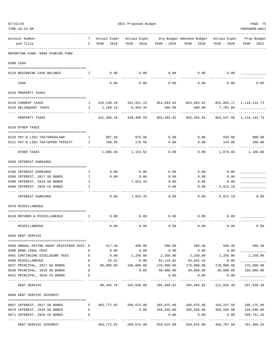| 07/23/20                                                       | 2021 Proposed Budget    |                               |                                 |                             |                                                                       |                          |                                            |
|----------------------------------------------------------------|-------------------------|-------------------------------|---------------------------------|-----------------------------|-----------------------------------------------------------------------|--------------------------|--------------------------------------------|
| TIME:10:24 AM                                                  |                         |                               |                                 |                             |                                                                       |                          | PREPARER: 0011                             |
| Account Number<br>and Title                                    | T.                      | Actual Exper<br>C YEAR - 2018 | YEAR - 2019                     | YEAR - 2020                 | Actual Exper Org Budget Amended Budget Actual Exper<br>YEAR - 2020    | YEAR - 2020              | Prop Budget<br>YEAR - 2021                 |
| REPORTING FUND: 0060 SINKING FUND                              |                         |                               |                                 |                             |                                                                       |                          |                                            |
| 0300 CASH                                                      |                         |                               |                                 |                             |                                                                       |                          |                                            |
| 0110 BEGINNING CASH BALANCE<br>$\mathbf{I}$ and $\mathbf{I}$ . |                         |                               | $0.00$ 0.00                     |                             | $0.00$ 0.00 0.00                                                      |                          |                                            |
| CASH                                                           |                         | 0.00                          | 0.00                            | 0.00                        | 0.00                                                                  | 0.00                     | 0.00                                       |
| 0310 PROPERTY TAXES                                            |                         |                               |                                 |                             |                                                                       |                          |                                            |
| 0110 CURRENT TAXES                                             |                         |                               |                                 |                             | 1 420,130.10 431,951.15 854,993.92 854,993.92 855,865.17 1,118,142.73 |                          |                                            |
| 0120 DELINQUENT TAXES                                          | $\mathbf{I}$            | 1,260.16                      | 6,454.44                        | 500.00                      | 500.00                                                                | 7,781.89                 |                                            |
| PROPERTY TAXES                                                 |                         | - -------------<br>421,390.26 | -------------<br>438,405.59     | -------------<br>855,493.92 | . <u>.</u> .<br>855,493.92                                            |                          | . <u>.</u> .<br>863, 647.06 1, 118, 142.73 |
| 0318 OTHER TAXES                                               |                         |                               |                                 |                             |                                                                       |                          |                                            |
| 0120 PAY N LIEU TAX/GRASSLAND                                  | $\mathbb{I}$            |                               | 907.58 975.96                   | 0.00                        |                                                                       | $0.00$ 935.06 900.00     |                                            |
| 0121 PAY N LIEU TAX/UPPER TRINITY<br>$\mathbf{I}$              |                         | 788.80                        | 178.56                          | 0.00                        | 0.00                                                                  | 144.00                   | 200.00                                     |
| OTHER TAXES                                                    |                         |                               | 1,696.38 1,154.52               | 0.00                        |                                                                       | $0.00$ 1,079.06 1,100.00 |                                            |
| 0360 INTEREST EARNINGS                                         |                         |                               |                                 |                             |                                                                       |                          |                                            |
| 0100 INTEREST EARNINGS                                         | $\mathbf{I}$            | 0.00                          | 0.00                            | 0.00                        | 0.00                                                                  | 0.00                     |                                            |
| 0200 INTEREST, 2017 GO BONDS                                   | $\mathbf{I}$            | 0.00                          | 0.00                            | 0.00                        | 0.00                                                                  | 0.00                     |                                            |
| 0300 INTEREST, 2018 GO BONDS                                   | $\mathbb{I}$            |                               | 7,923.33                        | 0.00                        | 0.00                                                                  | 0.00                     |                                            |
| 0400 INTEREST, 2020 CO BONDS                                   | I                       |                               |                                 | 0.00                        | 0.00                                                                  | 5,812.19                 |                                            |
| <b>INTEREST EARNINGS</b>                                       |                         | 0.00                          | 7,923.33                        | 0.00                        | 0.00                                                                  | 5,812.19                 | 0.00                                       |
| 0370 MISCELLANEOUS                                             |                         |                               |                                 |                             |                                                                       |                          |                                            |
| 0130 REFUNDS & MISCELLANEOUS                                   | $\mathbb{I}$            | 0.00                          | 0.00                            | 0.00                        | 0.00                                                                  | 0.00                     |                                            |
| MISCELLANEOUS                                                  |                         | 0.00                          | 0.00                            | 0.00                        | 0.00                                                                  | 0.00                     | 0.00                                       |
| 0620 DEBT SERVICE                                              |                         |                               |                                 |                             |                                                                       |                          |                                            |
| 0309 ANNUAL PAYING AGENT REGISTRAR FEES E                      |                         |                               |                                 |                             | 317.26 400.00 500.00 586.48 586.48                                    |                          | 586.48                                     |
| 0400 BOND LEGAL FEES                                           | Е                       | 0.00                          | 0.00                            | 0.00                        | 0.00                                                                  | 0.00                     |                                            |
| 0401 CONTINUING DISCLOSURE FEES                                | E                       | 0.00                          | 2,250.00                        | 2,250.00                    | 2,250.00 2,250.00                                                     |                          | 2,250.00                                   |
| 0490 MISCELLANEOUS                                             | Е                       | 29.52                         | 0.00                            | 83,118.92                   | 83,032.44                                                             | 0.00                     |                                            |
| 0627 PRINCIPAL, 2017 GO BONDS                                  | $\,$ E                  | 60,000.00                     | 160,000.00                      | 170,000.00                  | 170,000.00 170,000.00                                                 |                          | 175,000.00                                 |
| 0630 PRINCIPAL, 2018 GO BONDS<br>0631 PRINCIPAL, 2020 CO BONDS | $\mathbf{E}% _{0}$<br>Е |                               | 0.00                            | 40,000.00<br>0.00           | 40,000.00<br>0.00                                                     | 40,000.00<br>0.00        | 160,000.00                                 |
|                                                                |                         |                               |                                 |                             |                                                                       | ------------             |                                            |
| DEBT SERVICE                                                   |                         |                               | 60,346.78 162,650.00 295,868.92 |                             | 295,868.92                                                            | 212,836.48               | 337,836.48                                 |
| 0660 DEBT SERVICE INTEREST                                     |                         |                               |                                 |                             |                                                                       |                          |                                            |
| 0667 INTEREST, 2017 GO BONDS                                   | Е                       |                               |                                 |                             | 303,772.92  209,675.00  203,075.00  203,075.00  103,237.50            |                          | 196,175.00                                 |
| 0670 INTEREST, 2018 GO BONDS                                   | Е                       |                               | 0.00                            |                             | 356,550.00 356,550.00 356,550.00                                      |                          | 236,500.00                                 |
| 0671 INTEREST, 2020 CO BONDS                                   | Е                       |                               |                                 | 0.00                        | 0.00                                                                  | 0.00                     | 348,731.25                                 |
| DEBT SERVICE INTEREST                                          |                         |                               | 303,772.92 209,675.00           | 559,625.00                  |                                                                       | 559,625.00 459,787.50    | -----------<br>781,406.25                  |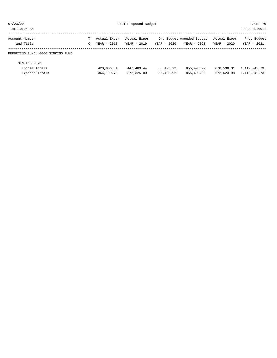| 07/23/20                          |   | 2021 Proposed Budget | PAGE 76        |             |                           |              |                 |
|-----------------------------------|---|----------------------|----------------|-------------|---------------------------|--------------|-----------------|
| TIME:10:24 AM                     |   |                      | PREPARER: 0011 |             |                           |              |                 |
| Account Number                    | т | Actual Exper         | Actual Exper   |             | Org Budget Amended Budget | Actual Exper | Prop Budget     |
| and Title                         | C | YEAR - 2018          | YEAR - 2019    | YEAR - 2020 | YEAR - 2020               | YEAR - 2020  | YEAR - 2021     |
| REPORTING FUND: 0060 SINKING FUND |   |                      |                |             |                           |              |                 |
| SINKING FUND                      |   |                      |                |             |                           |              |                 |
| Income Totals                     |   | 423,086.64           | 447,483.44     | 855,493.92  | 855,493.92                | 870,538.31   | 1,119,242.73    |
| Expense Totals                    |   | 364, 119, 70         | 372, 325, 00   | 855,493.92  | 855,493.92                | 672,623.98   | 1, 119, 242, 73 |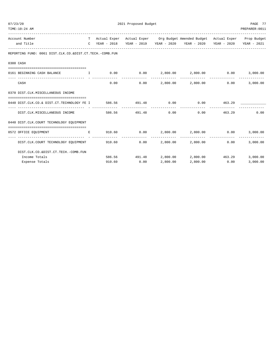| 07/23/20<br>TIME:10:24 AM                                                                                                               |  | PAGE 77<br>PREPARER: 0011 |                                 |                        |                                                                                |        |             |
|-----------------------------------------------------------------------------------------------------------------------------------------|--|---------------------------|---------------------------------|------------------------|--------------------------------------------------------------------------------|--------|-------------|
|                                                                                                                                         |  |                           |                                 |                        |                                                                                |        |             |
| Account Number                                                                                                                          |  |                           |                                 |                        | T Actual Exper Actual Exper Org Budget Amended Budget Actual Exper Prop Budget |        |             |
| and Title                                                                                                                               |  |                           |                                 |                        | C YEAR - 2018 YEAR - 2019 YEAR - 2020 YEAR - 2020 YEAR - 2020                  |        | YEAR - 2021 |
| REPORTING FUND: 0061 DIST.CLK.CO.&DIST.CT.TECH.-COMB.FUN                                                                                |  |                           |                                 |                        |                                                                                |        |             |
| 0300 CASH                                                                                                                               |  |                           |                                 |                        |                                                                                |        |             |
| 0161 BEGINNING CASH BALANCE<br><b>The Community of The Table 19</b>                                                                     |  |                           |                                 |                        | $0.00$ $0.00$ $2,800.00$ $2,800.00$ $0.00$ $0.00$                              |        | 3,000.00    |
| CASH                                                                                                                                    |  | 0.00                      |                                 |                        | $0.00$ 2,800.00 2,800.00                                                       | 0.00   | 3,000.00    |
| 0370 DIST.CLK.MISCELLANEOUS INCOME                                                                                                      |  |                           |                                 |                        |                                                                                |        |             |
| 0440 DIST.CLK.CO.& DIST.CT.TECHNOLOGY FE I 586.56 491.48 0.00 0.00 0.00 463.29                                                          |  |                           |                                 |                        |                                                                                |        |             |
| ------------------------------------<br>DIST.CLK.MISCELLANEOUS INCOME                                                                   |  | _____________             | --------------<br>586.56 491.48 | --------------<br>0.00 | -------------<br>0.00                                                          | 463.29 | 0.00        |
| 0440 DIST.CLK.COURT TECHNOLOGY EOUIPMENT                                                                                                |  |                           |                                 |                        |                                                                                |        |             |
| 0572 OFFICE EQUIPMENT<br>the contract of the contract of the Barris of the Barris of the Second Seconds and the Barris of the Barris of |  |                           |                                 |                        | $910.60$ $0.00$ $2,800.00$ $2,800.00$ $0.00$                                   |        | 3,000.00    |
| DIST.CLK.COURT TECHNOLOGY EOUIPMENT 910.60                                                                                              |  |                           |                                 |                        | $0.00$ 2,800.00 2,800.00                                                       | 0.00   | 3,000.00    |
| DIST.CLK.CO.&DIST.CT.TECH.-COMB.FUN                                                                                                     |  |                           |                                 |                        |                                                                                |        |             |
| Income Totals                                                                                                                           |  |                           |                                 |                        | 586.56 491.48 2,800.00 2,800.00 463.29                                         |        | 3,000.00    |
| Expense Totals                                                                                                                          |  |                           | 910.60 0.00                     | 2,800.00               | 2,800.00 0.00                                                                  |        | 3,000.00    |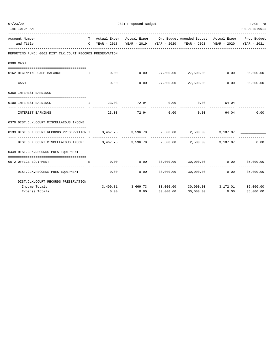| 07/23/20 |                                                                                                                                                                                                                                |              |       | PAGE 78        |                |                                                                                        |                |                |
|----------|--------------------------------------------------------------------------------------------------------------------------------------------------------------------------------------------------------------------------------|--------------|-------|----------------|----------------|----------------------------------------------------------------------------------------|----------------|----------------|
|          | TIME:10:24 AM                                                                                                                                                                                                                  |              |       |                |                |                                                                                        |                | PREPARER: 0011 |
|          | Account Number                                                                                                                                                                                                                 |              |       |                |                | T Actual Exper Actual Exper Org Budget Amended Budget Actual Exper Prop Budget         |                |                |
|          | and Title                                                                                                                                                                                                                      |              |       |                |                | C YEAR - 2018 YEAR - 2019 YEAR - 2020 YEAR - 2020 YEAR - 2020 YEAR - 2021              |                |                |
|          | REPORTING FUND: 0062 DIST.CLK.COURT RECORDS PRESERVATION                                                                                                                                                                       |              |       |                |                |                                                                                        |                |                |
|          | 0300 CASH                                                                                                                                                                                                                      |              |       |                |                |                                                                                        |                |                |
|          |                                                                                                                                                                                                                                |              |       |                |                |                                                                                        |                |                |
|          | 0162 BEGINNING CASH BALANCE                                                                                                                                                                                                    |              |       |                |                | $\,$ I $\,$ 0.00 $\,$ 0.00 $\,$ 27,500.00 $\,$ 27,500.00 $\,$ 0.00 $\,$ 35,000.00 $\,$ |                |                |
|          | CASH                                                                                                                                                                                                                           |              |       | 0.00           |                | $0.00$ 27,500.00 27,500.00 0.00 35,000.00                                              |                |                |
|          | 0360 INTEREST EARNINGS                                                                                                                                                                                                         |              |       |                |                |                                                                                        |                |                |
|          |                                                                                                                                                                                                                                |              |       |                |                |                                                                                        |                |                |
|          | 0100 INTEREST EARNINGS                                                                                                                                                                                                         | $\mathbf{T}$ |       |                |                | $23.03$ $72.94$ $0.00$ $0.00$ $64.04$ $10.00$<br>----------                            |                |                |
|          | INTEREST EARNINGS                                                                                                                                                                                                              |              | 23.03 |                |                | $72.94$ 0.00 0.00                                                                      | 64.04          | 0.00           |
|          | 0370 DIST.CLK.COURT MISCELLAEOUS INCOME                                                                                                                                                                                        |              |       |                |                |                                                                                        |                |                |
|          | 0133 DIST.CLK.COURT RECORDS PRESERVATION I 3,467.78 3,596.79 2,500.00 2,500.00 3,107.97                                                                                                                                        |              |       |                |                |                                                                                        |                |                |
|          | 0.00 1.500.00 1.107.97 1.500.00 1.107.97 1.500.00 1.500.00 1.500.00 1.500.00 1.500.00 1.500.00 1.500.00 1.500.00 1.500.00 1.500.00 1.500.00 1.500.00 1.500.00 1.500.00 1.500.00 1.500.00 1.500.00 1.500.00 1.500.00 1.500.00 1 |              |       | -------------- | ______________ | _____________                                                                          |                |                |
|          | 0449 DIST.CLK.RECORDS PRES.EQUIPMENT                                                                                                                                                                                           |              |       |                |                |                                                                                        |                |                |
|          | 0572 OFFICE EQUIPMENT                                                                                                                                                                                                          | $E_{\rm c}$  |       |                |                | $0.00$ $0.00$ $30,000.00$ $30,000.00$ $0.00$ $0.00$ $35,000.00$                        |                |                |
|          | DIST.CLK.RECORDS PRES.EQUIPMENT                                                                                                                                                                                                |              | 0.00  |                |                | $0.00$ $30,000.00$ $30,000.00$ $0.00$ $35,000.00$                                      |                |                |
|          | DIST.CLK.COURT RECORDS PRESERVATION                                                                                                                                                                                            |              |       |                |                |                                                                                        |                |                |
|          | Income Totals                                                                                                                                                                                                                  |              |       |                |                | $3,490.81$ $3,669.73$ $30,000.00$ $30,000.00$ $3,172.01$ $35,000.00$                   |                |                |
|          | Expense Totals                                                                                                                                                                                                                 |              |       | $0.00$ $0.00$  | 30,000.00      |                                                                                        | 30,000.00 0.00 | 35,000.00      |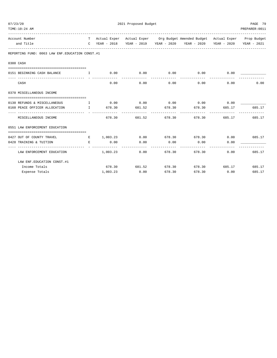| 07/23/20                                                                                                                                                                                                                                                        | 2021 Proposed Budget |                        | PAGE 79              |                                                                                                                                                   |                      |                |
|-----------------------------------------------------------------------------------------------------------------------------------------------------------------------------------------------------------------------------------------------------------------|----------------------|------------------------|----------------------|---------------------------------------------------------------------------------------------------------------------------------------------------|----------------------|----------------|
| TIME:10:24 AM                                                                                                                                                                                                                                                   |                      |                        |                      |                                                                                                                                                   |                      | PREPARER: 0011 |
| Account Number                                                                                                                                                                                                                                                  |                      |                        |                      | T Actual Exper Actual Exper Org Budget Amended Budget Actual Exper Prop Budget                                                                    |                      |                |
| and Title                                                                                                                                                                                                                                                       |                      |                        |                      | C YEAR - 2018 YEAR - 2019 YEAR - 2020 YEAR - 2020 YEAR - 2020 YEAR - 2021                                                                         |                      |                |
| REPORTING FUND: 0063 LAW ENF. EDUCATION CONST. #1                                                                                                                                                                                                               |                      |                        |                      |                                                                                                                                                   |                      |                |
| 0300 CASH                                                                                                                                                                                                                                                       |                      |                        |                      |                                                                                                                                                   |                      |                |
| 0151 BEGINNING CASH BALANCE                                                                                                                                                                                                                                     |                      |                        |                      | $\qquad \qquad 1 \qquad \qquad 0.00 \qquad \qquad 0.00 \qquad \qquad 0.00 \qquad \qquad 0.00 \qquad \qquad 0.00 \qquad \qquad 0.00 \qquad \qquad$ |                      |                |
|                                                                                                                                                                                                                                                                 |                      |                        | ------------         | ----------------------------                                                                                                                      |                      |                |
| CASH                                                                                                                                                                                                                                                            | 0.00                 | 0.00                   |                      | $0.00$ 0.00                                                                                                                                       | 0.00                 | 0.00           |
| 0370 MISCELLANEOUS INCOME                                                                                                                                                                                                                                       |                      |                        |                      |                                                                                                                                                   |                      |                |
| 0130 REFUNDS & MISCELLANEOUS I                                                                                                                                                                                                                                  |                      |                        |                      | $0.00$ $0.00$ $0.00$ $0.00$ $0.00$ $0.00$ $0.00$                                                                                                  |                      |                |
| 0160 PEACE OFFICER ALLOCATION T 4678.30 681.52 678.30 678.30 678.30 685.17                                                                                                                                                                                      |                      |                        |                      |                                                                                                                                                   |                      | 685.17         |
| MISCELLANEOUS INCOME                                                                                                                                                                                                                                            |                      | 678.30 681.52 678.30   |                      | 678.30                                                                                                                                            | 685.17               | 685.17         |
| 0551 LAW ENFORCEMENT EDUCATION                                                                                                                                                                                                                                  |                      |                        |                      |                                                                                                                                                   |                      |                |
|                                                                                                                                                                                                                                                                 |                      |                        |                      |                                                                                                                                                   |                      |                |
| 0427 OUT OF COUNTY TRAVEL                                                                                                                                                                                                                                       |                      |                        |                      | E 1,003.23 0.00 678.30 678.30 0.00 685.17                                                                                                         |                      |                |
| 0428 TRAINING & TUITION<br><b>Experimental Experimental Experimental Experimental Experimental Experimental Experimental Experimental Experimental Experimental Experimental Experimental Experimental Experimental Experimental Experimental Experimental </b> | 0.00                 | 0.00                   | 0.00<br>------------ | 0.00<br>------------- --------------                                                                                                              | 0.00                 |                |
| LAW ENFORCEMENT EDUCATION                                                                                                                                                                                                                                       |                      | $1,003.23$ 0.00 678.30 |                      | 678.30                                                                                                                                            | 0.00                 | 685.17         |
| LAW ENF. EDUCATION CONST. #1                                                                                                                                                                                                                                    |                      |                        |                      |                                                                                                                                                   |                      |                |
| Income Totals                                                                                                                                                                                                                                                   |                      | 678.30 681.52 678.30   |                      |                                                                                                                                                   | 678.30 685.17 685.17 |                |
| Expense Totals                                                                                                                                                                                                                                                  | 1,003.23             | 0.00                   | 678.30               |                                                                                                                                                   | 678.30 0.00          | 685.17         |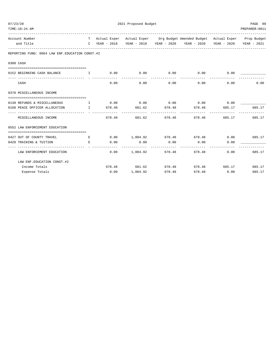| 07/23/20                                                        |                            |          | 2021 Proposed Budget   |                      |                                                                                |                      | PAGE 80        |
|-----------------------------------------------------------------|----------------------------|----------|------------------------|----------------------|--------------------------------------------------------------------------------|----------------------|----------------|
| TIME:10:24 AM                                                   |                            |          |                        |                      |                                                                                |                      | PREPARER: 0011 |
| Account Number                                                  |                            |          |                        |                      | T Actual Exper Actual Exper Org Budget Amended Budget Actual Exper Prop Budget |                      |                |
| and Title                                                       |                            |          |                        |                      | C YEAR - 2018 YEAR - 2019 YEAR - 2020 YEAR - 2020 YEAR - 2020 YEAR - 2021      |                      |                |
| REPORTING FUND: 0064 LAW ENF. EDUCATION CONST. #2               |                            |          |                        |                      |                                                                                |                      |                |
| 0300 CASH                                                       |                            |          |                        |                      |                                                                                |                      |                |
| 0152 BEGINNING CASH BALANCE                                     | and the state of the Table |          |                        |                      | $0.00$ $0.00$ $0.00$ $0.00$ $0.00$ $0.00$ $0.00$                               |                      |                |
| CASH                                                            |                            | 0.00     |                        | ------------<br>0.00 | -------------- --------------<br>$0.00$ 0.00                                   | 0.00                 | 0.00           |
| 0370 MISCELLANEOUS INCOME                                       |                            |          |                        |                      |                                                                                |                      |                |
| 0130 REFUNDS & MISCELLANEOUS I                                  |                            |          |                        |                      | $0.00$ $0.00$ $0.00$ $0.00$ $0.00$ $0.00$ $0.00$                               |                      |                |
| 0160 PEACE OFFICER ALLOCATION                                   |                            | I 678.48 |                        |                      | 681.62 678.48 678.48 685.17                                                    |                      | 685.17         |
| MISCELLANEOUS INCOME                                            |                            |          | 678.48 681.62 678.48   |                      | 678.48                                                                         |                      | 685.17 685.17  |
| 0552 LAW ENFORCEMENT EDUCATION                                  |                            |          |                        |                      |                                                                                |                      |                |
| 0427 OUT OF COUNTY TRAVEL                                       | E                          |          |                        |                      | $0.00$ $1.004.92$ $678.48$ $678.48$ $0.00$ $685.17$                            |                      |                |
| 0428 TRAINING & TUITION<br>----------------------------- - - -- | E                          | 0.00     | 0.00<br>-------------- | 0.00                 | 0.00                                                                           | 0.00                 |                |
| LAW ENFORCEMENT EDUCATION                                       |                            |          | $0.00$ 1,004.92 678.48 |                      | 678.48                                                                         |                      | $0.00$ 685.17  |
| LAW ENF. EDUCATION CONST. #2                                    |                            |          |                        |                      |                                                                                |                      |                |
| Income Totals                                                   |                            |          | 678.48 681.62 678.48   |                      |                                                                                | 678.48 685.17 685.17 |                |
| Expense Totals                                                  |                            |          | $0.00$ 1,004.92        | 678.48               |                                                                                | 678.48 0.00          | 685.17         |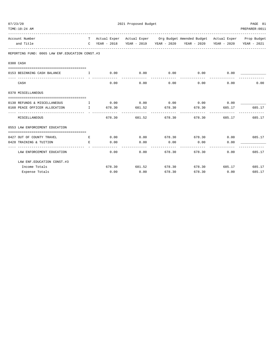| 07/23/20                                                                 |                                    |      | PAGE 81              |                      |                                                                                |                      |                |
|--------------------------------------------------------------------------|------------------------------------|------|----------------------|----------------------|--------------------------------------------------------------------------------|----------------------|----------------|
| TIME:10:24 AM                                                            |                                    |      |                      |                      |                                                                                |                      | PREPARER: 0011 |
| Account Number                                                           |                                    |      |                      |                      | T Actual Exper Actual Exper Org Budget Amended Budget Actual Exper Prop Budget |                      |                |
| and Title                                                                |                                    |      |                      |                      | C YEAR - 2018 YEAR - 2019 YEAR - 2020 YEAR - 2020 YEAR - 2020 YEAR - 2021      |                      |                |
| REPORTING FUND: 0065 LAW ENF. EDUCATION CONST. #3                        |                                    |      |                      |                      |                                                                                |                      |                |
| 0300 CASH                                                                |                                    |      |                      |                      |                                                                                |                      |                |
|                                                                          |                                    |      |                      |                      |                                                                                |                      |                |
| 0153 BEGINNING CASH BALANCE                                              | <b>The Community of The Theory</b> |      | ------------         | ------------         | $0.00$ $0.00$ $0.00$ $0.00$ $0.00$ $0.00$ $0.00$                               |                      |                |
| CASH                                                                     |                                    | 0.00 | 0.00                 | 0.00                 |                                                                                | 0.00<br>0.00         | 0.00           |
| 0370 MISCELLANEOUS                                                       |                                    |      |                      |                      |                                                                                |                      |                |
|                                                                          |                                    |      |                      |                      |                                                                                |                      |                |
| 0130 REFUNDS & MISCELLANEOUS T<br>0160 PEACE OFFICER ALLOCATION I 678.30 |                                    |      | 681.52 678.30        |                      | $0.00$ $0.00$ $0.00$ $0.00$ $0.00$ $0.00$ $0.00$                               | 678.30 685.17        | 685.17         |
|                                                                          |                                    |      |                      |                      |                                                                                |                      |                |
| MISCELLANEOUS                                                            |                                    |      | 678.30 681.52 678.30 |                      | 678.30                                                                         |                      | 685.17 685.17  |
| 0553 LAW ENFORCEMENT EDUCATION                                           |                                    |      |                      |                      |                                                                                |                      |                |
|                                                                          |                                    |      |                      |                      |                                                                                |                      |                |
| 0427 OUT OF COUNTY TRAVEL<br><b>Example 2005</b> For the Research        |                                    |      |                      |                      | $0.00$ $0.00$ $678.30$ $678.30$ $0.00$ $685.17$                                |                      |                |
| 0428 TRAINING & TUITION                                                  | Е                                  | 0.00 | 0.00<br>----------   | 0.00<br>------------ | 0.00<br>------------- --------------                                           | 0.00                 |                |
| LAW ENFORCEMENT EDUCATION                                                |                                    | 0.00 |                      | $0.00$ 678.30        | 678.30                                                                         | 0.00                 | 685.17         |
| LAW ENF. EDUCATION CONST. #3                                             |                                    |      |                      |                      |                                                                                |                      |                |
| Income Totals                                                            |                                    |      | 678.30 681.52 678.30 |                      |                                                                                | 678.30 685.17 685.17 |                |
| Expense Totals                                                           |                                    | 0.00 | 0.00                 | 678.30               |                                                                                | 678.30 0.00          | 685.17         |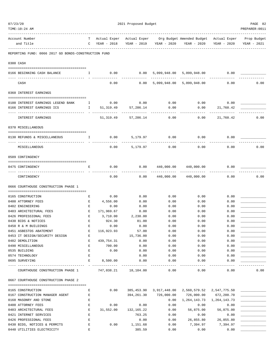| 07/23/20 |                                                      |                    | 2021 Proposed Budget |              |               |                                                     |                   |                |  |  |  |
|----------|------------------------------------------------------|--------------------|----------------------|--------------|---------------|-----------------------------------------------------|-------------------|----------------|--|--|--|
|          | TIME:10:24 AM                                        |                    |                      |              |               |                                                     |                   | PREPARER: 0011 |  |  |  |
|          | Account Number                                       | T –                | Actual Exper         |              |               | Actual Exper Org Budget Amended Budget Actual Exper |                   | Prop Budget    |  |  |  |
|          | and Title                                            | C                  | YEAR - 2018          | YEAR - 2019  | YEAR - 2020   | YEAR - 2020                                         | YEAR - 2020       | YEAR - 2021    |  |  |  |
|          | REPORTING FUND: 0066 2017 GO BONDS-CONSTRUCTION FUND |                    |                      |              |               |                                                     |                   |                |  |  |  |
|          | 0300 CASH                                            |                    |                      |              |               |                                                     |                   |                |  |  |  |
|          |                                                      | $\mathbf{I}$       | 0.00                 |              |               | $0.00$ 5,099,948.00 5,099,948.00 0.00               |                   |                |  |  |  |
|          | 0166 BEGINNING CASH BALANCE                          |                    |                      |              |               |                                                     |                   |                |  |  |  |
|          | CASH                                                 |                    | 0.00                 | 0.00         | 5,099,948.00  | 5,099,948.00                                        | 0.00              | 0.00           |  |  |  |
|          | 0360 INTEREST EARNINGS                               |                    |                      |              |               |                                                     |                   |                |  |  |  |
|          | 0100 INTEREST EARNINGS LEGEND BANK                   | $\mathbf{I}$       | 0.00                 | 0.00         | 0.00          | 0.00                                                | 0.00              |                |  |  |  |
|          | 0166 INTEREST EARNINGS ICS                           | $\mathbf{I}$       | 51,319.49            | 57,286.14    | 0.00          | 0.00                                                | 21,760.42         |                |  |  |  |
|          | INTEREST EARNINGS                                    |                    | 51,319.49            | 57,286.14    | 0.00          | 0.00                                                | 21,760.42         | 0.00           |  |  |  |
|          |                                                      |                    |                      |              |               |                                                     |                   |                |  |  |  |
|          | 0370 MISCELLANEOUS                                   |                    |                      |              |               |                                                     |                   |                |  |  |  |
|          | 0130 REFUNDS & MISCELLANEOUS                         | $\mathbf{I}$       | 0.00                 |              | 5,179.97 0.00 | 0.00                                                | 0.00              |                |  |  |  |
|          | MISCELLANEOUS                                        |                    | 0.00                 | 5,179.97     | 0.00          | 0.00                                                | 0.00              | 0.00           |  |  |  |
|          | 0509 CONTINGENCY                                     |                    |                      |              |               |                                                     |                   |                |  |  |  |
|          |                                                      |                    | 0.00                 | 0.00         |               |                                                     | 0.00              |                |  |  |  |
|          | 0475 CONTINGENCY                                     | Ε                  |                      |              | 440,000.00    | 440,000.00                                          |                   |                |  |  |  |
|          | CONTINGENCY                                          |                    | 0.00                 | 0.00         | 440,000.00    | 440,000.00                                          | 0.00              | 0.00           |  |  |  |
|          | 0666 COURTHOUSE CONSTRUCTION PHASE 1                 |                    |                      |              |               |                                                     |                   |                |  |  |  |
|          | 0165 CONSTRUCTION                                    | Е                  | 0.00                 | 0.00         | 0.00          | 0.00                                                | 0.00              |                |  |  |  |
|          | 0400 ATTORNEY FEES                                   | Е                  | 4,556.00             | 0.00         | 0.00          | 0.00                                                | 0.00              |                |  |  |  |
|          | 0402 ENGINEERING                                     | Е                  | 0.00                 | 0.00         | 0.00          | 0.00                                                | 0.00              |                |  |  |  |
|          | 0403 ARCHITECTURAL FEES                              | E                  | 171,969.67           | 0.00         | 0.00          | 0.00                                                | 0.00              |                |  |  |  |
|          | 0426 PROFESSIONAL FEES                               | $\mathbf{E}% _{0}$ | 3,710.00             | 2,230.00     | 0.00          | 0.00                                                | 0.00              |                |  |  |  |
|          | 0430 BIDS & NOTICES                                  | E                  | 924.30               | 81.00        | 0.00          | 0.00                                                | 0.00              |                |  |  |  |
|          | 0450 R & M BUILDINGS                                 | Ε                  | 0.00                 | 0.00         | 0.00          | 0.00                                                | 0.00              |                |  |  |  |
|          | 0451 ASBESTOS ABATEMENT                              | Ε                  | 116,923.93           | 57.00        | 0.00          | 0.00                                                | 0.00              |                |  |  |  |
|          | 0453 IT DESIGN/SECURITY DESIGN                       | Ε                  |                      | 15,736.00    | 0.00          | 0.00                                                | 0.00              |                |  |  |  |
|          | 0482 DEMOLITION                                      | E                  | 439,754.31           | 0.00         | 0.00          | 0.00                                                | 0.00              |                |  |  |  |
|          | 0490 MISCELLANEOUS                                   | Е                  | 700.00               | 0.00         | 0.00          | 0.00                                                | 0.00              |                |  |  |  |
|          | 0535 BUILDING<br>0574 TECHNOLOGY                     | Е<br>E             | 0.00                 | 0.00         | 0.00          | 0.00                                                | 0.00              |                |  |  |  |
|          | 0695 SURVEYING                                       | Е                  | 8,500.00             | 0.00<br>0.00 | 0.00<br>0.00  | 0.00<br>0.00                                        | 0.00<br>0.00      |                |  |  |  |
|          | COURTHOUSE CONSTRUCTION PHASE 1                      |                    | 747,038.21 18,104.00 |              | 0.00          | 0.00                                                | 0.00              | 0.00           |  |  |  |
|          | 0667 COURTHOUSE CONSTRUCTION PHASE 2                 |                    |                      |              |               |                                                     |                   |                |  |  |  |
|          |                                                      |                    |                      |              |               |                                                     |                   |                |  |  |  |
|          | 0165 CONSTRUCTION                                    | Е                  | 0.00                 |              |               | 385,453.90 3,917,448.00 2,560,579.52 2,547,775.50   |                   |                |  |  |  |
|          | 0167 CONSTRUCTION MANAGER AGENT                      | Ε                  |                      | 394,261.30   | 726,000.00    | 726,000.00                                          | 672,200.70        |                |  |  |  |
|          | 0168 MASONRY AND STONE<br>0400 ATTORNEY FEES         | Е<br>Ε             | 0.00                 | 0.00         | 0.00<br>0.00  | 1,264,143.73<br>0.00                                | 1,264,143.73      |                |  |  |  |
|          | 0403 ARCHITECTURAL FEES                              | Е                  | 31,552.00            | 132,165.22   | 0.00          | 56,875.00                                           | 0.00<br>56,875.00 |                |  |  |  |
|          | 0421 INTERNET SERVICES                               | E                  |                      | 763.25       | 0.00          | 0.00                                                | 0.00              |                |  |  |  |
|          | 0426 PROFESSIONAL FEES                               | $\mathbf E$        |                      | 0.00         | 0.00          | 26,855.80                                           | 26,855.80         |                |  |  |  |
|          | 0430 BIDS, NOTICES & PERMITS                         | E                  | 0.00                 | 1,151.68     | 0.00          | 7,394.97                                            | 7,394.97          |                |  |  |  |
|          | 0440 UTILITIES ELECTRICITY                           | E                  |                      | 385.59       | 0.00          | 0.00                                                | 0.00              |                |  |  |  |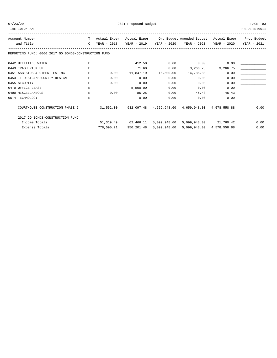| ר ו |  |
|-----|--|
|     |  |

TIME:10:24 AM PREPARER:0011 ------------------------------------------------------------------------------------------------------------------------------------ Account Number T Actual Exper Actual Exper Org Budget Amended Budget Actual Exper Prop Budget and Title C YEAR - 2018 YEAR - 2019 YEAR - 2020 YEAR - 2020 YEAR - 2020 YEAR - 2021 ------------------------------------------------------------------------------------------------------------------------------------ REPORTING FUND: 0066 2017 GO BONDS-CONSTRUCTION FUND 0442 UTILITIES WATER E 412.50 0.00 0.00 0.00 \_\_\_\_\_\_\_\_\_\_\_\_\_ 0443 TRASH PICK UP E 71.60 0.00 3,266.75 3,266.75 \_\_\_\_\_\_\_\_\_\_\_\_\_ 0451 ASBESTOS & OTHER TESTING  $\qquad$  E  $\qquad$  0.00  $\qquad$  11,847.19  $\qquad$  16,500.00  $\qquad$  0.00  $\qquad$  0.00  $\qquad$  0.00  $\qquad$ 0453 IT DESIGN/SECURITY DESIGN E 0.00 0.00 0.00 0.00 0.00 \_\_\_\_\_\_\_\_\_\_\_\_\_ 0455 SECURITY E 0.00 0.00 0.00 0.00 0.00 \_\_\_\_\_\_\_\_\_\_\_\_\_ 0470 OFFICE LEASE E 5,500.00 0.00 0.00 0.00 \_\_\_\_\_\_\_\_\_\_\_\_\_ 0490 MISCELLANEOUS E 0.00 85.25 0.00 46.43 46.43 46.43  $\texttt{0.00}$   $\texttt{0.00}$   $\texttt{0.00}$   $\texttt{0.00}$   $\texttt{0.00}$   $\texttt{0.00}$   $\texttt{0.00}$   $\texttt{0.00}$   $\texttt{0.00}$ ---- ---------------------------------- - ------------- ------------- ------------- ------------- ------------- ------------- COURTHOUSE CONSTRUCTION PHASE 2 31,552.00 932,097.48 4,659,948.00 4,659,948.00 4,578,558.88 0.00 2017 GO BONDS-CONSTRUCTION FUND Income Totals 51,319.49 62,466.11 5,099,948.00 5,099,948.00 21,760.42 0.00

Expense Totals 778,590.21 950,201.48 5,099,948.00 5,099,948.00 4,578,558.88 0.00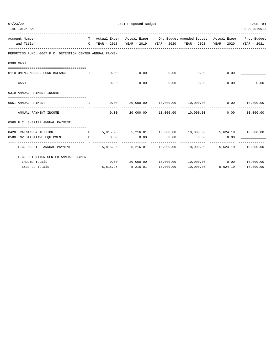| 07/23/20                                                                                                                                        |              | 2021 Proposed Budget |               |                |                                                                                    |               |                  |  |  |  |
|-------------------------------------------------------------------------------------------------------------------------------------------------|--------------|----------------------|---------------|----------------|------------------------------------------------------------------------------------|---------------|------------------|--|--|--|
| TIME:10:24 AM                                                                                                                                   |              |                      |               | PREPARER: 0011 |                                                                                    |               |                  |  |  |  |
| Account Number                                                                                                                                  |              |                      |               |                | T Actual Exper Actual Exper Org Budget Amended Budget Actual Exper Prop Budget     |               |                  |  |  |  |
| and Title                                                                                                                                       |              |                      |               |                | C YEAR - 2018 YEAR - 2019 YEAR - 2020 YEAR - 2020 YEAR - 2020 YEAR - 2021          |               |                  |  |  |  |
| REPORTING FUND: 0067 F.C. DETENTION CENTER ANNUAL PAYMEN                                                                                        |              |                      |               |                |                                                                                    |               |                  |  |  |  |
| 0300 CASH                                                                                                                                       |              |                      |               |                |                                                                                    |               |                  |  |  |  |
|                                                                                                                                                 |              |                      |               |                |                                                                                    |               |                  |  |  |  |
| 0110 UNENCUMBERED FUND BALANCE $\qquad \qquad 1 \qquad \qquad 0.00 \qquad \qquad 0.00 \qquad \qquad 0.00 \qquad \qquad 0.00 \qquad \qquad 0.00$ |              |                      |               | ------------   |                                                                                    | _____________ |                  |  |  |  |
| CASH                                                                                                                                            |              | 0.00                 | 0.00          | 0.00           |                                                                                    | 0.00<br>0.00  | 0.00             |  |  |  |
| 0319 ANNUAL PAYMENT INCOME                                                                                                                      |              |                      |               |                |                                                                                    |               |                  |  |  |  |
| 0551 ANNUAL PAYMENT                                                                                                                             | $\mathbf{I}$ |                      |               |                | $0.00$ $20,000.00$ $10,000.00$ $10,000.00$ $0.00$ $0.00$ $10,000.00$               |               |                  |  |  |  |
| ANNUAL PAYMENT INCOME                                                                                                                           |              | 0.00                 |               |                | $20.000.00$ $10.000.00$ $10.000.00$                                                |               | $0.00$ 10,000.00 |  |  |  |
| 0560 F.C. SHERIFF ANNUAL PAYMENT                                                                                                                |              |                      |               |                |                                                                                    |               |                  |  |  |  |
| 0428 TRAINING & TUITION                                                                                                                         |              |                      |               |                | E 5,815.95 5,216.01 10,000.00 10,000.00 5,624.19 10,000.00                         |               |                  |  |  |  |
| 0580 INVESTIGATIVE EQUIPMENT E BOOD E 0.00                                                                                                      |              |                      | 0.00          | 0.00           | 0.00                                                                               | 0.00          |                  |  |  |  |
| F.C. SHERIFF ANNUAL PAYMENT 5,815.95                                                                                                            |              |                      | ------------- | -------------  | --------------<br>5, 216.01    10, 000.00    10, 000.00    5, 624.19    10, 000.00 |               |                  |  |  |  |
| F.C. DETENTION CENTER ANNUAL PAYMEN                                                                                                             |              |                      |               |                |                                                                                    |               |                  |  |  |  |
| Income Totals                                                                                                                                   |              |                      |               |                | $0.00$ 20,000.00 10,000.00 10,000.00 0.00 10,000.00                                |               |                  |  |  |  |
| Expense Totals                                                                                                                                  |              | 5,815.95             | 5,216.01      | 10,000.00      | 10,000.00                                                                          | 5,624.19      | 10,000.00        |  |  |  |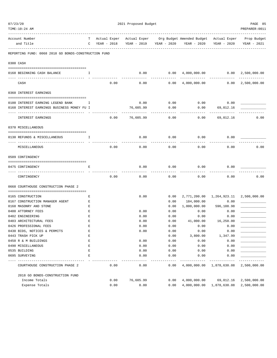| TIME:10:24 AM                                        |             |                             |      |                             |              |                                          |                             | PREPARER: 0011             |
|------------------------------------------------------|-------------|-----------------------------|------|-----------------------------|--------------|------------------------------------------|-----------------------------|----------------------------|
| Account Number<br>and Title                          | т<br>C      | Actual Exper<br>YEAR - 2018 |      | Actual Exper<br>YEAR - 2019 | YEAR - 2020  | Org Budget Amended Budget<br>YEAR - 2020 | Actual Exper<br>YEAR - 2020 | Prop Budget<br>YEAR - 2021 |
| REPORTING FUND: 0068 2018 GO BONDS-CONSTRUCTION FUND |             |                             |      |                             |              |                                          |                             |                            |
| 0300 CASH                                            |             |                             |      |                             |              |                                          |                             |                            |
| 0168 BEGINNING CASH BALANCE                          | Ι.          |                             |      | 0.00                        | 0.00         | $4,000,000.00$ 0.00                      |                             | 2,500,000.00               |
| CASH                                                 |             |                             | 0.00 | 0.00                        | 0.00         | 4,000,000.00                             | 0.00                        | 2,500,000.00               |
| 0360 INTEREST EARNINGS                               |             |                             |      |                             |              |                                          |                             |                            |
| 0100 INTEREST EARNING LEGEND BANK                    | Ι.          |                             |      | 0.00                        | 0.00         | 0.00                                     | 0.00                        |                            |
| 0168 INTEREST EARNINGS BUSINESS MONEY FU I           |             |                             |      | 76,605.99                   | 0.00         | 0.00                                     | 69,012.16                   |                            |
| INTEREST EARNINGS                                    |             |                             | 0.00 | 76,605.99                   | 0.00         | 0.00                                     | 69,012.16                   | 0.00                       |
| 0370 MISCELLANEOUS                                   |             |                             |      |                             |              |                                          |                             |                            |
| 0130 REFUNDS & MISCELLANEOUS                         | I.          |                             |      | 0.00                        | 0.00         | 0.00                                     | 0.00                        |                            |
| MISCELLANEOUS                                        |             |                             | 0.00 | 0.00                        | 0.00         | 0.00                                     | 0.00                        | 0.00                       |
| 0509 CONTINGENCY                                     |             |                             |      |                             |              |                                          |                             |                            |
| 0475 CONTINGENCY                                     | Е           |                             |      | 0.00                        | 0.00         | 0.00                                     | 0.00                        |                            |
| CONTINGENCY                                          |             |                             | 0.00 | 0.00                        | 0.00         | 0.00                                     | 0.00                        | 0.00                       |
| 0668 COURTHOUSE CONSTRUCTION PHASE 2                 |             |                             |      |                             |              |                                          |                             |                            |
|                                                      |             |                             |      |                             |              |                                          |                             |                            |
| 0165 CONSTRUCTION<br>0167 CONSTRUCTION MANAGER AGENT | Е<br>Е      |                             |      | 0.00                        | 0.00<br>0.00 | 2,771,200.00 1,264,923.11<br>184,000.00  | 0.00                        | 2,500,000.00               |
| 0168 MASONRY AND STONE                               | Е           |                             |      |                             | 0.00         | 1,000,000.00                             | 596,108.98                  |                            |
| 0400 ATTORNEY FEES                                   | Е           |                             |      | 0.00                        | 0.00         | 0.00                                     | 0.00                        |                            |
| 0402 ENGINEERING                                     | Ε           |                             |      | 0.00                        | 0.00         | 0.00                                     | 0.00                        |                            |
| 0403 ARCHITECTURAL FEES                              | Ε           |                             |      | 0.00                        | 0.00         | 41,000.00                                | 16,250.00                   |                            |
| 0426 PROFESSIONAL FEES                               | Ε           |                             |      | 0.00                        | 0.00         | 0.00                                     | 0.00                        |                            |
| 0430 BIDS, NOTICES & PERMITS                         | E           |                             |      | 0.00                        | 0.00         | 0.00                                     | 0.00                        |                            |
| 0443 TRASH PICK UP                                   | E           |                             |      |                             | 0.00         | 3,800.00                                 | 1,347.99                    |                            |
| 0450 R & M BUILDINGS                                 | $\mathbf E$ |                             |      | 0.00                        | 0.00         | 0.00                                     | 0.00                        |                            |
| 0490 MISCELLANEOUS                                   | $\mathbf E$ |                             |      | 0.00                        | 0.00         | 0.00                                     | 0.00                        |                            |
| 0535 BUILDING                                        | E           |                             |      | 0.00                        | 0.00         | 0.00                                     | 0.00                        |                            |
| 0695 SURVEYING                                       | E           |                             |      | 0.00                        | 0.00         | 0.00                                     | 0.00                        |                            |
| COURTHOUSE CONSTRUCTION PHASE 2                      |             |                             | 0.00 | 0.00                        | 0.00         | 4,000,000.00                             | 1,878,630.08                | 2,500,000.00               |
| 2018 GO BONDS-CONSTRUCTION FUND                      |             |                             |      |                             |              |                                          |                             |                            |
| Income Totals                                        |             |                             | 0.00 | 76,605.99                   | 0.00         | 4,000,000.00                             | 69,012.16                   | 2,500,000.00               |
| Expense Totals                                       |             |                             | 0.00 | 0.00                        | 0.00         | 4,000,000.00                             | 1,878,630.08                | 2,500,000.00               |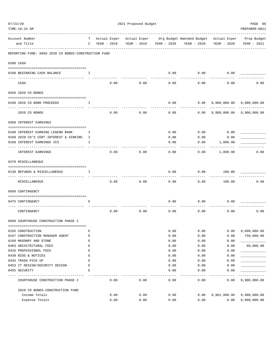| TIME:10:24 AM                                        |    |             |      |      |                         |             |                                                                                               | PREPARER: 0011 |
|------------------------------------------------------|----|-------------|------|------|-------------------------|-------------|-----------------------------------------------------------------------------------------------|----------------|
| Account Number<br>and Title                          | C  | YEAR - 2018 |      |      | YEAR - 2019 YEAR - 2020 | YEAR - 2020 | T Actual Exper Actual Exper Org Budget Amended Budget Actual Exper Prop Budget<br>YEAR - 2020 | YEAR - 2021    |
| REPORTING FUND: 0069 2020 CO BONDS-CONSTRUCTION FUND |    |             |      |      |                         |             |                                                                                               |                |
| 0300 CASH                                            |    |             |      |      |                         |             |                                                                                               |                |
| 0168 BEGINNING CASH BALANCE                          | I  |             |      |      | 0.00                    | 0.00        | 0.00                                                                                          |                |
| CASH                                                 |    |             | 0.00 | 0.00 | 0.00                    | 0.00        | 0.00                                                                                          | 0.00           |
| 0350 2020 CO BONDS                                   |    |             |      |      |                         |             |                                                                                               |                |
| 0169 2020 CO BOND PROCEEDS                           | Ι. |             |      |      | 0.00                    | 0.00        | 9,900,000.00 9,900,000.00                                                                     |                |
| 2020 CO BONDS                                        |    |             | 0.00 | 0.00 | 0.00                    |             | $0.00$ 9,900,000.00 9,900,000.00                                                              |                |
| 0360 INTEREST EARNINGS                               |    |             |      |      |                         |             |                                                                                               |                |
| 0100 INTEREST EARNING LEGEND BANK                    | I. |             |      |      | 0.00                    | 0.00        | 0.00                                                                                          |                |
| 0160 2020 CO'S CERT. INTEREST & SINKING I            |    |             |      |      | 0.00                    | 0.00        | 0.00                                                                                          |                |
| 0169 INTEREST EARNINGS ICS                           | I  |             |      |      | 0.00                    | 0.00        | 1,898.90                                                                                      |                |
| INTEREST EARNINGS                                    |    |             | 0.00 | 0.00 | 0.00                    | 0.00        | 1,898.90                                                                                      | 0.00           |
| 0370 MISCELLANEOUS                                   |    |             |      |      |                         |             |                                                                                               |                |
| 0130 REFUNDS & MISCELLANEOUS                         | I. |             |      |      | 0.00                    | 0.00        | 100.00                                                                                        |                |
| MISCELLANEOUS                                        |    |             | 0.00 | 0.00 | 0.00                    | 0.00        | 100.00                                                                                        | 0.00           |
| 0509 CONTINGENCY                                     |    |             |      |      |                         |             |                                                                                               |                |
| 0475 CONTINGENCY                                     | Ε  |             |      |      | 0.00                    | 0.00        | 0.00                                                                                          |                |
| CONTINGENCY                                          |    |             | 0.00 | 0.00 | 0.00                    | 0.00        | 0.00                                                                                          | 0.00           |
| 0669 COURTHOUSE CONSTRUCTION PHASE 2                 |    |             |      |      |                         |             |                                                                                               |                |
| 0165 CONSTRUCTION                                    | E  |             |      |      | 0.00                    | 0.00        | 0.00                                                                                          | 9,090,000.00   |
| 0167 CONSTRUCTION MANAGER AGENT                      | E  |             |      |      | 0.00                    | 0.00        | 0.00                                                                                          | 750,000.00     |
| 0168 MASONRY AND STONE                               | E  |             |      |      | 0.00                    | 0.00        | 0.00                                                                                          |                |
| 0403 ARCHITECTURAL FEES                              | E  |             |      |      | 0.00                    | 0.00        | 0.00                                                                                          | 60,000.00      |
| 0426 PROFESSIONAL FEES                               | E  |             |      |      | 0.00                    | 0.00        | 0.00                                                                                          |                |
| 0430 BIDS & NOTICES                                  | Ε  |             |      |      | 0.00                    | 0.00        | 0.00                                                                                          |                |
| 0443 TRASH PICK UP                                   | Ε  |             |      |      | 0.00                    | 0.00        | 0.00                                                                                          |                |
| 0453 IT DESIGN/SECURITY DESIGN                       | E  |             |      |      | 0.00                    | 0.00        | 0.00                                                                                          |                |
| 0455 SECURITY                                        | Ε  |             |      |      | 0.00                    | 0.00        | 0.00                                                                                          |                |
|                                                      |    |             |      |      | $- - -$                 |             |                                                                                               |                |
| COURTHOUSE CONSTRUCTION PHASE 2                      |    |             | 0.00 | 0.00 | 0.00                    | 0.00        | 0.00                                                                                          | 9,900,000.00   |
| 2020 CO BONDS-CONSTRUCTION FUND                      |    |             |      |      |                         |             |                                                                                               |                |
| Income Totals                                        |    |             | 0.00 | 0.00 | 0.00                    | 0.00        | 9,901,998.90                                                                                  | 9,900,000.00   |
| Expense Totals                                       |    |             | 0.00 | 0.00 | 0.00                    | 0.00        | 0.00                                                                                          | 9,900,000.00   |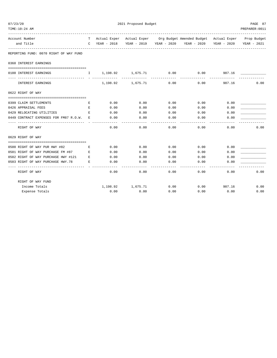| 07/23/20                                                                     |    |                   | PAGE 87                        |                |                                                                                |               |                |
|------------------------------------------------------------------------------|----|-------------------|--------------------------------|----------------|--------------------------------------------------------------------------------|---------------|----------------|
| TIME:10:24 AM                                                                |    |                   |                                |                |                                                                                |               | PREPARER: 0011 |
| Account Number                                                               |    |                   |                                |                | T Actual Exper Actual Exper Org Budget Amended Budget Actual Exper Prop Budget |               |                |
| and Title<br>----------------                                                |    |                   |                                |                | C YEAR - 2018 YEAR - 2019 YEAR - 2020 YEAR - 2020 YEAR - 2020                  |               | YEAR - 2021    |
| REPORTING FUND: 0070 RIGHT OF WAY FUND                                       |    |                   |                                |                |                                                                                |               |                |
| 0360 INTEREST EARNINGS                                                       |    |                   |                                |                |                                                                                |               |                |
|                                                                              |    |                   |                                |                |                                                                                |               |                |
| 0100 INTEREST EARNINGS<br>------------------------------- - -                |    |                   | $I = 1,198.92$ $1,675.71$ 0.00 |                | 0.00                                                                           | 907.16        |                |
| INTEREST EARNINGS                                                            |    |                   | 1,198.92 1,675.71              | 0.00           | 0.00                                                                           | 907.16        | 0.00           |
| 0622 RIGHT OF WAY                                                            |    |                   |                                |                |                                                                                |               |                |
|                                                                              |    |                   |                                |                |                                                                                |               |                |
| 0399 CLAIM SETTLEMENTS                                                       | Е  | 0.00              | 0.00                           | 0.00           | 0.00                                                                           | 0.00          |                |
| 0426 APPRAISAL FEES                                                          | E. | 0.00              | 0.00                           | 0.00           | 0.00                                                                           | 0.00          |                |
| 0429 RELOCATING UTILITIES                                                    | E. | 0.00              | 0.00                           | 0.00           | 0.00                                                                           | 0.00          |                |
| 0449 CONTRACT EXPENSES FOR FM87 R.O.W.<br>---------------------------------- | E. | 0.00<br>--------- | 0.00<br>----------             | 0.00<br>------ | 0.00                                                                           | 0.00          |                |
| RIGHT OF WAY                                                                 |    | 0.00              | 0.00                           | 0.00           | 0.00                                                                           | 0.00          | 0.00           |
| 0629 RIGHT OF WAY                                                            |    |                   |                                |                |                                                                                |               |                |
| 0500 RIGHT OF WAY PUR HWY #82                                                | E  | 0.00              | 0.00                           | 0.00           | 0.00                                                                           | 0.00          |                |
| 0501 RIGHT OF WAY PURCHASE FM #87 E                                          |    | 0.00              | 0.00                           | 0.00           | 0.00                                                                           | 0.00          |                |
| 0502 RIGHT OF WAY PURCHASE HWY #121                                          | E  | 0.00              | 0.00                           | 0.00           | 0.00                                                                           | 0.00          |                |
| 0503 RIGHT OF WAY PURCHASE HWY.78                                            | E  | 0.00              | 0.00                           | 0.00           | 0.00                                                                           | 0.00          |                |
| RIGHT OF WAY                                                                 |    | 0.00              | 0.00                           | -----<br>0.00  | 0.00                                                                           | 0.00          | 0.00           |
| RIGHT OF WAY FUND                                                            |    |                   |                                |                |                                                                                |               |                |
| Income Totals                                                                |    |                   | 1,198.92 1,675.71              | 0.00           |                                                                                | $0.00$ 907.16 | 0.00           |
| Expense Totals                                                               |    | 0.00              | 0.00                           | 0.00           | 0.00                                                                           | 0.00          | 0.00           |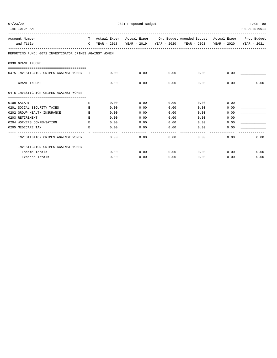| 07/23/20<br>TIME:10:24 AM                              | 2021 Proposed Budget |             |      |  |      |      |                                                                                |             | PAGE 88<br>PREPARER: 0011 |  |
|--------------------------------------------------------|----------------------|-------------|------|--|------|------|--------------------------------------------------------------------------------|-------------|---------------------------|--|
| Account Number                                         |                      |             |      |  |      |      | T Actual Exper Actual Exper Org Budget Amended Budget Actual Exper Prop Budget |             |                           |  |
| and Title                                              | $\mathbb{C}$         | YEAR - 2018 |      |  |      |      | YEAR - 2019 YEAR - 2020 YEAR - 2020                                            | YEAR - 2020 | YEAR - 2021               |  |
| REPORTING FUND: 0071 INVESTIGATOR CRIMES AGAINST WOMEN |                      |             |      |  |      |      |                                                                                |             |                           |  |
| 0330 GRANT INCOME                                      |                      |             |      |  |      |      |                                                                                |             |                           |  |
| 0475 INVESTIGATOR CRIMES AGAINST WOMEN I               |                      | 0.00        |      |  | 0.00 | 0.00 | 0.00                                                                           | 0.00        |                           |  |
| GRANT INCOME                                           |                      |             | 0.00 |  | 0.00 | 0.00 | 0.00                                                                           | 0.00        | 0.00                      |  |
| 0475 INVESTIGATOR CRIMES AGAINST WOMEN                 |                      |             |      |  |      |      |                                                                                |             |                           |  |
| 0108 SALARY                                            | Е                    |             | 0.00 |  | 0.00 | 0.00 | 0.00                                                                           | 0.00        |                           |  |
| 0201 SOCIAL SECURITY TAXES                             | E.                   |             | 0.00 |  | 0.00 | 0.00 | 0.00                                                                           | 0.00        |                           |  |
| 0202 GROUP HEALTH INSURANCE                            | E.                   |             | 0.00 |  | 0.00 | 0.00 | 0.00                                                                           | 0.00        |                           |  |
| 0203 RETIREMENT                                        | E.                   |             | 0.00 |  | 0.00 | 0.00 | 0.00                                                                           | 0.00        |                           |  |
| 0204 WORKERS COMPENSATION                              | E.                   |             | 0.00 |  | 0.00 | 0.00 | 0.00                                                                           | 0.00        |                           |  |
| 0205 MEDICARE TAX                                      | F.                   |             | 0.00 |  | 0.00 | 0.00 | 0.00                                                                           | 0.00        |                           |  |
| INVESTIGATOR CRIMES AGAINST WOMEN                      |                      |             | 0.00 |  | 0.00 | 0.00 | 0.00                                                                           | 0.00        | 0.00                      |  |
| INVESTIGATOR CRIMES AGAINST WOMEN                      |                      |             |      |  |      |      |                                                                                |             |                           |  |
| Income Totals                                          |                      |             | 0.00 |  | 0.00 | 0.00 | 0.00                                                                           | 0.00        | 0.00                      |  |
| Expense Totals                                         |                      |             | 0.00 |  | 0.00 | 0.00 | 0.00                                                                           | 0.00        | 0.00                      |  |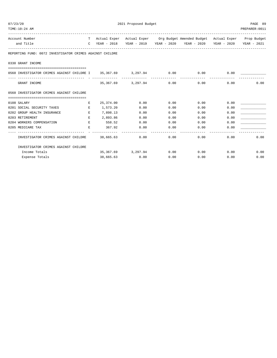| 07/23/20<br>TIME:10:24 AM                                          |         |               | PAGE 89<br>PREPARER: 0011 |      |                                                                                |      |             |
|--------------------------------------------------------------------|---------|---------------|---------------------------|------|--------------------------------------------------------------------------------|------|-------------|
| Account Number                                                     |         |               |                           |      | T Actual Exper Actual Exper Org Budget Amended Budget Actual Exper Prop Budget |      |             |
| and Title                                                          |         | C YEAR - 2018 |                           |      | YEAR - 2019 YEAR - 2020 YEAR - 2020 YEAR - 2020                                |      | YEAR - 2021 |
| REPORTING FUND: 0072 INVESTIGATOR CRIMES AGAINST CHILDRE           |         |               |                           |      |                                                                                |      |             |
| 0330 GRANT INCOME                                                  |         |               |                           |      |                                                                                |      |             |
| 0560 INVESTIGATOR CRIMES AGAINST CHILDRE I 35,367.69 3,297.94 0.00 |         |               |                           |      | 0.00                                                                           | 0.00 |             |
| GRANT INCOME                                                       |         | 35,367.69     | 3,297.94                  | 0.00 | 0.00                                                                           | 0.00 | 0.00        |
| 0560 INVESTIGATOR CRIMES AGAINST CHILDRE                           |         |               |                           |      |                                                                                |      |             |
| 0108 SALARY                                                        | Е       | 25,374.00     | 0.00                      | 0.00 | 0.00                                                                           | 0.00 |             |
| 0201 SOCIAL SECURITY TAXES                                         | $F_{i}$ | 1,573.20      | 0.00                      | 0.00 | 0.00                                                                           | 0.00 |             |
| 0202 GROUP HEALTH INSURANCE                                        | $F_{i}$ | 7,898.13      | 0.00                      | 0.00 | 0.00                                                                           | 0.00 |             |
| 0203 RETIREMENT                                                    | $F_{i}$ | 2,893.86      | 0.00                      | 0.00 | 0.00                                                                           | 0.00 |             |
| 0204 WORKERS COMPENSATION                                          | $E_{i}$ | 558.52        | 0.00                      | 0.00 | 0.00                                                                           | 0.00 |             |
| 0205 MEDICARE TAX                                                  | E       | 367.92        | 0.00                      | 0.00 | 0.00                                                                           | 0.00 |             |
| INVESTIGATOR CRIMES AGAINST CHILDRE                                |         | 38,665.63     | 0.00                      | 0.00 | 0.00                                                                           | 0.00 | 0.00        |
| INVESTIGATOR CRIMES AGAINST CHILDRE                                |         |               |                           |      |                                                                                |      |             |
| Income Totals                                                      |         | 35,367.69     | 3,297.94                  | 0.00 | 0.00                                                                           | 0.00 | 0.00        |
| Expense Totals                                                     |         | 38,665.63     | 0.00                      | 0.00 | 0.00                                                                           | 0.00 | 0.00        |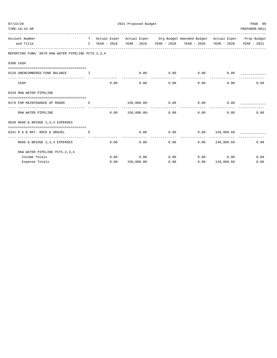| 07/23/20                                                                                        |  | 2021 Proposed Budget |                             |                        |                                                                                                                                                                                                                                |                   |              |  |  |  |
|-------------------------------------------------------------------------------------------------|--|----------------------|-----------------------------|------------------------|--------------------------------------------------------------------------------------------------------------------------------------------------------------------------------------------------------------------------------|-------------------|--------------|--|--|--|
| TIME:10:24 AM<br>T Actual Exper Actual Exper Org Budget Amended Budget Actual Exper Prop Budget |  |                      |                             |                        |                                                                                                                                                                                                                                |                   |              |  |  |  |
| Account Number                                                                                  |  |                      |                             |                        |                                                                                                                                                                                                                                |                   |              |  |  |  |
| and Title                                                                                       |  |                      |                             |                        | C YEAR - 2018 YEAR - 2019 YEAR - 2020 YEAR - 2020 YEAR - 2020 YEAR - 2021                                                                                                                                                      |                   |              |  |  |  |
| REPORTING FUND: 0078 RAW WATER PIPELINE PCTS. 2, 3, 4                                           |  |                      |                             |                        |                                                                                                                                                                                                                                |                   |              |  |  |  |
| 0300 CASH                                                                                       |  |                      |                             |                        |                                                                                                                                                                                                                                |                   |              |  |  |  |
| 0120 UNENCUMBERED FUND BALANCE<br>$\mathbf{T}$ and $\mathbf{T}$                                 |  |                      |                             |                        | $0.00$ $0.00$ $0.00$ $0.00$ $0.00$ $0.00$ $0.00$ $0.00$ $0.00$ $0.00$ $0.00$ $0.00$ $0.00$ $0.00$ $0.00$ $0.00$ $0.00$ $0.00$ $0.00$ $0.00$ $0.00$ $0.00$ $0.00$ $0.00$ $0.00$ $0.00$ $0.00$ $0.00$ $0.00$ $0.00$ $0.00$ $0.0$ |                   |              |  |  |  |
| CASH                                                                                            |  | 0.00                 | 0.00                        | --------------<br>0.00 |                                                                                                                                                                                                                                | 0.00<br>0.00      | 0.00         |  |  |  |
| 0319 RAW WATER PIPELINE                                                                         |  |                      |                             |                        |                                                                                                                                                                                                                                |                   |              |  |  |  |
| 0179 FOR MAINTENANCE OF ROADS E                                                                 |  |                      |                             |                        | $150,000.00 - 0.00$ 0.00 0.00 0.00                                                                                                                                                                                             |                   |              |  |  |  |
| RAW WATER PIPELINE                                                                              |  |                      |                             |                        | $0.00$ $150.000.00$ $0.00$ $0.00$ $0.00$                                                                                                                                                                                       |                   | 0.00<br>0.00 |  |  |  |
| 0628 ROAD & BRIDGE 2,3,4 EXPENSES                                                               |  |                      |                             |                        |                                                                                                                                                                                                                                |                   |              |  |  |  |
| 0341 R & B MAT. ROCK & GRAVEL                                                                   |  |                      |                             |                        | $0.00$ $0.00$ $0.00$ $149,960.69$                                                                                                                                                                                              |                   |              |  |  |  |
| ROAD & BRIDGE 2, 3, 4 EXPENSES                                                                  |  |                      | 0.00                        | ------------<br>0.00   | 0.00                                                                                                                                                                                                                           | 0.00 149,960.69   | 0.00         |  |  |  |
| RAW WATER PIPELINE PCTS. 2, 3, 4                                                                |  |                      |                             |                        |                                                                                                                                                                                                                                |                   |              |  |  |  |
| Income Totals                                                                                   |  |                      | $0.00$ $0.00$ $0.00$ $0.00$ |                        | $0.00$ 0.00                                                                                                                                                                                                                    |                   | 0.00         |  |  |  |
| Expense Totals                                                                                  |  | 0.00                 | 150,000.00-                 | 0.00                   |                                                                                                                                                                                                                                | $0.00$ 149,960.69 | 0.00         |  |  |  |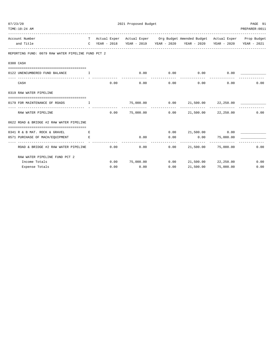| TIME:10:24 AM                                                  |      |                  |                        |                                                                                                                                                             |                     | PREPARER: 0011 |
|----------------------------------------------------------------|------|------------------|------------------------|-------------------------------------------------------------------------------------------------------------------------------------------------------------|---------------------|----------------|
| Account Number<br>and Title                                    |      |                  |                        | T Actual Exper Actual Exper Org Budget Amended Budget Actual Exper Prop Budget<br>C YEAR - 2018 YEAR - 2019 YEAR - 2020 YEAR - 2020 YEAR - 2020 YEAR - 2021 |                     |                |
| REPORTING FUND: 0079 RAW WATER PIPELINE FUND PCT 2             |      |                  |                        |                                                                                                                                                             |                     |                |
| 0300 CASH                                                      |      |                  |                        |                                                                                                                                                             |                     |                |
| 0122 UNENCUMBERED FUND BALANCE I                               |      |                  |                        | $0.00$ $0.00$ $0.00$ $0.00$                                                                                                                                 | 0.00                |                |
| CASH                                                           | 0.00 |                  | --------------<br>0.00 | 0.00                                                                                                                                                        | 0.00<br>0.00        | 0.00           |
| 0319 RAW WATER PIPELINE                                        |      |                  |                        |                                                                                                                                                             |                     |                |
| 0179 FOR MAINTENANCE OF ROADS<br>$\mathbf{I}$ and $\mathbf{I}$ |      |                  |                        |                                                                                                                                                             |                     |                |
| RAW WATER PIPELINE                                             |      |                  |                        | -------------- --------------<br>$0.00$ $75,000.00$ $0.00$ $21,500.00$ $22,250.00$                                                                          |                     | 0.00           |
| 0622 ROAD & BRIDGE #2 RAW WATER PIPELINE                       |      |                  |                        |                                                                                                                                                             |                     |                |
| 0341 R & B MAT. ROCK & GRAVEL                                  |      |                  |                        | $0.00$ 21,500.00 0.00                                                                                                                                       |                     |                |
| 0571 PURCHASE OF MACH/EQUIPMENT E                              |      | 0.00<br>------   | 0.00<br>-----------    | $0.00$ 75,000.00<br>--------------                                                                                                                          |                     |                |
| ROAD & BRIDGE #2 RAW WATER PIPELINE                            | 0.00 |                  | 0.00                   | $0.00$ 21,500.00 75,000.00                                                                                                                                  |                     | 0.00           |
| RAW WATER PIPELINE FUND PCT 2                                  |      |                  |                        |                                                                                                                                                             |                     |                |
| Income Totals                                                  |      | $0.00$ 75,000.00 |                        | $0.00$ 21,500.00 22,250.00                                                                                                                                  |                     | 0.00           |
| Expense Totals                                                 | 0.00 | 0.00             | 0.00                   |                                                                                                                                                             | 21,500.00 75,000.00 | 0.00           |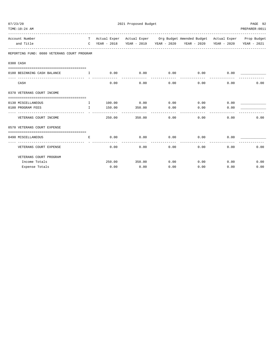| 07/23/20<br>TIME:10:24 AM                              |                                             | PREPARER: 0011          |               |      |                                                                                                                                                 |      |             |
|--------------------------------------------------------|---------------------------------------------|-------------------------|---------------|------|-------------------------------------------------------------------------------------------------------------------------------------------------|------|-------------|
| Account Number<br>and Title                            |                                             |                         |               |      | T Actual Exper Actual Exper Org Budget Amended Budget Actual Exper Prop Budget<br>C YEAR - 2018 YEAR - 2019 YEAR - 2020 YEAR - 2020 YEAR - 2020 |      | YEAR - 2021 |
| REPORTING FUND: 0080 VETERANS COURT PROGRAM            |                                             |                         |               |      |                                                                                                                                                 |      |             |
| 0300 CASH                                              |                                             |                         |               |      |                                                                                                                                                 |      |             |
| 0180 BEGINNING CASH BALANCE                            | . The contract of the state $\mathbf{I}$ is |                         |               |      | $0.00$ $0.00$ $0.00$ $0.00$ $0.00$                                                                                                              | 0.00 |             |
| CASH                                                   |                                             | 0.00                    | 0.00          | 0.00 | 0.00                                                                                                                                            | 0.00 | 0.00        |
| 0370 VETERANS COURT INCOME                             |                                             |                         |               |      |                                                                                                                                                 |      |             |
| 0130 MISCELLANEOUS                                     | $\mathbf{I}$                                |                         | $100.00$ 0.00 | 0.00 | 0.00                                                                                                                                            | 0.00 |             |
| 0180 PROGRAM FEES<br>----------------------------- - - | T                                           | 150.00                  | 350.00        | 0.00 | 0.00                                                                                                                                            | 0.00 |             |
| VETERANS COURT INCOME                                  |                                             | 250.00                  | 350.00        | 0.00 | 0.00                                                                                                                                            | 0.00 | 0.00        |
| 0570 VETERANS COURT EXPENSE                            |                                             |                         |               |      |                                                                                                                                                 |      |             |
|                                                        |                                             |                         |               |      |                                                                                                                                                 |      |             |
| 0490 MISCELLANEOUS                                     | E.                                          | 0.00<br>- ------------- | 0.00          | 0.00 | 0.00                                                                                                                                            | 0.00 |             |
| VETERANS COURT EXPENSE                                 |                                             | 0.00                    | 0.00          | 0.00 | 0.00                                                                                                                                            | 0.00 | 0.00        |
| VETERANS COURT PROGRAM                                 |                                             |                         |               |      |                                                                                                                                                 |      |             |
| Income Totals                                          |                                             | 250.00                  | 350.00        | 0.00 | 0.00                                                                                                                                            | 0.00 | 0.00        |
| Expense Totals                                         |                                             | 0.00                    | 0.00          | 0.00 | 0.00                                                                                                                                            | 0.00 | 0.00        |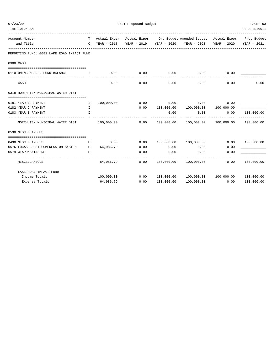| TIME:10:24 AM                                                                                                                                                                                                                                                                                                                      |              |             |      |             |                                                                                |                       | PREPARER: 0011             |
|------------------------------------------------------------------------------------------------------------------------------------------------------------------------------------------------------------------------------------------------------------------------------------------------------------------------------------|--------------|-------------|------|-------------|--------------------------------------------------------------------------------|-----------------------|----------------------------|
| Account Number                                                                                                                                                                                                                                                                                                                     |              |             |      |             | T Actual Exper Actual Exper Org Budget Amended Budget Actual Exper Prop Budget |                       |                            |
| and Title<br>----------------------------                                                                                                                                                                                                                                                                                          | $\mathbb{C}$ | YEAR - 2018 |      |             | YEAR - 2019 YEAR - 2020 YEAR - 2020                                            | YEAR - 2020           | YEAR - 2021                |
| REPORTING FUND: 0081 LAKE ROAD IMPACT FUND                                                                                                                                                                                                                                                                                         |              |             |      |             |                                                                                |                       |                            |
| 0300 CASH                                                                                                                                                                                                                                                                                                                          |              |             |      |             |                                                                                |                       |                            |
|                                                                                                                                                                                                                                                                                                                                    |              |             |      |             |                                                                                |                       |                            |
| 0110 UNENCUMBERED FUND BALANCE<br>$\mathbf{I}$ and $\mathbf{I}$ and $\mathbf{I}$ and $\mathbf{I}$ and $\mathbf{I}$ and $\mathbf{I}$ and $\mathbf{I}$ and $\mathbf{I}$ and $\mathbf{I}$ and $\mathbf{I}$ and $\mathbf{I}$ and $\mathbf{I}$ and $\mathbf{I}$ and $\mathbf{I}$ and $\mathbf{I}$ and $\mathbf{I}$ and $\mathbf{I}$ and |              | 0.00        | 0.00 | 0.00        | 0.00                                                                           | 0.00                  |                            |
| CASH                                                                                                                                                                                                                                                                                                                               |              | 0.00        | 0.00 | 0.00        | 0.00                                                                           | 0.00                  | 0.00                       |
| 0318 NORTH TEX MUNICIPAL WATER DIST                                                                                                                                                                                                                                                                                                |              |             |      |             |                                                                                |                       |                            |
| 0181 YEAR 1 PAYMENT                                                                                                                                                                                                                                                                                                                | I.           | 100,000.00  |      | $0.00$ 0.00 | 0.00                                                                           | 0.00                  |                            |
| 0182 YEAR 2 PAYMENT                                                                                                                                                                                                                                                                                                                | $\mathbf{I}$ |             |      |             | $0.00$ $100,000.00$ $100,000.00$ $100,000.00$                                  |                       |                            |
| 0183 YEAR 3 PAYMENT                                                                                                                                                                                                                                                                                                                | $\mathbb{T}$ |             |      | 0.00        | 0.00                                                                           | 0.00                  | 100,000.00                 |
| NORTH TEX MUNICIPAL WATER DIST 100,000.00                                                                                                                                                                                                                                                                                          |              |             | 0.00 |             | 100,000.00 100,000.00                                                          | 100,000.00            | ------------<br>100,000.00 |
| 0590 MISCELLANEOUS                                                                                                                                                                                                                                                                                                                 |              |             |      |             |                                                                                |                       |                            |
| 0490 MISCELLANEOUS                                                                                                                                                                                                                                                                                                                 | E            | 0.00        | 0.00 |             |                                                                                | 0.00                  | 100,000.00                 |
| 0576 LUCAS CHEST COMPRESSION SYSTEM E                                                                                                                                                                                                                                                                                              |              | 64,986.79   | 0.00 | 0.00        | 0.00                                                                           | 0.00                  |                            |
| 0579 WEAPONS/TASERS                                                                                                                                                                                                                                                                                                                | E            |             | 0.00 | 0.00        | 0.00                                                                           | 0.00                  |                            |
| MISCELLANEOUS                                                                                                                                                                                                                                                                                                                      |              | 64,986.79   |      | ----------- | ------------- --------<br>$0.00$ 100,000.00 100,000.00                         | 0.00                  | 100,000.00                 |
| LAKE ROAD IMPACT FUND                                                                                                                                                                                                                                                                                                              |              |             |      |             |                                                                                |                       |                            |
| Income Totals                                                                                                                                                                                                                                                                                                                      |              | 100,000.00  | 0.00 | 100,000.00  |                                                                                | 100,000.00 100,000.00 | 100,000.00                 |
| Expense Totals                                                                                                                                                                                                                                                                                                                     |              | 64,986.79   | 0.00 | 100,000.00  | 100,000.00                                                                     | 0.00                  | 100,000.00                 |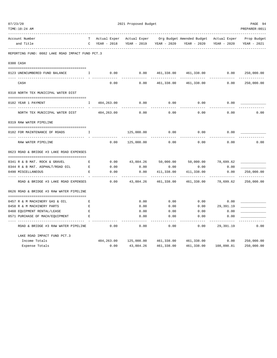| TIME:10:24 AM                                                   |               |              |              |             |                           |              | PREPARER: 0011 |
|-----------------------------------------------------------------|---------------|--------------|--------------|-------------|---------------------------|--------------|----------------|
| Account Number                                                  | т             | Actual Exper | Actual Exper |             | Org Budget Amended Budget | Actual Exper | Prop Budget    |
| and Title                                                       | $\mathcal{C}$ | YEAR - 2018  | YEAR - 2019  | YEAR - 2020 | YEAR - 2020               | YEAR - 2020  | YEAR - 2021    |
| REPORTING FUND: 0082 LAKE ROAD IMPACT FUND PCT.3                |               |              |              |             |                           |              |                |
| 0300 CASH                                                       |               |              |              |             |                           |              |                |
|                                                                 |               |              |              |             |                           |              |                |
| 0123 UNENCUMBERED FUND BALANCE                                  | I             | 0.00         | 0.00         | 461,338.00  | 461,338.00                | 0.00         | 250,000.00     |
| CASH                                                            |               | 0.00         | 0.00         | 461,338.00  | 461,338.00                | 0.00         | 250,000.00     |
| 0318 NORTH TEX MUNICIPAL WATER DIST                             |               |              |              |             |                           |              |                |
| 0182 YEAR 1 PAYMENT                                             | I.            | 484,263.00   | 0.00         | 0.00        | 0.00                      | 0.00         |                |
| -- --------------------------<br>NORTH TEX MUNICIPAL WATER DIST |               | 484, 263.00  | 0.00         | 0.00        | 0.00                      | 0.00         | 0.00           |
| 0319 RAW WATER PIPELINE                                         |               |              |              |             |                           |              |                |
| 0182 FOR MAINTENANCE OF ROADS                                   | I.            |              | 125,000.00   | 0.00        | 0.00                      | 0.00         |                |
| RAW WATER PIPELINE                                              |               | 0.00         | 125,000.00   | 0.00        | 0.00                      | 0.00         | 0.00           |
| 0623 ROAD & BRIDGE #3 LAKE ROAD EXPENSES                        |               |              |              |             |                           |              |                |
| 0341 R & B MAT. ROCK & GRAVEL                                   | Е             | 0.00         | 43,884.26    | 50,000.00   | 50,000.00                 | 78,699.62    |                |
| 0344 R & B MAT. ASPHALT/ROAD OIL                                | E             | 0.00         | 0.00         | 0.00        | 0.00                      | 0.00         |                |
| 0490 MISCELLANEOUS                                              | Е             | 0.00         | 0.00         | 411,338.00  | 411,338.00                | 0.00         | 250,000.00     |
| ROAD & BRIDGE #3 LAKE ROAD EXPENSES                             |               | 0.00         | 43,884.26    | 461,338.00  | 461,338.00                | 78,699.62    | 250,000.00     |
| 0626 ROAD & BRIDGE #3 RAW WATER PIPELINE                        |               |              |              |             |                           |              |                |
| 0457 R & M MACHINERY GAS & OIL                                  | Е             |              | 0.00         | 0.00        | 0.00                      | 0.00         |                |
| 0458 R & M MACHINERY PARTS                                      | Е             |              | 0.00         | 0.00        | 0.00                      | 29,391.19    |                |
| 0460 EQUIPMENT RENTAL/LEASE                                     | Ε             |              | 0.00         | 0.00        | 0.00                      | 0.00         |                |
| 0571 PURCHASE OF MACH/EQUIPMENT                                 | Е             |              | 0.00         | 0.00        | 0.00                      | 0.00         |                |
| ROAD & BRIDGE #3 RAW WATER PIPELINE                             |               | 0.00         | 0.00         | 0.00        | 0.00                      | 29,391.19    | 0.00           |
| LAKE ROAD IMPACT FUND PCT.3                                     |               |              |              |             |                           |              |                |
| Income Totals                                                   |               | 484,263.00   | 125,000.00   | 461,338.00  | 461,338.00                | 0.00         | 250,000.00     |
| Expense Totals                                                  |               | 0.00         | 43,884.26    | 461,338.00  | 461,338.00                | 108,090.81   | 250,000.00     |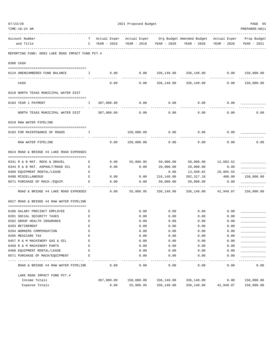| TIME:10:24 AM                                                  |    |                 |                         |            |                                                                                               |             | PREPARER: 0011           |
|----------------------------------------------------------------|----|-----------------|-------------------------|------------|-----------------------------------------------------------------------------------------------|-------------|--------------------------|
| Account Number<br>and Title                                    |    | $C$ YEAR - 2018 | YEAR - 2019 YEAR - 2020 |            | T Actual Exper Actual Exper Org Budget Amended Budget Actual Exper Prop Budget<br>YEAR - 2020 | YEAR - 2020 | YEAR - 2021              |
|                                                                |    |                 |                         |            |                                                                                               |             |                          |
| REPORTING FUND: 0083 LAKE ROAD IMPACT FUND PCT.4               |    |                 |                         |            |                                                                                               |             |                          |
| 0300 CASH                                                      |    |                 |                         |            |                                                                                               |             |                          |
| 0124 UNENCUMBERED FUND BALANCE                                 | Ι. | 0.00            | 0.00                    |            | 336,148.00 336,148.00                                                                         | 0.00        | 150,000.00<br>. <u>.</u> |
| CASH                                                           |    | 0.00            | 0.00                    | 336,148.00 | 336,148.00                                                                                    | 0.00        | 150,000.00               |
| 0318 NORTH TEXAS MUNICIPAL WATER DIST                          |    |                 |                         |            |                                                                                               |             |                          |
| 0183 YEAR 1 PAYMENT                                            | Ι. | 387,000.00      | 0.00                    | 0.00       | 0.00                                                                                          | 0.00        |                          |
| NORTH TEXAS MUNICIPAL WATER DIST 387,000.00                    |    |                 | -----------<br>0.00     | 0.00       | 0.00                                                                                          | 0.00        | 0.00                     |
| 0319 RAW WATER PIPELINE                                        |    |                 |                         |            |                                                                                               |             |                          |
| 0183 FOR MAINTENANCE OF ROADS                                  | Ι. |                 | 150,000.00              | 0.00       | 0.00                                                                                          | 0.00        |                          |
| RAW WATER PIPELINE                                             |    | 0.00            | 150,000.00              | 0.00       | 0.00                                                                                          | 0.00        | 0.00                     |
| 0624 ROAD & BRIDGE #4 LAKE ROAD EXPENSES                       |    |                 |                         |            |                                                                                               |             |                          |
| 0341 R & B MAT. ROCK & GRAVEL                                  | E  | 0.00            | 55,886.95               | 50,000.00  | 50,000.00 12,683.52                                                                           |             |                          |
| 0344 R & B MAT. ASPHALT/ROAD OIL                               | E  | 0.00            | 0.00                    | 20,000.00  | 20,000.00                                                                                     | 0.00        |                          |
| 0460 EQUIPMENT RENTAL/LEASE                                    | E  |                 |                         | 0.00       | 13,830.82                                                                                     | 29,865.55   |                          |
| 0490 MISCELLANEOUS                                             | E  | 0.00            | 0.00                    | 216,148.00 | 202,317.18                                                                                    | 400.00      | 150,000.00               |
| 0571 PURCHASE OF MACH./EQUIP.<br>$\mathbf{E}$ and $\mathbf{E}$ |    | 0.00            | 0.00                    | 50,000.00  | 50,000.00                                                                                     | 0.00        |                          |
| ROAD & BRIDGE #4 LAKE ROAD EXPENSES                            |    | 0.00            | 55,886.95               | 336,148.00 | 336,148.00                                                                                    | 42,949.07   | 150,000.00               |
| 0627 ROAD & BRIDGE #4 RAW WATER PIPELINE                       |    |                 |                         |            |                                                                                               |             |                          |
| 0106 SALARY PRECINCT EMPLOYEE                                  | Е  |                 | 0.00                    | 0.00       | 0.00                                                                                          | 0.00        |                          |
| 0201 SOCIAL SECURITY TAXES                                     | Е  |                 | 0.00                    | 0.00       | 0.00                                                                                          | 0.00        |                          |
| 0202 GROUP HEALTH INSURANCE                                    | E  |                 | 0.00                    | 0.00       | 0.00                                                                                          | 0.00        |                          |
| 0203 RETIREMENT                                                | E  |                 | 0.00                    | 0.00       | 0.00                                                                                          | 0.00        |                          |
| 0204 WORKERS COMPENSATION                                      | E  |                 | 0.00                    | 0.00       | 0.00                                                                                          | 0.00        |                          |
| 0205 MEDICARE TAX                                              | E  |                 | 0.00                    | 0.00       | 0.00                                                                                          | 0.00        |                          |
| 0457 R & M MACHINERY GAS & OIL                                 | E  |                 | 0.00                    | 0.00       | 0.00                                                                                          | 0.00        |                          |
| 0458 R & M MACHINERY PARTS                                     | E  |                 | 0.00                    | 0.00       | 0.00                                                                                          | 0.00        |                          |
| 0460 EQUIPMENT RENTAL/LEASE                                    | E  |                 | 0.00                    | 0.00       | 0.00                                                                                          | 0.00        |                          |
| 0571 PURCHASE OF MACH/EQUIPMENT                                | E  |                 | 0.00                    | 0.00       | 0.00                                                                                          | 0.00        |                          |
| ROAD & BRIDGE #4 RAW WATER PIPELINE                            |    | 0.00            | 0.00                    | 0.00       | 0.00                                                                                          | 0.00        | 0.00                     |
| LAKE ROAD IMPACT FUND PCT. 4                                   |    |                 |                         |            |                                                                                               |             |                          |
| Income Totals                                                  |    | 387,000.00      | 150,000.00              | 336,148.00 | 336,148.00                                                                                    | 0.00        | 150,000.00               |
| Expense Totals                                                 |    | 0.00            | 55,886.95               | 336,148.00 | 336,148.00                                                                                    | 42,949.07   | 150,000.00               |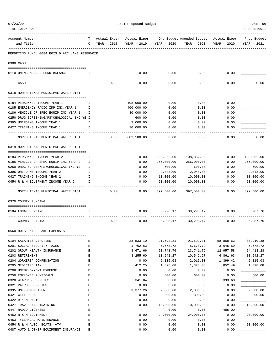| TIME:10:24 AM                                                             |             |              |      |               |                         |                                                     |             | PREPARER: 0011           |
|---------------------------------------------------------------------------|-------------|--------------|------|---------------|-------------------------|-----------------------------------------------------|-------------|--------------------------|
| Account Number                                                            | T.          | Actual Exper |      |               |                         | Actual Exper Org Budget Amended Budget Actual Exper |             | Prop Budget              |
| and Title                                                                 | $\mathbf C$ | YEAR - 2018  |      |               | YEAR - 2019 YEAR - 2020 | YEAR - 2020                                         | YEAR - 2020 | YEAR - 2021              |
| REPORTING FUND: 0084 BOIS D'ARC LAKE RESERVOIR                            |             |              |      |               |                         |                                                     |             |                          |
| 0300 CASH                                                                 |             |              |      |               |                         |                                                     |             |                          |
| 0110 UNENCUMBERED FUND BALANCE                                            | Ι.          |              |      | 0.00          | 0.00                    | 0.00                                                | 0.00        |                          |
| ------------------------------                                            |             |              |      |               | $- - - -$               |                                                     |             |                          |
| CASH                                                                      |             |              | 0.00 | 0.00          | 0.00                    | 0.00                                                | 0.00        | 0.00                     |
| 0318 NORTH TEXAS MUNICIPAL WATER DIST                                     |             |              |      |               |                         |                                                     |             |                          |
|                                                                           |             |              |      |               |                         |                                                     |             |                          |
| 0184 PERSONNEL INCOME YEAR 1                                              | Ι.          |              |      | 108,900.00    | 0.00                    | 0.00                                                | 0.00        |                          |
| 0185 EMERGENCY RADIO IMP. INC. YEAR 1                                     | I           |              |      | 400,000.00    | 0.00                    | 0.00                                                | 0.00        |                          |
| 0186 VEHICLE OR SPEC EQUIP INC YEAR 1                                     | I           |              |      | 80,000.00     | 0.00                    | 0.00                                                | 0.00        |                          |
| 0250 DRUG SCREENING/PSYCHOLOGICAL INC YE I<br>0395 UNIFORMS INCOME YEAR 1 |             |              |      | 600.00        | 0.00                    | 0.00                                                | 0.00        |                          |
|                                                                           | I.          |              |      | 3,000.00      | 0.00                    | 0.00                                                | 0.00        |                          |
| 0427 TRAINING INCOME YEAR 1                                               | I           |              |      | 10,000.00     | 0.00<br>$- - - - -$     | 0.00                                                | 0.00        |                          |
| NORTH TEXAS MUNICIPAL WATER DIST                                          |             |              | 0.00 | 602,500.00    | 0.00                    | 0.00                                                | 0.00        | 0.00                     |
| 0319 NORTH TEXAS MUNICIPAL WATER DIST                                     |             |              |      |               |                         |                                                     |             |                          |
| 0184 PERSONNEL INCOME YEAR 2                                              | Ι.          |              |      | 0.00          | 108,852.00              |                                                     | 0.00        | 108,852.00               |
| 0186 VEHICLE OR SPEC EQUIP INC YEAR 2                                     | I           |              |      | 0.00          | 256,000.00              | 108,852.00<br>256,000.00                            | 0.00        | 256,000.00               |
| 0250 DRUG SCREEN/PSYCHOLOGICAL INC YE                                     | I           |              |      | 0.00          | 600.00                  | 600.00                                              | 0.00        | 600.00                   |
| 0395 UNIFORMS INCOME YEAR 2                                               | T           |              |      | 0.00          | 2,048.00                | 2,048.00                                            | 0.00        | 2,048.00                 |
| 0427 TRAINING INCOME YEAR 2                                               | I           |              |      | 0.00          | 10,000.00               | 10,000.00                                           | 0.00        | 10,000.00                |
| 0454 R & M EQUIPMENT INCOME YEAR 2                                        | I           |              |      | 0.00          | 20,000.00               | 20,000.00                                           | 0.00        | 20,000.00                |
| NORTH TEXAS MUNICIPAL WATER DIST                                          |             |              | 0.00 | -----<br>0.00 | 397,500.00              | 397,500.00                                          | 0.00        | ----------<br>397,500.00 |
|                                                                           |             |              |      |               |                         |                                                     |             |                          |
| 0370 COUNTY FUNDING                                                       |             |              |      |               |                         |                                                     |             |                          |
| 0184 LOCAL FUNDING                                                        | Ι.          |              |      | 0.00          |                         | 30,298.17 30,298.17                                 | 0.00        | 36,287.76                |
| COUNTY FUNDING                                                            |             |              | 0.00 | 0.00          | 30,298.17               | 30,298.17                                           | 0.00        | 36,287.76                |
| 0560 BOIS D'ARC LAKE EXPENSES                                             |             |              |      |               |                         |                                                     |             |                          |
| 0104 SALARIES DEPUTIES                                                    | Ε           |              |      | 28,533.10     | 91,592.31               | 91,592.31                                           | 58,868.63   | 80,910.38                |
| 0201 SOCIAL SECURITY TAXES                                                | $\mathbf E$ |              |      | 1,762.63      | 5,678.72                | 5,678.72                                            | 3,645.59    | 5,678.72                 |
| 0202 GROUP HEALTH INSURANCE                                               | E           |              |      | 8,671.66      | 23,741.76               | 23,741.76                                           | 12,957.58   | 24, 413. 28              |
| 0203 RETIREMENT                                                           | E           |              |      | 3,255.60      | 10,542.27               | 10,542.27                                           | 6,861.63    | 10,542.27                |
| 0204 WORKERS' COMPENSATION                                                | E           |              |      | 0.00          | 2,015.03                | 2,015.03                                            | 1,399.42    | 2,015.03                 |
| 0205 MEDICARE TAX                                                         | E           |              |      | 412.25        | 1,328.08                | 1,328.08                                            | 852.49      | 1,328.08                 |
| 0206 UNEMPLOYMENT EXPENSE                                                 | $\mathbf E$ |              |      | 0.00          | 0.00                    | 0.00                                                | 0.00        |                          |
| 0250 EMPLOYEE PHYSICALS                                                   | E           |              |      | 0.00          | 600.00                  | 600.00                                              | 0.00        | 600.00                   |
| 0320 WEAPONS SUPPLIES                                                     | E           |              |      | 341.84        | 0.00                    | 0.00                                                | 393.60      |                          |
| 0321 PATROL SUPPLIES                                                      | E           |              |      | 0.00          | 0.00                    | 0.00                                                | 0.00        |                          |
| 0395 UNIFORMS/OTHER                                                       | E           |              |      | 3,377.26      | 2,000.00                | 2,000.00                                            | 0.00        | 2,000.00                 |
| 0421 CELL PHONE                                                           | E           |              |      | 0.00          | 300.00                  | 300.00                                              | 0.00        | 300.00                   |
| 0422 R & M RADIO                                                          | E           |              |      | 0.00          | 0.00                    | 0.00                                                | 0.00        |                          |
| 0427 TRAVEL AND TRAINING                                                  | E           |              |      | 0.00          | 10,000.00               | 10,000.00                                           | 0.00        | 10,000.00                |
| 0447 RADIO LICENSES                                                       | E           |              |      |               | 0.00                    | 0.00                                                | 485.00      |                          |
| 0452 R & M EQUIPMENT                                                      | E           |              |      | 0.00          | 24,000.00               | 24,000.00                                           | 0.00        | 20,000.00                |
| 0453 TYLER/CAD MAINTENANCE                                                | E           |              |      | 0.00          | 0.00                    | 0.00                                                | 0.00        |                          |
| 0454 R & M AUTO, BOATS, ATV                                               | E           |              |      | 0.00          | 0.00                    | 0.00                                                | 0.00        | 20,000.00                |
| 0487 AUTO & OTHER EQUIPMENT INSURANCE                                     | Ε           |              |      | 0.00          | 0.00                    | 0.00                                                | 0.00        |                          |

07/23/20 PAGE 96 2021 Proposed Budget PAGE 96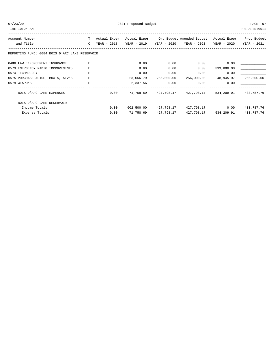| $\sim$ |  |
|--------|--|
|        |  |

| TIME:10:24 AM                                  |               |              |             |               |                                        |                      | PREPARER: 0011 |
|------------------------------------------------|---------------|--------------|-------------|---------------|----------------------------------------|----------------------|----------------|
| Account Number                                 | T             | Actual Exper |             |               | Actual Exper Org Budget Amended Budget | Actual Exper         | Prop Budget    |
| and Title                                      | $\mathcal{C}$ | YEAR - 2018  | YEAR - 2019 |               | YEAR - 2020 YEAR - 2020                | YEAR - 2020          | YEAR - 2021    |
| REPORTING FUND: 0084 BOIS D'ARC LAKE RESERVOIR |               |              |             |               |                                        |                      |                |
| 0488 LAW ENFORCEMENT INSURANCE                 |               |              | 0.00        | 0.00          | 0.00                                   | 0.00                 |                |
| 0573 EMERGENCY RADIO IMPROVEMENTS              | E             |              | 0.00        | 0.00          | 0.00                                   | 399,800.00           |                |
| 0574 TECHNOLOGY                                | E             |              | 0.00        | 0.00          | 0.00                                   | 0.00                 |                |
| 0575 PURCHASE AUTOS, BOATS, ATV'S              | E             |              | 23,066.79   | 256,000.00    |                                        | 256,000.00 48,945.97 | 256,000.00     |
| 0579 WEAPONS                                   | F.            |              |             | 2,337.56 0.00 | 0.00                                   | 0.00                 |                |
| BOIS D'ARC LAKE EXPENSES                       |               | 0.00         |             |               | 71,758.69  427,798.17  427,798.17      | 534,209.91           | 433,787.76     |
| BOIS D'ARC LAKE RESERVOIR                      |               |              |             |               |                                        |                      |                |
| Income Totals                                  |               | 0.00         | 602,500.00  | 427,798.17    |                                        | 427,798.17 0.00      | 433,787.76     |
| Expense Totals                                 |               | 0.00         | 71,758.69   | 427,798.17    | 427,798.17                             | 534,209.91           | 433,787.76     |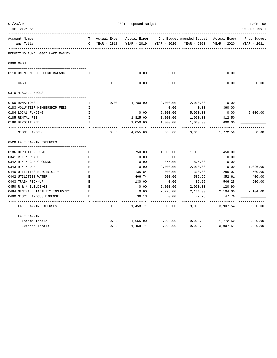| TIME:10:24 AM                    |              |              |             |             |                                                     |             | PREPARER: 0011 |
|----------------------------------|--------------|--------------|-------------|-------------|-----------------------------------------------------|-------------|----------------|
| Account Number                   | T –          | Actual Exper |             |             | Actual Exper Org Budget Amended Budget Actual Exper |             | Prop Budget    |
| and Title                        | $\mathsf{C}$ | YEAR - 2018  | YEAR - 2019 | YEAR - 2020 | YEAR - 2020                                         | YEAR - 2020 | YEAR - 2021    |
| REPORTING FUND: 0085 LAKE FANNIN |              |              |             |             |                                                     |             |                |
| 0300 CASH                        |              |              |             |             |                                                     |             |                |
| 0110 UNENCUMBERED FUND BALANCE   | I.           |              | 0.00        | 0.00        | 0.00                                                | 0.00        |                |
| CASH                             |              | 0.00         | 0.00        | 0.00        | 0.00                                                | 0.00        | 0.00           |
| 0370 MISCELLANEOUS               |              |              |             |             |                                                     |             |                |
|                                  |              |              |             |             |                                                     |             |                |
| 0150 DONATIONS                   | I.           | 0.00         | 1,780.00    | 2,000.00    | 2,000.00                                            | 0.00        |                |
| 0183 VOLUNTEER MEMBERSHIP FEES   | I            |              |             | 0.00        | 0.00                                                | 360.00      |                |
| 0184 LOCAL FUNDING               | I            |              | 0.00        | 5,000.00    | 5,000.00                                            | 0.00        | 5,000.00       |
| 0185 RENTAL FEE                  | $\mathbf{I}$ |              | 1,825.00    | 1,000.00    | 1,000.00                                            | 812.50      |                |
| 0186 DEPOSIT FEE                 | I.           |              | 1,050.00    | 1,000.00    | 1,000.00                                            | 600.00      |                |
| MISCELLANEOUS                    |              | 0.00         | 4,655.00    | 9,000.00    | 9,000.00                                            | 1,772.50    | 5,000.00       |
| 0520 LAKE FANNIN EXPENSES        |              |              |             |             |                                                     |             |                |
| 0186 DEPOSIT REFUND              | Ε            |              | 750.00      | 1,000.00    | 1,000.00                                            | 450.00      |                |
| 0341 R & M ROADS                 | E            |              | 0.00        | 0.00        | 0.00                                                | 0.00        |                |
| 0342 R & M CAMPGROUNDS           | $\mathbf E$  |              | 0.00        | 875.00      | 875.00                                              | 0.00        |                |
| 0343 R & M DAM                   | E            |              | 0.00        | 2,000.00    | 2,000.00                                            | 0.00        | 1,096.00       |
| 0440 UTILITIES ELECTRICITY       | Ε            |              | 135.84      | 300.00      | 300.00                                              | 286.02      | 500.00         |
| 0442 UTILITIES WATER             | F.           |              | 406.74      | 600.00      | 586.99                                              | 352.61      | 400.00         |
| 0443 TRASH PICK-UP               | E            |              | 130.00      | 0.00        | 86.25                                               | 546.25      | 900.00         |
| 0450 R & M BUILDINGS             | E            |              | 0.00        | 2,000.00    | 2,000.00                                            | 120.90      |                |
| 0484 GENERAL LIABILITY INSURANCE | Ε            |              | 0.00        | 2,225.00    | 2,104.00                                            | 2,104.00    | 2,104.00       |
| 0490 MISCELLANEOUS EXPENSE       | F.           |              | 36.13       | 0.00        | 47.76                                               | 47.76       |                |
| LAKE FANNIN EXPENSES             |              | 0.00         | 1,458.71    | 9,000.00    | 9,000.00                                            | 3,907.54    | 5,000.00       |
| LAKE FANNIN                      |              |              |             |             |                                                     |             |                |
| Income Totals                    |              | 0.00         | 4,655.00    | 9,000.00    | 9,000.00                                            | 1,772.50    | 5,000.00       |
| Expense Totals                   |              | 0.00         | 1,458.71    | 9,000.00    | 9,000.00                                            | 3,907.54    | 5,000.00       |

07/23/20 PAGE 98 2021 Proposed Budget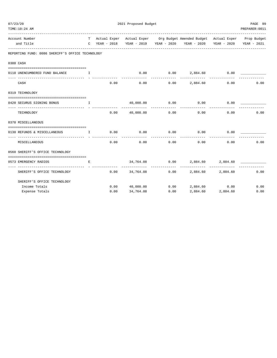| TIME:10:24 AM                                            |                                                |             |                       |                    |                                                                                |                   | PREPARER: 0011 |
|----------------------------------------------------------|------------------------------------------------|-------------|-----------------------|--------------------|--------------------------------------------------------------------------------|-------------------|----------------|
| Account Number                                           |                                                |             |                       |                    | T Actual Exper Actual Exper Org Budget Amended Budget Actual Exper Prop Budget |                   |                |
| and Title                                                |                                                |             |                       |                    | C YEAR - 2018 YEAR - 2019 YEAR - 2020 YEAR - 2020 YEAR - 2020 YEAR - 2021      |                   |                |
| REPORTING FUND: 0086 SHERIFF'S OFFICE TECHNOLOGY         |                                                |             |                       |                    |                                                                                |                   |                |
| 0300 CASH                                                |                                                |             |                       |                    |                                                                                |                   |                |
|                                                          |                                                |             |                       |                    |                                                                                |                   |                |
| 0110 UNENCUMBERED FUND BALANCE I                         |                                                |             |                       |                    | $0.00$ $0.00$ $2,884.60$ $0.00$                                                |                   |                |
| CASH                                                     |                                                | 0.00        |                       | 0.00               | 0.00 2,884.60                                                                  | 0.00              | 0.00           |
| 0319 TECHNOLOGY                                          |                                                |             |                       |                    |                                                                                |                   |                |
| 0420 SECURUS SIGNING BONUS<br>and the state of the Table |                                                |             | 40,000.00 0.00        |                    | 0.00                                                                           | 0.00              |                |
| TECHNOLOGY                                               |                                                |             | $0.00$ 40,000.00 0.00 |                    | 0.00                                                                           | 0.00              | 0.00           |
| 0370 MISCELLANEOUS                                       |                                                |             |                       |                    |                                                                                |                   |                |
| 0130 REFUNDS & MISCELLANEOUS                             | $\mathbf{I}$ and $\mathbf{I}$ and $\mathbf{I}$ | $0.00$ 0.00 |                       | 0.00               | 0.00                                                                           | 0.00              |                |
| MISCELLANEOUS                                            |                                                | 0.00        | 0.00                  | ----------<br>0.00 | 0.00                                                                           | 0.00              | 0.00           |
| 0560 SHERIFF'S OFFICE TECHNOLOGY                         |                                                |             |                       |                    |                                                                                |                   |                |
| 0573 EMERGENCY RADIOS                                    | E.                                             |             |                       |                    | 34,764.08  0.00  2,884.60  2,884.60                                            |                   |                |
| SHERIFF'S OFFICE TECHNOLOGY                              |                                                |             | $0.00$ 34,764.08      | . <u>.</u>         | $0.00$ 2,884.60 2,884.60                                                       |                   | 0.00           |
| SHERIFF'S OFFICE TECHNOLOGY                              |                                                |             |                       |                    |                                                                                |                   |                |
| Income Totals                                            |                                                |             | 0.00 40,000.00        |                    | $0.00$ 2,884.60                                                                | 0.00              | 0.00           |
| Expense Totals                                           |                                                | 0.00        | 34,764.08             | 0.00               |                                                                                | 2,884.60 2,884.60 | 0.00           |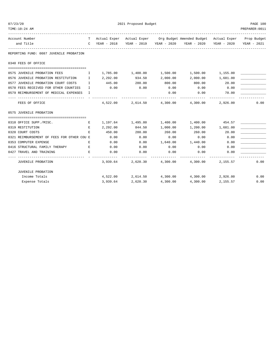| 07/23/20                                   | 2021 Proposed Budget |               |                     |          |                                                                                |                   |                |  |
|--------------------------------------------|----------------------|---------------|---------------------|----------|--------------------------------------------------------------------------------|-------------------|----------------|--|
| TIME:10:24 AM                              |                      |               |                     |          |                                                                                |                   | PREPARER: 0011 |  |
| Account Number                             |                      |               |                     |          | T Actual Exper Actual Exper Org Budget Amended Budget Actual Exper Prop Budget |                   |                |  |
| and Title                                  |                      | C YEAR - 2018 |                     |          | YEAR - 2019 YEAR - 2020 YEAR - 2020                                            | YEAR - 2020       | YEAR - 2021    |  |
| REPORTING FUND: 0087 JUVENILE PROBATION    |                      |               |                     |          |                                                                                |                   |                |  |
| 0340 FEES OF OFFICE                        |                      |               |                     |          |                                                                                |                   |                |  |
| 0575 JUVENILE PROBATION FEES               | $\mathbf{I}$         |               | 1,785.00 1,400.00   | 1,500.00 | 1,500.00 1,155.00                                                              |                   |                |  |
| 0576 JUVENILE PROBATION RESTITUTION I      |                      | 2,292.00      | 934.50              | 2,000.00 | 2,000.00                                                                       | 1,681.00          |                |  |
| 0577 JUVENILE PROBATION COURT COSTS        | I                    | 445.00        | 280.00              | 800.00   | 800.00                                                                         | 20.00             |                |  |
| 0578 FEES RECEIVED FOR OTHER COUNTIES      | $\mathbf{I}$         | 0.00          | 0.00                | 0.00     | 0.00                                                                           | 0.00              |                |  |
| 0579 REIMBURSEMENT OF MEDICAL EXPENSES     | Ι.                   |               |                     | 0.00     | 0.00                                                                           | 70.00             |                |  |
| FEES OF OFFICE                             |                      | 4,522.00      |                     |          | 2,614.50 4,300.00 4,300.00                                                     | 2,926.00          | 0.00           |  |
| 0575 JUVENILE PROBATION                    |                      |               |                     |          |                                                                                |                   |                |  |
| 0310 OFFICE SUPP./MISC.                    | Е                    |               | 1, 197.64 1, 495.80 |          | 1,400.00 1,400.00 454.57                                                       |                   |                |  |
| 0319 RESTITUTION                           | Е                    | 2,292.00      | 844.50              | 1,000.00 |                                                                                | 1,200.00 1,681.00 |                |  |
| 0320 COURT COSTS                           | E.                   | 450.00        | 280.00              | 260.00   | 260.00                                                                         | 20.00             |                |  |
| 0321 REIMBURSEMENT OF FEES FOR OTHER COU E |                      | 0.00          | 0.00                | 0.00     | 0.00                                                                           | 0.00              |                |  |
| 0353 COMPUTER EXPENSE                      | Е                    | 0.00          | 0.00                | 1,640.00 | 1,440.00                                                                       | 0.00              |                |  |
| 0416 STRUCTURAL FAMILY THERAPY             | Е                    | 0.00          | 0.00                | 0.00     | 0.00                                                                           | 0.00              |                |  |
| 0427 TRAVEL AND TRAINING                   | E.                   | 0.00          | 0.00                | 0.00     | 0.00                                                                           | 0.00              |                |  |
| JUVENILE PROBATION                         |                      | 3,939.64      |                     |          | 2,620.30 4,300.00 4,300.00 2,155.57                                            |                   | 0.00           |  |
| <b>JUVENILE PROBATION</b>                  |                      |               |                     |          |                                                                                |                   |                |  |
| Income Totals                              |                      |               |                     |          | $4,522.00$ $2,614.50$ $4,300.00$ $4,300.00$ $2,926.00$                         |                   | 0.00           |  |
| Expense Totals                             |                      | 3,939.64      | 2,620.30            | 4,300.00 | 4,300.00                                                                       | 2,155.57          | 0.00           |  |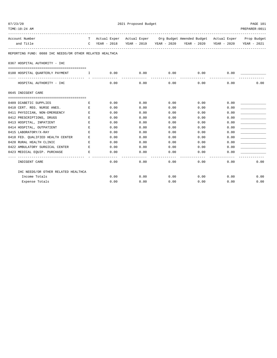| 07/23/20                                                 | 2021 Proposed Budget                                                                                                                                                                                                                                                                             |      |                        |                      |                                                                                |      |                |  |
|----------------------------------------------------------|--------------------------------------------------------------------------------------------------------------------------------------------------------------------------------------------------------------------------------------------------------------------------------------------------|------|------------------------|----------------------|--------------------------------------------------------------------------------|------|----------------|--|
| TIME:10:24 AM                                            |                                                                                                                                                                                                                                                                                                  |      |                        |                      |                                                                                |      | PREPARER: 0011 |  |
| Account Number                                           |                                                                                                                                                                                                                                                                                                  |      |                        |                      | T Actual Exper Actual Exper Org Budget Amended Budget Actual Exper Prop Budget |      |                |  |
| and Title                                                |                                                                                                                                                                                                                                                                                                  |      |                        |                      | C YEAR - 2018 YEAR - 2019 YEAR - 2020 YEAR - 2020 YEAR - 2020                  |      | YEAR - 2021    |  |
| REPORTING FUND: 0088 IHC NEEDS/OR OTHER RELATED HEALTHCA |                                                                                                                                                                                                                                                                                                  |      |                        |                      |                                                                                |      |                |  |
| 0367 HOSPITAL AUTHORITY - IHC                            |                                                                                                                                                                                                                                                                                                  |      |                        |                      |                                                                                |      |                |  |
| 0100 HOSPITAL QUARTERLY PAYMENT                          | $\mathbf{I}$ and $\mathbf{I}$ and $\mathbf{I}$ and $\mathbf{I}$ and $\mathbf{I}$ and $\mathbf{I}$ and $\mathbf{I}$ and $\mathbf{I}$ and $\mathbf{I}$ and $\mathbf{I}$ and $\mathbf{I}$ and $\mathbf{I}$ and $\mathbf{I}$ and $\mathbf{I}$ and $\mathbf{I}$ and $\mathbf{I}$ and $\mathbf{I}$ and | 0.00 | 0.00                   | 0.00                 | 0.00                                                                           | 0.00 |                |  |
| HOSPITAL AUTHORITY - IHC                                 |                                                                                                                                                                                                                                                                                                  | 0.00 | ______________<br>0.00 | ____________<br>0.00 | -------------- -------------<br>0.00                                           | 0.00 | 0.00           |  |
| 0645 INDIGENT CARE                                       |                                                                                                                                                                                                                                                                                                  |      |                        |                      |                                                                                |      |                |  |
| 0409 DIABETIC SUPPLIES                                   | Е                                                                                                                                                                                                                                                                                                | 0.00 | 0.00                   | 0.00                 | 0.00                                                                           | 0.00 |                |  |
| 0410 CERT. REG. NURSE ANES.                              | E                                                                                                                                                                                                                                                                                                | 0.00 | 0.00                   | 0.00                 | 0.00                                                                           | 0.00 |                |  |
| 0411 PHYSICIAN, NON-EMERGENCY                            | E                                                                                                                                                                                                                                                                                                | 0.00 | 0.00                   | 0.00                 | 0.00                                                                           | 0.00 |                |  |
| 0412 PRESCRIPTIONS, DRUGS                                | Е                                                                                                                                                                                                                                                                                                | 0.00 | 0.00                   | 0.00                 | 0.00                                                                           | 0.00 |                |  |
| 0413 HOSPITAL, INPATIENT                                 | Е                                                                                                                                                                                                                                                                                                | 0.00 | 0.00                   | 0.00                 | 0.00                                                                           | 0.00 |                |  |
| 0414 HOSPITAL, OUTPATIENT                                | Е                                                                                                                                                                                                                                                                                                | 0.00 | 0.00                   | 0.00                 | 0.00                                                                           | 0.00 |                |  |
| 0415 LABORATORY/X-RAY                                    | E                                                                                                                                                                                                                                                                                                | 0.00 | 0.00                   | 0.00                 | 0.00                                                                           | 0.00 |                |  |
| 0418 FED. QUALIFIED HEALTH CENTER                        | E                                                                                                                                                                                                                                                                                                | 0.00 | 0.00                   | 0.00                 | 0.00                                                                           | 0.00 |                |  |
| 0420 RURAL HEALTH CLINIC                                 | Е                                                                                                                                                                                                                                                                                                | 0.00 | 0.00                   | 0.00                 | 0.00                                                                           | 0.00 |                |  |
| 0422 AMBULATORY SURGICAL CENTER E                        |                                                                                                                                                                                                                                                                                                  | 0.00 | 0.00                   | 0.00                 | 0.00                                                                           | 0.00 |                |  |
| 0423 MEDICAL EQUIP. PURCHASE                             | Е                                                                                                                                                                                                                                                                                                | 0.00 | 0.00                   | 0.00                 | 0.00                                                                           | 0.00 |                |  |
|                                                          |                                                                                                                                                                                                                                                                                                  |      |                        |                      |                                                                                |      |                |  |
| INDIGENT CARE                                            |                                                                                                                                                                                                                                                                                                  | 0.00 | 0.00                   | 0.00                 | 0.00                                                                           | 0.00 | 0.00           |  |
| IHC NEEDS/OR OTHER RELATED HEALTHCA                      |                                                                                                                                                                                                                                                                                                  |      |                        |                      |                                                                                |      |                |  |
| Income Totals                                            |                                                                                                                                                                                                                                                                                                  | 0.00 | 0.00                   | 0.00                 | 0.00                                                                           | 0.00 | 0.00           |  |
| Expense Totals                                           |                                                                                                                                                                                                                                                                                                  | 0.00 | 0.00                   | 0.00                 | 0.00                                                                           | 0.00 | 0.00           |  |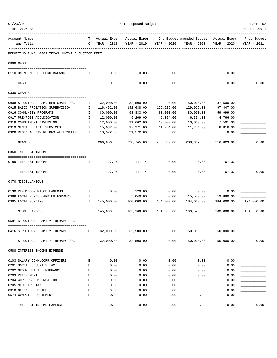| 07/23/20 | TIME:10:24 AM                                                                                                                                                                                                                                                                                                                      |                                                                                                |                       | 2021 Proposed Budget |                       |                                        |                       | PAGE 102<br>PREPARER: 0011 |
|----------|------------------------------------------------------------------------------------------------------------------------------------------------------------------------------------------------------------------------------------------------------------------------------------------------------------------------------------|------------------------------------------------------------------------------------------------|-----------------------|----------------------|-----------------------|----------------------------------------|-----------------------|----------------------------|
|          | Account Number                                                                                                                                                                                                                                                                                                                     | T –                                                                                            | Actual Exper          | Actual Exper         |                       | Org Budget Amended Budget Actual Exper |                       | Prop Budget                |
|          | and Title                                                                                                                                                                                                                                                                                                                          |                                                                                                | C YEAR - 2018         | YEAR - 2019          | YEAR - 2020           | YEAR - 2020                            | YEAR - 2020           | YEAR - 2021                |
|          | REPORTING FUND: 0089 TEXAS JUVENILE JUSTICE DEPT.                                                                                                                                                                                                                                                                                  |                                                                                                |                       |                      |                       |                                        |                       |                            |
|          | 0300 CASH                                                                                                                                                                                                                                                                                                                          |                                                                                                |                       |                      |                       |                                        |                       |                            |
|          | $\mathbf{I}$ and $\mathbf{I}$ and $\mathbf{I}$ and $\mathbf{I}$ and $\mathbf{I}$ and $\mathbf{I}$ and $\mathbf{I}$ and $\mathbf{I}$ and $\mathbf{I}$ and $\mathbf{I}$ and $\mathbf{I}$ and $\mathbf{I}$ and $\mathbf{I}$ and $\mathbf{I}$ and $\mathbf{I}$ and $\mathbf{I}$ and $\mathbf{I}$ and<br>0110 UNENCUMBERED FUND BALANCE |                                                                                                | 0.00                  | 0.00                 | 0.00                  | 0.00                                   | 0.00                  |                            |
|          | CASH                                                                                                                                                                                                                                                                                                                               |                                                                                                | 0.00                  | 0.00                 | 0.00                  | 0.00                                   | 0.00                  | 0.00                       |
|          | 0330 GRANTS                                                                                                                                                                                                                                                                                                                        |                                                                                                |                       |                      |                       |                                        |                       |                            |
|          | 0908 STRUCTURAL FAM. THER. GRANT OOG                                                                                                                                                                                                                                                                                               | Ι.                                                                                             | 32,000.00             | 32,500.00            | 0.00                  | 50,000.00                              | 37,500.00             |                            |
|          | 0915 BASIC PROBATION SUPERVISION                                                                                                                                                                                                                                                                                                   | Ι.                                                                                             | 116,452.00            | 142,638.00           | 129,929.00            | 129,929.00                             | 97,447.00             |                            |
|          | 0916 COMMUNITY PROGRAMS                                                                                                                                                                                                                                                                                                            | Ι.                                                                                             | 80,000.00             | 93,833.00            | 80,000.00             | 80,000.00                              | 59,999.00             |                            |
|          | 0917 PRE/POST ADJUDICATION                                                                                                                                                                                                                                                                                                         | I                                                                                              | 12,000.00             | 9,269.00             | 6,354.00              | 6,354.00                               | 4,766.00              |                            |
|          | 0918 COMMITMENT DIVERSION                                                                                                                                                                                                                                                                                                          | I                                                                                              | 12,000.00             | 11,662.00            | 10,000.00             | 10,000.00                              | 7,501.00              |                            |
|          | 0919 MENTAL HEALTH SERVICES                                                                                                                                                                                                                                                                                                        | Ι.                                                                                             | 15,032.00             | 17,271.00            | 11,754.00             | 11,754.00                              | 8,816.00              |                            |
|          | 0920 REGIONAL DIVERSIONS ALTERNATIVES                                                                                                                                                                                                                                                                                              | I                                                                                              | 18,572.00             | 21,572.00            | 0.00                  | 0.00                                   | 0.00                  |                            |
|          | GRANTS                                                                                                                                                                                                                                                                                                                             |                                                                                                | 286,056.00            | 328,745.00           | 238,037.00            | 288,037.00                             | 216,029.00            | 0.00                       |
|          | 0360 INTEREST INCOME                                                                                                                                                                                                                                                                                                               |                                                                                                |                       |                      |                       |                                        |                       |                            |
|          | 0189 INTEREST INCOME                                                                                                                                                                                                                                                                                                               | $\mathbf{I}$                                                                                   | 27.26                 | 147.14               | 0.00                  | 0.00                                   | 67.32                 |                            |
|          | INTEREST INCOME                                                                                                                                                                                                                                                                                                                    |                                                                                                | 27.26                 | 147.14               | 0.00                  | 0.00                                   | 67.32                 | 0.00                       |
|          | 0370 MISCELLANEOUS                                                                                                                                                                                                                                                                                                                 |                                                                                                |                       |                      |                       |                                        |                       |                            |
|          | 0130 REFUNDS & MISCELLANEOUS                                                                                                                                                                                                                                                                                                       | $\mathbf{I}$                                                                                   |                       | $0.00$ 120.00        | 0.00                  | 0.00                                   | 0.00                  |                            |
|          | 0988 LOCAL FUNDS CARRIED FORWARD<br>$\mathbb{Z}^{\mathbb{Z}}$ . The $\mathbb{Z}^{\mathbb{Z}}$                                                                                                                                                                                                                                      |                                                                                                |                       | 5,040.00             | 0.00                  |                                        | 15,540.00 19,880.00   |                            |
|          | 0995 LOCAL FUNDING                                                                                                                                                                                                                                                                                                                 | $\mathbf{I}$                                                                                   | 145,000.00            | 160,000.00           | 184,000.00            | 184,000.00                             | 184,000.00            | 194,000.00                 |
|          | MISCELLANEOUS                                                                                                                                                                                                                                                                                                                      |                                                                                                | 145,000.00            |                      | 165,160.00 184,000.00 | -----------<br>199,540.00              | 203,880.00            | 194,000.00                 |
|          |                                                                                                                                                                                                                                                                                                                                    |                                                                                                |                       |                      |                       |                                        |                       |                            |
|          | 0581 STRUCTURAL FAMILY THERAPY OOG                                                                                                                                                                                                                                                                                                 |                                                                                                |                       |                      |                       |                                        |                       |                            |
|          | 0416 STRUCTURAL FAMILY THERAPY                                                                                                                                                                                                                                                                                                     | Е                                                                                              |                       | 32,000.00 32,500.00  | 0.00                  |                                        | 50,000.00 50,000.00   |                            |
|          | STRUCTURAL FAMILY THERAPY OOG                                                                                                                                                                                                                                                                                                      |                                                                                                |                       | 32,000.00 32,500.00  | 0.00                  | 50,000.00                              | 50,000.00             | 0.00                       |
|          | 0588 INTEREST INCOME EXPENSE                                                                                                                                                                                                                                                                                                       |                                                                                                |                       |                      |                       |                                        |                       |                            |
|          | 0103 SALARY COMM.CORR.OFFICERS                                                                                                                                                                                                                                                                                                     | Е                                                                                              | 0.00                  | 0.00                 | 0.00                  | 0.00                                   | 0.00                  |                            |
|          | 0201 SOCIAL SECURITY TAX                                                                                                                                                                                                                                                                                                           | Е                                                                                              | 0.00                  | 0.00                 | 0.00                  | 0.00                                   | 0.00                  |                            |
|          | 0202 GROUP HEALTH INSURANCE                                                                                                                                                                                                                                                                                                        | $\mathbf{E}% _{t}\left  \mathbf{1}\right\rangle =\mathbf{1}_{t}\left  \mathbf{1}\right\rangle$ | 0.00                  | 0.00                 | 0.00                  | 0.00                                   | 0.00                  |                            |
|          | 0203 RETIREMENT                                                                                                                                                                                                                                                                                                                    | Е                                                                                              | 0.00                  | 0.00                 | 0.00                  | 0.00                                   | 0.00                  |                            |
|          | 0204 WORKERS COMPENSATION                                                                                                                                                                                                                                                                                                          | E                                                                                              | 0.00                  | 0.00                 | 0.00                  | 0.00                                   | 0.00                  |                            |
|          | 0205 MEDICARE TAX                                                                                                                                                                                                                                                                                                                  | E                                                                                              | 0.00                  | 0.00                 | 0.00                  | 0.00                                   | 0.00                  |                            |
|          | 0310 OFFICE SUPPLIES                                                                                                                                                                                                                                                                                                               | Е                                                                                              | 0.00                  | 0.00                 | 0.00                  | 0.00                                   | 0.00                  |                            |
|          | 0574 COMPUTER EQUIPMENT                                                                                                                                                                                                                                                                                                            | E                                                                                              | 0.00                  | 0.00                 | 0.00                  | 0.00                                   | 0.00                  |                            |
|          | INTEREST INCOME EXPENSE                                                                                                                                                                                                                                                                                                            |                                                                                                | $- - - - - -$<br>0.00 | 0.00                 | $- - - - -$<br>0.00   | -----<br>0.00                          | $- - - - - -$<br>0.00 | 0.00                       |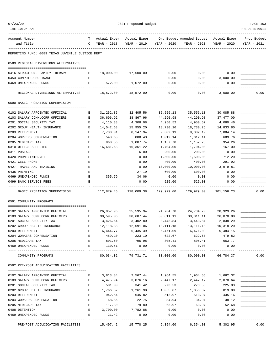| 07/23/20<br>TIME:10:24 AM                                                      |             |                             | 2021 Proposed Budget        |                            |                                                       |                            | PAGE 103<br>PREPARER: 0011 |
|--------------------------------------------------------------------------------|-------------|-----------------------------|-----------------------------|----------------------------|-------------------------------------------------------|----------------------------|----------------------------|
|                                                                                |             |                             |                             |                            |                                                       |                            |                            |
| Account Number<br>and Title                                                    | T.<br>C     | Actual Exper<br>YEAR - 2018 | Actual Exper<br>YEAR - 2019 | YEAR - 2020                | Org Budget Amended Budget Actual Exper<br>YEAR - 2020 | YEAR - 2020                | Prop Budget<br>YEAR - 2021 |
| REPORTING FUND: 0089 TEXAS JUVENILE JUSTICE DEPT.                              |             |                             |                             |                            |                                                       |                            |                            |
| 0589 REGIONAL DIVERSIONS ALTERNATIVES                                          |             |                             |                             |                            |                                                       |                            |                            |
| 0416 STRUCTURAL FAMILY THERAPY                                                 | Е           |                             | 18,000.00 17,500.00         | 0.00                       | 0.00                                                  | 0.00                       |                            |
| 0453 COMPUTER SOFTWARE                                                         | Е           |                             |                             | 0.00                       | 0.00                                                  | 3,000.00                   |                            |
| 0469 UNEXPENDED FUNDS                                                          | Е           | 572.00                      | 1,072.00                    | 0.00                       | 0.00                                                  | 0.00                       |                            |
| REGIONAL DIVERSIONS ALTERNATIVES                                               |             | 18,572.00                   | 18,572.00                   | 0.00                       | 0.00                                                  | 3,000.00                   | 0.00                       |
| 0590 BASIC PROBATION SUPERVISION                                               |             |                             |                             |                            |                                                       |                            |                            |
| 0102 SALARY APPOINTED OFFICIAL                                                 | Е           | 31,252.86                   | 32,405.56                   | 35,556.13                  | 35,556.13                                             | 30,085.88                  |                            |
| 0103 SALARY COMM.CORR.OFFICERS                                                 | Е           | 36,696.92                   | 38,867.96                   | 44,290.98                  | 44,290.98                                             | 37,477.00                  |                            |
| 0201 SOCIAL SECURITY TAX                                                       | Е           | 4,110.38                    | 4,308.08                    | 4,950.52                   | 4,950.52                                              | 4,080.46                   |                            |
| 0202 GROUP HEALTH INSURANCE                                                    | E           | 14,542.68                   | 15,955.20                   | 18,730.26                  | 18,730.26                                             | 14,833.80                  |                            |
| 0203 RETIREMENT                                                                | Ε           | 7,730.01                    | 8,147.94                    | 9,302.19                   | 9,302.19                                              | 7,884.14                   |                            |
| 0204 WORKERS COMPENSATION                                                      | Е           | 548.63                      | 888.43                      | 1,012.14                   | 1,012.14                                              | 689.76                     |                            |
| 0205 MEDICARE TAX                                                              | Ε           | 960.56                      | 1,007.74                    | 1,157.78                   | 1,157.78                                              | 954.26                     |                            |
| 0310 OFFICE SUPPLIES                                                           | Е           | 16,681.63                   | 16,361.22                   | 1,704.00                   | 1,704.00                                              | 167.00                     |                            |
| 0311 POSTAGE                                                                   | Ε           |                             | 6.00                        | 200.00                     | 200.00                                                | 0.00                       |                            |
| 0420 PHONE/INTERNET                                                            | E           |                             | 0.00                        | 1,500.00                   | 1,500.00                                              | 712.20                     |                            |
| 0421 CELL PHONE                                                                | E           |                             | 0.00                        | 400.00                     | 400.00                                                | 291.92                     |                            |
| 0427 TRAVEL AND TRAINING                                                       | Ε           |                             | 0.00                        | 10,000.00                  | 10,000.00                                             | 3,979.81                   |                            |
| 0435 PRINTING                                                                  | Е           |                             | 27.19                       | 600.00                     | 600.00                                                | 0.00                       |                            |
| 0469 UNEXPENDED FUNDS                                                          | Е           | 355.79                      | 34.06                       | 0.00                       | 0.00                                                  | 0.00                       |                            |
| 0499 BANK SERVICE FEES                                                         | E           |                             | 0.00                        | 525.00                     | 525.00                                                | 0.00                       |                            |
| BASIC PROBATION SUPERVISION                                                    |             | 112,879.46                  | 118,009.38                  | 129,929.00                 | 129,929.00                                            | 101,156.23                 | 0.00                       |
| 0591 COMMUNITY PROGRAMS                                                        |             |                             |                             |                            |                                                       |                            |                            |
| 0102 SALARY APPOINTED OFFICIAL                                                 | Е           | 26,057.96                   | 25,595.94                   | 24,734.70                  | 24,734.70                                             | 20,929.26                  |                            |
| 0103 SALARY COMM.CORR.OFFICERS                                                 | Е           | 30,595.06                   | 30,687.44                   | 30,811.11                  | 30,811.11                                             | 26,070.88                  |                            |
| 0201 SOCIAL SECURITY TAX                                                       | Е           | 3,426.64                    | 3,402.80                    | 3,443.84                   | 3,443.84                                              | 2,838.29                   |                            |
| 0202 GROUP HEALTH INSURANCE                                                    | Е           | 12, 118.38                  | 12,591.06                   | 13,111.18                  | 13, 111. 18                                           | 10,318.20                  |                            |
| 0203 RETIREMENT                                                                | Ε           | 6,444.77                    | 6,435.39                    | 6,471.09                   | 6,471.09                                              | 5,484.15                   |                            |
| 0204 WORKERS COMPENSATION                                                      | E           | 459.10                      | 223.10                      | 622.67                     | 622.67                                                | 479.82                     |                            |
| 0205 MEDICARE TAX                                                              | $\mathbf E$ | 801.60                      | 795.98                      | 805.41                     | 805.41                                                | 663.77                     |                            |
| 0469 UNEXPENDED FUNDS                                                          | E           | 130.51                      | 0.00                        | 0.00                       | 0.00                                                  | 0.00                       |                            |
| ---- -------------<br>COMMUNITY PROGRAMS                                       |             |                             | 80,034.02 79,731.71         | -------------<br>80,000.00 | -------------<br>80,000.00                            | -------------<br>66,784.37 | -------------<br>0.00      |
| 0592 PRE/POST ADJUDICATION FACILITIES                                          |             |                             |                             |                            |                                                       |                            |                            |
| 0102 SALARY APPOINTED OFFICIAL                                                 | Е           | 3,813.84                    | 2,567.44                    |                            | 1,964.55 1,964.55                                     | 1,662.32                   |                            |
| 0103 SALARY COMM.CORR.OFFICERS                                                 | Е           | 4,475.94                    | 3,076.16                    | 2,447.17                   | 2,447.17                                              | 2,070.64                   |                            |
| 0201 SOCIAL SECURITY TAX                                                       | Е           | 501.00                      | 341.42                      | 273.53                     | 273.53                                                | 225.03                     |                            |
| 0202 GROUP HEALTH INSURANCE                                                    | Е           | 1,766.52                    | 1,261.98                    | 1,055.87                   | 1,055.87                                              | 819.00                     |                            |
| 0203 RETIREMENT                                                                | E           | 942.54                      | 645.82                      | 513.97                     | 513.97                                                | 435.16                     |                            |
| 0204 WORKERS COMPENSATION                                                      | Е           | 68.86                       | 22.75                       | 34.94                      | 34.94                                                 | 38.12                      |                            |
| 0205 MEDICARE TAX                                                              | Е           | 117.30                      | 79.80                       | 63.97                      | 63.97                                                 | 52.68                      |                            |
| 0408 DETENTION                                                                 | E           | 3,700.00                    | 7,782.88                    | 0.00                       | 0.00                                                  | 0.00                       |                            |
| 0469 UNEXPENDED FUNDS                                                          | Ε           | 21.42                       | 0.00                        | 0.00                       | 0.00                                                  | 0.00                       |                            |
|                                                                                |             |                             |                             |                            |                                                       |                            |                            |
| PRE/POST ADJUDICATION FACILITIES $15,407.42$ $15,778.25$ $6,354.00$ $6,354.00$ |             |                             |                             |                            |                                                       | 5,302.95                   | 0.00                       |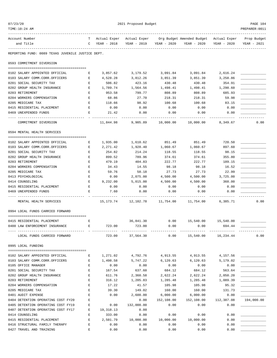| 07/23/20                                                                         |                                                                                                |                               | 2021 Proposed Budget    |                      |                                                     |                       | PAGE 104       |
|----------------------------------------------------------------------------------|------------------------------------------------------------------------------------------------|-------------------------------|-------------------------|----------------------|-----------------------------------------------------|-----------------------|----------------|
| TIME:10:24 AM                                                                    |                                                                                                |                               |                         |                      |                                                     |                       | PREPARER: 0011 |
| Account Number                                                                   | T –                                                                                            |                               |                         |                      | Actual Exper Org Budget Amended Budget Actual Exper |                       | Prop Budget    |
| and Title                                                                        |                                                                                                | Actual Exper<br>C YEAR - 2018 | YEAR - 2019             | YEAR - 2020          | YEAR - 2020                                         | YEAR - 2020           | YEAR - 2021    |
| REPORTING FUND: 0089 TEXAS JUVENILE JUSTICE DEPT.                                |                                                                                                |                               |                         |                      |                                                     |                       |                |
| 0593 COMMITMENT DIVERSION                                                        |                                                                                                |                               |                         |                      |                                                     |                       |                |
|                                                                                  |                                                                                                |                               |                         |                      |                                                     |                       |                |
| 0102 SALARY APPOINTED OFFICIAL<br>0103 SALARY COMM.CORR.OFFICERS                 | Е<br>Е                                                                                         | 3,857.62<br>4,528.28          | 3,179.52<br>3,812.26    | 3,091.84<br>3,851.39 | 3,091.84<br>3,851.39                                | 2,616.24<br>3,258.86  |                |
| 0201 SOCIAL SECURITY TAX                                                         | E                                                                                              | 506.82                        | 423.16                  | 430.48               | 430.48                                              | 354.91                |                |
| 0202 GROUP HEALTH INSURANCE                                                      | E                                                                                              | 1,789.74                      | 1,564.56                | 1,498.41             | 1,498.41                                            | 1,290.60              |                |
| 0203 RETIREMENT                                                                  | E                                                                                              | 953.58                        | 799.77                  | 808.89               | 808.89                                              | 685.93                |                |
| 0204 WORKERS COMPENSATION                                                        | Е                                                                                              | 68.86                         | 27.70                   | 218.31               | 218.31                                              | 59.98                 |                |
| 0205 MEDICARE TAX                                                                | Е                                                                                              | 118.66                        | 98.92                   | 100.68               | 100.68                                              | 83.15                 |                |
| 0415 RESIDENTIAL PLACEMENT                                                       | E                                                                                              | 0.00                          | 0.00                    | 0.00                 | 0.00                                                | 0.00                  |                |
| 0469 UNEXPENDED FUNDS                                                            | Е                                                                                              | 21.42                         | 0.00                    | 0.00                 | 0.00                                                | 0.00                  |                |
|                                                                                  |                                                                                                | ---------                     |                         |                      |                                                     |                       |                |
| COMMITMENT DIVERSION                                                             |                                                                                                | 11,844.98                     | 9,905.89                | 10,000.00            | 10,000.00                                           | 8,349.67              | 0.00           |
| 0594 MENTAL HEALTH SERVICES                                                      |                                                                                                |                               |                         |                      |                                                     |                       |                |
| 0102 SALARY APPOINTED OFFICIAL                                                   | $\mathbf{E}$ and $\mathbf{E}$                                                                  | 1,935.00                      |                         |                      | 1,610.62 851.49 851.49                              | 720.50                |                |
| 0103 SALARY COMM.CORR.OFFICERS<br><b>Expanding Expanding Expanding Expanding</b> |                                                                                                | 2,271.42                      | 1,928.40                | 1,060.67             | 1,060.67                                            | 897.60                |                |
| 0201 SOCIAL SECURITY TAX                                                         | Е                                                                                              | 254.82                        | 214.24                  | 118.55               | 118.55                                              | 98.15                 |                |
| 0202 GROUP HEALTH INSURANCE                                                      | E                                                                                              | 899.52                        | 789.96                  | 374.61               | 374.61                                              | 355.80                |                |
| 0203 RETIREMENT                                                                  | Е                                                                                              | 479.19                        | 404.83                  | 222.77               | 222.77                                              | 189.15                |                |
| 0204 WORKERS COMPENSATION                                                        | Е                                                                                              | 34.43                         | 14.55                   | 98.18                | 98.18                                               | 16.52                 |                |
| 0205 MEDICARE TAX                                                                | Е                                                                                              | 59.76                         | 50.18                   | 27.73                | 27.73                                               | 22.99                 |                |
| 0413 PSYCHOLOGICAL                                                               | Е                                                                                              | 0.00                          | 2,075.00                | 4,500.00             | 4,500.00                                            | 3,725.00              |                |
| 0414 COUNSELING                                                                  | Е                                                                                              | 9,232.00                      | 5,015.00                | 4,500.00             | 4,500.00                                            | 360.00                |                |
| 0415 RESIDENTIAL PLACEMENT                                                       | E                                                                                              | 0.00                          | 0.00                    | 0.00                 | 0.00                                                | 0.00                  |                |
| 0469 UNEXPENDED FUNDS                                                            | Е                                                                                              | 7.60                          | 0.00                    | 0.00                 | 0.00                                                | 0.00                  |                |
|                                                                                  |                                                                                                |                               |                         |                      |                                                     |                       |                |
| MENTAL HEALTH SERVICES                                                           |                                                                                                |                               | 15, 173. 74 12, 102. 78 |                      | 11,754.00    11,754.00                              | 6,385.71              | 0.00           |
| 0994 LOCAL FUNDS CARRIED FORWARD                                                 |                                                                                                |                               |                         |                      |                                                     |                       |                |
|                                                                                  |                                                                                                |                               |                         |                      |                                                     |                       |                |
| 0415 RESIDENTIAL PLACEMENT                                                       | Е                                                                                              |                               | 36,841.30               | 0.00                 |                                                     | 15,540.00 15,540.00   |                |
| 0488 LAW ENFORCEMENT INSURANCE                                                   | $\mathbf{E}$ and $\mathbf{E}$                                                                  | 723.00                        | 723.00                  | 0.00                 | 0.00                                                | 694.44                |                |
| LOCAL FUNDS CARRIED FORWARD                                                      |                                                                                                | 723.00                        | 37,564.30               | 0.00                 |                                                     | 15,540.00   16,234.44 | 0.00           |
| 0995 LOCAL FUNDING                                                               |                                                                                                |                               |                         |                      |                                                     |                       |                |
|                                                                                  |                                                                                                |                               |                         |                      |                                                     |                       |                |
| 0102 SALARY APPOINTED OFFICIAL                                                   | Е                                                                                              | 1,271.02                      | 4,792.76                |                      | 4,913.55 4,913.55 4,157.56                          |                       |                |
| 0103 SALARY COMM.CORR.OFFICERS                                                   | $\mathbf{E}$                                                                                   | 1,498.58                      | 5,747.22                | 6,120.63             | 6,120.63                                            | 5,179.02              |                |
| 0105 OFFICE MANAGER                                                              | Е                                                                                              | 0.00                          | 0.00                    | 0.00                 | 0.00                                                | 0.00                  |                |
| 0201 SOCIAL SECURITY TAX                                                         | $\mathbf E$                                                                                    | 167.54                        | 637.60                  | 684.12               | 684.12                                              | 563.64                |                |
| 0202 GROUP HEALTH INSURANCE                                                      | $\mathbf E$                                                                                    | 611.76                        | 2,360.58                | 2,622.24             | 2,622.24                                            | 2,050.20              |                |
| 0203 RETIREMENT                                                                  | Е                                                                                              | 316.12                        | 1,205.83                | 1,285.48             | 1,285.48                                            | 1,089.39              |                |
| 0204 WORKERS COMPENSATION                                                        | Ε                                                                                              | 17.22                         | 41.57                   | 105.98               | 105.98                                              | 95.32                 |                |
| 0205 MEDICARE TAX                                                                | E                                                                                              | 39.30                         | 149.02                  | 160.00               | 160.00                                              | 131.73                |                |
| 0401 AUDIT EXPENSE                                                               | E                                                                                              | 0.00                          | 2,600.00                | 6,000.00             | 6,000.00                                            | 0.00                  |                |
| 0404 DETENTION OPERATING COST FY20                                               | Е                                                                                              |                               | 0.00                    | 152,108.00           | 152,108.00                                          | 112,387.08            | 194,000.00     |
| 0405 DETENTION OPERATING COST FY19                                               | Е                                                                                              | 0.00                          | 132,000.00              | 0.00                 | 0.00                                                | 0.00                  |                |
| 0407 DETENTION OPERATING COST FY17                                               | E                                                                                              | 19,318.13                     | 0.00                    |                      |                                                     |                       |                |
| 0414 COUNSELING                                                                  | Е                                                                                              | 333.00                        | 0.00                    | 0.00                 | 0.00                                                | 0.00                  |                |
| 0415 RESIDENTIAL PLACEMENT                                                       | $\mathbf E$                                                                                    | 2,501.79                      | 10,000.00               | 10,000.00            | 10,000.00                                           | 0.00                  |                |
| 0416 STRUCTURAL FAMILY THERAPY                                                   | $\mathbf{E}% _{t}\left  \mathbf{1}\right\rangle =\mathbf{1}_{t}\left  \mathbf{1}\right\rangle$ | 0.00                          | 0.00                    | 0.00                 | 0.00                                                | 0.00                  |                |
| 0427 TRAVEL AND TRAINING                                                         | Е                                                                                              | 0.00                          | 0.00                    | 0.00                 | 0.00                                                | 0.00                  |                |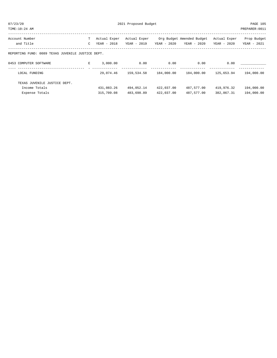| Account Number<br>and Title                       | т<br>$\mathcal{C}$ | Actual Exper<br>YEAR - 2018 | Actual Exper<br>YEAR - 2019 | YEAR - 2020 | Org Budget Amended Budget<br>YEAR - 2020 | Actual Exper<br>YEAR - 2020 | Prop Budget<br>YEAR - 2021 |
|---------------------------------------------------|--------------------|-----------------------------|-----------------------------|-------------|------------------------------------------|-----------------------------|----------------------------|
| REPORTING FUND: 0089 TEXAS JUVENILE JUSTICE DEPT. |                    |                             |                             |             |                                          |                             |                            |
| 0453 COMPUTER SOFTWARE                            | E                  | 3,000.00                    | 0.00                        | 0.00        | 0.00                                     | 0.00                        |                            |
| LOCAL FUNDING                                     |                    | 29,074.46                   | 159,534.58                  | 184,000.00  | 184,000.00                               | 125,653.94                  | 194,000.00                 |
| TEXAS JUVENILE JUSTICE DEPT.                      |                    |                             |                             |             |                                          |                             |                            |
| Income Totals                                     |                    | 431,083.26                  | 494,052.14                  | 422,037.00  | 487,577.00                               | 419,976.32                  | 194,000.00                 |
| Expense Totals                                    |                    | 315,709.08                  | 483,698.89                  | 422,037.00  | 487,577.00                               | 382,867.31                  | 194,000.00                 |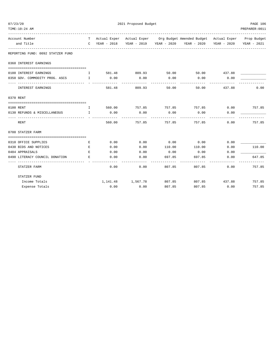| 07/23/20                                                                                                                  | 2021 Proposed Budget                                                                                                                                                                                                                                                                             |                        |                       |                     |                                                                                |               | PAGE 106          |
|---------------------------------------------------------------------------------------------------------------------------|--------------------------------------------------------------------------------------------------------------------------------------------------------------------------------------------------------------------------------------------------------------------------------------------------|------------------------|-----------------------|---------------------|--------------------------------------------------------------------------------|---------------|-------------------|
| TIME:10:24 AM                                                                                                             |                                                                                                                                                                                                                                                                                                  |                        |                       |                     |                                                                                |               | PREPARER: 0011    |
| Account Number                                                                                                            |                                                                                                                                                                                                                                                                                                  |                        |                       |                     | T Actual Exper Actual Exper Org Budget Amended Budget Actual Exper Prop Budget |               |                   |
| and Title                                                                                                                 |                                                                                                                                                                                                                                                                                                  |                        |                       |                     | C YEAR - 2018 YEAR - 2019 YEAR - 2020 YEAR - 2020 YEAR - 2020                  |               | YEAR - 2021       |
| REPORTING FUND: 0092 STATZER FUND                                                                                         |                                                                                                                                                                                                                                                                                                  |                        |                       |                     |                                                                                |               |                   |
| 0360 INTEREST EARNINGS                                                                                                    |                                                                                                                                                                                                                                                                                                  |                        |                       |                     |                                                                                |               |                   |
| 0100 INTEREST EARNINGS                                                                                                    | $\mathbf{T}$                                                                                                                                                                                                                                                                                     |                        | 581.48 809.93         | 50.00               | 50.00 437.88                                                                   |               |                   |
| 0350 GOV. COMMODITY PROG. ASCS I                                                                                          |                                                                                                                                                                                                                                                                                                  | 0.00                   | 0.00                  | 0.00                | 0.00                                                                           | 0.00          |                   |
| INTEREST EARNINGS                                                                                                         |                                                                                                                                                                                                                                                                                                  | ------------<br>581.48 | -----------<br>809.93 | ----------<br>50.00 | ----------<br>50.00                                                            | 437.88        | 0.00              |
| 0370 RENT                                                                                                                 |                                                                                                                                                                                                                                                                                                  |                        |                       |                     |                                                                                |               |                   |
|                                                                                                                           |                                                                                                                                                                                                                                                                                                  |                        |                       |                     |                                                                                |               |                   |
| 0100 RENT                                                                                                                 | $\mathbf{I}$ and $\mathbf{I}$ and $\mathbf{I}$ and $\mathbf{I}$ and $\mathbf{I}$ and $\mathbf{I}$ and $\mathbf{I}$ and $\mathbf{I}$ and $\mathbf{I}$ and $\mathbf{I}$ and $\mathbf{I}$ and $\mathbf{I}$ and $\mathbf{I}$ and $\mathbf{I}$ and $\mathbf{I}$ and $\mathbf{I}$ and $\mathbf{I}$ and |                        |                       |                     | 560.00     757.85     757.85     757.85      0.00     757.85                   |               |                   |
| $\mathbf{I}$ and $\mathbf{I}$ and $\mathbf{I}$ and $\mathbf{I}$<br>0130 REFUNDS & MISCELLANEOUS<br>------------------ - - |                                                                                                                                                                                                                                                                                                  | 0.00                   | 0.00                  | 0.00                | 0.00                                                                           | 0.00          |                   |
| RENT                                                                                                                      |                                                                                                                                                                                                                                                                                                  | 560.00                 | 757.85                | 757.85              | 757.85                                                                         | 0.00          | 757.85            |
| 0700 STATZER FARM                                                                                                         |                                                                                                                                                                                                                                                                                                  |                        |                       |                     |                                                                                |               |                   |
|                                                                                                                           |                                                                                                                                                                                                                                                                                                  |                        |                       |                     |                                                                                |               |                   |
| 0310 OFFICE SUPPLIES                                                                                                      | E                                                                                                                                                                                                                                                                                                | 0.00                   | 0.00                  | 0.00                | 0.00                                                                           | 0.00          |                   |
| 0430 BIDS AND NOTICES                                                                                                     | E                                                                                                                                                                                                                                                                                                | 0.00                   | 0.00                  | 110.00              | 110.00                                                                         | 0.00          | 110.00            |
| 0484 APPRAISALS                                                                                                           | E                                                                                                                                                                                                                                                                                                | 0.00                   | 0.00                  | 0.00                | 0.00                                                                           | 0.00          |                   |
| 0490 LITERACY COUNCIL DONATION<br>-------------                                                                           | E.                                                                                                                                                                                                                                                                                               | 0.00                   | 0.00                  | 697.85              | 697.85                                                                         | 0.00          | 647.85<br>------- |
| STATZER FARM                                                                                                              |                                                                                                                                                                                                                                                                                                  | 0.00                   | 0.00                  | 807.85              | 807.85                                                                         | 0.00          | 757.85            |
| STATZER FUND                                                                                                              |                                                                                                                                                                                                                                                                                                  |                        |                       |                     |                                                                                |               |                   |
| Income Totals                                                                                                             |                                                                                                                                                                                                                                                                                                  |                        | 1, 141. 48 1, 567. 78 | 807.85              |                                                                                | 807.85 437.88 | 757.85            |
| Expense Totals                                                                                                            |                                                                                                                                                                                                                                                                                                  | 0.00                   | 0.00                  | 807.85              | 807.85                                                                         | 0.00          | 757.85            |